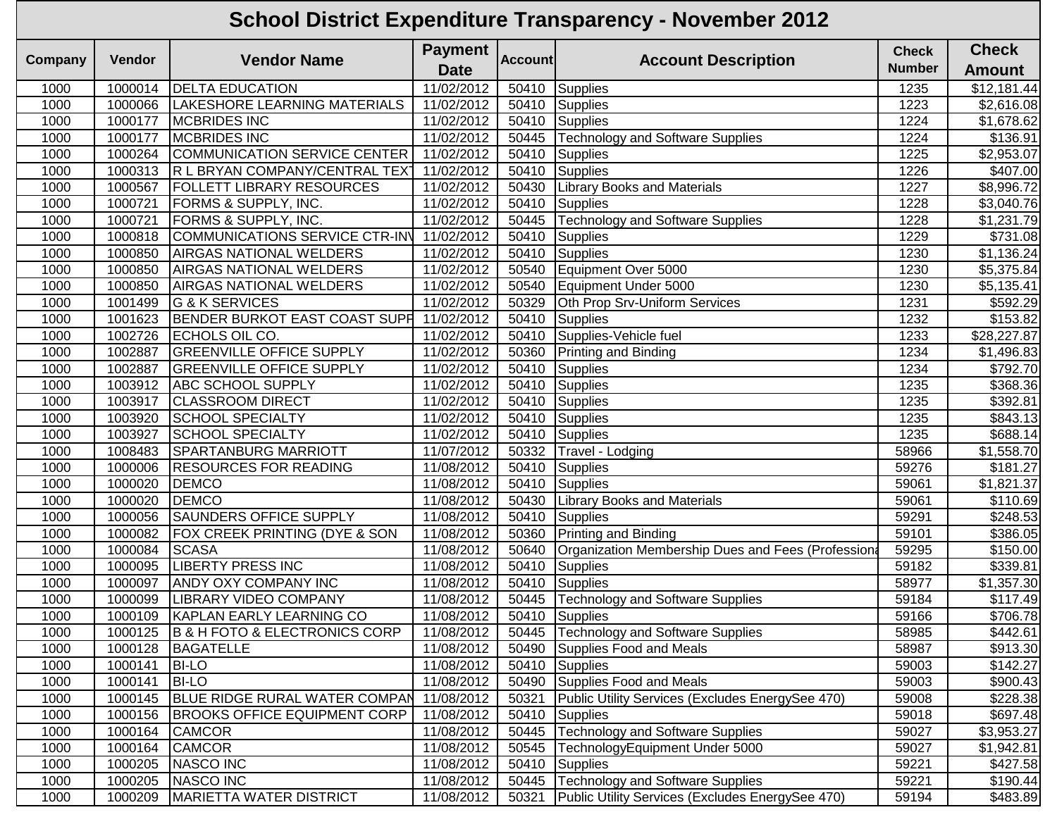## **School District Expenditure Transparency - November 2012**

| <b>Company</b> | <b>Vendor</b> | <b>Vendor Name</b>                       | <b>Payment</b> | <b>Account</b> | <b>Account Description</b>                         | <b>Check</b>  | <b>Check</b>           |
|----------------|---------------|------------------------------------------|----------------|----------------|----------------------------------------------------|---------------|------------------------|
|                |               |                                          | <b>Date</b>    |                |                                                    | <b>Number</b> | <b>Amount</b>          |
| 1000           | 1000014       | <b>DELTA EDUCATION</b>                   | 11/02/2012     | 50410          | Supplies                                           | 1235          | \$12,181.44            |
| 1000           | 1000066       | LAKESHORE LEARNING MATERIALS             | 11/02/2012     | 50410          | Supplies                                           | 1223          | \$2,616.08             |
| 1000           | 1000177       | <b>MCBRIDES INC</b>                      | 11/02/2012     | 50410          | <b>Supplies</b>                                    | 1224          | $\overline{$}1,678.62$ |
| 1000           | 1000177       | <b>MCBRIDES INC</b>                      | 11/02/2012     | 50445          | <b>Technology and Software Supplies</b>            | 1224          | \$136.91               |
| 1000           | 1000264       | COMMUNICATION SERVICE CENTER             | 11/02/2012     | 50410          | <b>Supplies</b>                                    | 1225          | \$2,953.07             |
| 1000           | 1000313       | R L BRYAN COMPANY/CENTRAL TEXT           | 11/02/2012     | 50410          | Supplies                                           | 1226          | \$407.00               |
| 1000           | 1000567       | <b>FOLLETT LIBRARY RESOURCES</b>         | 11/02/2012     | 50430          | <b>Library Books and Materials</b>                 | 1227          | \$8,996.72             |
| 1000           | 1000721       | <b>FORMS &amp; SUPPLY, INC.</b>          | 11/02/2012     | 50410          | <b>Supplies</b>                                    | 1228          | \$3,040.76             |
| 1000           | 1000721       | <b>FORMS &amp; SUPPLY, INC.</b>          | 11/02/2012     | 50445          | <b>Technology and Software Supplies</b>            | 1228          | \$1,231.79             |
| 1000           | 1000818       | COMMUNICATIONS SERVICE CTR-INV           | 11/02/2012     | 50410          | <b>Supplies</b>                                    | 1229          | \$731.08               |
| 1000           | 1000850       | <b>AIRGAS NATIONAL WELDERS</b>           | 11/02/2012     | 50410          | <b>Supplies</b>                                    | 1230          | \$1,136.24             |
| 1000           | 1000850       | <b>AIRGAS NATIONAL WELDERS</b>           | 11/02/2012     | 50540          | Equipment Over 5000                                | 1230          | \$5,375.84             |
| 1000           | 1000850       | <b>AIRGAS NATIONAL WELDERS</b>           | 11/02/2012     | 50540          | Equipment Under 5000                               | 1230          | \$5,135.41             |
| 1000           | 1001499       | <b>G &amp; K SERVICES</b>                | 11/02/2012     | 50329          | Oth Prop Srv-Uniform Services                      | 1231          | \$592.29               |
| 1000           | 1001623       | BENDER BURKOT EAST COAST SUPH            | 11/02/2012     | 50410          | <b>Supplies</b>                                    | 1232          | \$153.82               |
| 1000           | 1002726       | ECHOLS OIL CO.                           | 11/02/2012     | 50410          | Supplies-Vehicle fuel                              | 1233          | \$28,227.87            |
| 1000           | 1002887       | <b>GREENVILLE OFFICE SUPPLY</b>          | 11/02/2012     | 50360          | <b>Printing and Binding</b>                        | 1234          | \$1,496.83             |
| 1000           | 1002887       | <b>GREENVILLE OFFICE SUPPLY</b>          | 11/02/2012     | 50410          | Supplies                                           | 1234          | \$792.70               |
| 1000           | 1003912       | <b>ABC SCHOOL SUPPLY</b>                 | 11/02/2012     | 50410          | <b>Supplies</b>                                    | 1235          | $\overline{$}368.36$   |
| 1000           | 1003917       | <b>CLASSROOM DIRECT</b>                  | 11/02/2012     | 50410          | Supplies                                           | 1235          | \$392.81               |
| 1000           | 1003920       | <b>SCHOOL SPECIALTY</b>                  | 11/02/2012     | 50410          | <b>Supplies</b>                                    | 1235          | 3843.13                |
| 1000           | 1003927       | <b>SCHOOL SPECIALTY</b>                  | 11/02/2012     | 50410          | <b>Supplies</b>                                    | 1235          | \$688.14               |
| 1000           | 1008483       | <b>SPARTANBURG MARRIOTT</b>              | 11/07/2012     | 50332          | Travel - Lodging                                   | 58966         | \$1,558.70             |
| 1000           | 1000006       | <b>RESOURCES FOR READING</b>             | 11/08/2012     | 50410          | <b>Supplies</b>                                    | 59276         | \$181.27               |
| 1000           | 1000020       | <b>DEMCO</b>                             | 11/08/2012     | 50410          | <b>Supplies</b>                                    | 59061         | \$1,821.37             |
| 1000           | 1000020       | <b>DEMCO</b>                             | 11/08/2012     | 50430          | <b>Library Books and Materials</b>                 | 59061         | $\overline{$}110.69$   |
| 1000           | 1000056       | <b>SAUNDERS OFFICE SUPPLY</b>            | 11/08/2012     | 50410          | <b>Supplies</b>                                    | 59291         | \$248.53               |
| 1000           | 1000082       | <b>FOX CREEK PRINTING (DYE &amp; SON</b> | 11/08/2012     | 50360          | Printing and Binding                               | 59101         | \$386.05               |
| 1000           | 1000084       | <b>SCASA</b>                             | 11/08/2012     | 50640          | Organization Membership Dues and Fees (Professiona | 59295         | \$150.00               |
| 1000           | 1000095       | LIBERTY PRESS INC                        | 11/08/2012     | 50410          | <b>Supplies</b>                                    | 59182         | \$339.81               |
| 1000           | 1000097       | <b>ANDY OXY COMPANY INC</b>              | 11/08/2012     | 50410          | <b>Supplies</b>                                    | 58977         | \$1,357.30             |
| 1000           | 1000099       | <b>LIBRARY VIDEO COMPANY</b>             | 11/08/2012     | 50445          | <b>Technology and Software Supplies</b>            | 59184         | \$117.49               |
| 1000           | 1000109       | KAPLAN EARLY LEARNING CO                 | 11/08/2012     |                | 50410 Supplies                                     | 59166         | \$706.78               |
| 1000           |               | 1000125 B & H FOTO & ELECTRONICS CORP    | 11/08/2012     |                | 50445   Technology and Software Supplies           | 58985         | \$442.61               |
| 1000           |               | 1000128   BAGATELLE                      | 11/08/2012     |                | 50490 Supplies Food and Meals                      | 58987         | \$913.30               |
| 1000           | 1000141       | <b>BI-LO</b>                             | 11/08/2012     |                | 50410 Supplies                                     | 59003         | \$142.27               |
| 1000           | 1000141       | <b>BI-LO</b>                             | 11/08/2012     |                | 50490 Supplies Food and Meals                      | 59003         | \$900.43               |
| 1000           | 1000145       | BLUE RIDGE RURAL WATER COMPAN            | 11/08/2012     | 50321          | Public Utility Services (Excludes EnergySee 470)   | 59008         | \$228.38               |
| 1000           | 1000156       | <b>BROOKS OFFICE EQUIPMENT CORP</b>      | 11/08/2012     | 50410          | Supplies                                           | 59018         | \$697.48               |
| 1000           | 1000164       | <b>CAMCOR</b>                            | 11/08/2012     | 50445          | <b>Technology and Software Supplies</b>            | 59027         | \$3,953.27             |
| 1000           | 1000164       | <b>CAMCOR</b>                            | 11/08/2012     | 50545          | TechnologyEquipment Under 5000                     | 59027         | \$1,942.81             |
| 1000           | 1000205       | NASCO INC                                | 11/08/2012     | 50410          | <b>Supplies</b>                                    | 59221         | \$427.58               |
| 1000           | 1000205       | NASCO INC                                | 11/08/2012     | 50445          | <b>Technology and Software Supplies</b>            | 59221         | \$190.44]              |
| 1000           | 1000209       | <b>MARIETTA WATER DISTRICT</b>           | 11/08/2012     | 50321          | Public Utility Services (Excludes EnergySee 470)   | 59194         | \$483.89               |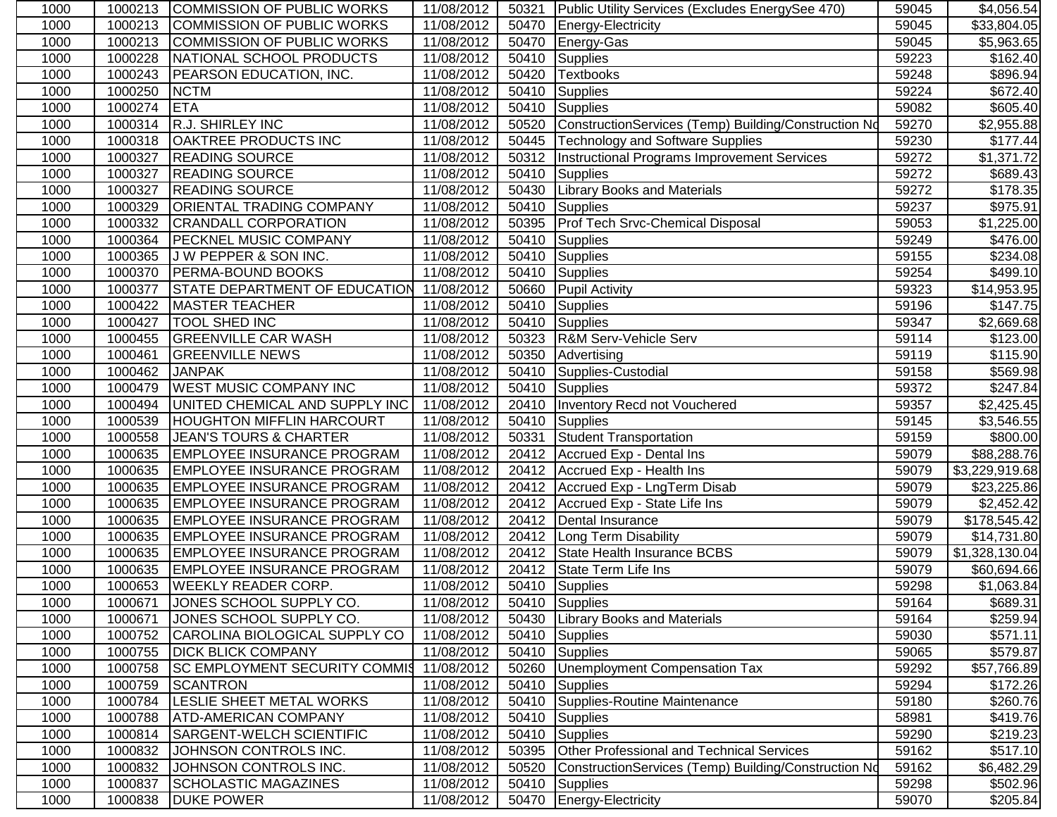| 1000 | 1000213 | <b>COMMISSION OF PUBLIC WORKS</b>        | 11/08/2012 |       | 50321 Public Utility Services (Excludes EnergySee 470) | 59045 | \$4,056.54           |
|------|---------|------------------------------------------|------------|-------|--------------------------------------------------------|-------|----------------------|
| 1000 | 1000213 | COMMISSION OF PUBLIC WORKS               | 11/08/2012 | 50470 | Energy-Electricity                                     | 59045 | \$33,804.05          |
| 1000 | 1000213 | COMMISSION OF PUBLIC WORKS               | 11/08/2012 | 50470 | Energy-Gas                                             | 59045 | \$5,963.65           |
| 1000 | 1000228 | NATIONAL SCHOOL PRODUCTS                 | 11/08/2012 | 50410 | Supplies                                               | 59223 | \$162.40             |
| 1000 | 1000243 | <b>PEARSON EDUCATION, INC.</b>           | 11/08/2012 | 50420 | <b>Textbooks</b>                                       | 59248 | \$896.94             |
| 1000 | 1000250 | <b>NCTM</b>                              | 11/08/2012 | 50410 | Supplies                                               | 59224 | \$672.40             |
| 1000 | 1000274 | <b>ETA</b>                               | 11/08/2012 |       | 50410 Supplies                                         | 59082 | \$605.40             |
| 1000 | 1000314 | R.J. SHIRLEY INC                         | 11/08/2012 | 50520 | ConstructionServices (Temp) Building/Construction Nd   | 59270 | \$2,955.88           |
| 1000 | 1000318 | <b>OAKTREE PRODUCTS INC</b>              | 11/08/2012 |       | 50445   Technology and Software Supplies               | 59230 | $\overline{$}177.44$ |
| 1000 | 1000327 | <b>READING SOURCE</b>                    | 11/08/2012 |       | 50312 Instructional Programs Improvement Services      | 59272 | \$1,371.72           |
| 1000 | 1000327 | <b>READING SOURCE</b>                    | 11/08/2012 | 50410 | Supplies                                               | 59272 | \$689.43             |
| 1000 | 1000327 | <b>READING SOURCE</b>                    | 11/08/2012 | 50430 | <b>Library Books and Materials</b>                     | 59272 | \$178.35             |
| 1000 | 1000329 | <b>ORIENTAL TRADING COMPANY</b>          | 11/08/2012 | 50410 | <b>Supplies</b>                                        | 59237 | \$975.91             |
| 1000 | 1000332 | <b>CRANDALL CORPORATION</b>              | 11/08/2012 | 50395 | Prof Tech Srvc-Chemical Disposal                       | 59053 | \$1,225.00           |
| 1000 | 1000364 | <b>PECKNEL MUSIC COMPANY</b>             | 11/08/2012 |       | 50410 Supplies                                         | 59249 | \$476.00             |
| 1000 | 1000365 | J W PEPPER & SON INC.                    | 11/08/2012 |       | 50410 Supplies                                         | 59155 | \$234.08             |
| 1000 | 1000370 | <b>PERMA-BOUND BOOKS</b>                 | 11/08/2012 |       | 50410 Supplies                                         | 59254 | \$499.10             |
| 1000 | 1000377 | STATE DEPARTMENT OF EDUCATION            | 11/08/2012 | 50660 | <b>Pupil Activity</b>                                  | 59323 | \$14,953.95          |
| 1000 | 1000422 | <b>MASTER TEACHER</b>                    | 11/08/2012 | 50410 | Supplies                                               | 59196 | \$147.75             |
| 1000 | 1000427 | <b>TOOL SHED INC</b>                     | 11/08/2012 | 50410 | Supplies                                               | 59347 | \$2,669.68           |
| 1000 | 1000455 | <b>GREENVILLE CAR WASH</b>               | 11/08/2012 | 50323 | R&M Serv-Vehicle Serv                                  | 59114 | \$123.00             |
| 1000 | 1000461 | <b>GREENVILLE NEWS</b>                   | 11/08/2012 | 50350 | Advertising                                            | 59119 | $\overline{$}115.90$ |
| 1000 | 1000462 | <b>JANPAK</b>                            | 11/08/2012 | 50410 | Supplies-Custodial                                     | 59158 | \$569.98             |
| 1000 | 1000479 | <b>WEST MUSIC COMPANY INC</b>            | 11/08/2012 |       | 50410 Supplies                                         | 59372 | \$247.84             |
| 1000 | 1000494 | UNITED CHEMICAL AND SUPPLY INC           | 11/08/2012 |       | 20410   Inventory Recd not Vouchered                   | 59357 | \$2,425.45           |
| 1000 | 1000539 | <b>HOUGHTON MIFFLIN HARCOURT</b>         | 11/08/2012 |       | 50410 Supplies                                         | 59145 | \$3,546.55           |
| 1000 | 1000558 | JEAN'S TOURS & CHARTER                   | 11/08/2012 | 50331 | <b>Student Transportation</b>                          | 59159 | \$800.00             |
| 1000 | 1000635 | <b>EMPLOYEE INSURANCE PROGRAM</b>        | 11/08/2012 |       | 20412   Accrued Exp - Dental Ins                       | 59079 | \$88,288.76          |
| 1000 | 1000635 | <b>EMPLOYEE INSURANCE PROGRAM</b>        | 11/08/2012 |       | 20412 Accrued Exp - Health Ins                         | 59079 | \$3,229,919.68       |
| 1000 | 1000635 | <b>EMPLOYEE INSURANCE PROGRAM</b>        | 11/08/2012 | 20412 | Accrued Exp - LngTerm Disab                            | 59079 | \$23,225.86          |
| 1000 | 1000635 | <b>EMPLOYEE INSURANCE PROGRAM</b>        | 11/08/2012 | 20412 | Accrued Exp - State Life Ins                           | 59079 | \$2,452.42           |
| 1000 | 1000635 | <b>EMPLOYEE INSURANCE PROGRAM</b>        | 11/08/2012 |       | 20412   Dental Insurance                               | 59079 | \$178,545.42         |
| 1000 | 1000635 | <b>EMPLOYEE INSURANCE PROGRAM</b>        | 11/08/2012 |       | 20412 Long Term Disability                             | 59079 | \$14,731.80          |
| 1000 | 1000635 | <b>EMPLOYEE INSURANCE PROGRAM</b>        | 11/08/2012 |       | 20412 State Health Insurance BCBS                      | 59079 | \$1,328,130.04       |
| 1000 | 1000635 | <b>EMPLOYEE INSURANCE PROGRAM</b>        | 11/08/2012 |       | 20412 State Term Life Ins                              | 59079 | \$60,694.66          |
| 1000 | 1000653 | <b>WEEKLY READER CORP.</b>               | 11/08/2012 |       | 50410 Supplies                                         | 59298 | \$1,063.84           |
| 1000 | 1000671 | JONES SCHOOL SUPPLY CO.                  | 11/08/2012 |       | 50410 Supplies                                         | 59164 | \$689.31             |
| 1000 | 1000671 | JONES SCHOOL SUPPLY CO.                  | 11/08/2012 |       | 50430 Library Books and Materials                      | 59164 | \$259.94             |
| 1000 | 1000752 | CAROLINA BIOLOGICAL SUPPLY CO            | 11/08/2012 |       | 50410 Supplies                                         | 59030 | \$571.11             |
| 1000 | 1000755 | <b>DICK BLICK COMPANY</b>                | 11/08/2012 |       | 50410 Supplies                                         | 59065 | \$579.87             |
| 1000 | 1000758 | SC EMPLOYMENT SECURITY COMMIS 11/08/2012 |            | 50260 | Unemployment Compensation Tax                          | 59292 | \$57,766.89          |
| 1000 | 1000759 | <b>SCANTRON</b>                          | 11/08/2012 |       | 50410 Supplies                                         | 59294 | \$172.26             |
| 1000 | 1000784 | LESLIE SHEET METAL WORKS                 | 11/08/2012 |       | 50410 Supplies-Routine Maintenance                     | 59180 | \$260.76             |
| 1000 | 1000788 | <b>ATD-AMERICAN COMPANY</b>              | 11/08/2012 |       | 50410 Supplies                                         | 58981 | \$419.76             |
| 1000 | 1000814 | <b>SARGENT-WELCH SCIENTIFIC</b>          | 11/08/2012 | 50410 | Supplies                                               | 59290 | $\overline{$}219.23$ |
| 1000 | 1000832 | JOHNSON CONTROLS INC.                    | 11/08/2012 | 50395 | <b>Other Professional and Technical Services</b>       | 59162 | \$517.10             |
| 1000 | 1000832 | JOHNSON CONTROLS INC.                    | 11/08/2012 | 50520 | ConstructionServices (Temp) Building/Construction No   | 59162 | \$6,482.29           |
| 1000 | 1000837 | <b>SCHOLASTIC MAGAZINES</b>              | 11/08/2012 | 50410 | Supplies                                               | 59298 | \$502.96             |
| 1000 | 1000838 | <b>DUKE POWER</b>                        | 11/08/2012 |       | 50470 Energy-Electricity                               | 59070 | \$205.84             |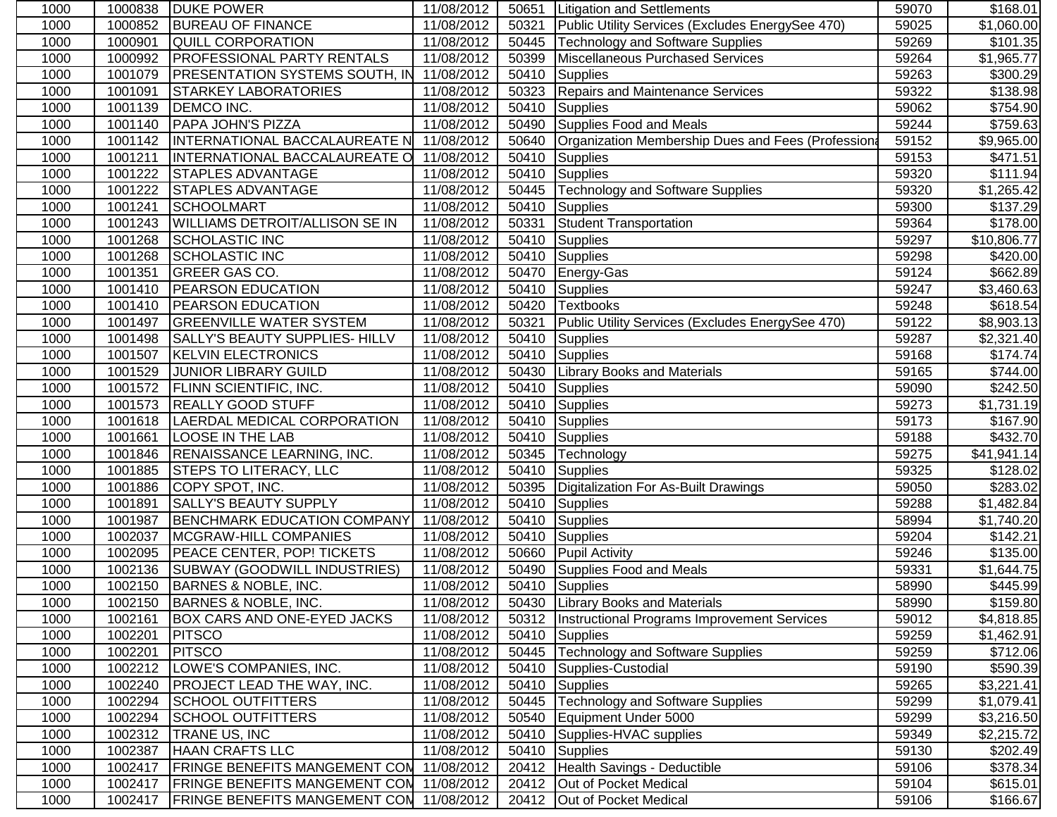| 1000 | 1000838 | <b>JOUKE POWER</b>                        | 11/08/2012 |       | 50651   Litigation and Settlements                 | 59070 | \$168.01             |
|------|---------|-------------------------------------------|------------|-------|----------------------------------------------------|-------|----------------------|
| 1000 | 1000852 | <b>BUREAU OF FINANCE</b>                  | 11/08/2012 | 50321 | Public Utility Services (Excludes EnergySee 470)   | 59025 | \$1,060.00           |
| 1000 | 1000901 | <b>QUILL CORPORATION</b>                  | 11/08/2012 | 50445 | Technology and Software Supplies                   | 59269 | \$101.35             |
| 1000 | 1000992 | <b>PROFESSIONAL PARTY RENTALS</b>         | 11/08/2012 | 50399 | Miscellaneous Purchased Services                   | 59264 | \$1,965.77           |
| 1000 | 1001079 | PRESENTATION SYSTEMS SOUTH, IN 11/08/2012 |            | 50410 | Supplies                                           | 59263 | $\overline{$}300.29$ |
| 1000 | 1001091 | <b>STARKEY LABORATORIES</b>               | 11/08/2012 | 50323 | Repairs and Maintenance Services                   | 59322 | \$138.98             |
| 1000 | 1001139 | <b>DEMCO INC.</b>                         | 11/08/2012 | 50410 | Supplies                                           | 59062 | \$754.90             |
| 1000 | 1001140 | <b>PAPA JOHN'S PIZZA</b>                  | 11/08/2012 |       | 50490 Supplies Food and Meals                      | 59244 | \$759.63             |
| 1000 | 1001142 | INTERNATIONAL BACCALAUREATE N 11/08/2012  |            | 50640 | Organization Membership Dues and Fees (Professiona | 59152 | \$9,965.00           |
| 1000 | 1001211 | <b>INTERNATIONAL BACCALAUREATE O</b>      | 11/08/2012 | 50410 | Supplies                                           | 59153 | \$471.51             |
| 1000 | 1001222 | <b>STAPLES ADVANTAGE</b>                  | 11/08/2012 | 50410 | Supplies                                           | 59320 | \$111.94             |
| 1000 | 1001222 | <b>STAPLES ADVANTAGE</b>                  | 11/08/2012 | 50445 | <b>Technology and Software Supplies</b>            | 59320 | \$1,265.42           |
| 1000 | 1001241 | <b>SCHOOLMART</b>                         | 11/08/2012 | 50410 | Supplies                                           | 59300 | \$137.29             |
| 1000 | 1001243 | <b>WILLIAMS DETROIT/ALLISON SE IN</b>     | 11/08/2012 | 50331 | <b>Student Transportation</b>                      | 59364 | \$178.00             |
| 1000 | 1001268 | <b>SCHOLASTIC INC</b>                     | 11/08/2012 | 50410 | Supplies                                           | 59297 | \$10,806.77          |
| 1000 | 1001268 | <b>SCHOLASTIC INC</b>                     | 11/08/2012 |       | 50410 Supplies                                     | 59298 | \$420.00             |
| 1000 | 1001351 | <b>GREER GAS CO.</b>                      | 11/08/2012 |       | 50470 Energy-Gas                                   | 59124 | \$662.89             |
| 1000 | 1001410 | <b>PEARSON EDUCATION</b>                  | 11/08/2012 | 50410 | Supplies                                           | 59247 | \$3,460.63           |
| 1000 | 1001410 | <b>PEARSON EDUCATION</b>                  | 11/08/2012 | 50420 | <b>Textbooks</b>                                   | 59248 | $\overline{$}618.54$ |
| 1000 | 1001497 | <b>GREENVILLE WATER SYSTEM</b>            | 11/08/2012 | 50321 | Public Utility Services (Excludes EnergySee 470)   | 59122 | \$8,903.13           |
| 1000 | 1001498 | <b>SALLY'S BEAUTY SUPPLIES- HILLV</b>     | 11/08/2012 | 50410 | Supplies                                           | 59287 | \$2,321.40           |
| 1000 | 1001507 | <b>KELVIN ELECTRONICS</b>                 | 11/08/2012 | 50410 | Supplies                                           | 59168 | \$174.74             |
| 1000 | 1001529 | <b>JUNIOR LIBRARY GUILD</b>               | 11/08/2012 | 50430 | <b>Library Books and Materials</b>                 | 59165 | \$744.00             |
| 1000 | 1001572 | <b>FLINN SCIENTIFIC, INC.</b>             | 11/08/2012 |       | $\overline{50}410$ Supplies                        | 59090 | \$242.50             |
| 1000 | 1001573 | <b>REALLY GOOD STUFF</b>                  | 11/08/2012 |       | 50410 Supplies                                     | 59273 | \$1,731.19           |
| 1000 | 1001618 | <b>LAERDAL MEDICAL CORPORATION</b>        | 11/08/2012 | 50410 | Supplies                                           | 59173 | \$167.90             |
| 1000 | 1001661 | <b>LOOSE IN THE LAB</b>                   | 11/08/2012 | 50410 | Supplies                                           | 59188 | \$432.70             |
| 1000 | 1001846 | RENAISSANCE LEARNING, INC.                | 11/08/2012 | 50345 | Technology                                         | 59275 | \$41,941.14          |
| 1000 | 1001885 | <b>STEPS TO LITERACY, LLC</b>             | 11/08/2012 | 50410 | Supplies                                           | 59325 | \$128.02             |
| 1000 | 1001886 | COPY SPOT, INC.                           | 11/08/2012 | 50395 | Digitalization For As-Built Drawings               | 59050 | \$283.02             |
| 1000 | 1001891 | <b>SALLY'S BEAUTY SUPPLY</b>              | 11/08/2012 | 50410 | Supplies                                           | 59288 | \$1,482.84           |
| 1000 | 1001987 | <b>BENCHMARK EDUCATION COMPANY</b>        | 11/08/2012 |       | 50410 Supplies                                     | 58994 | \$1,740.20           |
| 1000 | 1002037 | <b>MCGRAW-HILL COMPANIES</b>              | 11/08/2012 |       | 50410 Supplies                                     | 59204 | \$142.21             |
| 1000 | 1002095 | <b>PEACE CENTER, POP! TICKETS</b>         | 11/08/2012 |       | 50660 Pupil Activity                               | 59246 | \$135.00             |
| 1000 | 1002136 | <b>SUBWAY (GOODWILL INDUSTRIES)</b>       | 11/08/2012 | 50490 | Supplies Food and Meals                            | 59331 | \$1,644.75           |
| 1000 | 1002150 | BARNES & NOBLE, INC.                      | 11/08/2012 |       | 50410 Supplies                                     | 58990 | \$445.99             |
| 1000 |         | 1002150 BARNES & NOBLE, INC.              | 11/08/2012 |       | 50430 Library Books and Materials                  | 58990 | \$159.80             |
| 1000 | 1002161 | BOX CARS AND ONE-EYED JACKS               | 11/08/2012 |       | 50312  Instructional Programs Improvement Services | 59012 | \$4,818.85           |
| 1000 | 1002201 | <b>PITSCO</b>                             | 11/08/2012 |       | 50410 Supplies                                     | 59259 | \$1,462.91           |
| 1000 | 1002201 | <b>PITSCO</b>                             | 11/08/2012 | 50445 | Technology and Software Supplies                   | 59259 | \$712.06             |
| 1000 |         | 1002212  LOWE'S COMPANIES, INC.           | 11/08/2012 |       | 50410 Supplies-Custodial                           | 59190 | \$590.39             |
| 1000 | 1002240 | <b>PROJECT LEAD THE WAY, INC.</b>         | 11/08/2012 |       | 50410 Supplies                                     | 59265 | \$3,221.41           |
| 1000 | 1002294 | <b>SCHOOL OUTFITTERS</b>                  | 11/08/2012 |       | 50445 Technology and Software Supplies             | 59299 | \$1,079.41           |
| 1000 | 1002294 | <b>SCHOOL OUTFITTERS</b>                  | 11/08/2012 |       | 50540 Equipment Under 5000                         | 59299 | \$3,216.50           |
| 1000 | 1002312 | TRANE US, INC                             | 11/08/2012 |       | 50410 Supplies-HVAC supplies                       | 59349 | \$2,215.72           |
| 1000 | 1002387 | <b>HAAN CRAFTS LLC</b>                    | 11/08/2012 |       | 50410 Supplies                                     | 59130 | \$202.49             |
| 1000 | 1002417 | <b>FRINGE BENEFITS MANGEMENT CON</b>      | 11/08/2012 |       | 20412   Health Savings - Deductible                | 59106 | \$378.34             |
| 1000 | 1002417 | <b>FRINGE BENEFITS MANGEMENT CON</b>      | 11/08/2012 |       | 20412 Out of Pocket Medical                        | 59104 | \$615.01             |
| 1000 | 1002417 | FRINGE BENEFITS MANGEMENT CON 11/08/2012  |            |       | 20412 Out of Pocket Medical                        | 59106 | \$166.67             |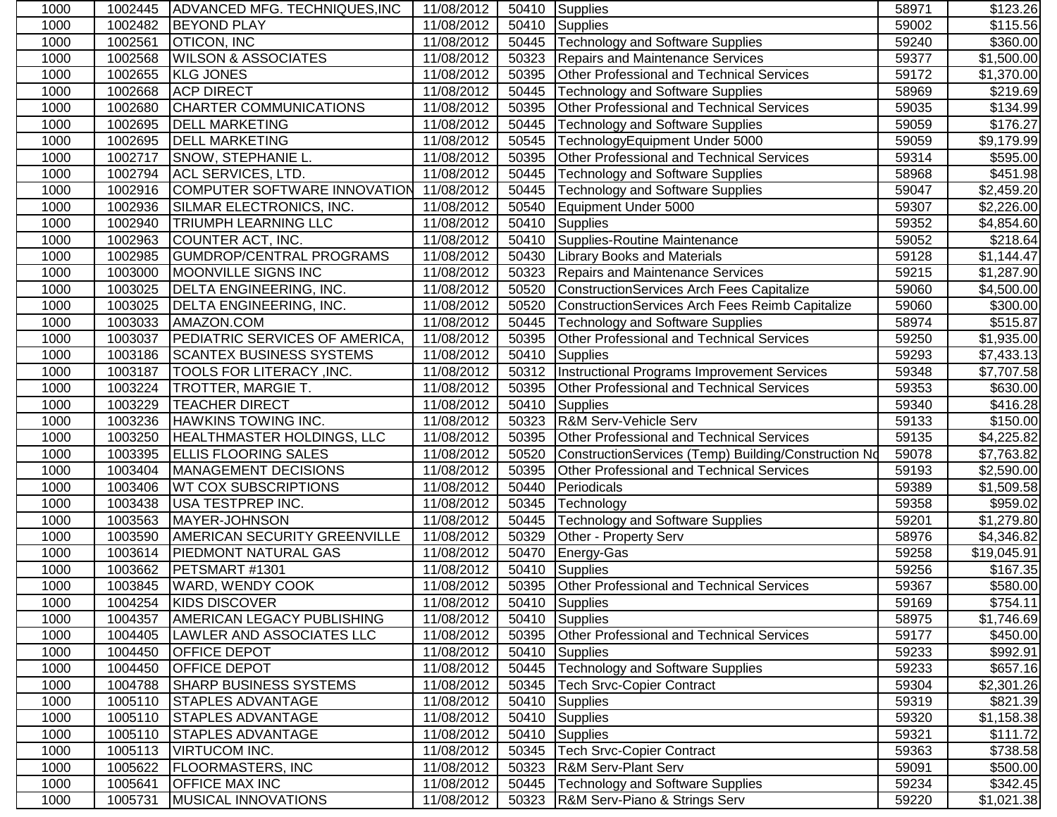| 1000 | 1002445 | ADVANCED MFG. TECHNIQUES, INC         | 11/08/2012 |       | 50410 Supplies                                       | 58971 | \$123.26               |
|------|---------|---------------------------------------|------------|-------|------------------------------------------------------|-------|------------------------|
| 1000 | 1002482 | <b>BEYOND PLAY</b>                    | 11/08/2012 | 50410 | <b>Supplies</b>                                      | 59002 | \$115.56               |
| 1000 | 1002561 | <b>OTICON, INC</b>                    | 11/08/2012 | 50445 | Technology and Software Supplies                     | 59240 | \$360.00               |
| 1000 | 1002568 | <b>WILSON &amp; ASSOCIATES</b>        | 11/08/2012 | 50323 | <b>Repairs and Maintenance Services</b>              | 59377 | \$1,500.00             |
| 1000 | 1002655 | <b>KLG JONES</b>                      | 11/08/2012 | 50395 | <b>Other Professional and Technical Services</b>     | 59172 | \$1,370.00             |
| 1000 | 1002668 | <b>ACP DIRECT</b>                     | 11/08/2012 | 50445 | <b>Technology and Software Supplies</b>              | 58969 | \$219.69               |
| 1000 | 1002680 | <b>CHARTER COMMUNICATIONS</b>         | 11/08/2012 | 50395 | Other Professional and Technical Services            | 59035 | \$134.99               |
| 1000 | 1002695 | <b>DELL MARKETING</b>                 | 11/08/2012 | 50445 | <b>Technology and Software Supplies</b>              | 59059 | \$176.27               |
| 1000 | 1002695 | <b>DELL MARKETING</b>                 | 11/08/2012 | 50545 | TechnologyEquipment Under 5000                       | 59059 | \$9,179.99             |
| 1000 | 1002717 | <b>SNOW, STEPHANIE L.</b>             | 11/08/2012 | 50395 | Other Professional and Technical Services            | 59314 | \$595.00               |
| 1000 | 1002794 | <b>ACL SERVICES, LTD.</b>             | 11/08/2012 | 50445 | <b>Technology and Software Supplies</b>              | 58968 | \$451.98               |
| 1000 | 1002916 | COMPUTER SOFTWARE INNOVATION          | 11/08/2012 | 50445 | <b>Technology and Software Supplies</b>              | 59047 | \$2,459.20             |
| 1000 | 1002936 | SILMAR ELECTRONICS, INC.              | 11/08/2012 | 50540 | Equipment Under 5000                                 | 59307 | \$2,226.00             |
| 1000 | 1002940 | TRIUMPH LEARNING LLC                  | 11/08/2012 | 50410 | <b>Supplies</b>                                      | 59352 | \$4,854.60             |
| 1000 | 1002963 | COUNTER ACT, INC.                     | 11/08/2012 | 50410 | Supplies-Routine Maintenance                         | 59052 | \$218.64               |
| 1000 | 1002985 | <b>GUMDROP/CENTRAL PROGRAMS</b>       | 11/08/2012 |       | 50430 Library Books and Materials                    | 59128 | \$1,144.47             |
| 1000 | 1003000 | MOONVILLE SIGNS INC                   | 11/08/2012 | 50323 | Repairs and Maintenance Services                     | 59215 | \$1,287.90             |
| 1000 | 1003025 | DELTA ENGINEERING, INC.               | 11/08/2012 | 50520 | ConstructionServices Arch Fees Capitalize            | 59060 | \$4,500.00             |
| 1000 | 1003025 | <b>DELTA ENGINEERING, INC.</b>        | 11/08/2012 | 50520 | ConstructionServices Arch Fees Reimb Capitalize      | 59060 | \$300.00               |
| 1000 | 1003033 | AMAZON.COM                            | 11/08/2012 | 50445 | <b>Technology and Software Supplies</b>              | 58974 | \$515.87               |
| 1000 | 1003037 | <b>PEDIATRIC SERVICES OF AMERICA.</b> | 11/08/2012 | 50395 | Other Professional and Technical Services            | 59250 | \$1,935.00             |
| 1000 | 1003186 | <b>SCANTEX BUSINESS SYSTEMS</b>       | 11/08/2012 | 50410 | <b>Supplies</b>                                      | 59293 | \$7,433.13             |
| 1000 | 1003187 | TOOLS FOR LITERACY, INC.              | 11/08/2012 | 50312 | Instructional Programs Improvement Services          | 59348 | $\overline{$7,707.58}$ |
| 1000 | 1003224 | TROTTER, MARGIE T.                    | 11/08/2012 | 50395 | <b>Other Professional and Technical Services</b>     | 59353 | \$630.00               |
| 1000 | 1003229 | <b>TEACHER DIRECT</b>                 | 11/08/2012 |       | 50410 Supplies                                       | 59340 | \$416.28               |
| 1000 | 1003236 | <b>HAWKINS TOWING INC.</b>            | 11/08/2012 | 50323 | R&M Serv-Vehicle Serv                                | 59133 | \$150.00               |
| 1000 | 1003250 | <b>HEALTHMASTER HOLDINGS, LLC</b>     | 11/08/2012 | 50395 | Other Professional and Technical Services            | 59135 | \$4,225.82             |
| 1000 | 1003395 | <b>ELLIS FLOORING SALES</b>           | 11/08/2012 | 50520 | ConstructionServices (Temp) Building/Construction No | 59078 | \$7,763.82             |
| 1000 | 1003404 | MANAGEMENT DECISIONS                  | 11/08/2012 | 50395 | <b>Other Professional and Technical Services</b>     | 59193 | \$2,590.00             |
| 1000 | 1003406 | <b>WT COX SUBSCRIPTIONS</b>           | 11/08/2012 | 50440 | Periodicals                                          | 59389 | \$1,509.58             |
| 1000 | 1003438 | USA TESTPREP INC.                     | 11/08/2012 | 50345 | Technology                                           | 59358 | \$959.02               |
| 1000 | 1003563 | MAYER-JOHNSON                         | 11/08/2012 | 50445 | <b>Technology and Software Supplies</b>              | 59201 | \$1,279.80             |
| 1000 | 1003590 | <b>AMERICAN SECURITY GREENVILLE</b>   | 11/08/2012 | 50329 | Other - Property Serv                                | 58976 | \$4,346.82             |
| 1000 | 1003614 | <b>PIEDMONT NATURAL GAS</b>           | 11/08/2012 | 50470 | Energy-Gas                                           | 59258 | \$19,045.91            |
| 1000 | 1003662 | PETSMART #1301                        | 11/08/2012 | 50410 | Supplies                                             | 59256 | \$167.35               |
| 1000 |         | 1003845 WARD, WENDY COOK              | 11/08/2012 |       | 50395 Other Professional and Technical Services      | 59367 | \$580.00               |
| 1000 |         | 1004254 KIDS DISCOVER                 | 11/08/2012 |       | 50410 Supplies                                       | 59169 | \$754.11               |
| 1000 | 1004357 | <b>AMERICAN LEGACY PUBLISHING</b>     | 11/08/2012 |       | 50410 Supplies                                       | 58975 | \$1,746.69             |
| 1000 | 1004405 | LAWLER AND ASSOCIATES LLC             | 11/08/2012 | 50395 | Other Professional and Technical Services            | 59177 | \$450.00               |
| 1000 | 1004450 | <b>OFFICE DEPOT</b>                   | 11/08/2012 |       | 50410 Supplies                                       | 59233 | \$992.91               |
| 1000 | 1004450 | <b>OFFICE DEPOT</b>                   | 11/08/2012 | 50445 | Technology and Software Supplies                     | 59233 | \$657.16               |
| 1000 | 1004788 | <b>SHARP BUSINESS SYSTEMS</b>         | 11/08/2012 | 50345 | Tech Srvc-Copier Contract                            | 59304 | \$2,301.26             |
| 1000 | 1005110 | <b>STAPLES ADVANTAGE</b>              | 11/08/2012 | 50410 | Supplies                                             | 59319 | \$821.39               |
| 1000 | 1005110 | <b>STAPLES ADVANTAGE</b>              | 11/08/2012 | 50410 | Supplies                                             | 59320 | \$1,158.38             |
| 1000 | 1005110 | <b>STAPLES ADVANTAGE</b>              | 11/08/2012 |       | 50410 Supplies                                       | 59321 | \$111.72               |
| 1000 | 1005113 | <b>VIRTUCOM INC.</b>                  | 11/08/2012 | 50345 | <b>Tech Srvc-Copier Contract</b>                     | 59363 | \$738.58               |
| 1000 | 1005622 | <b>FLOORMASTERS, INC</b>              | 11/08/2012 |       | 50323 R&M Serv-Plant Serv                            | 59091 | \$500.00               |
| 1000 | 1005641 | <b>OFFICE MAX INC</b>                 | 11/08/2012 | 50445 | <b>Technology and Software Supplies</b>              | 59234 | \$342.45               |
| 1000 | 1005731 | <b>MUSICAL INNOVATIONS</b>            | 11/08/2012 |       | 50323 R&M Serv-Piano & Strings Serv                  | 59220 | \$1,021.38             |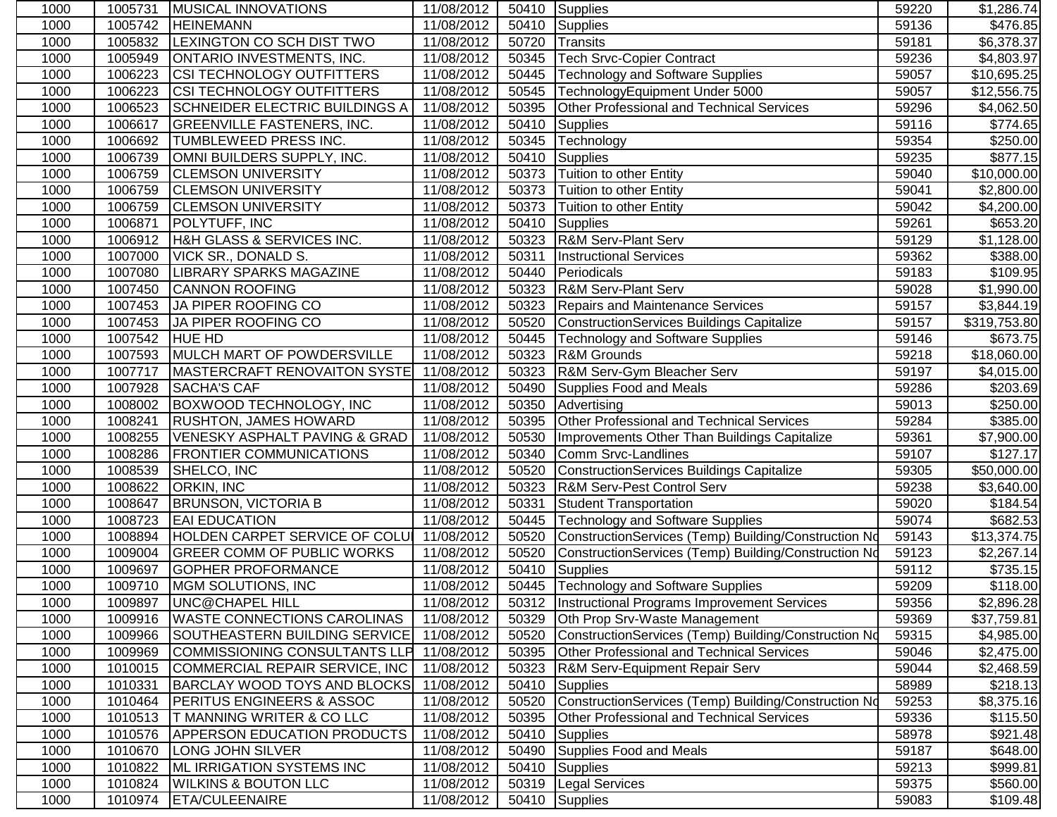| 1000 | 1005731        | <b>IMUSICAL INNOVATIONS</b>              | 11/08/2012 |       | 50410 Supplies                                       | 59220 | \$1,286.74           |
|------|----------------|------------------------------------------|------------|-------|------------------------------------------------------|-------|----------------------|
| 1000 | 1005742        | <b>HEINEMANN</b>                         | 11/08/2012 | 50410 | Supplies                                             | 59136 | $\overline{$476.85}$ |
| 1000 | 1005832        | LEXINGTON CO SCH DIST TWO                | 11/08/2012 | 50720 | Transits                                             | 59181 | \$6,378.37           |
| 1000 | 1005949        | <b>ONTARIO INVESTMENTS, INC.</b>         | 11/08/2012 | 50345 | <b>Tech Srvc-Copier Contract</b>                     | 59236 | \$4,803.97           |
| 1000 | 1006223        | <b>CSI TECHNOLOGY OUTFITTERS</b>         | 11/08/2012 | 50445 | <b>Technology and Software Supplies</b>              | 59057 | \$10,695.25          |
| 1000 | 1006223        | <b>CSI TECHNOLOGY OUTFITTERS</b>         | 11/08/2012 | 50545 | TechnologyEquipment Under 5000                       | 59057 | \$12,556.75          |
| 1000 | 1006523        | SCHNEIDER ELECTRIC BUILDINGS A           | 11/08/2012 | 50395 | Other Professional and Technical Services            | 59296 | \$4,062.50           |
| 1000 | 1006617        | <b>GREENVILLE FASTENERS, INC.</b>        | 11/08/2012 |       | 50410 Supplies                                       | 59116 | \$774.65             |
| 1000 | 1006692        | TUMBLEWEED PRESS INC.                    | 11/08/2012 | 50345 | Technology                                           | 59354 | \$250.00             |
| 1000 | 1006739        | OMNI BUILDERS SUPPLY, INC.               | 11/08/2012 |       | 50410 Supplies                                       | 59235 | \$877.15             |
| 1000 | 1006759        | <b>CLEMSON UNIVERSITY</b>                | 11/08/2012 | 50373 | Tuition to other Entity                              | 59040 | \$10,000.00          |
| 1000 | 1006759        | <b>CLEMSON UNIVERSITY</b>                | 11/08/2012 | 50373 | Tuition to other Entity                              | 59041 | \$2,800.00           |
| 1000 | 1006759        | <b>CLEMSON UNIVERSITY</b>                | 11/08/2012 | 50373 | Tuition to other Entity                              | 59042 | \$4,200.00           |
| 1000 | 1006871        | POLYTUFF, INC                            | 11/08/2012 | 50410 | <b>Supplies</b>                                      | 59261 | $\overline{$}653.20$ |
| 1000 | 1006912        | H&H GLASS & SERVICES INC.                | 11/08/2012 |       | 50323 R&M Serv-Plant Serv                            | 59129 | \$1,128.00           |
| 1000 | 1007000        | <b>VICK SR., DONALD S.</b>               | 11/08/2012 | 50311 | <b>Instructional Services</b>                        | 59362 | \$388.00             |
| 1000 | 1007080        | <b>LIBRARY SPARKS MAGAZINE</b>           | 11/08/2012 |       | 50440 Periodicals                                    | 59183 | \$109.95             |
| 1000 | 1007450        | <b>CANNON ROOFING</b>                    | 11/08/2012 |       | 50323 R&M Serv-Plant Serv                            | 59028 | \$1,990.00           |
| 1000 | 1007453        | JA PIPER ROOFING CO                      | 11/08/2012 |       | 50323 Repairs and Maintenance Services               | 59157 | \$3,844.19           |
| 1000 | 1007453        | JA PIPER ROOFING CO                      | 11/08/2012 | 50520 | ConstructionServices Buildings Capitalize            | 59157 | \$319,753.80         |
| 1000 | 1007542 HUE HD |                                          | 11/08/2012 | 50445 | <b>Technology and Software Supplies</b>              | 59146 | \$673.75             |
| 1000 | 1007593        | MULCH MART OF POWDERSVILLE               | 11/08/2012 | 50323 | R&M Grounds                                          | 59218 | \$18,060.00          |
| 1000 | 1007717        | MASTERCRAFT RENOVAITON SYSTE             | 11/08/2012 | 50323 | R&M Serv-Gym Bleacher Serv                           | 59197 | \$4,015.00           |
| 1000 | 1007928        | <b>SACHA'S CAF</b>                       | 11/08/2012 | 50490 | Supplies Food and Meals                              | 59286 | \$203.69             |
| 1000 | 1008002        | <b>BOXWOOD TECHNOLOGY, INC</b>           | 11/08/2012 | 50350 | Advertising                                          | 59013 | \$250.00             |
| 1000 | 1008241        | <b>RUSHTON, JAMES HOWARD</b>             | 11/08/2012 | 50395 | Other Professional and Technical Services            | 59284 | \$385.00             |
| 1000 | 1008255        | VENESKY ASPHALT PAVING & GRAD            | 11/08/2012 | 50530 | Improvements Other Than Buildings Capitalize         | 59361 | \$7,900.00           |
| 1000 | 1008286        | <b>FRONTIER COMMUNICATIONS</b>           | 11/08/2012 | 50340 | Comm Srvc-Landlines                                  | 59107 | \$127.17             |
| 1000 | 1008539        | SHELCO, INC                              | 11/08/2012 | 50520 | ConstructionServices Buildings Capitalize            | 59305 | \$50,000.00          |
| 1000 | 1008622        | <b>ORKIN, INC</b>                        | 11/08/2012 | 50323 | <b>R&amp;M Serv-Pest Control Serv</b>                | 59238 | \$3,640.00           |
| 1000 | 1008647        | <b>BRUNSON, VICTORIA B</b>               | 11/08/2012 | 50331 | Student Transportation                               | 59020 | \$184.54             |
| 1000 | 1008723        | <b>EAI EDUCATION</b>                     | 11/08/2012 | 50445 | <b>Technology and Software Supplies</b>              | 59074 | \$682.53             |
| 1000 | 1008894        | HOLDEN CARPET SERVICE OF COLU 11/08/2012 |            | 50520 | ConstructionServices (Temp) Building/Construction No | 59143 | \$13,374.75          |
| 1000 | 1009004        | <b>GREER COMM OF PUBLIC WORKS</b>        | 11/08/2012 | 50520 | ConstructionServices (Temp) Building/Construction No | 59123 | \$2,267.14           |
| 1000 | 1009697        | <b>GOPHER PROFORMANCE</b>                | 11/08/2012 | 50410 | Supplies                                             | 59112 | \$735.15             |
| 1000 | 1009710        | MGM SOLUTIONS, INC                       | 11/08/2012 |       | 50445   Technology and Software Supplies             | 59209 | \$118.00             |
| 1000 |                | 1009897   UNC@CHAPEL HILL                | 11/08/2012 |       | 50312 Instructional Programs Improvement Services    | 59356 | \$2,896.28           |
| 1000 | 1009916        | <b>WASTE CONNECTIONS CAROLINAS</b>       | 11/08/2012 | 50329 | Oth Prop Srv-Waste Management                        | 59369 | \$37,759.81          |
| 1000 | 1009966        | SOUTHEASTERN BUILDING SERVICE            | 11/08/2012 | 50520 | ConstructionServices (Temp) Building/Construction No | 59315 | \$4,985.00           |
| 1000 | 1009969        | COMMISSIONING CONSULTANTS LLP 11/08/2012 |            | 50395 | <b>Other Professional and Technical Services</b>     | 59046 | \$2,475.00           |
| 1000 | 1010015        | COMMERCIAL REPAIR SERVICE, INC           | 11/08/2012 | 50323 | <b>R&amp;M Serv-Equipment Repair Serv</b>            | 59044 | \$2,468.59           |
| 1000 | 1010331        | BARCLAY WOOD TOYS AND BLOCKS             | 11/08/2012 |       | 50410 Supplies                                       | 58989 | \$218.13             |
| 1000 | 1010464        | <b>PERITUS ENGINEERS &amp; ASSOC</b>     | 11/08/2012 | 50520 | ConstructionServices (Temp) Building/Construction Nd | 59253 | \$8,375.16           |
| 1000 | 1010513        | T MANNING WRITER & CO LLC                | 11/08/2012 | 50395 | <b>Other Professional and Technical Services</b>     | 59336 | \$115.50             |
| 1000 | 1010576        | <b>APPERSON EDUCATION PRODUCTS</b>       | 11/08/2012 | 50410 | Supplies                                             | 58978 | \$921.48             |
| 1000 | 1010670        | LONG JOHN SILVER                         | 11/08/2012 | 50490 | Supplies Food and Meals                              | 59187 | \$648.00             |
| 1000 | 1010822        | <b>ML IRRIGATION SYSTEMS INC</b>         | 11/08/2012 | 50410 | Supplies                                             | 59213 | \$999.81             |
| 1000 | 1010824        | <b>WILKINS &amp; BOUTON LLC</b>          | 11/08/2012 |       | 50319 Legal Services                                 | 59375 | \$560.00             |
| 1000 | 1010974        | <b>ETA/CULEENAIRE</b>                    | 11/08/2012 |       | 50410 Supplies                                       | 59083 | \$109.48             |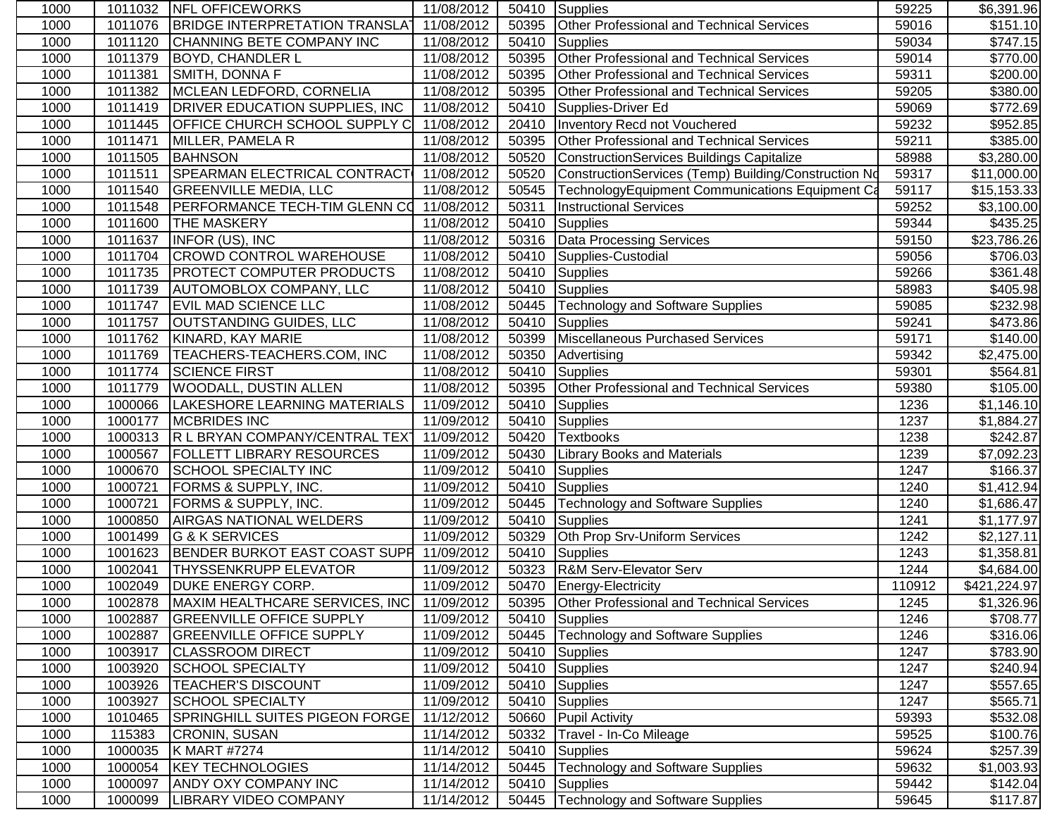| 1000 |         | 1011032 <b>INFL OFFICEWORKS</b>                   | 11/08/2012 |       | 50410 Supplies                                       | 59225  | \$6,391.96              |
|------|---------|---------------------------------------------------|------------|-------|------------------------------------------------------|--------|-------------------------|
| 1000 | 1011076 | BRIDGE INTERPRETATION TRANSLAT                    | 11/08/2012 | 50395 | <b>Other Professional and Technical Services</b>     | 59016  | \$151.10                |
| 1000 | 1011120 | CHANNING BETE COMPANY INC                         | 11/08/2012 | 50410 | Supplies                                             | 59034  | \$747.15                |
| 1000 | 1011379 | <b>BOYD, CHANDLER L</b>                           | 11/08/2012 | 50395 | <b>Other Professional and Technical Services</b>     | 59014  | \$770.00                |
| 1000 | 1011381 | SMITH, DONNA F                                    | 11/08/2012 | 50395 | <b>Other Professional and Technical Services</b>     | 59311  | \$200.00                |
| 1000 | 1011382 | MCLEAN LEDFORD, CORNELIA                          | 11/08/2012 | 50395 | <b>Other Professional and Technical Services</b>     | 59205  | \$380.00                |
| 1000 | 1011419 | DRIVER EDUCATION SUPPLIES, INC                    | 11/08/2012 | 50410 | Supplies-Driver Ed                                   | 59069  | \$772.69                |
| 1000 | 1011445 | <b>OFFICE CHURCH SCHOOL SUPPLY C</b>              | 11/08/2012 |       | 20410   Inventory Recd not Vouchered                 | 59232  | \$952.85                |
| 1000 | 1011471 | MILLER, PAMELA R                                  | 11/08/2012 | 50395 | Other Professional and Technical Services            | 59211  | \$385.00                |
| 1000 | 1011505 | <b>BAHNSON</b>                                    | 11/08/2012 | 50520 | ConstructionServices Buildings Capitalize            | 58988  | \$3,280.00              |
| 1000 | 1011511 | SPEARMAN ELECTRICAL CONTRACT                      | 11/08/2012 | 50520 | ConstructionServices (Temp) Building/Construction Nd | 59317  | \$11,000.00             |
| 1000 | 1011540 | <b>GREENVILLE MEDIA, LLC</b>                      | 11/08/2012 | 50545 | TechnologyEquipment Communications Equipment Ca      | 59117  | \$15,153.33             |
| 1000 | 1011548 | PERFORMANCE TECH-TIM GLENN CO 11/08/2012          |            | 50311 | <b>Instructional Services</b>                        | 59252  | \$3,100.00              |
| 1000 | 1011600 | <b>THE MASKERY</b>                                | 11/08/2012 | 50410 | Supplies                                             | 59344  | \$435.25                |
| 1000 | 1011637 | INFOR (US), INC                                   | 11/08/2012 |       | 50316 Data Processing Services                       | 59150  | $\overline{$23,786.26}$ |
| 1000 | 1011704 | <b>CROWD CONTROL WAREHOUSE</b>                    | 11/08/2012 |       | 50410 Supplies-Custodial                             | 59056  | \$706.03                |
| 1000 | 1011735 | <b>PROTECT COMPUTER PRODUCTS</b>                  | 11/08/2012 |       | 50410 Supplies                                       | 59266  | \$361.48                |
| 1000 | 1011739 | <b>AUTOMOBLOX COMPANY, LLC</b>                    | 11/08/2012 | 50410 | <b>Supplies</b>                                      | 58983  | \$405.98                |
| 1000 | 1011747 | <b>EVIL MAD SCIENCE LLC</b>                       | 11/08/2012 | 50445 | Technology and Software Supplies                     | 59085  | \$232.98                |
| 1000 | 1011757 | <b>OUTSTANDING GUIDES, LLC</b>                    | 11/08/2012 | 50410 | Supplies                                             | 59241  | \$473.86                |
| 1000 | 1011762 | KINARD, KAY MARIE                                 | 11/08/2012 | 50399 | Miscellaneous Purchased Services                     | 59171  | \$140.00                |
| 1000 | 1011769 | TEACHERS-TEACHERS.COM, INC                        | 11/08/2012 | 50350 | Advertising                                          | 59342  | \$2,475.00              |
| 1000 | 1011774 | <b>SCIENCE FIRST</b>                              | 11/08/2012 | 50410 | <b>Supplies</b>                                      | 59301  | 3564.81                 |
| 1000 | 1011779 | <b>WOODALL, DUSTIN ALLEN</b>                      | 11/08/2012 | 50395 | <b>Other Professional and Technical Services</b>     | 59380  | \$105.00                |
| 1000 | 1000066 | LAKESHORE LEARNING MATERIALS                      | 11/09/2012 | 50410 | Supplies                                             | 1236   | \$1,146.10              |
| 1000 | 1000177 | <b>MCBRIDES INC</b>                               | 11/09/2012 | 50410 | Supplies                                             | 1237   | \$1,884.27              |
| 1000 | 1000313 | R L BRYAN COMPANY/CENTRAL TEXT                    | 11/09/2012 | 50420 | <b>Textbooks</b>                                     | 1238   | \$242.87                |
| 1000 | 1000567 | <b>FOLLETT LIBRARY RESOURCES</b>                  | 11/09/2012 | 50430 | <b>Library Books and Materials</b>                   | 1239   | \$7,092.23              |
| 1000 | 1000670 | <b>SCHOOL SPECIALTY INC</b>                       | 11/09/2012 | 50410 | <b>Supplies</b>                                      | 1247   | \$166.37                |
| 1000 | 1000721 | FORMS & SUPPLY, INC.                              | 11/09/2012 | 50410 | Supplies                                             | 1240   | \$1,412.94              |
| 1000 | 1000721 | FORMS & SUPPLY, INC.                              | 11/09/2012 | 50445 | Technology and Software Supplies                     | 1240   | \$1,686.47              |
| 1000 | 1000850 | <b>AIRGAS NATIONAL WELDERS</b>                    | 11/09/2012 | 50410 | Supplies                                             | 1241   | \$1,177.97              |
| 1000 | 1001499 | G & K SERVICES                                    | 11/09/2012 | 50329 | Oth Prop Srv-Uniform Services                        | 1242   | \$2,127.11              |
| 1000 | 1001623 | BENDER BURKOT EAST COAST SUPH 11/09/2012          |            | 50410 | Supplies                                             | 1243   | \$1,358.81              |
| 1000 | 1002041 | <b>THYSSENKRUPP ELEVATOR</b>                      | 11/09/2012 |       | 50323 R&M Serv-Elevator Serv                         | 1244   | \$4,684.00              |
| 1000 | 1002049 | <b>DUKE ENERGY CORP.</b>                          | 11/09/2012 |       | 50470 Energy-Electricity                             | 110912 | \$421,224.97            |
| 1000 |         | 1002878 MAXIM HEALTHCARE SERVICES, INC 11/09/2012 |            |       | 50395 Other Professional and Technical Services      | 1245   | $\overline{1,326.96}$   |
| 1000 | 1002887 | <b>GREENVILLE OFFICE SUPPLY</b>                   | 11/09/2012 | 50410 | <b>Supplies</b>                                      | 1246   | \$708.77                |
| 1000 | 1002887 | <b>GREENVILLE OFFICE SUPPLY</b>                   | 11/09/2012 | 50445 | <b>Technology and Software Supplies</b>              | 1246   | \$316.06                |
| 1000 | 1003917 | <b>CLASSROOM DIRECT</b>                           | 11/09/2012 | 50410 | Supplies                                             | 1247   | \$783.90                |
| 1000 | 1003920 | <b>SCHOOL SPECIALTY</b>                           | 11/09/2012 |       | 50410 Supplies                                       | 1247   | \$240.94                |
| 1000 | 1003926 | <b>TEACHER'S DISCOUNT</b>                         | 11/09/2012 | 50410 | Supplies                                             | 1247   | \$557.65                |
| 1000 | 1003927 | <b>SCHOOL SPECIALTY</b>                           | 11/09/2012 | 50410 | Supplies                                             | 1247   | \$565.71                |
| 1000 | 1010465 | SPRINGHILL SUITES PIGEON FORGE                    | 11/12/2012 | 50660 | <b>Pupil Activity</b>                                | 59393  | $\overline{$}532.08$    |
| 1000 | 115383  | CRONIN, SUSAN                                     | 11/14/2012 | 50332 | Travel - In-Co Mileage                               | 59525  | \$100.76                |
| 1000 | 1000035 | K MART #7274                                      | 11/14/2012 | 50410 | <b>Supplies</b>                                      | 59624  | \$257.39                |
| 1000 | 1000054 | <b>KEY TECHNOLOGIES</b>                           | 11/14/2012 | 50445 | <b>Technology and Software Supplies</b>              | 59632  | \$1,003.93              |
| 1000 | 1000097 | ANDY OXY COMPANY INC                              | 11/14/2012 | 50410 | <b>Supplies</b>                                      | 59442  | \$142.04                |
| 1000 | 1000099 | <b>LIBRARY VIDEO COMPANY</b>                      | 11/14/2012 | 50445 | <b>Technology and Software Supplies</b>              | 59645  | \$117.87                |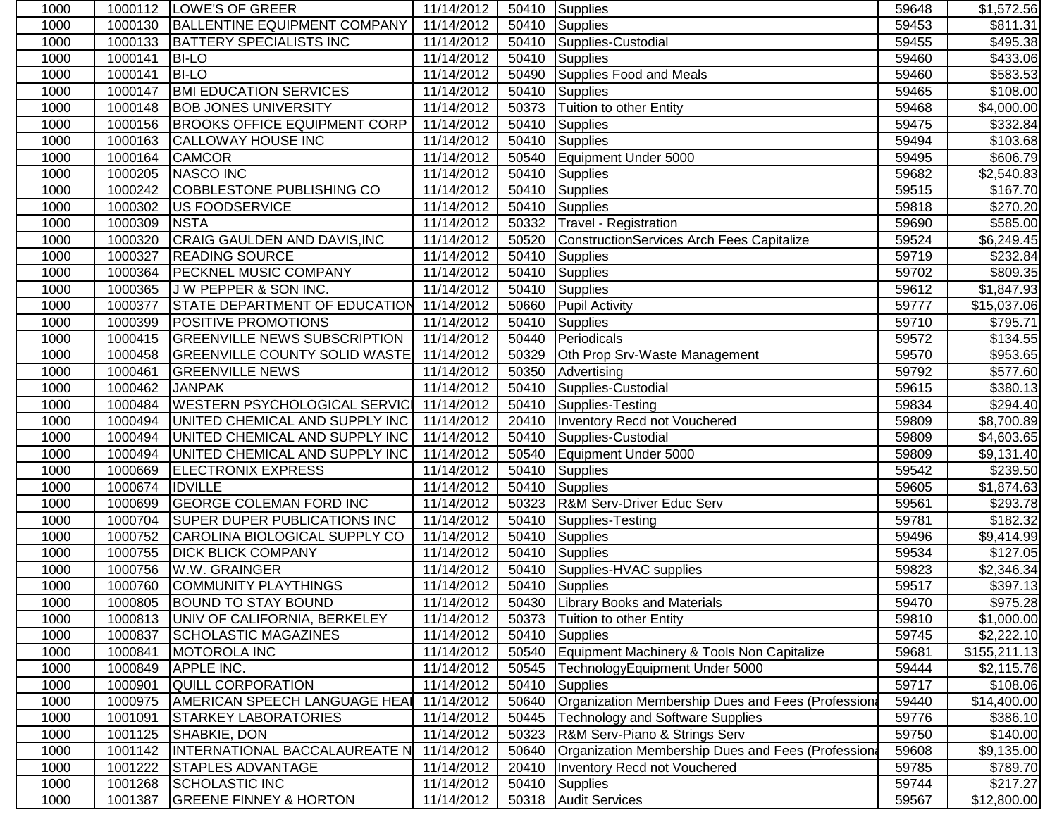| 1000 |         | 1000112  LOWE'S OF GREER                 | 11/14/2012 |       | 50410 Supplies                                     | 59648 | \$1,572.56           |
|------|---------|------------------------------------------|------------|-------|----------------------------------------------------|-------|----------------------|
| 1000 | 1000130 | <b>BALLENTINE EQUIPMENT COMPANY</b>      | 11/14/2012 |       | 50410 Supplies                                     | 59453 | \$811.31             |
| 1000 | 1000133 | <b>BATTERY SPECIALISTS INC</b>           | 11/14/2012 |       | 50410 Supplies-Custodial                           | 59455 | \$495.38             |
| 1000 | 1000141 | <b>BI-LO</b>                             | 11/14/2012 | 50410 | Supplies                                           | 59460 | \$433.06             |
| 1000 | 1000141 | <b>BI-LO</b>                             | 11/14/2012 |       | 50490 Supplies Food and Meals                      | 59460 | \$583.53             |
| 1000 | 1000147 | <b>BMI EDUCATION SERVICES</b>            | 11/14/2012 |       | 50410 Supplies                                     | 59465 | $\overline{$}108.00$ |
| 1000 | 1000148 | <b>BOB JONES UNIVERSITY</b>              | 11/14/2012 | 50373 | Tuition to other Entity                            | 59468 | \$4,000.00           |
| 1000 | 1000156 | <b>BROOKS OFFICE EQUIPMENT CORP</b>      | 11/14/2012 | 50410 | Supplies                                           | 59475 | $\overline{$}332.84$ |
| 1000 | 1000163 | CALLOWAY HOUSE INC                       | 11/14/2012 | 50410 | Supplies                                           | 59494 | \$103.68             |
| 1000 | 1000164 | <b>CAMCOR</b>                            | 11/14/2012 | 50540 | Equipment Under 5000                               | 59495 | \$606.79             |
| 1000 | 1000205 | NASCO INC                                | 11/14/2012 | 50410 | <b>Supplies</b>                                    | 59682 | \$2,540.83           |
| 1000 | 1000242 | COBBLESTONE PUBLISHING CO                | 11/14/2012 | 50410 | Supplies                                           | 59515 | \$167.70             |
| 1000 | 1000302 | US FOODSERVICE                           | 11/14/2012 | 50410 | Supplies                                           | 59818 | \$270.20             |
| 1000 | 1000309 | <b>NSTA</b>                              | 11/14/2012 | 50332 | <b>Travel - Registration</b>                       | 59690 | \$585.00             |
| 1000 | 1000320 | CRAIG GAULDEN AND DAVIS, INC             | 11/14/2012 | 50520 | ConstructionServices Arch Fees Capitalize          | 59524 | \$6,249.45           |
| 1000 | 1000327 | <b>READING SOURCE</b>                    | 11/14/2012 | 50410 | Supplies                                           | 59719 | 3232.84              |
| 1000 | 1000364 | <b>PECKNEL MUSIC COMPANY</b>             | 11/14/2012 | 50410 | Supplies                                           | 59702 | \$809.35             |
| 1000 | 1000365 | J W PEPPER & SON INC.                    | 11/14/2012 | 50410 | Supplies                                           | 59612 | \$1,847.93           |
| 1000 | 1000377 | STATE DEPARTMENT OF EDUCATION            | 11/14/2012 |       | 50660 Pupil Activity                               | 59777 | \$15,037.06          |
| 1000 | 1000399 | <b>POSITIVE PROMOTIONS</b>               | 11/14/2012 | 50410 | Supplies                                           | 59710 | \$795.71             |
| 1000 | 1000415 | <b>GREENVILLE NEWS SUBSCRIPTION</b>      | 11/14/2012 | 50440 | Periodicals                                        | 59572 | \$134.55             |
| 1000 | 1000458 | GREENVILLE COUNTY SOLID WASTE 11/14/2012 |            | 50329 | Oth Prop Srv-Waste Management                      | 59570 | \$953.65             |
| 1000 | 1000461 | <b>GREENVILLE NEWS</b>                   | 11/14/2012 | 50350 | Advertising                                        | 59792 | \$577.60             |
| 1000 | 1000462 | <b>JANPAK</b>                            | 11/14/2012 | 50410 | Supplies-Custodial                                 | 59615 | \$380.13             |
| 1000 | 1000484 | WESTERN PSYCHOLOGICAL SERVICI 11/14/2012 |            |       | 50410 Supplies-Testing                             | 59834 | \$294.40             |
| 1000 | 1000494 | UNITED CHEMICAL AND SUPPLY INC           | 11/14/2012 | 20410 | Inventory Recd not Vouchered                       | 59809 | \$8,700.89           |
| 1000 | 1000494 | UNITED CHEMICAL AND SUPPLY INC           | 11/14/2012 | 50410 | Supplies-Custodial                                 | 59809 | \$4,603.65           |
| 1000 | 1000494 | UNITED CHEMICAL AND SUPPLY INC           | 11/14/2012 | 50540 | Equipment Under 5000                               | 59809 | \$9,131.40           |
| 1000 | 1000669 | <b>ELECTRONIX EXPRESS</b>                | 11/14/2012 | 50410 | <b>Supplies</b>                                    | 59542 | \$239.50             |
| 1000 | 1000674 | <b>IDVILLE</b>                           | 11/14/2012 | 50410 | <b>Supplies</b>                                    | 59605 | \$1,874.63           |
| 1000 | 1000699 | <b>GEORGE COLEMAN FORD INC</b>           | 11/14/2012 | 50323 | <b>R&amp;M Serv-Driver Educ Serv</b>               | 59561 | \$293.78             |
| 1000 | 1000704 | <b>SUPER DUPER PUBLICATIONS INC</b>      | 11/14/2012 | 50410 | Supplies-Testing                                   | 59781 | \$182.32             |
| 1000 | 1000752 | CAROLINA BIOLOGICAL SUPPLY CO            | 11/14/2012 | 50410 | Supplies                                           | 59496 | \$9,414.99           |
| 1000 | 1000755 | <b>DICK BLICK COMPANY</b>                | 11/14/2012 |       | 50410 Supplies                                     | 59534 | \$127.05             |
| 1000 | 1000756 | W.W. GRAINGER                            | 11/14/2012 |       | 50410 Supplies-HVAC supplies                       | 59823 | \$2,346.34           |
| 1000 | 1000760 | <b>COMMUNITY PLAYTHINGS</b>              | 11/14/2012 |       | 50410 Supplies                                     | 59517 | \$397.13             |
| 1000 |         | 1000805 BOUND TO STAY BOUND              | 11/14/2012 |       | 50430 Library Books and Materials                  | 59470 | \$975.28             |
| 1000 | 1000813 | UNIV OF CALIFORNIA, BERKELEY             | 11/14/2012 |       | 50373 Tuition to other Entity                      | 59810 | \$1,000.00           |
| 1000 | 1000837 | <b>SCHOLASTIC MAGAZINES</b>              | 11/14/2012 |       | 50410 Supplies                                     | 59745 | \$2,222.10           |
| 1000 | 1000841 | <b>MOTOROLA INC</b>                      | 11/14/2012 | 50540 | Equipment Machinery & Tools Non Capitalize         | 59681 | \$155,211.13         |
| 1000 | 1000849 | APPLE INC.                               | 11/14/2012 | 50545 | TechnologyEquipment Under 5000                     | 59444 | \$2,115.76           |
| 1000 | 1000901 | <b>QUILL CORPORATION</b>                 | 11/14/2012 | 50410 | Supplies                                           | 59717 | \$108.06             |
| 1000 | 1000975 | <b>AMERICAN SPEECH LANGUAGE HEAR</b>     | 11/14/2012 | 50640 | Organization Membership Dues and Fees (Professiona | 59440 | \$14,400.00          |
| 1000 | 1001091 | <b>STARKEY LABORATORIES</b>              | 11/14/2012 | 50445 | <b>Technology and Software Supplies</b>            | 59776 | \$386.10             |
| 1000 | 1001125 | SHABKIE, DON                             | 11/14/2012 | 50323 | R&M Serv-Piano & Strings Serv                      | 59750 | \$140.00             |
| 1000 | 1001142 | INTERNATIONAL BACCALAUREATE N 11/14/2012 |            | 50640 | Organization Membership Dues and Fees (Professiona | 59608 | \$9,135.00           |
| 1000 | 1001222 | <b>STAPLES ADVANTAGE</b>                 | 11/14/2012 | 20410 | <b>Inventory Recd not Vouchered</b>                | 59785 | \$789.70             |
| 1000 | 1001268 | <b>SCHOLASTIC INC</b>                    | 11/14/2012 | 50410 | Supplies                                           | 59744 | \$217.27             |
| 1000 | 1001387 | <b>GREENE FINNEY &amp; HORTON</b>        | 11/14/2012 |       | 50318 Audit Services                               | 59567 | \$12,800.00          |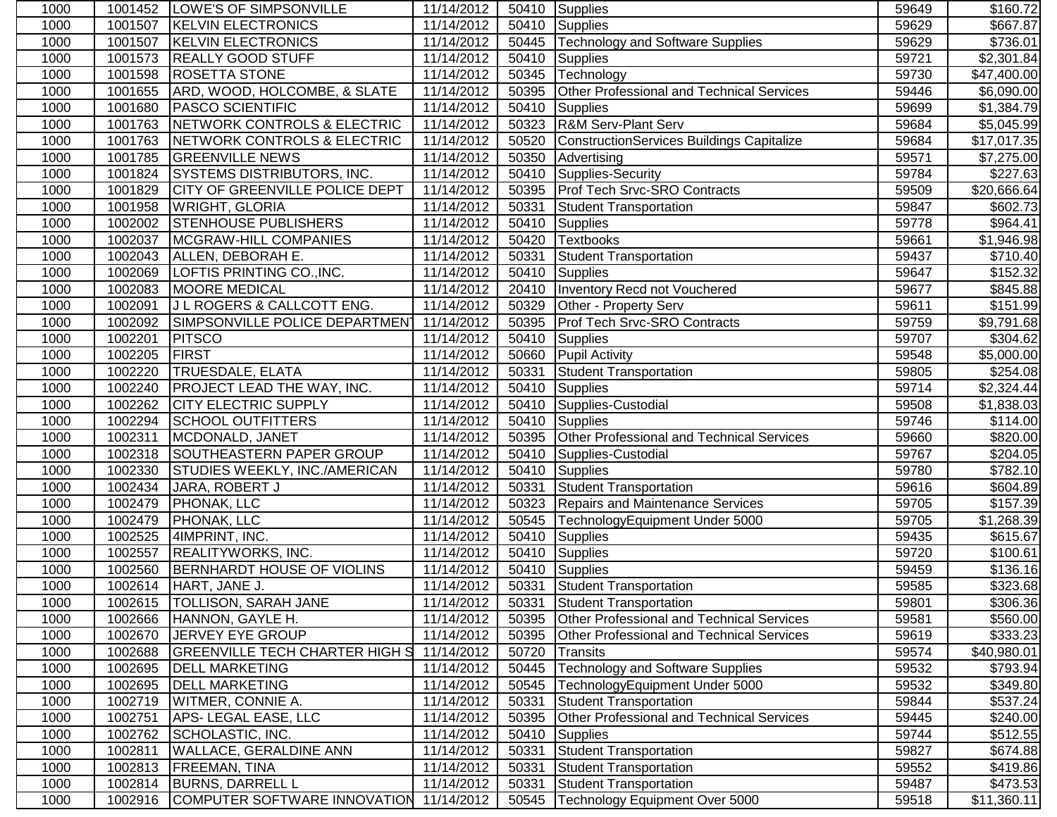| 1000 |         | 1001452  LOWE'S OF SIMPSONVILLE           | 11/14/2012 |       | 50410 Supplies                                   | 59649 | \$160.72                |
|------|---------|-------------------------------------------|------------|-------|--------------------------------------------------|-------|-------------------------|
| 1000 | 1001507 | <b>KELVIN ELECTRONICS</b>                 | 11/14/2012 | 50410 | <b>Supplies</b>                                  | 59629 | \$667.87                |
| 1000 | 1001507 | <b>KELVIN ELECTRONICS</b>                 | 11/14/2012 | 50445 | <b>Technology and Software Supplies</b>          | 59629 | \$736.01                |
| 1000 | 1001573 | <b>REALLY GOOD STUFF</b>                  | 11/14/2012 | 50410 | <b>Supplies</b>                                  | 59721 | \$2,301.84              |
| 1000 | 1001598 | <b>ROSETTA STONE</b>                      | 11/14/2012 | 50345 | Technology                                       | 59730 | \$47,400.00             |
| 1000 | 1001655 | ARD, WOOD, HOLCOMBE, & SLATE              | 11/14/2012 | 50395 | Other Professional and Technical Services        | 59446 | \$6,090.00              |
| 1000 | 1001680 | <b>PASCO SCIENTIFIC</b>                   | 11/14/2012 | 50410 | Supplies                                         | 59699 | $\overline{\$1,384.79}$ |
| 1000 | 1001763 | NETWORK CONTROLS & ELECTRIC               | 11/14/2012 | 50323 | <b>R&amp;M Serv-Plant Serv</b>                   | 59684 | \$5,045.99              |
| 1000 | 1001763 | NETWORK CONTROLS & ELECTRIC               | 11/14/2012 | 50520 | ConstructionServices Buildings Capitalize        | 59684 | \$17,017.35             |
| 1000 | 1001785 | <b>GREENVILLE NEWS</b>                    | 11/14/2012 | 50350 | Advertising                                      | 59571 | \$7,275.00              |
| 1000 | 1001824 | SYSTEMS DISTRIBUTORS, INC.                | 11/14/2012 | 50410 | Supplies-Security                                | 59784 | \$227.63                |
| 1000 | 1001829 | <b>CITY OF GREENVILLE POLICE DEPT</b>     | 11/14/2012 | 50395 | Prof Tech Srvc-SRO Contracts                     | 59509 | \$20,666.64             |
| 1000 | 1001958 | <b>WRIGHT, GLORIA</b>                     | 11/14/2012 | 50331 | <b>Student Transportation</b>                    | 59847 | \$602.73                |
| 1000 | 1002002 | <b>STENHOUSE PUBLISHERS</b>               | 11/14/2012 | 50410 | <b>Supplies</b>                                  | 59778 | \$964.41                |
| 1000 | 1002037 | <b>MCGRAW-HILL COMPANIES</b>              | 11/14/2012 | 50420 | <b>Textbooks</b>                                 | 59661 | \$1,946.98              |
| 1000 | 1002043 | ALLEN, DEBORAH E.                         | 11/14/2012 | 50331 | <b>Student Transportation</b>                    | 59437 | $\overline{$}710.40$    |
| 1000 | 1002069 | LOFTIS PRINTING CO., INC.                 | 11/14/2012 | 50410 | <b>Supplies</b>                                  | 59647 | \$152.32                |
| 1000 | 1002083 | MOORE MEDICAL                             | 11/14/2012 | 20410 | Inventory Recd not Vouchered                     | 59677 | \$845.88                |
| 1000 | 1002091 | J L ROGERS & CALLCOTT ENG.                | 11/14/2012 | 50329 | Other - Property Serv                            | 59611 | \$151.99                |
| 1000 | 1002092 | SIMPSONVILLE POLICE DEPARTMENT            | 11/14/2012 | 50395 | Prof Tech Srvc-SRO Contracts                     | 59759 | \$9,791.68              |
| 1000 | 1002201 | <b>PITSCO</b>                             | 11/14/2012 | 50410 | <b>Supplies</b>                                  | 59707 | \$304.62                |
| 1000 | 1002205 | <b>FIRST</b>                              | 11/14/2012 | 50660 | <b>Pupil Activity</b>                            | 59548 | \$5,000.00              |
| 1000 | 1002220 | <b>TRUESDALE, ELATA</b>                   | 11/14/2012 | 50331 | Student Transportation                           | 59805 | \$254.08                |
| 1000 | 1002240 | <b>PROJECT LEAD THE WAY, INC.</b>         | 11/14/2012 |       | 50410 Supplies                                   | 59714 | \$2,324.44              |
| 1000 | 1002262 | <b>CITY ELECTRIC SUPPLY</b>               | 11/14/2012 | 50410 | Supplies-Custodial                               | 59508 | \$1,838.03              |
| 1000 | 1002294 | <b>SCHOOL OUTFITTERS</b>                  | 11/14/2012 | 50410 | <b>Supplies</b>                                  | 59746 | \$114.00                |
| 1000 | 1002311 | MCDONALD, JANET                           | 11/14/2012 | 50395 | Other Professional and Technical Services        | 59660 | \$820.00                |
| 1000 | 1002318 | SOUTHEASTERN PAPER GROUP                  | 11/14/2012 | 50410 | Supplies-Custodial                               | 59767 | \$204.05                |
| 1000 | 1002330 | STUDIES WEEKLY, INC./AMERICAN             | 11/14/2012 | 50410 | Supplies                                         | 59780 | \$782.10                |
| 1000 | 1002434 | JARA, ROBERT J                            | 11/14/2012 | 50331 | <b>Student Transportation</b>                    | 59616 | \$604.89                |
| 1000 | 1002479 | PHONAK, LLC                               | 11/14/2012 | 50323 | <b>Repairs and Maintenance Services</b>          | 59705 | \$157.39                |
| 1000 | 1002479 | PHONAK, LLC                               | 11/14/2012 | 50545 | TechnologyEquipment Under 5000                   | 59705 | \$1,268.39              |
| 1000 | 1002525 | 4IMPRINT, INC.                            | 11/14/2012 | 50410 | <b>Supplies</b>                                  | 59435 | \$615.67                |
| 1000 | 1002557 | <b>REALITYWORKS, INC.</b>                 | 11/14/2012 | 50410 | Supplies                                         | 59720 | \$100.61                |
| 1000 | 1002560 | BERNHARDT HOUSE OF VIOLINS                | 11/14/2012 | 50410 | Supplies                                         | 59459 | \$136.16                |
| 1000 |         | 1002614 HART, JANE J.                     | 11/14/2012 | 50331 | Student Transportation                           | 59585 | \$323.68                |
| 1000 |         | 1002615 TOLLISON, SARAH JANE              | 11/14/2012 |       | 50331 Student Transportation                     | 59801 | \$306.36                |
| 1000 |         | 1002666 HANNON, GAYLE H.                  | 11/14/2012 | 50395 | <b>Other Professional and Technical Services</b> | 59581 | \$560.00                |
| 1000 | 1002670 | JERVEY EYE GROUP                          | 11/14/2012 | 50395 | Other Professional and Technical Services        | 59619 | \$333.23                |
| 1000 | 1002688 | GREENVILLE TECH CHARTER HIGH S 11/14/2012 |            | 50720 | <b>Transits</b>                                  | 59574 | \$40,980.01             |
| 1000 | 1002695 | <b>DELL MARKETING</b>                     | 11/14/2012 | 50445 | <b>Technology and Software Supplies</b>          | 59532 | \$793.94                |
| 1000 | 1002695 | <b>DELL MARKETING</b>                     | 11/14/2012 | 50545 | TechnologyEquipment Under 5000                   | 59532 | \$349.80                |
| 1000 | 1002719 | <b>WITMER, CONNIE A.</b>                  | 11/14/2012 | 50331 | <b>Student Transportation</b>                    | 59844 | \$537.24                |
| 1000 | 1002751 | APS-LEGAL EASE, LLC                       | 11/14/2012 | 50395 | <b>Other Professional and Technical Services</b> | 59445 | \$240.00                |
| 1000 | 1002762 | SCHOLASTIC, INC.                          | 11/14/2012 | 50410 | <b>Supplies</b>                                  | 59744 | \$512.55                |
| 1000 | 1002811 | <b>WALLACE, GERALDINE ANN</b>             | 11/14/2012 | 50331 | <b>Student Transportation</b>                    | 59827 | \$674.88                |
| 1000 | 1002813 | <b>FREEMAN, TINA</b>                      | 11/14/2012 | 50331 | <b>Student Transportation</b>                    | 59552 | \$419.86                |
| 1000 | 1002814 | <b>BURNS, DARRELL L</b>                   | 11/14/2012 | 50331 | <b>Student Transportation</b>                    | 59487 | \$473.53                |
| 1000 | 1002916 | COMPUTER SOFTWARE INNOVATION              | 11/14/2012 | 50545 | Technology Equipment Over 5000                   | 59518 | \$11,360.11             |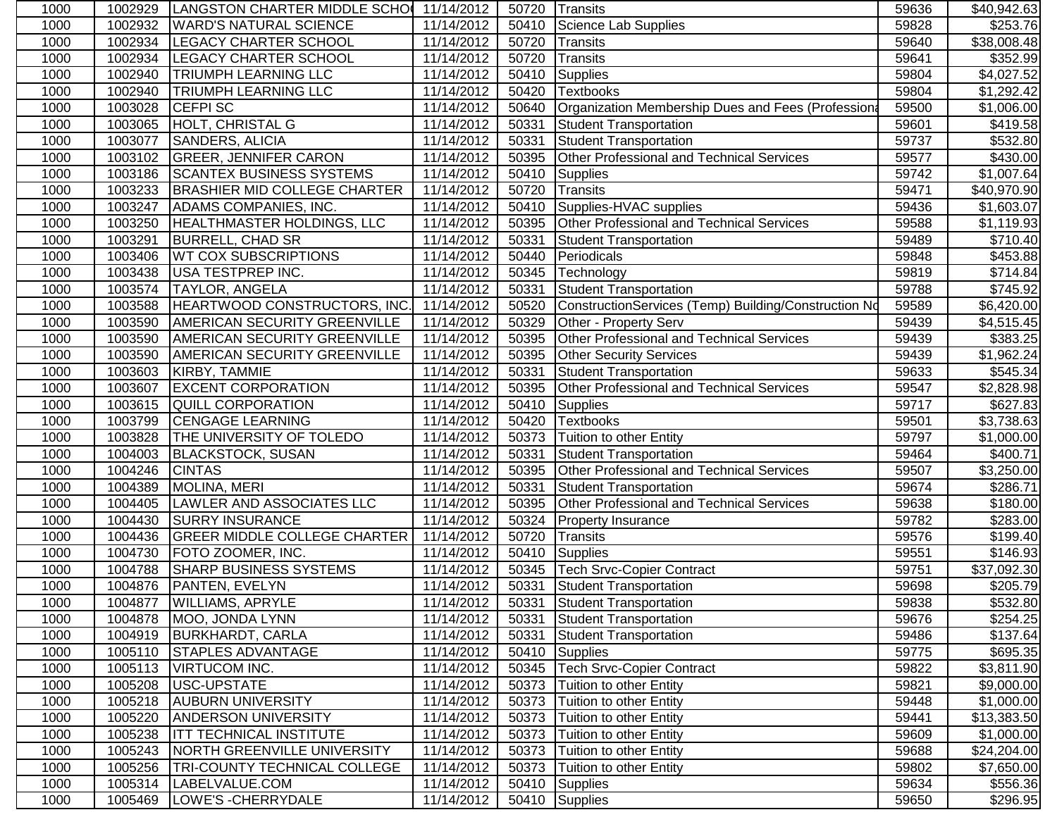| 1000 | 1002929 | LANGSTON CHARTER MIDDLE SCHO 11/14/2012 |            |       | 50720 Transits                                       | 59636 | \$40,942.63            |
|------|---------|-----------------------------------------|------------|-------|------------------------------------------------------|-------|------------------------|
| 1000 | 1002932 | <b>WARD'S NATURAL SCIENCE</b>           | 11/14/2012 | 50410 | Science Lab Supplies                                 | 59828 | \$253.76               |
| 1000 | 1002934 | <b>LEGACY CHARTER SCHOOL</b>            | 11/14/2012 | 50720 | <b>Transits</b>                                      | 59640 | \$38,008.48            |
| 1000 | 1002934 | <b>LEGACY CHARTER SCHOOL</b>            | 11/14/2012 | 50720 | <b>Transits</b>                                      | 59641 | \$352.99               |
| 1000 | 1002940 | <b>TRIUMPH LEARNING LLC</b>             | 11/14/2012 | 50410 | Supplies                                             | 59804 | \$4,027.52             |
| 1000 | 1002940 | <b>TRIUMPH LEARNING LLC</b>             | 11/14/2012 | 50420 | <b>Textbooks</b>                                     | 59804 | \$1,292.42             |
| 1000 | 1003028 | <b>CEFPI SC</b>                         | 11/14/2012 | 50640 | Organization Membership Dues and Fees (Professiona   | 59500 | \$1,006.00             |
| 1000 | 1003065 | <b>HOLT, CHRISTAL G</b>                 | 11/14/2012 | 50331 | Student Transportation                               | 59601 | \$419.58               |
| 1000 | 1003077 | SANDERS, ALICIA                         | 11/14/2012 | 50331 | Student Transportation                               | 59737 | \$532.80               |
| 1000 | 1003102 | <b>GREER, JENNIFER CARON</b>            | 11/14/2012 | 50395 | Other Professional and Technical Services            | 59577 | \$430.00               |
| 1000 | 1003186 | <b>SCANTEX BUSINESS SYSTEMS</b>         | 11/14/2012 | 50410 | Supplies                                             | 59742 | \$1,007.64             |
| 1000 | 1003233 | <b>BRASHIER MID COLLEGE CHARTER</b>     | 11/14/2012 | 50720 | Transits                                             | 59471 | \$40,970.90            |
| 1000 | 1003247 | ADAMS COMPANIES, INC.                   | 11/14/2012 | 50410 | Supplies-HVAC supplies                               | 59436 | \$1,603.07             |
| 1000 | 1003250 | <b>HEALTHMASTER HOLDINGS, LLC</b>       | 11/14/2012 | 50395 | Other Professional and Technical Services            | 59588 | \$1,119.93             |
| 1000 | 1003291 | <b>BURRELL, CHAD SR</b>                 | 11/14/2012 | 50331 | <b>Student Transportation</b>                        | 59489 | \$710.40               |
| 1000 | 1003406 | <b>WT COX SUBSCRIPTIONS</b>             | 11/14/2012 | 50440 | Periodicals                                          | 59848 | $\overline{$}453.88$   |
| 1000 | 1003438 | <b>USA TESTPREP INC.</b>                | 11/14/2012 | 50345 | Technology                                           | 59819 | \$714.84               |
| 1000 | 1003574 | <b>TAYLOR, ANGELA</b>                   | 11/14/2012 | 50331 | <b>Student Transportation</b>                        | 59788 | \$745.92               |
| 1000 | 1003588 | HEARTWOOD CONSTRUCTORS, INC.            | 11/14/2012 | 50520 | ConstructionServices (Temp) Building/Construction No | 59589 | \$6,420.00             |
| 1000 | 1003590 | <b>AMERICAN SECURITY GREENVILLE</b>     | 11/14/2012 | 50329 | Other - Property Serv                                | 59439 | \$4,515.45             |
| 1000 | 1003590 | <b>AMERICAN SECURITY GREENVILLE</b>     | 11/14/2012 | 50395 | Other Professional and Technical Services            | 59439 | \$383.25               |
| 1000 | 1003590 | <b>AMERICAN SECURITY GREENVILLE</b>     | 11/14/2012 | 50395 | <b>Other Security Services</b>                       | 59439 | $\overline{$}1,962.24$ |
| 1000 | 1003603 | KIRBY, TAMMIE                           | 11/14/2012 | 50331 | <b>Student Transportation</b>                        | 59633 | \$545.34               |
| 1000 | 1003607 | <b>EXCENT CORPORATION</b>               | 11/14/2012 | 50395 | <b>Other Professional and Technical Services</b>     | 59547 | \$2,828.98             |
| 1000 | 1003615 | <b>QUILL CORPORATION</b>                | 11/14/2012 |       | 50410 Supplies                                       | 59717 | \$627.83               |
| 1000 | 1003799 | <b>CENGAGE LEARNING</b>                 | 11/14/2012 | 50420 | <b>Textbooks</b>                                     | 59501 | \$3,738.63             |
| 1000 | 1003828 | THE UNIVERSITY OF TOLEDO                | 11/14/2012 | 50373 | Tuition to other Entity                              | 59797 | \$1,000.00             |
| 1000 | 1004003 | <b>BLACKSTOCK, SUSAN</b>                | 11/14/2012 | 50331 | <b>Student Transportation</b>                        | 59464 | \$400.71               |
| 1000 | 1004246 | <b>CINTAS</b>                           | 11/14/2012 | 50395 | Other Professional and Technical Services            | 59507 | \$3,250.00             |
| 1000 | 1004389 | MOLINA, MERI                            | 11/14/2012 | 50331 | <b>Student Transportation</b>                        | 59674 | \$286.71               |
| 1000 | 1004405 | LAWLER AND ASSOCIATES LLC               | 11/14/2012 | 50395 | Other Professional and Technical Services            | 59638 | $\overline{$}180.00$   |
| 1000 | 1004430 | <b>SURRY INSURANCE</b>                  | 11/14/2012 | 50324 | <b>Property Insurance</b>                            | 59782 | \$283.00               |
| 1000 | 1004436 | <b>GREER MIDDLE COLLEGE CHARTER</b>     | 11/14/2012 | 50720 | <b>Transits</b>                                      | 59576 | \$199.40               |
| 1000 | 1004730 | FOTO ZOOMER, INC.                       | 11/14/2012 | 50410 | Supplies                                             | 59551 | \$146.93               |
| 1000 | 1004788 | <b>SHARP BUSINESS SYSTEMS</b>           | 11/14/2012 |       | 50345   Tech Srvc-Copier Contract                    | 59751 | \$37,092.30            |
| 1000 |         | 1004876   PANTEN, EVELYN                | 11/14/2012 |       | 50331 Student Transportation                         | 59698 | \$205.79               |
| 1000 |         | 1004877 WILLIAMS, APRYLE                | 11/14/2012 |       | 50331 Student Transportation                         | 59838 | \$532.80               |
| 1000 |         | 1004878   MOO, JONDA LYNN               | 11/14/2012 |       | 50331 Student Transportation                         | 59676 | \$254.25               |
| 1000 |         | 1004919   BURKHARDT, CARLA              | 11/14/2012 | 50331 | Student Transportation                               | 59486 | \$137.64               |
| 1000 | 1005110 | <b>STAPLES ADVANTAGE</b>                | 11/14/2012 |       | 50410 Supplies                                       | 59775 | \$695.35               |
| 1000 | 1005113 | <b>VIRTUCOM INC.</b>                    | 11/14/2012 |       | 50345   Tech Srvc-Copier Contract                    | 59822 | \$3,811.90             |
| 1000 | 1005208 | USC-UPSTATE                             | 11/14/2012 | 50373 | Tuition to other Entity                              | 59821 | \$9,000.00             |
| 1000 | 1005218 | <b>AUBURN UNIVERSITY</b>                | 11/14/2012 | 50373 | Tuition to other Entity                              | 59448 | \$1,000.00             |
| 1000 | 1005220 | <b>ANDERSON UNIVERSITY</b>              | 11/14/2012 |       | 50373 Tuition to other Entity                        | 59441 | \$13,383.50            |
| 1000 | 1005238 | <b>ITT TECHNICAL INSTITUTE</b>          | 11/14/2012 | 50373 | Tuition to other Entity                              | 59609 | \$1,000.00             |
| 1000 |         | 1005243 NORTH GREENVILLE UNIVERSITY     | 11/14/2012 |       | 50373 Tuition to other Entity                        | 59688 | \$24,204.00            |
| 1000 | 1005256 | <b>TRI-COUNTY TECHNICAL COLLEGE</b>     | 11/14/2012 | 50373 | Tuition to other Entity                              | 59802 | \$7,650.00             |
| 1000 | 1005314 | LABELVALUE.COM                          | 11/14/2012 |       | 50410 Supplies                                       | 59634 | \$556.36               |
| 1000 | 1005469 | LOWE'S - CHERRYDALE                     | 11/14/2012 |       | 50410 Supplies                                       | 59650 | \$296.95               |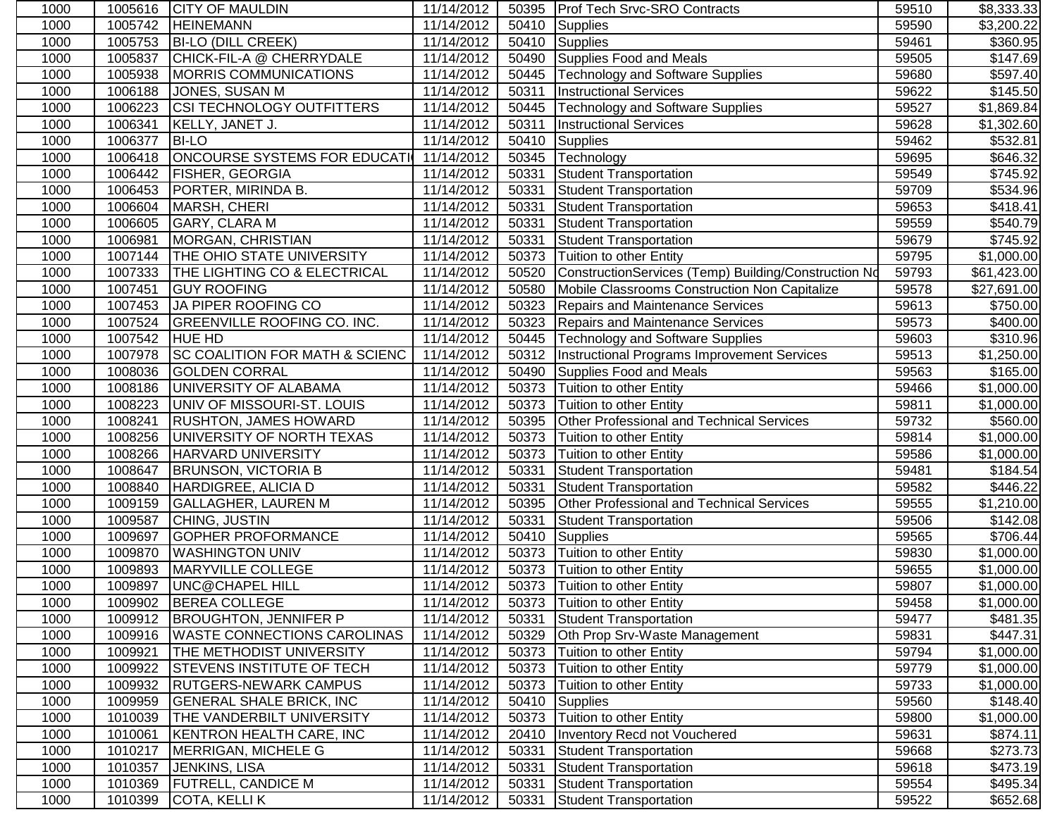| 1000 | 1005616 | <b>CITY OF MAULDIN</b>                    | 11/14/2012 |       | 50395   Prof Tech Srvc-SRO Contracts                 | 59510 | \$8,333.33           |
|------|---------|-------------------------------------------|------------|-------|------------------------------------------------------|-------|----------------------|
| 1000 | 1005742 | <b>HEINEMANN</b>                          | 11/14/2012 | 50410 | Supplies                                             | 59590 | \$3,200.22           |
| 1000 | 1005753 | <b>BI-LO (DILL CREEK)</b>                 | 11/14/2012 | 50410 | <b>Supplies</b>                                      | 59461 | $\overline{$}360.95$ |
| 1000 | 1005837 | CHICK-FIL-A @ CHERRYDALE                  | 11/14/2012 | 50490 | Supplies Food and Meals                              | 59505 | \$147.69             |
| 1000 | 1005938 | <b>MORRIS COMMUNICATIONS</b>              | 11/14/2012 | 50445 | <b>Technology and Software Supplies</b>              | 59680 | \$597.40             |
| 1000 | 1006188 | JONES, SUSAN M                            | 11/14/2012 | 50311 | <b>Instructional Services</b>                        | 59622 | \$145.50             |
| 1000 | 1006223 | <b>CSI TECHNOLOGY OUTFITTERS</b>          | 11/14/2012 | 50445 | Technology and Software Supplies                     | 59527 | \$1,869.84           |
| 1000 | 1006341 | KELLY, JANET J.                           | 11/14/2012 | 50311 | <b>Instructional Services</b>                        | 59628 | \$1,302.60           |
| 1000 | 1006377 | <b>BI-LO</b>                              | 11/14/2012 | 50410 | Supplies                                             | 59462 | \$532.81             |
| 1000 | 1006418 | <b>ONCOURSE SYSTEMS FOR EDUCATI</b>       | 11/14/2012 | 50345 | Technology                                           | 59695 | \$646.32             |
| 1000 | 1006442 | <b>FISHER, GEORGIA</b>                    | 11/14/2012 | 50331 | <b>Student Transportation</b>                        | 59549 | \$745.92             |
| 1000 | 1006453 | PORTER, MIRINDA B.                        | 11/14/2012 | 50331 | <b>Student Transportation</b>                        | 59709 | \$534.96             |
| 1000 | 1006604 | MARSH, CHERI                              | 11/14/2012 | 50331 | Student Transportation                               | 59653 | \$418.41             |
| 1000 | 1006605 | <b>GARY, CLARA M</b>                      | 11/14/2012 | 50331 | <b>Student Transportation</b>                        | 59559 | \$540.79             |
| 1000 | 1006981 | <b>MORGAN, CHRISTIAN</b>                  | 11/14/2012 | 50331 | Student Transportation                               | 59679 | \$745.92             |
| 1000 | 1007144 | THE OHIO STATE UNIVERSITY                 | 11/14/2012 | 50373 | Tuition to other Entity                              | 59795 | \$1,000.00           |
| 1000 | 1007333 | THE LIGHTING CO & ELECTRICAL              | 11/14/2012 | 50520 | ConstructionServices (Temp) Building/Construction No | 59793 | \$61,423.00          |
| 1000 | 1007451 | <b>GUY ROOFING</b>                        | 11/14/2012 | 50580 | Mobile Classrooms Construction Non Capitalize        | 59578 | \$27,691.00          |
| 1000 | 1007453 | JA PIPER ROOFING CO                       | 11/14/2012 |       | 50323 Repairs and Maintenance Services               | 59613 | $\overline{$}750.00$ |
| 1000 | 1007524 | <b>GREENVILLE ROOFING CO. INC.</b>        | 11/14/2012 | 50323 | Repairs and Maintenance Services                     | 59573 | \$400.00             |
| 1000 | 1007542 | <b>HUE HD</b>                             | 11/14/2012 | 50445 | <b>Technology and Software Supplies</b>              | 59603 | \$310.96             |
| 1000 | 1007978 | <b>SC COALITION FOR MATH &amp; SCIENC</b> | 11/14/2012 | 50312 | <b>Instructional Programs Improvement Services</b>   | 59513 | \$1,250.00           |
| 1000 | 1008036 | <b>GOLDEN CORRAL</b>                      | 11/14/2012 | 50490 | Supplies Food and Meals                              | 59563 | $\overline{$165.00}$ |
| 1000 | 1008186 | UNIVERSITY OF ALABAMA                     | 11/14/2012 | 50373 | Tuition to other Entity                              | 59466 | \$1,000.00           |
| 1000 | 1008223 | UNIV OF MISSOURI-ST. LOUIS                | 11/14/2012 | 50373 | Tuition to other Entity                              | 59811 | \$1,000.00           |
| 1000 | 1008241 | <b>RUSHTON, JAMES HOWARD</b>              | 11/14/2012 | 50395 | <b>Other Professional and Technical Services</b>     | 59732 | \$560.00             |
| 1000 | 1008256 | UNIVERSITY OF NORTH TEXAS                 | 11/14/2012 | 50373 | Tuition to other Entity                              | 59814 | \$1,000.00           |
| 1000 | 1008266 | HARVARD UNIVERSITY                        | 11/14/2012 | 50373 | Tuition to other Entity                              | 59586 | \$1,000.00           |
| 1000 | 1008647 | <b>BRUNSON, VICTORIA B</b>                | 11/14/2012 | 50331 | <b>Student Transportation</b>                        | 59481 | \$184.54             |
| 1000 | 1008840 | HARDIGREE, ALICIA D                       | 11/14/2012 | 50331 | <b>Student Transportation</b>                        | 59582 | \$446.22             |
| 1000 | 1009159 | <b>GALLAGHER, LAUREN M</b>                | 11/14/2012 | 50395 | Other Professional and Technical Services            | 59555 | \$1,210.00           |
| 1000 | 1009587 | CHING, JUSTIN                             | 11/14/2012 | 50331 | <b>Student Transportation</b>                        | 59506 | \$142.08             |
| 1000 | 1009697 | <b>GOPHER PROFORMANCE</b>                 | 11/14/2012 | 50410 | Supplies                                             | 59565 | \$706.44             |
| 1000 | 1009870 | <b>WASHINGTON UNIV</b>                    | 11/14/2012 | 50373 | Tuition to other Entity                              | 59830 | \$1,000.00           |
| 1000 | 1009893 | <b>MARYVILLE COLLEGE</b>                  | 11/14/2012 | 50373 | Tuition to other Entity                              | 59655 | \$1,000.00           |
| 1000 | 1009897 | UNC@CHAPEL HILL                           | 11/14/2012 |       | 50373 Tuition to other Entity                        | 59807 | \$1,000.00           |
| 1000 |         | 1009902 BEREA COLLEGE                     | 11/14/2012 |       | 50373 Tuition to other Entity                        | 59458 | \$1,000.00           |
| 1000 | 1009912 | <b>BROUGHTON, JENNIFER P</b>              | 11/14/2012 | 50331 | Student Transportation                               | 59477 | \$481.35             |
| 1000 | 1009916 | <b>WASTE CONNECTIONS CAROLINAS</b>        | 11/14/2012 | 50329 | Oth Prop Srv-Waste Management                        | 59831 | \$447.31             |
| 1000 | 1009921 | THE METHODIST UNIVERSITY                  | 11/14/2012 | 50373 | Tuition to other Entity                              | 59794 | \$1,000.00           |
| 1000 | 1009922 | <b>STEVENS INSTITUTE OF TECH</b>          | 11/14/2012 | 50373 | Tuition to other Entity                              | 59779 | \$1,000.00           |
| 1000 | 1009932 | <b>RUTGERS-NEWARK CAMPUS</b>              | 11/14/2012 | 50373 | Tuition to other Entity                              | 59733 | \$1,000.00           |
| 1000 | 1009959 | <b>GENERAL SHALE BRICK, INC</b>           | 11/14/2012 | 50410 | Supplies                                             | 59560 | \$148.40             |
| 1000 | 1010039 | THE VANDERBILT UNIVERSITY                 | 11/14/2012 | 50373 | Tuition to other Entity                              | 59800 | \$1,000.00           |
| 1000 | 1010061 | KENTRON HEALTH CARE, INC                  | 11/14/2012 | 20410 | Inventory Recd not Vouchered                         | 59631 | \$874.11             |
| 1000 | 1010217 | MERRIGAN, MICHELE G                       | 11/14/2012 | 50331 | Student Transportation                               | 59668 | \$273.73             |
| 1000 | 1010357 | <b>JENKINS, LISA</b>                      | 11/14/2012 | 50331 | Student Transportation                               | 59618 | \$473.19             |
| 1000 | 1010369 | <b>FUTRELL, CANDICE M</b>                 | 11/14/2012 | 50331 | <b>Student Transportation</b>                        | 59554 | \$495.34             |
| 1000 | 1010399 | COTA, KELLI K                             | 11/14/2012 | 50331 | Student Transportation                               | 59522 | \$652.68             |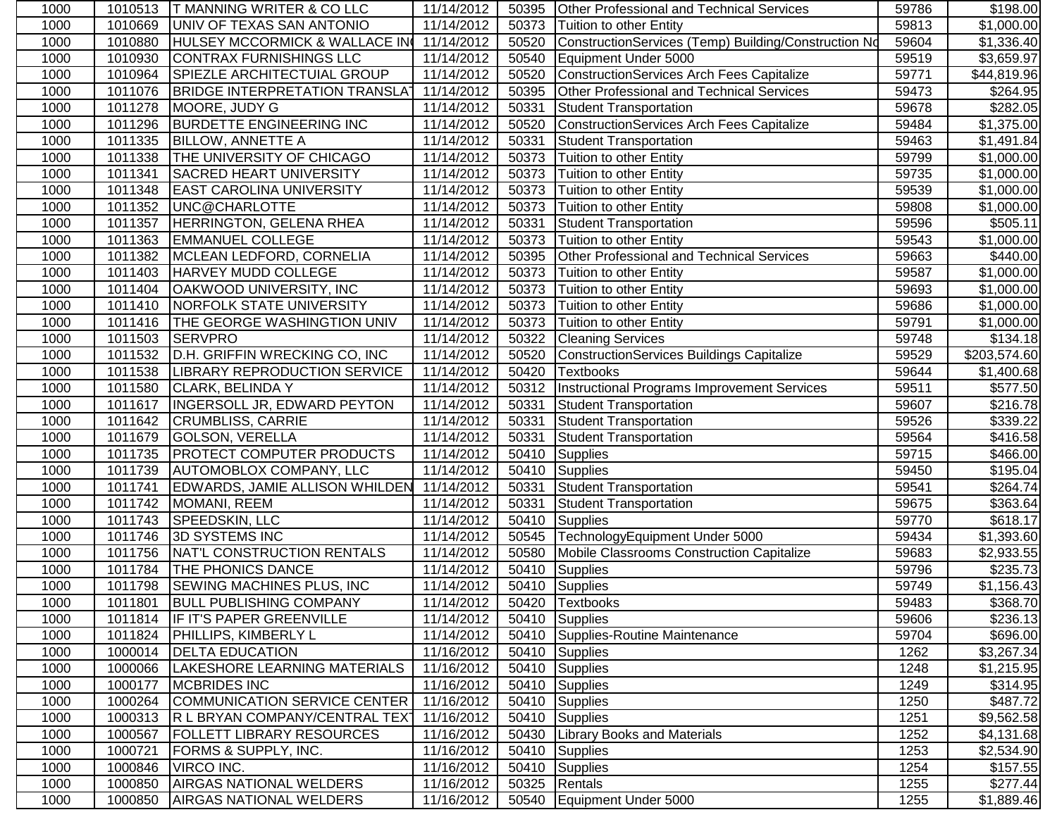| 1000 | 1010513 | <b>IT MANNING WRITER &amp; CO LLC</b>    | 11/14/2012 | 50395 | <b>Other Professional and Technical Services</b>     | 59786 | \$198.00     |
|------|---------|------------------------------------------|------------|-------|------------------------------------------------------|-------|--------------|
| 1000 | 1010669 | UNIV OF TEXAS SAN ANTONIO                | 11/14/2012 | 50373 | Tuition to other Entity                              | 59813 | \$1,000.00   |
| 1000 | 1010880 | HULSEY MCCORMICK & WALLACE IN 11/14/2012 |            | 50520 | ConstructionServices (Temp) Building/Construction No | 59604 | \$1,336.40   |
| 1000 | 1010930 | CONTRAX FURNISHINGS LLC                  | 11/14/2012 | 50540 | Equipment Under 5000                                 | 59519 | \$3,659.97   |
| 1000 | 1010964 | SPIEZLE ARCHITECTUIAL GROUP              | 11/14/2012 | 50520 | ConstructionServices Arch Fees Capitalize            | 59771 | \$44,819.96  |
| 1000 | 1011076 | BRIDGE INTERPRETATION TRANSLAT           | 11/14/2012 | 50395 | Other Professional and Technical Services            | 59473 | \$264.95     |
| 1000 | 1011278 | MOORE, JUDY G                            | 11/14/2012 | 50331 | Student Transportation                               | 59678 | \$282.05     |
| 1000 | 1011296 | <b>BURDETTE ENGINEERING INC</b>          | 11/14/2012 | 50520 | ConstructionServices Arch Fees Capitalize            | 59484 | \$1,375.00   |
| 1000 | 1011335 | <b>BILLOW, ANNETTE A</b>                 | 11/14/2012 | 50331 | <b>Student Transportation</b>                        | 59463 | \$1,491.84   |
| 1000 | 1011338 | THE UNIVERSITY OF CHICAGO                | 11/14/2012 | 50373 | Tuition to other Entity                              | 59799 | \$1,000.00   |
| 1000 | 1011341 | <b>SACRED HEART UNIVERSITY</b>           | 11/14/2012 | 50373 | Tuition to other Entity                              | 59735 | \$1,000.00   |
| 1000 | 1011348 | <b>EAST CAROLINA UNIVERSITY</b>          | 11/14/2012 | 50373 | Tuition to other Entity                              | 59539 | \$1,000.00   |
| 1000 | 1011352 | UNC@CHARLOTTE                            | 11/14/2012 | 50373 | Tuition to other Entity                              | 59808 | \$1,000.00   |
| 1000 | 1011357 | HERRINGTON, GELENA RHEA                  | 11/14/2012 | 50331 | <b>Student Transportation</b>                        | 59596 | \$505.11     |
| 1000 | 1011363 | <b>EMMANUEL COLLEGE</b>                  | 11/14/2012 | 50373 | Tuition to other Entity                              | 59543 | \$1,000.00   |
| 1000 | 1011382 | MCLEAN LEDFORD, CORNELIA                 | 11/14/2012 | 50395 | Other Professional and Technical Services            | 59663 | \$440.00     |
| 1000 | 1011403 | HARVEY MUDD COLLEGE                      | 11/14/2012 | 50373 | Tuition to other Entity                              | 59587 | \$1,000.00   |
| 1000 | 1011404 | OAKWOOD UNIVERSITY, INC                  | 11/14/2012 | 50373 | Tuition to other Entity                              | 59693 | \$1,000.00   |
| 1000 | 1011410 | NORFOLK STATE UNIVERSITY                 | 11/14/2012 | 50373 | Tuition to other Entity                              | 59686 | \$1,000.00   |
| 1000 | 1011416 | THE GEORGE WASHINGTION UNIV              | 11/14/2012 | 50373 | Tuition to other Entity                              | 59791 | \$1,000.00   |
| 1000 | 1011503 | <b>SERVPRO</b>                           | 11/14/2012 | 50322 | <b>Cleaning Services</b>                             | 59748 | \$134.18     |
| 1000 | 1011532 | D.H. GRIFFIN WRECKING CO, INC            | 11/14/2012 | 50520 | ConstructionServices Buildings Capitalize            | 59529 | \$203,574.60 |
| 1000 | 1011538 | <b>LIBRARY REPRODUCTION SERVICE</b>      | 11/14/2012 | 50420 | <b>Textbooks</b>                                     | 59644 | \$1,400.68   |
| 1000 | 1011580 | <b>CLARK, BELINDA Y</b>                  | 11/14/2012 |       | 50312   Instructional Programs Improvement Services  | 59511 | \$577.50     |
| 1000 | 1011617 | INGERSOLL JR, EDWARD PEYTON              | 11/14/2012 | 50331 | <b>Student Transportation</b>                        | 59607 | \$216.78     |
| 1000 | 1011642 | <b>CRUMBLISS, CARRIE</b>                 | 11/14/2012 | 50331 | Student Transportation                               | 59526 | \$339.22     |
| 1000 | 1011679 | <b>GOLSON, VERELLA</b>                   | 11/14/2012 | 50331 | <b>Student Transportation</b>                        | 59564 | \$416.58     |
| 1000 | 1011735 | <b>PROTECT COMPUTER PRODUCTS</b>         | 11/14/2012 | 50410 | <b>Supplies</b>                                      | 59715 | \$466.00     |
| 1000 | 1011739 | <b>AUTOMOBLOX COMPANY, LLC</b>           | 11/14/2012 | 50410 | <b>Supplies</b>                                      | 59450 | \$195.04     |
| 1000 | 1011741 | EDWARDS, JAMIE ALLISON WHILDEN           | 11/14/2012 | 50331 | <b>Student Transportation</b>                        | 59541 | \$264.74     |
| 1000 | 1011742 | MOMANI, REEM                             | 11/14/2012 | 50331 | <b>Student Transportation</b>                        | 59675 | \$363.64     |
| 1000 | 1011743 | SPEEDSKIN, LLC                           | 11/14/2012 | 50410 | <b>TSupplies</b>                                     | 59770 | \$618.17     |
| 1000 | 1011746 | 3D SYSTEMS INC                           | 11/14/2012 |       | 50545 TechnologyEquipment Under 5000                 | 59434 | \$1,393.60   |
| 1000 | 1011756 | NAT'L CONSTRUCTION RENTALS               | 11/14/2012 | 50580 | Mobile Classrooms Construction Capitalize            | 59683 | \$2,933.55   |
| 1000 | 1011784 | <b>THE PHONICS DANCE</b>                 | 11/14/2012 | 50410 | Supplies                                             | 59796 | \$235.73     |
| 1000 | 1011798 | <b>SEWING MACHINES PLUS, INC</b>         | 11/14/2012 |       | 50410 Supplies                                       | 59749 | \$1,156.43   |
| 1000 |         | 1011801 BULL PUBLISHING COMPANY          | 11/14/2012 |       | 50420 Textbooks                                      | 59483 | \$368.70     |
| 1000 | 1011814 | <b>IF IT'S PAPER GREENVILLE</b>          | 11/14/2012 |       | 50410 Supplies                                       | 59606 | \$236.13     |
| 1000 | 1011824 | <b>PHILLIPS, KIMBERLY L</b>              | 11/14/2012 |       | 50410 Supplies-Routine Maintenance                   | 59704 | \$696.00     |
| 1000 | 1000014 | <b>DELTA EDUCATION</b>                   | 11/16/2012 |       | 50410 Supplies                                       | 1262  | \$3,267.34   |
| 1000 | 1000066 | LAKESHORE LEARNING MATERIALS             | 11/16/2012 |       | 50410 Supplies                                       | 1248  | \$1,215.95   |
| 1000 | 1000177 | <b>MCBRIDES INC</b>                      | 11/16/2012 |       | 50410 Supplies                                       | 1249  | \$314.95     |
| 1000 | 1000264 | COMMUNICATION SERVICE CENTER             | 11/16/2012 | 50410 | Supplies                                             | 1250  | \$487.72     |
| 1000 | 1000313 | <b>R L BRYAN COMPANY/CENTRAL TEXT</b>    | 11/16/2012 |       | 50410 Supplies                                       | 1251  | \$9,562.58   |
| 1000 | 1000567 | <b>FOLLETT LIBRARY RESOURCES</b>         | 11/16/2012 | 50430 | <b>Library Books and Materials</b>                   | 1252  | \$4,131.68   |
| 1000 | 1000721 | FORMS & SUPPLY, INC.                     | 11/16/2012 | 50410 | Supplies                                             | 1253  | \$2,534.90   |
| 1000 | 1000846 | VIRCO INC.                               | 11/16/2012 |       | 50410 Supplies                                       | 1254  | \$157.55     |
| 1000 | 1000850 | <b>AIRGAS NATIONAL WELDERS</b>           | 11/16/2012 |       | 50325 Rentals                                        | 1255  | \$277.44     |
| 1000 | 1000850 | <b>AIRGAS NATIONAL WELDERS</b>           | 11/16/2012 |       | 50540 Equipment Under 5000                           | 1255  | \$1,889.46   |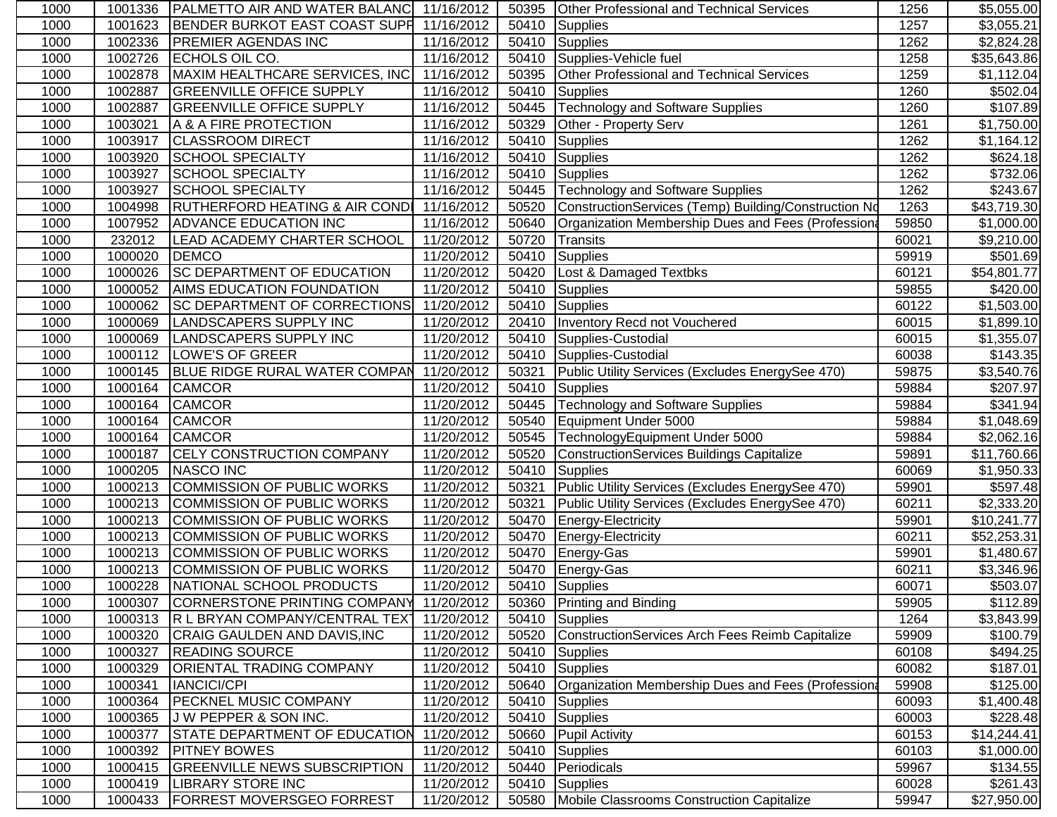| 1000 | 1001336 | <b>PALMETTO AIR AND WATER BALANC 11/16/2012</b>    |                         | 50395 | Other Professional and Technical Services            | 1256  | \$5,055.00              |
|------|---------|----------------------------------------------------|-------------------------|-------|------------------------------------------------------|-------|-------------------------|
| 1000 | 1001623 | BENDER BURKOT EAST COAST SUPH                      | $\overline{11/16/2012}$ | 50410 | Supplies                                             | 1257  | \$3,055.21              |
| 1000 | 1002336 | <b>PREMIER AGENDAS INC</b>                         | 11/16/2012              | 50410 | Supplies                                             | 1262  | \$2,824.28              |
| 1000 | 1002726 | ECHOLS OIL CO.                                     | 11/16/2012              | 50410 | Supplies-Vehicle fuel                                | 1258  | \$35,643.86             |
| 1000 | 1002878 | MAXIM HEALTHCARE SERVICES, INC                     | 11/16/2012              | 50395 | <b>Other Professional and Technical Services</b>     | 1259  | \$1,112.04              |
| 1000 | 1002887 | <b>GREENVILLE OFFICE SUPPLY</b>                    | 11/16/2012              | 50410 | Supplies                                             | 1260  | \$502.04                |
| 1000 | 1002887 | <b>GREENVILLE OFFICE SUPPLY</b>                    | 11/16/2012              | 50445 | <b>Technology and Software Supplies</b>              | 1260  | \$107.89                |
| 1000 | 1003021 | A & A FIRE PROTECTION                              | 11/16/2012              | 50329 | Other - Property Serv                                | 1261  | \$1,750.00              |
| 1000 | 1003917 | <b>CLASSROOM DIRECT</b>                            | 11/16/2012              | 50410 | Supplies                                             | 1262  | \$1,164.12              |
| 1000 | 1003920 | <b>SCHOOL SPECIALTY</b>                            | 11/16/2012              | 50410 | <b>Supplies</b>                                      | 1262  | \$624.18                |
| 1000 | 1003927 | <b>SCHOOL SPECIALTY</b>                            | 11/16/2012              | 50410 | <b>Supplies</b>                                      | 1262  | \$732.06                |
| 1000 | 1003927 | <b>SCHOOL SPECIALTY</b>                            | 11/16/2012              | 50445 | Technology and Software Supplies                     | 1262  | \$243.67                |
| 1000 | 1004998 | RUTHERFORD HEATING & AIR CONDI 11/16/2012          |                         | 50520 | ConstructionServices (Temp) Building/Construction No | 1263  | \$43,719.30             |
| 1000 | 1007952 | <b>ADVANCE EDUCATION INC</b>                       | 11/16/2012              | 50640 | Organization Membership Dues and Fees (Professiona   | 59850 | \$1,000.00              |
| 1000 | 232012  | LEAD ACADEMY CHARTER SCHOOL                        | 11/20/2012              | 50720 | Transits                                             | 60021 | \$9,210.00              |
| 1000 | 1000020 | <b>DEMCO</b>                                       | 11/20/2012              | 50410 | Supplies                                             | 59919 | \$501.69                |
| 1000 | 1000026 | <b>SC DEPARTMENT OF EDUCATION</b>                  | 11/20/2012              | 50420 | Lost & Damaged Textbks                               | 60121 | \$54,801.77             |
| 1000 | 1000052 | <b>AIMS EDUCATION FOUNDATION</b>                   | 11/20/2012              | 50410 | Supplies                                             | 59855 | \$420.00                |
| 1000 | 1000062 | SC DEPARTMENT OF CORRECTIONS                       | 11/20/2012              | 50410 | <b>Supplies</b>                                      | 60122 | $\overline{\$1,503.00}$ |
| 1000 | 1000069 | LANDSCAPERS SUPPLY INC                             | 11/20/2012              | 20410 | Inventory Recd not Vouchered                         | 60015 | \$1,899.10              |
| 1000 | 1000069 | LANDSCAPERS SUPPLY INC                             | 11/20/2012              | 50410 | Supplies-Custodial                                   | 60015 | \$1,355.07              |
| 1000 | 1000112 | LOWE'S OF GREER                                    | 11/20/2012              | 50410 | Supplies-Custodial                                   | 60038 | $\overline{$143.35}$    |
| 1000 | 1000145 | BLUE RIDGE RURAL WATER COMPAN                      | 11/20/2012              | 50321 | Public Utility Services (Excludes EnergySee 470)     | 59875 | $\overline{$3,540.76}$  |
| 1000 | 1000164 | <b>CAMCOR</b>                                      | 11/20/2012              | 50410 | Supplies                                             | 59884 | \$207.97                |
| 1000 | 1000164 | <b>CAMCOR</b>                                      | 11/20/2012              | 50445 | <b>Technology and Software Supplies</b>              | 59884 | \$341.94                |
| 1000 | 1000164 | <b>CAMCOR</b>                                      | 11/20/2012              | 50540 | Equipment Under 5000                                 | 59884 | \$1,048.69              |
| 1000 | 1000164 | <b>CAMCOR</b>                                      | 11/20/2012              | 50545 | TechnologyEquipment Under 5000                       | 59884 | \$2,062.16              |
| 1000 | 1000187 | <b>CELY CONSTRUCTION COMPANY</b>                   | 11/20/2012              | 50520 | ConstructionServices Buildings Capitalize            | 59891 | \$11,760.66             |
| 1000 | 1000205 | <b>NASCO INC</b>                                   | 11/20/2012              | 50410 | Supplies                                             | 60069 | \$1,950.33              |
| 1000 | 1000213 | <b>COMMISSION OF PUBLIC WORKS</b>                  | 11/20/2012              | 50321 | Public Utility Services (Excludes EnergySee 470)     | 59901 | \$597.48                |
| 1000 | 1000213 | <b>COMMISSION OF PUBLIC WORKS</b>                  | 11/20/2012              | 50321 | Public Utility Services (Excludes EnergySee 470)     | 60211 | \$2,333.20              |
| 1000 | 1000213 | <b>COMMISSION OF PUBLIC WORKS</b>                  | 11/20/2012              | 50470 | Energy-Electricity                                   | 59901 | \$10,241.77             |
| 1000 | 1000213 | COMMISSION OF PUBLIC WORKS                         | 11/20/2012              | 50470 | Energy-Electricity                                   | 60211 | $\overline{$}52,253.31$ |
| 1000 | 1000213 | COMMISSION OF PUBLIC WORKS                         | 11/20/2012              | 50470 | Energy-Gas                                           | 59901 | \$1,480.67              |
| 1000 | 1000213 | COMMISSION OF PUBLIC WORKS                         | 11/20/2012              | 50470 | Energy-Gas                                           | 60211 | \$3,346.96              |
| 1000 |         | 1000228   NATIONAL SCHOOL PRODUCTS                 | 11/20/2012              |       | $\overline{50}410$ Supplies                          | 60071 | \$503.07                |
| 1000 |         | 1000307 CORNERSTONE PRINTING COMPANY 11/20/2012    |                         |       | 50360 Printing and Binding                           | 59905 | \$112.89                |
| 1000 |         | 1000313  R L BRYAN COMPANY/CENTRAL TEX1 11/20/2012 |                         | 50410 | Supplies                                             | 1264  | \$3,843.99              |
| 1000 | 1000320 | CRAIG GAULDEN AND DAVIS, INC                       | 11/20/2012              | 50520 | ConstructionServices Arch Fees Reimb Capitalize      | 59909 | \$100.79                |
| 1000 | 1000327 | <b>READING SOURCE</b>                              | 11/20/2012              | 50410 | Supplies                                             | 60108 | $\overline{$}494.25$    |
| 1000 | 1000329 | <b>ORIENTAL TRADING COMPANY</b>                    | 11/20/2012              |       | 50410 Supplies                                       | 60082 | \$187.01                |
| 1000 | 1000341 | <b>IANCICI/CPI</b>                                 | 11/20/2012              | 50640 | Organization Membership Dues and Fees (Professiona   | 59908 | \$125.00                |
| 1000 | 1000364 | <b>PECKNEL MUSIC COMPANY</b>                       | 11/20/2012              | 50410 | Supplies                                             | 60093 | \$1,400.48              |
| 1000 | 1000365 | J W PEPPER & SON INC.                              | 11/20/2012              | 50410 | Supplies                                             | 60003 | \$228.48                |
| 1000 | 1000377 | <b>STATE DEPARTMENT OF EDUCATION</b>               | 11/20/2012              | 50660 | <b>Pupil Activity</b>                                | 60153 | \$14,244.41             |
| 1000 | 1000392 | <b>PITNEY BOWES</b>                                | 11/20/2012              | 50410 | Supplies                                             | 60103 | \$1,000.00              |
| 1000 | 1000415 | <b>GREENVILLE NEWS SUBSCRIPTION</b>                | 11/20/2012              | 50440 | Periodicals                                          | 59967 | \$134.55                |
| 1000 | 1000419 | <b>LIBRARY STORE INC</b>                           | 11/20/2012              | 50410 | Supplies                                             | 60028 | \$261.43                |
| 1000 | 1000433 | <b>FORREST MOVERSGEO FORREST</b>                   | 11/20/2012              |       | 50580 Mobile Classrooms Construction Capitalize      | 59947 | \$27,950.00             |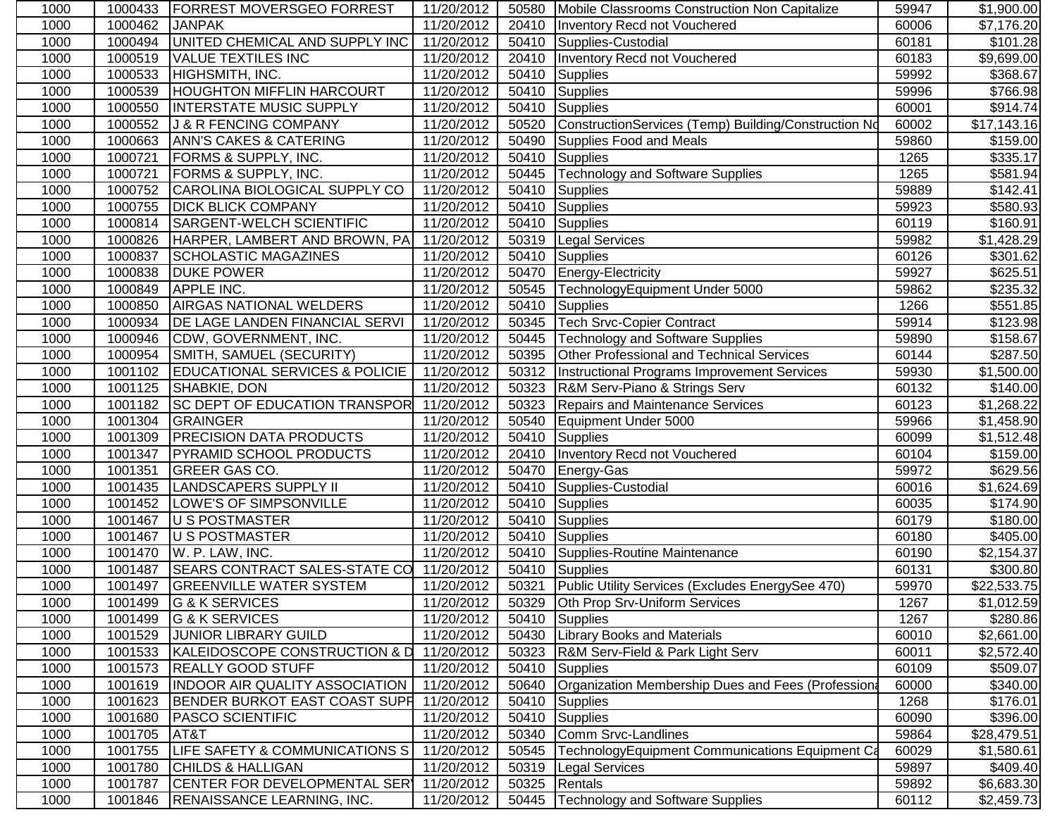| 1000 | 1000433 | <b>IFORREST MOVERSGEO FORREST</b>         | 11/20/2012 | 50580 | Mobile Classrooms Construction Non Capitalize          | 59947 | \$1,900.00             |
|------|---------|-------------------------------------------|------------|-------|--------------------------------------------------------|-------|------------------------|
| 1000 | 1000462 | <b>JANPAK</b>                             | 11/20/2012 | 20410 | Inventory Recd not Vouchered                           | 60006 | $\overline{37,176.20}$ |
| 1000 | 1000494 | UNITED CHEMICAL AND SUPPLY INC            | 11/20/2012 | 50410 | Supplies-Custodial                                     | 60181 | \$101.28               |
| 1000 | 1000519 | <b>VALUE TEXTILES INC</b>                 | 11/20/2012 |       | 20410   Inventory Recd not Vouchered                   | 60183 | \$9,699.00             |
| 1000 | 1000533 | HIGHSMITH, INC.                           | 11/20/2012 | 50410 | <b>Supplies</b>                                        | 59992 | \$368.67               |
| 1000 | 1000539 | <b>HOUGHTON MIFFLIN HARCOURT</b>          | 11/20/2012 | 50410 | Supplies                                               | 59996 | \$766.98               |
| 1000 | 1000550 | <b>INTERSTATE MUSIC SUPPLY</b>            | 11/20/2012 | 50410 | Supplies                                               | 60001 | \$914.74               |
| 1000 | 1000552 | J & R FENCING COMPANY                     | 11/20/2012 | 50520 | ConstructionServices (Temp) Building/Construction Nd   | 60002 | \$17,143.16            |
| 1000 | 1000663 | <b>ANN'S CAKES &amp; CATERING</b>         | 11/20/2012 | 50490 | Supplies Food and Meals                                | 59860 | \$159.00               |
| 1000 | 1000721 | <b>FORMS &amp; SUPPLY, INC.</b>           | 11/20/2012 | 50410 | <b>Supplies</b>                                        | 1265  | \$335.17               |
| 1000 | 1000721 | <b>FORMS &amp; SUPPLY, INC.</b>           | 11/20/2012 | 50445 | <b>Technology and Software Supplies</b>                | 1265  | \$581.94               |
| 1000 | 1000752 | CAROLINA BIOLOGICAL SUPPLY CO             | 11/20/2012 | 50410 | <b>Supplies</b>                                        | 59889 | \$142.41               |
| 1000 | 1000755 | <b>DICK BLICK COMPANY</b>                 | 11/20/2012 | 50410 | <b>Supplies</b>                                        | 59923 | \$580.93               |
| 1000 | 1000814 | <b>SARGENT-WELCH SCIENTIFIC</b>           | 11/20/2012 | 50410 | Supplies                                               | 60119 | \$160.91               |
| 1000 | 1000826 | HARPER, LAMBERT AND BROWN, PA             | 11/20/2012 |       | 50319 Legal Services                                   | 59982 | \$1,428.29             |
| 1000 | 1000837 | <b>SCHOLASTIC MAGAZINES</b>               | 11/20/2012 |       | 50410 Supplies                                         | 60126 | \$301.62               |
| 1000 | 1000838 | <b>DUKE POWER</b>                         | 11/20/2012 |       | 50470 Energy-Electricity                               | 59927 | \$625.51               |
| 1000 | 1000849 | <b>APPLE INC.</b>                         | 11/20/2012 |       | 50545 TechnologyEquipment Under 5000                   | 59862 | \$235.32               |
| 1000 | 1000850 | <b>AIRGAS NATIONAL WELDERS</b>            | 11/20/2012 | 50410 | Supplies                                               | 1266  | \$551.85               |
| 1000 | 1000934 | <b>DE LAGE LANDEN FINANCIAL SERVI</b>     | 11/20/2012 | 50345 | <b>Tech Srvc-Copier Contract</b>                       | 59914 | \$123.98               |
| 1000 | 1000946 | CDW, GOVERNMENT, INC.                     | 11/20/2012 | 50445 | <b>Technology and Software Supplies</b>                | 59890 | \$158.67               |
| 1000 | 1000954 | SMITH, SAMUEL (SECURITY)                  | 11/20/2012 | 50395 | Other Professional and Technical Services              | 60144 | \$287.50               |
| 1000 | 1001102 | <b>EDUCATIONAL SERVICES &amp; POLICIE</b> | 11/20/2012 |       | 50312   Instructional Programs Improvement Services    | 59930 | \$1,500.00             |
| 1000 | 1001125 | SHABKIE, DON                              | 11/20/2012 | 50323 | R&M Serv-Piano & Strings Serv                          | 60132 | $\overline{$140.00}$   |
| 1000 | 1001182 | <b>SC DEPT OF EDUCATION TRANSPOR</b>      | 11/20/2012 | 50323 | Repairs and Maintenance Services                       | 60123 | \$1,268.22             |
| 1000 | 1001304 | GRAINGER                                  | 11/20/2012 | 50540 | Equipment Under 5000                                   | 59966 | \$1,458.90             |
| 1000 | 1001309 | <b>PRECISION DATA PRODUCTS</b>            | 11/20/2012 | 50410 | Supplies                                               | 60099 | \$1,512.48             |
| 1000 | 1001347 | <b>PYRAMID SCHOOL PRODUCTS</b>            | 11/20/2012 | 20410 | Inventory Recd not Vouchered                           | 60104 | \$159.00               |
| 1000 | 1001351 | GREER GAS CO.                             | 11/20/2012 | 50470 | Energy-Gas                                             | 59972 | \$629.56               |
| 1000 | 1001435 | <b>LANDSCAPERS SUPPLY II</b>              | 11/20/2012 | 50410 | Supplies-Custodial                                     | 60016 | \$1,624.69             |
| 1000 | 1001452 | LOWE'S OF SIMPSONVILLE                    | 11/20/2012 | 50410 | Supplies                                               | 60035 | \$174.90               |
| 1000 | 1001467 | <b>U S POSTMASTER</b>                     | 11/20/2012 |       | 50410 Supplies                                         | 60179 | \$180.00               |
| 1000 | 1001467 | U S POSTMASTER                            | 11/20/2012 |       | 50410 Supplies                                         | 60180 | \$405.00               |
| 1000 | 1001470 | W. P. LAW, INC.                           | 11/20/2012 |       | 50410 Supplies-Routine Maintenance                     | 60190 | \$2,154.37             |
| 1000 | 1001487 | SEARS CONTRACT SALES-STATE CO             | 11/20/2012 | 50410 | Supplies                                               | 60131 | \$300.80               |
| 1000 | 1001497 | <b>GREENVILLE WATER SYSTEM</b>            | 11/20/2012 |       | 50321 Public Utility Services (Excludes EnergySee 470) | 59970 | \$22,533.75            |
| 1000 |         | 1001499 G & K SERVICES                    | 11/20/2012 |       | 50329 Oth Prop Srv-Uniform Services                    | 1267  | \$1,012.59             |
| 1000 | 1001499 | <b>G &amp; K SERVICES</b>                 | 11/20/2012 | 50410 | Supplies                                               | 1267  | \$280.86               |
| 1000 | 1001529 | <b>JUNIOR LIBRARY GUILD</b>               | 11/20/2012 |       | 50430 Library Books and Materials                      | 60010 | \$2,661.00             |
| 1000 | 1001533 | KALEIDOSCOPE CONSTRUCTION & D             | 11/20/2012 | 50323 | R&M Serv-Field & Park Light Serv                       | 60011 | \$2,572.40             |
| 1000 | 1001573 | <b>REALLY GOOD STUFF</b>                  | 11/20/2012 | 50410 | Supplies                                               | 60109 | \$509.07               |
| 1000 | 1001619 | <b>INDOOR AIR QUALITY ASSOCIATION</b>     | 11/20/2012 | 50640 | Organization Membership Dues and Fees (Professiona     | 60000 | \$340.00               |
| 1000 | 1001623 | BENDER BURKOT EAST COAST SUPH             | 11/20/2012 | 50410 | <b>Supplies</b>                                        | 1268  | \$176.01               |
| 1000 | 1001680 | <b>PASCO SCIENTIFIC</b>                   | 11/20/2012 | 50410 | Supplies                                               | 60090 | \$396.00               |
| 1000 | 1001705 | AT&T                                      | 11/20/2012 | 50340 | Comm Srvc-Landlines                                    | 59864 | \$28,479.51            |
| 1000 | 1001755 | LIFE SAFETY & COMMUNICATIONS S            | 11/20/2012 | 50545 | TechnologyEquipment Communications Equipment Ca        | 60029 | \$1,580.61             |
| 1000 | 1001780 | <b>CHILDS &amp; HALLIGAN</b>              | 11/20/2012 | 50319 | <b>Legal Services</b>                                  | 59897 | \$409.40               |
| 1000 | 1001787 | CENTER FOR DEVELOPMENTAL SER              | 11/20/2012 |       | 50325 Rentals                                          | 59892 | \$6,683.30             |
| 1000 | 1001846 | RENAISSANCE LEARNING, INC.                | 11/20/2012 | 50445 | <b>Technology and Software Supplies</b>                | 60112 | \$2,459.73             |
|      |         |                                           |            |       |                                                        |       |                        |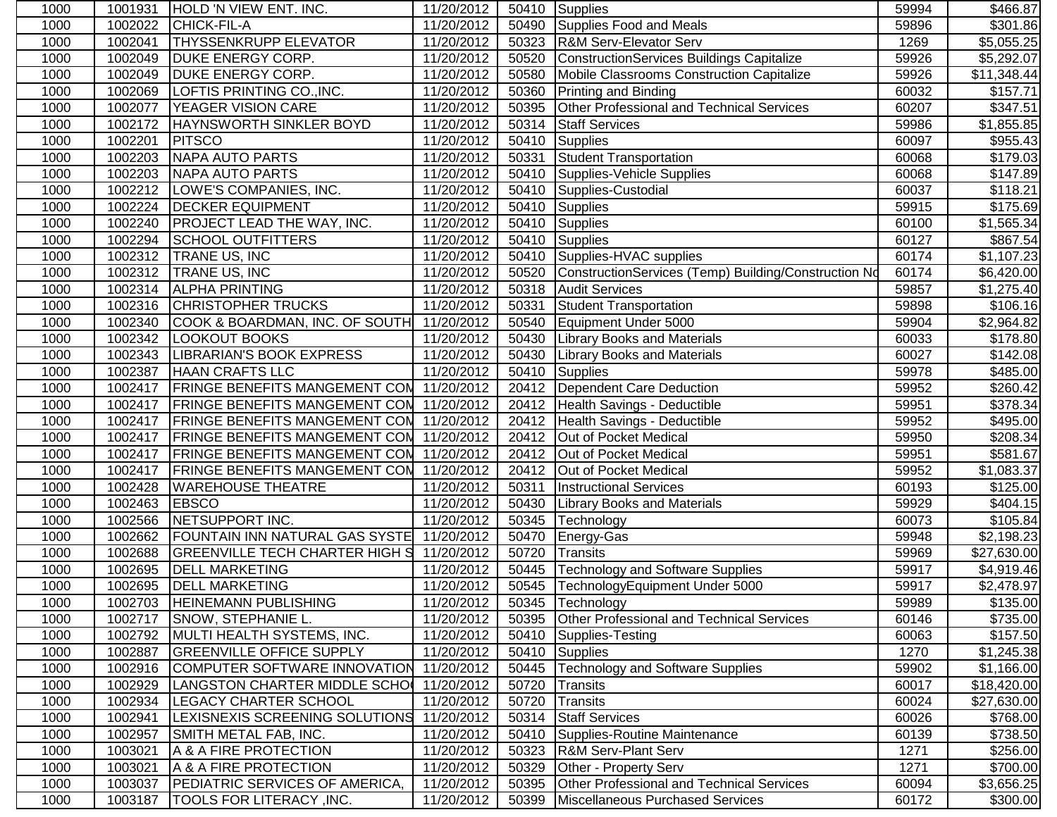| 1000 | 1001931 | HOLD 'N VIEW ENT. INC.                    | 11/20/2012              |       | 50410 Supplies                                       | 59994 | \$466.87             |
|------|---------|-------------------------------------------|-------------------------|-------|------------------------------------------------------|-------|----------------------|
| 1000 | 1002022 | <b>CHICK-FIL-A</b>                        | 11/20/2012              | 50490 | Supplies Food and Meals                              | 59896 | 301.86               |
| 1000 | 1002041 | <b>THYSSENKRUPP ELEVATOR</b>              | 11/20/2012              |       | 50323 R&M Serv-Elevator Serv                         | 1269  | \$5,055.25           |
| 1000 | 1002049 | <b>DUKE ENERGY CORP.</b>                  | 11/20/2012              | 50520 | ConstructionServices Buildings Capitalize            | 59926 | \$5,292.07           |
| 1000 | 1002049 | <b>DUKE ENERGY CORP.</b>                  | 11/20/2012              | 50580 | Mobile Classrooms Construction Capitalize            | 59926 | \$11,348.44          |
| 1000 | 1002069 | LOFTIS PRINTING CO., INC.                 | 11/20/2012              | 50360 | <b>Printing and Binding</b>                          | 60032 | \$157.71             |
| 1000 | 1002077 | YEAGER VISION CARE                        | 11/20/2012              | 50395 | Other Professional and Technical Services            | 60207 | \$347.51             |
| 1000 | 1002172 | <b>HAYNSWORTH SINKLER BOYD</b>            | 11/20/2012              | 50314 | <b>Staff Services</b>                                | 59986 | \$1,855.85           |
| 1000 | 1002201 | <b>PITSCO</b>                             | 11/20/2012              | 50410 | Supplies                                             | 60097 | \$955.43             |
| 1000 | 1002203 | <b>NAPA AUTO PARTS</b>                    | 11/20/2012              | 50331 | Student Transportation                               | 60068 | \$179.03             |
| 1000 | 1002203 | <b>NAPA AUTO PARTS</b>                    | 11/20/2012              | 50410 | Supplies-Vehicle Supplies                            | 60068 | \$147.89             |
| 1000 | 1002212 | LOWE'S COMPANIES, INC.                    | 11/20/2012              | 50410 | Supplies-Custodial                                   | 60037 | \$118.21             |
| 1000 | 1002224 | <b>DECKER EQUIPMENT</b>                   | 11/20/2012              | 50410 | <b>Supplies</b>                                      | 59915 | \$175.69             |
| 1000 | 1002240 | PROJECT LEAD THE WAY, INC.                | 11/20/2012              | 50410 | Supplies                                             | 60100 | \$1,565.34           |
| 1000 | 1002294 | <b>SCHOOL OUTFITTERS</b>                  | 11/20/2012              |       | 50410 Supplies                                       | 60127 | \$867.54             |
| 1000 | 1002312 | TRANE US, INC                             | 11/20/2012              |       | 50410 Supplies-HVAC supplies                         | 60174 | \$1,107.23           |
| 1000 | 1002312 | <b>TRANE US, INC</b>                      | 11/20/2012              | 50520 | ConstructionServices (Temp) Building/Construction No | 60174 | \$6,420.00           |
| 1000 | 1002314 | <b>ALPHA PRINTING</b>                     | 11/20/2012              | 50318 | <b>Audit Services</b>                                | 59857 | \$1,275.40           |
| 1000 | 1002316 | <b>CHRISTOPHER TRUCKS</b>                 | 11/20/2012              | 50331 | Student Transportation                               | 59898 | \$106.16             |
| 1000 | 1002340 | COOK & BOARDMAN, INC. OF SOUTH            | 11/20/2012              | 50540 | Equipment Under 5000                                 | 59904 | \$2,964.82           |
| 1000 | 1002342 | LOOKOUT BOOKS                             | 11/20/2012              | 50430 | <b>Library Books and Materials</b>                   | 60033 | \$178.80             |
| 1000 | 1002343 | LIBRARIAN'S BOOK EXPRESS                  | 11/20/2012              | 50430 | <b>Library Books and Materials</b>                   | 60027 | \$142.08             |
| 1000 | 1002387 | <b>HAAN CRAFTS LLC</b>                    | 11/20/2012              | 50410 | Supplies                                             | 59978 | \$485.00             |
| 1000 | 1002417 | <b>FRINGE BENEFITS MANGEMENT CON</b>      | 11/20/2012              |       | 20412   Dependent Care Deduction                     | 59952 | \$260.42             |
| 1000 | 1002417 | <b>FRINGE BENEFITS MANGEMENT CON</b>      | $\overline{11}/20/2012$ |       | 20412 Health Savings - Deductible                    | 59951 | \$378.34             |
| 1000 | 1002417 | <b>FRINGE BENEFITS MANGEMENT CON</b>      | 11/20/2012              |       | 20412 Health Savings - Deductible                    | 59952 | \$495.00             |
| 1000 | 1002417 | <b>FRINGE BENEFITS MANGEMENT CON</b>      | 11/20/2012              | 20412 | Out of Pocket Medical                                | 59950 | $\overline{$}208.34$ |
| 1000 | 1002417 | <b>FRINGE BENEFITS MANGEMENT CON</b>      | 11/20/2012              | 20412 | Out of Pocket Medical                                | 59951 | \$581.67             |
| 1000 | 1002417 | <b>FRINGE BENEFITS MANGEMENT CON</b>      | 11/20/2012              | 20412 | Out of Pocket Medical                                | 59952 | \$1,083.37           |
| 1000 | 1002428 | <b>WAREHOUSE THEATRE</b>                  | 11/20/2012              | 50311 | <b>Instructional Services</b>                        | 60193 | \$125.00             |
| 1000 | 1002463 | <b>EBSCO</b>                              | 11/20/2012              | 50430 | <b>Library Books and Materials</b>                   | 59929 | \$404.15             |
| 1000 | 1002566 | NETSUPPORT INC.                           | 11/20/2012              | 50345 | Technology                                           | 60073 | \$105.84             |
| 1000 | 1002662 | FOUNTAIN INN NATURAL GAS SYSTE 11/20/2012 |                         | 50470 | Energy-Gas                                           | 59948 | \$2,198.23           |
| 1000 | 1002688 | GREENVILLE TECH CHARTER HIGH S 11/20/2012 |                         | 50720 | Transits                                             | 59969 | \$27,630.00          |
| 1000 | 1002695 | <b>DELL MARKETING</b>                     | 11/20/2012              | 50445 | <b>Technology and Software Supplies</b>              | 59917 | \$4,919.46           |
| 1000 | 1002695 | <b>DELL MARKETING</b>                     | 11/20/2012              |       | 50545  TechnologyEquipment Under 5000                | 59917 | \$2,478.97           |
| 1000 |         | 1002703 HEINEMANN PUBLISHING              | 11/20/2012              |       | 50345 Technology                                     | 59989 | \$135.00             |
| 1000 | 1002717 | <b>SNOW, STEPHANIE L.</b>                 | 11/20/2012              |       | 50395 Other Professional and Technical Services      | 60146 | \$735.00             |
| 1000 | 1002792 | MULTI HEALTH SYSTEMS, INC.                | 11/20/2012              | 50410 | Supplies-Testing                                     | 60063 | \$157.50             |
| 1000 | 1002887 | <b>GREENVILLE OFFICE SUPPLY</b>           | 11/20/2012              |       | 50410 Supplies                                       | 1270  | \$1,245.38           |
| 1000 | 1002916 | COMPUTER SOFTWARE INNOVATION              | 11/20/2012              | 50445 | <b>Technology and Software Supplies</b>              | 59902 | \$1,166.00           |
| 1000 | 1002929 | LANGSTON CHARTER MIDDLE SCHO              | 11/20/2012              | 50720 | <b>Transits</b>                                      | 60017 | \$18,420.00          |
| 1000 | 1002934 | LEGACY CHARTER SCHOOL                     | 11/20/2012              | 50720 | Transits                                             | 60024 | \$27,630.00          |
| 1000 | 1002941 | LEXISNEXIS SCREENING SOLUTIONS            | 11/20/2012              | 50314 | <b>Staff Services</b>                                | 60026 | \$768.00             |
| 1000 | 1002957 | SMITH METAL FAB, INC.                     | 11/20/2012              | 50410 | Supplies-Routine Maintenance                         | 60139 | \$738.50             |
| 1000 | 1003021 | A & A FIRE PROTECTION                     | 11/20/2012              |       | 50323 R&M Serv-Plant Serv                            | 1271  | \$256.00             |
| 1000 | 1003021 | A & A FIRE PROTECTION                     | 11/20/2012              | 50329 | Other - Property Serv                                | 1271  | \$700.00             |
| 1000 | 1003037 | PEDIATRIC SERVICES OF AMERICA,            | 11/20/2012              | 50395 | <b>Other Professional and Technical Services</b>     | 60094 | \$3,656.25           |
| 1000 | 1003187 | TOOLS FOR LITERACY, INC.                  | 11/20/2012              | 50399 | Miscellaneous Purchased Services                     | 60172 | \$300.00             |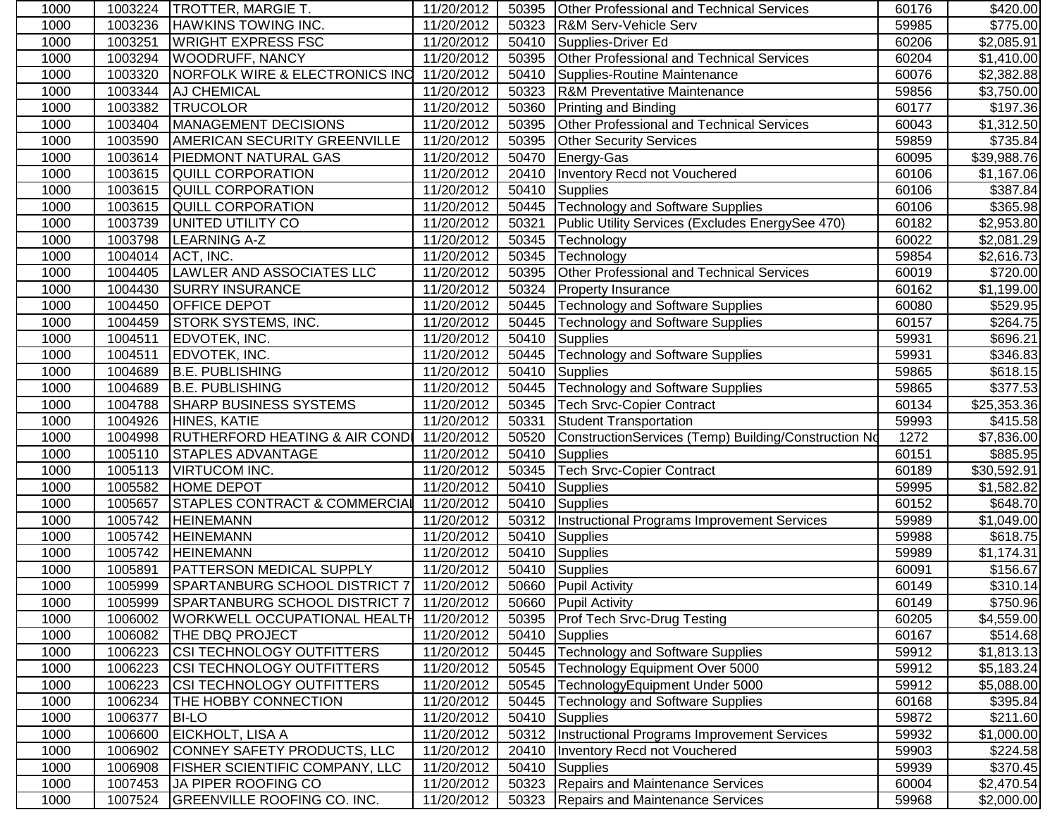| 1000 |         | 1003224   TROTTER, MARGIE T.                     | 11/20/2012 | 50395 | <b>Other Professional and Technical Services</b>     | 60176 | \$420.00             |
|------|---------|--------------------------------------------------|------------|-------|------------------------------------------------------|-------|----------------------|
| 1000 | 1003236 | <b>HAWKINS TOWING INC.</b>                       | 11/20/2012 | 50323 | <b>R&amp;M Serv-Vehicle Serv</b>                     | 59985 | $\overline{$775.00}$ |
| 1000 | 1003251 | <b>WRIGHT EXPRESS FSC</b>                        | 11/20/2012 | 50410 | Supplies-Driver Ed                                   | 60206 | \$2,085.91           |
| 1000 | 1003294 | <b>WOODRUFF, NANCY</b>                           | 11/20/2012 | 50395 | Other Professional and Technical Services            | 60204 | \$1,410.00           |
| 1000 | 1003320 | NORFOLK WIRE & ELECTRONICS INC 11/20/2012        |            | 50410 | Supplies-Routine Maintenance                         | 60076 | \$2,382.88           |
| 1000 | 1003344 | <b>AJ CHEMICAL</b>                               | 11/20/2012 | 50323 | <b>R&amp;M Preventative Maintenance</b>              | 59856 | \$3,750.00           |
| 1000 | 1003382 | <b>TRUCOLOR</b>                                  | 11/20/2012 | 50360 | Printing and Binding                                 | 60177 | \$197.36             |
| 1000 | 1003404 | MANAGEMENT DECISIONS                             | 11/20/2012 | 50395 | Other Professional and Technical Services            | 60043 | \$1,312.50           |
| 1000 | 1003590 | <b>AMERICAN SECURITY GREENVILLE</b>              | 11/20/2012 | 50395 | <b>Other Security Services</b>                       | 59859 | \$735.84             |
| 1000 | 1003614 | <b>PIEDMONT NATURAL GAS</b>                      | 11/20/2012 | 50470 | Energy-Gas                                           | 60095 | \$39,988.76          |
| 1000 | 1003615 | <b>QUILL CORPORATION</b>                         | 11/20/2012 | 20410 | Inventory Recd not Vouchered                         | 60106 | \$1,167.06           |
| 1000 | 1003615 | <b>QUILL CORPORATION</b>                         | 11/20/2012 | 50410 | <b>Supplies</b>                                      | 60106 | \$387.84             |
| 1000 | 1003615 | <b>QUILL CORPORATION</b>                         | 11/20/2012 | 50445 | <b>Technology and Software Supplies</b>              | 60106 | \$365.98             |
| 1000 | 1003739 | UNITED UTILITY CO                                | 11/20/2012 | 50321 | Public Utility Services (Excludes EnergySee 470)     | 60182 | \$2,953.80           |
| 1000 | 1003798 | LEARNING A-Z                                     | 11/20/2012 | 50345 | Technology                                           | 60022 | \$2,081.29           |
| 1000 | 1004014 | ACT, INC.                                        | 11/20/2012 | 50345 | Technology                                           | 59854 | \$2,616.73           |
| 1000 | 1004405 | LAWLER AND ASSOCIATES LLC                        | 11/20/2012 | 50395 | Other Professional and Technical Services            | 60019 | \$720.00             |
| 1000 | 1004430 | <b>SURRY INSURANCE</b>                           | 11/20/2012 | 50324 | Property Insurance                                   | 60162 | \$1,199.00           |
| 1000 | 1004450 | <b>OFFICE DEPOT</b>                              | 11/20/2012 | 50445 | <b>Technology and Software Supplies</b>              | 60080 | \$529.95             |
| 1000 | 1004459 | <b>STORK SYSTEMS, INC.</b>                       | 11/20/2012 | 50445 | <b>Technology and Software Supplies</b>              | 60157 | \$264.75             |
| 1000 | 1004511 | EDVOTEK, INC.                                    | 11/20/2012 | 50410 | <b>Supplies</b>                                      | 59931 | $\overline{$}696.21$ |
| 1000 | 1004511 | EDVOTEK, INC.                                    | 11/20/2012 | 50445 | <b>Technology and Software Supplies</b>              | 59931 | $\overline{$}346.83$ |
| 1000 | 1004689 | <b>B.E. PUBLISHING</b>                           | 11/20/2012 | 50410 | Supplies                                             | 59865 | \$618.15             |
| 1000 | 1004689 | B.E. PUBLISHING                                  | 11/20/2012 | 50445 | <b>Technology and Software Supplies</b>              | 59865 | \$377.53             |
| 1000 | 1004788 | <b>SHARP BUSINESS SYSTEMS</b>                    | 11/20/2012 | 50345 | <b>Tech Srvc-Copier Contract</b>                     | 60134 | \$25,353.36          |
| 1000 | 1004926 | HINES, KATIE                                     | 11/20/2012 | 50331 | <b>Student Transportation</b>                        | 59993 | \$415.58             |
| 1000 | 1004998 | <b>RUTHERFORD HEATING &amp; AIR CONDI</b>        | 11/20/2012 | 50520 | ConstructionServices (Temp) Building/Construction Nd | 1272  | \$7,836.00           |
| 1000 | 1005110 | <b>STAPLES ADVANTAGE</b>                         | 11/20/2012 | 50410 | <b>Supplies</b>                                      | 60151 | \$885.95             |
| 1000 | 1005113 | VIRTUCOM INC.                                    | 11/20/2012 | 50345 | <b>Tech Srvc-Copier Contract</b>                     | 60189 | \$30,592.91          |
| 1000 | 1005582 | <b>HOME DEPOT</b>                                | 11/20/2012 | 50410 | <b>Supplies</b>                                      | 59995 | \$1,582.82           |
| 1000 | 1005657 | STAPLES CONTRACT & COMMERCIAL                    | 11/20/2012 | 50410 | Supplies                                             | 60152 | \$648.70             |
| 1000 | 1005742 | <b>HEINEMANN</b>                                 | 11/20/2012 |       | 50312 Instructional Programs Improvement Services    | 59989 | \$1,049.00           |
| 1000 | 1005742 | <b>HEINEMANN</b>                                 | 11/20/2012 | 50410 | Supplies                                             | 59988 | \$618.75             |
| 1000 | 1005742 | <b>HEINEMANN</b>                                 | 11/20/2012 | 50410 | Supplies                                             | 59989 | \$1,174.31           |
| 1000 | 1005891 | <b>PATTERSON MEDICAL SUPPLY</b>                  | 11/20/2012 | 50410 | <b>Supplies</b>                                      | 60091 | \$156.67             |
| 1000 | 1005999 | SPARTANBURG SCHOOL DISTRICT 7 11/20/2012         |            |       | 50660 Pupil Activity                                 | 60149 | \$310.14             |
| 1000 |         | 1005999 SPARTANBURG SCHOOL DISTRICT 7 11/20/2012 |            |       | 50660 Pupil Activity                                 | 60149 | \$750.96             |
| 1000 | 1006002 | WORKWELL OCCUPATIONAL HEALTH 11/20/2012          |            | 50395 | <b>Prof Tech Srvc-Drug Testing</b>                   | 60205 | \$4,559.00           |
| 1000 | 1006082 | THE DBQ PROJECT                                  | 11/20/2012 |       | 50410 Supplies                                       | 60167 | \$514.68             |
| 1000 | 1006223 | <b>CSI TECHNOLOGY OUTFITTERS</b>                 | 11/20/2012 | 50445 | <b>Technology and Software Supplies</b>              | 59912 | \$1,813.13           |
| 1000 | 1006223 | <b>CSI TECHNOLOGY OUTFITTERS</b>                 | 11/20/2012 | 50545 | Technology Equipment Over 5000                       | 59912 | \$5,183.24           |
| 1000 | 1006223 | <b>CSI TECHNOLOGY OUTFITTERS</b>                 | 11/20/2012 | 50545 | TechnologyEquipment Under 5000                       | 59912 | \$5,088.00           |
| 1000 | 1006234 | THE HOBBY CONNECTION                             | 11/20/2012 | 50445 | <b>Technology and Software Supplies</b>              | 60168 | \$395.84             |
| 1000 | 1006377 | <b>BI-LO</b>                                     | 11/20/2012 | 50410 | <b>Supplies</b>                                      | 59872 | \$211.60             |
| 1000 | 1006600 | <b>EICKHOLT, LISA A</b>                          | 11/20/2012 | 50312 | Instructional Programs Improvement Services          | 59932 | \$1,000.00           |
| 1000 | 1006902 | CONNEY SAFETY PRODUCTS, LLC                      | 11/20/2012 | 20410 | <b>Inventory Recd not Vouchered</b>                  | 59903 | \$224.58             |
| 1000 | 1006908 | <b>FISHER SCIENTIFIC COMPANY, LLC</b>            | 11/20/2012 | 50410 | <b>Supplies</b>                                      | 59939 | \$370.45             |
| 1000 | 1007453 | JA PIPER ROOFING CO                              | 11/20/2012 | 50323 | <b>Repairs and Maintenance Services</b>              | 60004 | \$2,470.54           |
| 1000 | 1007524 | <b>GREENVILLE ROOFING CO. INC.</b>               | 11/20/2012 | 50323 | Repairs and Maintenance Services                     | 59968 | \$2,000.00           |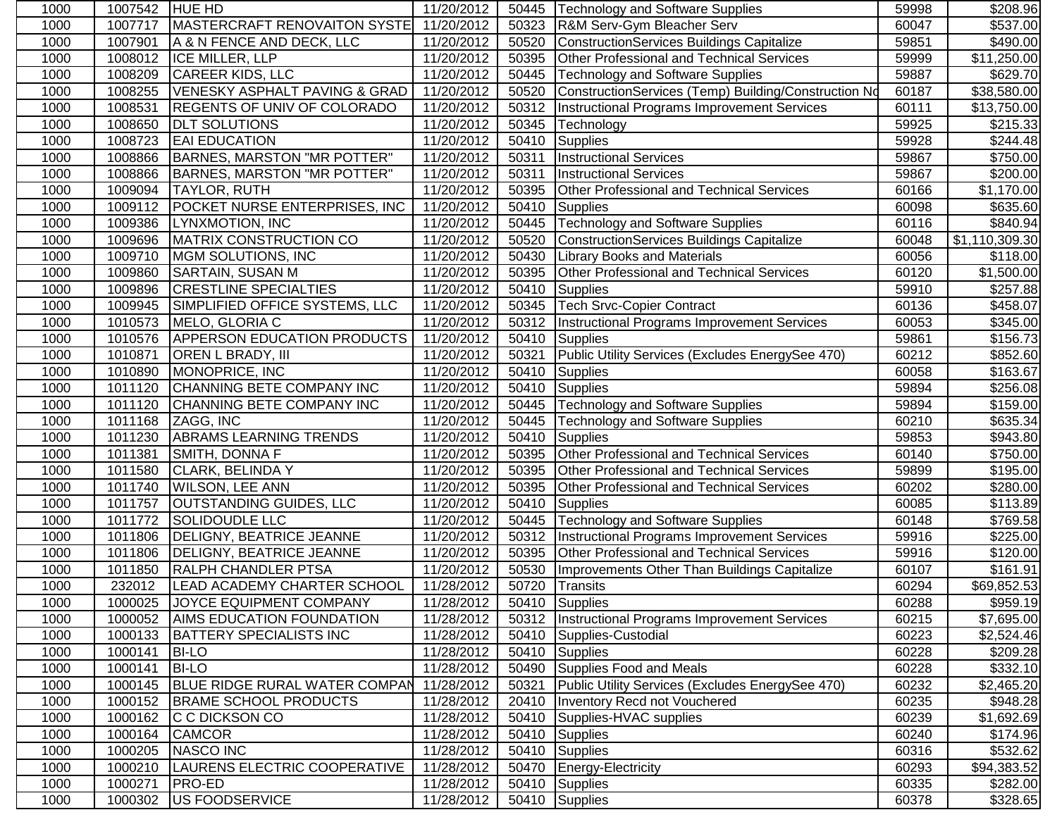| 1000 | 1007542 | <b>HUE HD</b>                      | 11/20/2012 |       | 50445   Technology and Software Supplies             | 59998 | \$208.96             |
|------|---------|------------------------------------|------------|-------|------------------------------------------------------|-------|----------------------|
| 1000 | 1007717 | MASTERCRAFT RENOVAITON SYSTE       | 11/20/2012 |       | 50323 R&M Serv-Gym Bleacher Serv                     | 60047 | \$537.00             |
| 1000 | 1007901 | A & N FENCE AND DECK, LLC          | 11/20/2012 | 50520 | ConstructionServices Buildings Capitalize            | 59851 | \$490.00             |
| 1000 | 1008012 | <b>ICE MILLER, LLP</b>             | 11/20/2012 | 50395 | Other Professional and Technical Services            | 59999 | \$11,250.00          |
| 1000 | 1008209 | CAREER KIDS, LLC                   | 11/20/2012 | 50445 | <b>Technology and Software Supplies</b>              | 59887 | \$629.70             |
| 1000 | 1008255 | VENESKY ASPHALT PAVING & GRAD      | 11/20/2012 | 50520 | ConstructionServices (Temp) Building/Construction Nd | 60187 | \$38,580.00          |
| 1000 | 1008531 | <b>REGENTS OF UNIV OF COLORADO</b> | 11/20/2012 | 50312 | Instructional Programs Improvement Services          | 60111 | \$13,750.00          |
| 1000 | 1008650 | <b>DLT SOLUTIONS</b>               | 11/20/2012 | 50345 | Technology                                           | 59925 | \$215.33             |
| 1000 | 1008723 | <b>EAI EDUCATION</b>               | 11/20/2012 | 50410 | Supplies                                             | 59928 | \$244.48             |
| 1000 | 1008866 | <b>BARNES, MARSTON "MR POTTER"</b> | 11/20/2012 | 50311 | <b>Instructional Services</b>                        | 59867 | \$750.00             |
| 1000 | 1008866 | <b>BARNES, MARSTON "MR POTTER"</b> | 11/20/2012 | 50311 | <b>Instructional Services</b>                        | 59867 | \$200.00             |
| 1000 | 1009094 | TAYLOR, RUTH                       | 11/20/2012 | 50395 | Other Professional and Technical Services            | 60166 | \$1,170.00           |
| 1000 | 1009112 | POCKET NURSE ENTERPRISES, INC      | 11/20/2012 | 50410 | <b>Supplies</b>                                      | 60098 | \$635.60             |
| 1000 | 1009386 | LYNXMOTION, INC                    | 11/20/2012 | 50445 | <b>Technology and Software Supplies</b>              | 60116 | \$840.94             |
| 1000 | 1009696 | MATRIX CONSTRUCTION CO             | 11/20/2012 | 50520 | ConstructionServices Buildings Capitalize            | 60048 | \$1,110,309.30       |
| 1000 | 1009710 | <b>MGM SOLUTIONS, INC</b>          | 11/20/2012 | 50430 | <b>Library Books and Materials</b>                   | 60056 | \$118.00             |
| 1000 | 1009860 | <b>SARTAIN, SUSAN M</b>            | 11/20/2012 | 50395 | Other Professional and Technical Services            | 60120 | \$1,500.00           |
| 1000 | 1009896 | <b>CRESTLINE SPECIALTIES</b>       | 11/20/2012 | 50410 | Supplies                                             | 59910 | \$257.88             |
| 1000 | 1009945 | SIMPLIFIED OFFICE SYSTEMS, LLC     | 11/20/2012 |       | 50345 Tech Srvc-Copier Contract                      | 60136 | \$458.07             |
| 1000 | 1010573 | MELO, GLORIA C                     | 11/20/2012 | 50312 | Instructional Programs Improvement Services          | 60053 | \$345.00             |
| 1000 | 1010576 | <b>APPERSON EDUCATION PRODUCTS</b> | 11/20/2012 | 50410 | Supplies                                             | 59861 | \$156.73             |
| 1000 | 1010871 | <b>OREN L BRADY, III</b>           | 11/20/2012 | 50321 | Public Utility Services (Excludes EnergySee 470)     | 60212 | \$852.60             |
| 1000 | 1010890 | MONOPRICE, INC                     | 11/20/2012 | 50410 | Supplies                                             | 60058 | \$163.67             |
| 1000 | 1011120 | CHANNING BETE COMPANY INC          | 11/20/2012 | 50410 | Supplies                                             | 59894 | \$256.08             |
| 1000 | 1011120 | CHANNING BETE COMPANY INC          | 11/20/2012 | 50445 | <b>Technology and Software Supplies</b>              | 59894 | \$159.00             |
| 1000 | 1011168 | ZAGG, INC                          | 11/20/2012 | 50445 | <b>Technology and Software Supplies</b>              | 60210 | \$635.34             |
| 1000 | 1011230 | <b>ABRAMS LEARNING TRENDS</b>      | 11/20/2012 | 50410 | <b>Supplies</b>                                      | 59853 | \$943.80             |
| 1000 | 1011381 | SMITH, DONNA F                     | 11/20/2012 | 50395 | <b>Other Professional and Technical Services</b>     | 60140 | \$750.00             |
| 1000 | 1011580 | <b>CLARK, BELINDA Y</b>            | 11/20/2012 | 50395 | Other Professional and Technical Services            | 59899 | \$195.00             |
| 1000 | 1011740 | <b>WILSON, LEE ANN</b>             | 11/20/2012 | 50395 | Other Professional and Technical Services            | 60202 | $\overline{$}280.00$ |
| 1000 | 1011757 | OUTSTANDING GUIDES, LLC            | 11/20/2012 | 50410 | <b>Supplies</b>                                      | 60085 | \$113.89             |
| 1000 | 1011772 | <b>SOLIDOUDLE LLC</b>              | 11/20/2012 | 50445 | <b>Technology and Software Supplies</b>              | 60148 | \$769.58             |
| 1000 | 1011806 | <b>DELIGNY, BEATRICE JEANNE</b>    | 11/20/2012 |       | 50312   Instructional Programs Improvement Services  | 59916 | \$225.00             |
| 1000 | 1011806 | <b>DELIGNY, BEATRICE JEANNE</b>    | 11/20/2012 |       | 50395 Other Professional and Technical Services      | 59916 | \$120.00             |
| 1000 | 1011850 | <b>RALPH CHANDLER PTSA</b>         | 11/20/2012 | 50530 | Improvements Other Than Buildings Capitalize         | 60107 | \$161.91             |
| 1000 | 232012  | LEAD ACADEMY CHARTER SCHOOL        | 11/28/2012 | 50720 | Transits                                             | 60294 | \$69,852.53          |
| 1000 |         | 1000025 JOYCE EQUIPMENT COMPANY    | 11/28/2012 |       | 50410 Supplies                                       | 60288 | \$959.19             |
| 1000 | 1000052 | <b>AIMS EDUCATION FOUNDATION</b>   | 11/28/2012 |       | 50312   Instructional Programs Improvement Services  | 60215 | \$7,695.00           |
| 1000 | 1000133 | <b>BATTERY SPECIALISTS INC</b>     | 11/28/2012 | 50410 | Supplies-Custodial                                   | 60223 | \$2,524.46           |
| 1000 | 1000141 | <b>BI-LO</b>                       | 11/28/2012 |       | 50410 Supplies                                       | 60228 | \$209.28             |
| 1000 | 1000141 | <b>BI-LO</b>                       | 11/28/2012 |       | 50490 Supplies Food and Meals                        | 60228 | \$332.10             |
| 1000 | 1000145 | BLUE RIDGE RURAL WATER COMPAN      | 11/28/2012 | 50321 | Public Utility Services (Excludes EnergySee 470)     | 60232 | \$2,465.20           |
| 1000 | 1000152 | <b>BRAME SCHOOL PRODUCTS</b>       | 11/28/2012 | 20410 | <b>Inventory Recd not Vouchered</b>                  | 60235 | \$948.28             |
| 1000 | 1000162 | C C DICKSON CO                     | 11/28/2012 | 50410 | Supplies-HVAC supplies                               | 60239 | \$1,692.69           |
| 1000 | 1000164 | <b>CAMCOR</b>                      | 11/28/2012 | 50410 | Supplies                                             | 60240 | \$174.96             |
| 1000 | 1000205 | <b>NASCO INC</b>                   | 11/28/2012 | 50410 | Supplies                                             | 60316 | \$532.62             |
| 1000 | 1000210 | LAURENS ELECTRIC COOPERATIVE       | 11/28/2012 |       | 50470 Energy-Electricity                             | 60293 | \$94,383.52          |
| 1000 | 1000271 | <b>PRO-ED</b>                      | 11/28/2012 | 50410 | Supplies                                             | 60335 | \$282.00             |
| 1000 | 1000302 | <b>US FOODSERVICE</b>              | 11/28/2012 |       | 50410 Supplies                                       | 60378 | \$328.65             |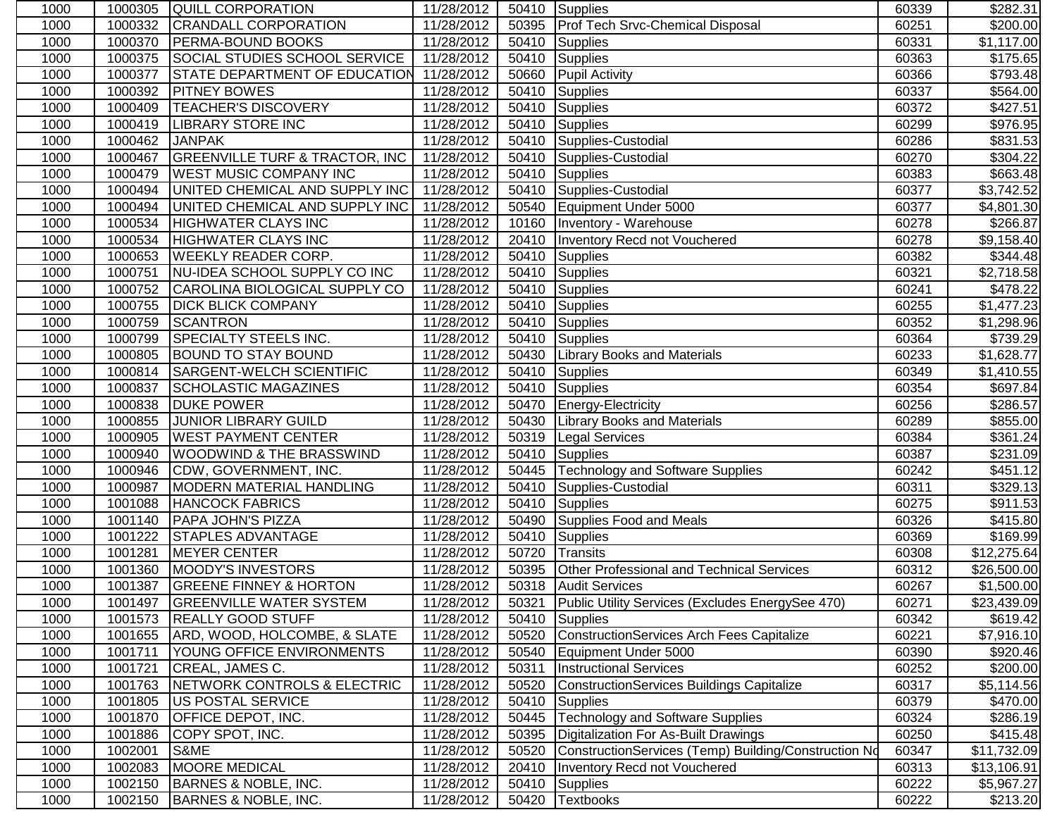| 1000 | 1000305 | <b>QUILL CORPORATION</b>                  | 11/28/2012 |       | 50410 Supplies                                         | 60339 | \$282.31             |
|------|---------|-------------------------------------------|------------|-------|--------------------------------------------------------|-------|----------------------|
| 1000 | 1000332 | <b>CRANDALL CORPORATION</b>               | 11/28/2012 |       | 50395 Prof Tech Srvc-Chemical Disposal                 | 60251 | $\overline{$}200.00$ |
| 1000 | 1000370 | <b>PERMA-BOUND BOOKS</b>                  | 11/28/2012 | 50410 | Supplies                                               | 60331 | \$1,117.00           |
| 1000 | 1000375 | SOCIAL STUDIES SCHOOL SERVICE             | 11/28/2012 | 50410 | <b>Supplies</b>                                        | 60363 | \$175.65             |
| 1000 | 1000377 | STATE DEPARTMENT OF EDUCATION 11/28/2012  |            | 50660 | <b>Pupil Activity</b>                                  | 60366 | \$793.48             |
| 1000 | 1000392 | <b>PITNEY BOWES</b>                       | 11/28/2012 | 50410 | Supplies                                               | 60337 | $\overline{$}564.00$ |
| 1000 | 1000409 | <b>TEACHER'S DISCOVERY</b>                | 11/28/2012 | 50410 | Supplies                                               | 60372 | \$427.51             |
| 1000 | 1000419 | <b>LIBRARY STORE INC</b>                  | 11/28/2012 | 50410 | Supplies                                               | 60299 | \$976.95             |
| 1000 | 1000462 | <b>JANPAK</b>                             | 11/28/2012 | 50410 | Supplies-Custodial                                     | 60286 | \$831.53             |
| 1000 | 1000467 | <b>GREENVILLE TURF &amp; TRACTOR, INC</b> | 11/28/2012 | 50410 | Supplies-Custodial                                     | 60270 | \$304.22             |
| 1000 | 1000479 | <b>WEST MUSIC COMPANY INC</b>             | 11/28/2012 | 50410 | Supplies                                               | 60383 | \$663.48             |
| 1000 | 1000494 | UNITED CHEMICAL AND SUPPLY INC            | 11/28/2012 | 50410 | Supplies-Custodial                                     | 60377 | \$3,742.52           |
| 1000 | 1000494 | UNITED CHEMICAL AND SUPPLY INC            | 11/28/2012 | 50540 | Equipment Under 5000                                   | 60377 | \$4,801.30           |
| 1000 | 1000534 | HIGHWATER CLAYS INC                       | 11/28/2012 | 10160 | Inventory - Warehouse                                  | 60278 | \$266.87             |
| 1000 | 1000534 | <b>HIGHWATER CLAYS INC</b>                | 11/28/2012 | 20410 | Inventory Recd not Vouchered                           | 60278 | \$9,158.40           |
| 1000 | 1000653 | <b>WEEKLY READER CORP.</b>                | 11/28/2012 | 50410 | Supplies                                               | 60382 | \$344.48             |
| 1000 | 1000751 | NU-IDEA SCHOOL SUPPLY CO INC              | 11/28/2012 | 50410 | Supplies                                               | 60321 | \$2,718.58           |
| 1000 | 1000752 | CAROLINA BIOLOGICAL SUPPLY CO             | 11/28/2012 | 50410 | Supplies                                               | 60241 | \$478.22             |
| 1000 | 1000755 | <b>DICK BLICK COMPANY</b>                 | 11/28/2012 | 50410 | Supplies                                               | 60255 | \$1,477.23           |
| 1000 | 1000759 | <b>SCANTRON</b>                           | 11/28/2012 | 50410 | Supplies                                               | 60352 | \$1,298.96           |
| 1000 | 1000799 | <b>SPECIALTY STEELS INC.</b>              | 11/28/2012 | 50410 | <b>Supplies</b>                                        | 60364 | \$739.29             |
| 1000 | 1000805 | <b>BOUND TO STAY BOUND</b>                | 11/28/2012 | 50430 | <b>Library Books and Materials</b>                     | 60233 | \$1,628.77           |
| 1000 | 1000814 | <b>SARGENT-WELCH SCIENTIFIC</b>           | 11/28/2012 | 50410 | Supplies                                               | 60349 | \$1,410.55           |
| 1000 | 1000837 | <b>SCHOLASTIC MAGAZINES</b>               | 11/28/2012 |       | 50410 Supplies                                         | 60354 | \$697.84             |
| 1000 | 1000838 | <b>DUKE POWER</b>                         | 11/28/2012 |       | 50470 Energy-Electricity                               | 60256 | \$286.57             |
| 1000 | 1000855 | <b>JUNIOR LIBRARY GUILD</b>               | 11/28/2012 | 50430 | <b>Library Books and Materials</b>                     | 60289 | \$855.00             |
| 1000 | 1000905 | <b>WEST PAYMENT CENTER</b>                | 11/28/2012 | 50319 | <b>Legal Services</b>                                  | 60384 | $\overline{$}361.24$ |
| 1000 | 1000940 | WOODWIND & THE BRASSWIND                  | 11/28/2012 | 50410 | Supplies                                               | 60387 | \$231.09             |
| 1000 | 1000946 | CDW, GOVERNMENT, INC.                     | 11/28/2012 | 50445 | <b>Technology and Software Supplies</b>                | 60242 | \$451.12             |
| 1000 | 1000987 | <b>MODERN MATERIAL HANDLING</b>           | 11/28/2012 | 50410 | Supplies-Custodial                                     | 60311 | $\overline{$}329.13$ |
| 1000 | 1001088 | <b>HANCOCK FABRICS</b>                    | 11/28/2012 | 50410 | Supplies                                               | 60275 | \$911.53             |
| 1000 | 1001140 | <b>PAPA JOHN'S PIZZA</b>                  | 11/28/2012 | 50490 | Supplies Food and Meals                                | 60326 | \$415.80             |
| 1000 | 1001222 | <b>STAPLES ADVANTAGE</b>                  | 11/28/2012 |       | 50410 Supplies                                         | 60369 | \$169.99             |
| 1000 | 1001281 | <b>MEYER CENTER</b>                       | 11/28/2012 | 50720 | Transits                                               | 60308 | \$12,275.64          |
| 1000 | 1001360 | <b>MOODY'S INVESTORS</b>                  | 11/28/2012 | 50395 | Other Professional and Technical Services              | 60312 | \$26,500.00          |
| 1000 | 1001387 | <b>GREENE FINNEY &amp; HORTON</b>         | 11/28/2012 |       | 50318 Audit Services                                   | 60267 | \$1,500.00           |
| 1000 |         | 1001497 GREENVILLE WATER SYSTEM           | 11/28/2012 |       | 50321 Public Utility Services (Excludes EnergySee 470) | 60271 | \$23,439.09          |
| 1000 | 1001573 | <b>REALLY GOOD STUFF</b>                  | 11/28/2012 | 50410 | Supplies                                               | 60342 | \$619.42]            |
| 1000 | 1001655 | ARD, WOOD, HOLCOMBE, & SLATE              | 11/28/2012 | 50520 | ConstructionServices Arch Fees Capitalize              | 60221 | \$7,916.10           |
| 1000 | 1001711 | YOUNG OFFICE ENVIRONMENTS                 | 11/28/2012 | 50540 | Equipment Under 5000                                   | 60390 | \$920.46             |
| 1000 | 1001721 | CREAL, JAMES C.                           | 11/28/2012 | 50311 | <b>Instructional Services</b>                          | 60252 | \$200.00             |
| 1000 | 1001763 | NETWORK CONTROLS & ELECTRIC               | 11/28/2012 | 50520 | ConstructionServices Buildings Capitalize              | 60317 | \$5,114.56           |
| 1000 | 1001805 | US POSTAL SERVICE                         | 11/28/2012 | 50410 | <b>Supplies</b>                                        | 60379 | \$470.00             |
| 1000 | 1001870 | <b>OFFICE DEPOT, INC.</b>                 | 11/28/2012 | 50445 | <b>Technology and Software Supplies</b>                | 60324 | \$286.19             |
| 1000 | 1001886 | COPY SPOT, INC.                           | 11/28/2012 |       | 50395 Digitalization For As-Built Drawings             | 60250 | \$415.48             |
| 1000 | 1002001 | S&ME                                      | 11/28/2012 | 50520 | ConstructionServices (Temp) Building/Construction Nd   | 60347 | \$11,732.09          |
| 1000 | 1002083 | <b>MOORE MEDICAL</b>                      | 11/28/2012 | 20410 | <b>Inventory Recd not Vouchered</b>                    | 60313 | \$13,106.91          |
| 1000 | 1002150 | BARNES & NOBLE, INC.                      | 11/28/2012 | 50410 | Supplies                                               | 60222 | \$5,967.27           |
| 1000 | 1002150 | BARNES & NOBLE, INC.                      | 11/28/2012 | 50420 | <b>Textbooks</b>                                       | 60222 | \$213.20             |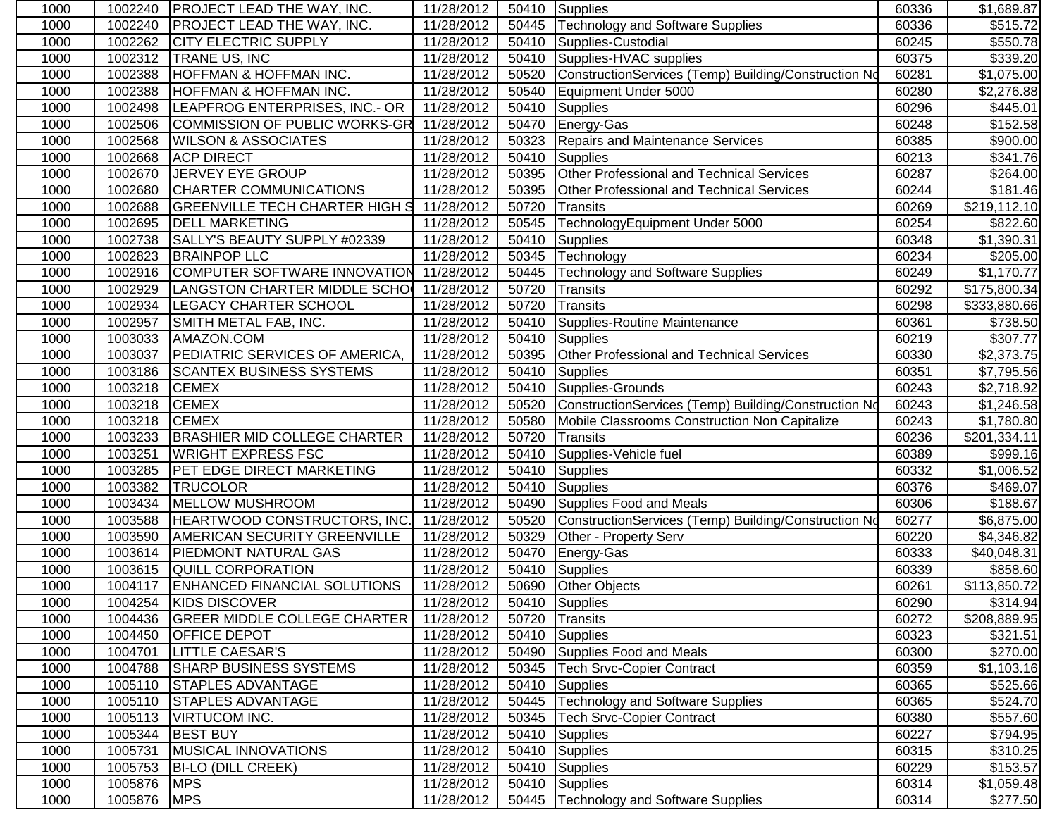| 1000 | 1002240 | <b>PROJECT LEAD THE WAY, INC.</b>         | 11/28/2012 |       | 50410 Supplies                                       | 60336 | \$1,689.87           |
|------|---------|-------------------------------------------|------------|-------|------------------------------------------------------|-------|----------------------|
| 1000 | 1002240 | <b>PROJECT LEAD THE WAY, INC.</b>         | 11/28/2012 | 50445 | Technology and Software Supplies                     | 60336 | \$515.72             |
| 1000 | 1002262 | <b>CITY ELECTRIC SUPPLY</b>               | 11/28/2012 | 50410 | Supplies-Custodial                                   | 60245 | \$550.78             |
| 1000 | 1002312 | <b>TRANE US, INC</b>                      | 11/28/2012 | 50410 | Supplies-HVAC supplies                               | 60375 | \$339.20             |
| 1000 | 1002388 | <b>HOFFMAN &amp; HOFFMAN INC.</b>         | 11/28/2012 | 50520 | ConstructionServices (Temp) Building/Construction No | 60281 | \$1,075.00           |
| 1000 | 1002388 | <b>HOFFMAN &amp; HOFFMAN INC.</b>         | 11/28/2012 | 50540 | Equipment Under 5000                                 | 60280 | \$2,276.88           |
| 1000 | 1002498 | LEAPFROG ENTERPRISES, INC.- OR            | 11/28/2012 | 50410 | Supplies                                             | 60296 | \$445.01             |
| 1000 | 1002506 | COMMISSION OF PUBLIC WORKS-GR 11/28/2012  |            |       | 50470 Energy-Gas                                     | 60248 | \$152.58             |
| 1000 | 1002568 | <b>WILSON &amp; ASSOCIATES</b>            | 11/28/2012 | 50323 | Repairs and Maintenance Services                     | 60385 | \$900.00             |
| 1000 | 1002668 | <b>ACP DIRECT</b>                         | 11/28/2012 | 50410 | Supplies                                             | 60213 | \$341.76             |
| 1000 | 1002670 | JERVEY EYE GROUP                          | 11/28/2012 | 50395 | Other Professional and Technical Services            | 60287 | \$264.00             |
| 1000 | 1002680 | CHARTER COMMUNICATIONS                    | 11/28/2012 | 50395 | <b>Other Professional and Technical Services</b>     | 60244 | \$181.46             |
| 1000 | 1002688 | GREENVILLE TECH CHARTER HIGH S 11/28/2012 |            | 50720 | Transits                                             | 60269 | \$219,112.10         |
| 1000 | 1002695 | <b>DELL MARKETING</b>                     | 11/28/2012 | 50545 | TechnologyEquipment Under 5000                       | 60254 | \$822.60             |
| 1000 | 1002738 | SALLY'S BEAUTY SUPPLY #02339              | 11/28/2012 | 50410 | <b>Supplies</b>                                      | 60348 | \$1,390.31           |
| 1000 | 1002823 | <b>BRAINPOP LLC</b>                       | 11/28/2012 | 50345 | Technology                                           | 60234 | \$205.00             |
| 1000 | 1002916 | COMPUTER SOFTWARE INNOVATION              | 11/28/2012 | 50445 | Technology and Software Supplies                     | 60249 | \$1,170.77           |
| 1000 | 1002929 | LANGSTON CHARTER MIDDLE SCHO              | 11/28/2012 | 50720 | Transits                                             | 60292 | \$175,800.34         |
| 1000 | 1002934 | <b>LEGACY CHARTER SCHOOL</b>              | 11/28/2012 | 50720 | Transits                                             | 60298 | \$333,880.66         |
| 1000 | 1002957 | SMITH METAL FAB, INC.                     | 11/28/2012 | 50410 | Supplies-Routine Maintenance                         | 60361 | $\overline{$}738.50$ |
| 1000 | 1003033 | AMAZON.COM                                | 11/28/2012 | 50410 | <b>Supplies</b>                                      | 60219 | \$307.77             |
| 1000 | 1003037 | <b>PEDIATRIC SERVICES OF AMERICA.</b>     | 11/28/2012 | 50395 | <b>Other Professional and Technical Services</b>     | 60330 | \$2,373.75           |
| 1000 | 1003186 | <b>SCANTEX BUSINESS SYSTEMS</b>           | 11/28/2012 | 50410 | <b>Supplies</b>                                      | 60351 | \$7,795.56           |
| 1000 | 1003218 | <b>CEMEX</b>                              | 11/28/2012 | 50410 | Supplies-Grounds                                     | 60243 | $\sqrt{$2,718.92}$   |
| 1000 | 1003218 | <b>CEMEX</b>                              | 11/28/2012 | 50520 | ConstructionServices (Temp) Building/Construction No | 60243 | \$1,246.58           |
| 1000 | 1003218 | <b>CEMEX</b>                              | 11/28/2012 | 50580 | Mobile Classrooms Construction Non Capitalize        | 60243 | \$1,780.80           |
| 1000 | 1003233 | <b>BRASHIER MID COLLEGE CHARTER</b>       | 11/28/2012 | 50720 | Transits                                             | 60236 | \$201,334.11         |
| 1000 | 1003251 | <b>WRIGHT EXPRESS FSC</b>                 | 11/28/2012 | 50410 | Supplies-Vehicle fuel                                | 60389 | \$999.16             |
| 1000 | 1003285 | PET EDGE DIRECT MARKETING                 | 11/28/2012 | 50410 | <b>Supplies</b>                                      | 60332 | \$1,006.52           |
| 1000 | 1003382 | <b>TRUCOLOR</b>                           | 11/28/2012 | 50410 | <b>Supplies</b>                                      | 60376 | \$469.07             |
| 1000 | 1003434 | <b>MELLOW MUSHROOM</b>                    | 11/28/2012 | 50490 | Supplies Food and Meals                              | 60306 | \$188.67             |
| 1000 | 1003588 | <b>HEARTWOOD CONSTRUCTORS, INC.</b>       | 11/28/2012 | 50520 | ConstructionServices (Temp) Building/Construction No | 60277 | \$6,875.00           |
| 1000 | 1003590 | <b>AMERICAN SECURITY GREENVILLE</b>       | 11/28/2012 | 50329 | Other - Property Serv                                | 60220 | \$4,346.82           |
| 1000 | 1003614 | <b>PIEDMONT NATURAL GAS</b>               | 11/28/2012 | 50470 | Energy-Gas                                           | 60333 | \$40,048.31          |
| 1000 | 1003615 | <b>QUILL CORPORATION</b>                  | 11/28/2012 | 50410 | Supplies                                             | 60339 | \$858.60             |
| 1000 | 1004117 | <b>ENHANCED FINANCIAL SOLUTIONS</b>       | 11/28/2012 | 50690 | <b>Other Objects</b>                                 | 60261 | \$113,850.72         |
| 1000 |         | 1004254 KIDS DISCOVER                     | 11/28/2012 |       | 50410 Supplies                                       | 60290 | $\overline{$}314.94$ |
| 1000 | 1004436 | <b>GREER MIDDLE COLLEGE CHARTER</b>       | 11/28/2012 | 50720 | Transits                                             | 60272 | \$208,889.95         |
| 1000 | 1004450 | <b>OFFICE DEPOT</b>                       | 11/28/2012 | 50410 | Supplies                                             | 60323 | \$321.51             |
| 1000 | 1004701 | LITTLE CAESAR'S                           | 11/28/2012 | 50490 | Supplies Food and Meals                              | 60300 | \$270.00             |
| 1000 | 1004788 | <b>SHARP BUSINESS SYSTEMS</b>             | 11/28/2012 | 50345 | <b>Tech Srvc-Copier Contract</b>                     | 60359 | \$1,103.16           |
| 1000 | 1005110 | <b>STAPLES ADVANTAGE</b>                  | 11/28/2012 |       | 50410 Supplies                                       | 60365 | \$525.66             |
| 1000 | 1005110 | <b>STAPLES ADVANTAGE</b>                  | 11/28/2012 | 50445 | Technology and Software Supplies                     | 60365 | \$524.70             |
| 1000 | 1005113 | <b>VIRTUCOM INC.</b>                      | 11/28/2012 | 50345 | <b>Tech Srvc-Copier Contract</b>                     | 60380 | \$557.60             |
| 1000 | 1005344 | <b>BEST BUY</b>                           | 11/28/2012 | 50410 | Supplies                                             | 60227 | \$794.95             |
| 1000 | 1005731 | <b>MUSICAL INNOVATIONS</b>                | 11/28/2012 |       | 50410 Supplies                                       | 60315 | \$310.25             |
| 1000 | 1005753 | <b>BI-LO (DILL CREEK)</b>                 | 11/28/2012 | 50410 | Supplies                                             | 60229 | \$153.57             |
| 1000 | 1005876 | <b>MPS</b>                                | 11/28/2012 |       | 50410 Supplies                                       | 60314 | \$1,059.48           |
| 1000 | 1005876 | <b>MPS</b>                                | 11/28/2012 |       | 50445   Technology and Software Supplies             | 60314 | \$277.50             |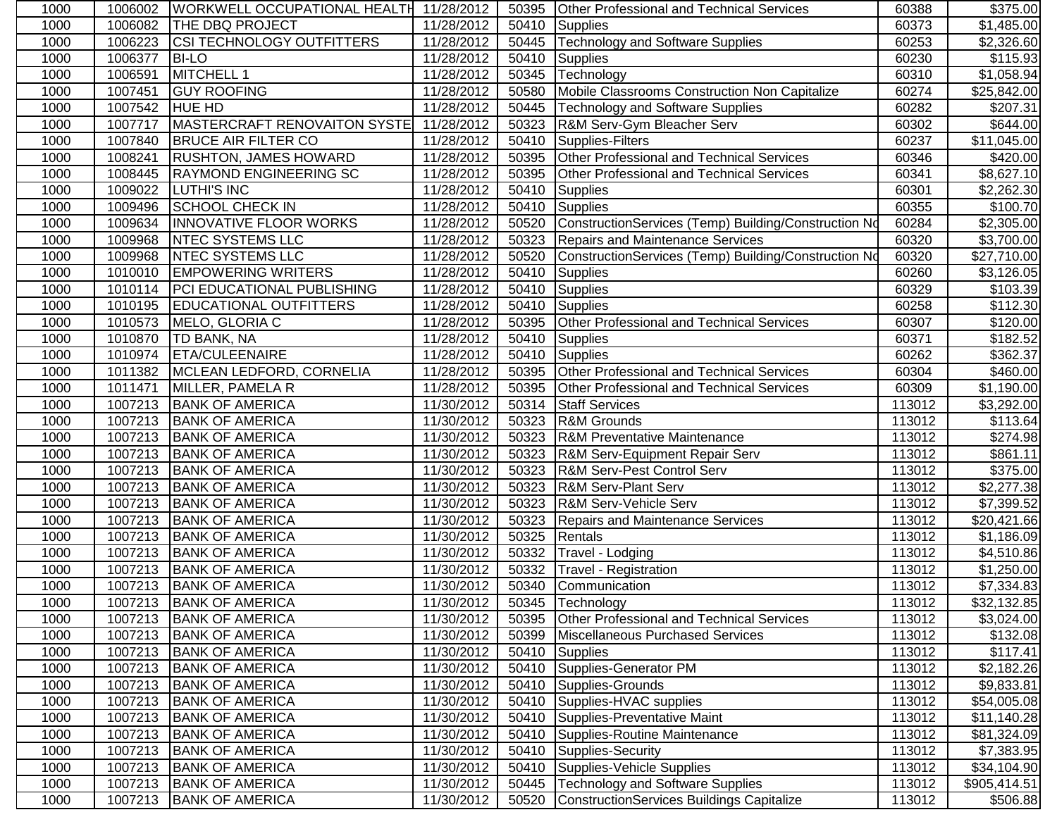| 1000 | 1006002 | WORKWELL OCCUPATIONAL HEALTH 11/28/2012 |            | 50395 | <b>Other Professional and Technical Services</b>     | 60388  | \$375.00             |
|------|---------|-----------------------------------------|------------|-------|------------------------------------------------------|--------|----------------------|
| 1000 | 1006082 | THE DBQ PROJECT                         | 11/28/2012 | 50410 | <b>Supplies</b>                                      | 60373  | \$1,485.00           |
| 1000 | 1006223 | <b>CSI TECHNOLOGY OUTFITTERS</b>        | 11/28/2012 | 50445 | <b>Technology and Software Supplies</b>              | 60253  | \$2,326.60           |
| 1000 | 1006377 | <b>BI-LO</b>                            | 11/28/2012 | 50410 | <b>Supplies</b>                                      | 60230  | \$115.93             |
| 1000 | 1006591 | MITCHELL 1                              | 11/28/2012 | 50345 | Technology                                           | 60310  | \$1,058.94           |
| 1000 | 1007451 | <b>GUY ROOFING</b>                      | 11/28/2012 | 50580 | Mobile Classrooms Construction Non Capitalize        | 60274  | \$25,842.00          |
| 1000 | 1007542 | <b>HUE HD</b>                           | 11/28/2012 | 50445 | Technology and Software Supplies                     | 60282  | \$207.31             |
| 1000 | 1007717 | MASTERCRAFT RENOVAITON SYSTE            | 11/28/2012 | 50323 | R&M Serv-Gym Bleacher Serv                           | 60302  | \$644.00             |
| 1000 | 1007840 | <b>BRUCE AIR FILTER CO</b>              | 11/28/2012 | 50410 | Supplies-Filters                                     | 60237  | \$11,045.00          |
| 1000 | 1008241 | <b>RUSHTON, JAMES HOWARD</b>            | 11/28/2012 | 50395 | Other Professional and Technical Services            | 60346  | \$420.00             |
| 1000 | 1008445 | <b>RAYMOND ENGINEERING SC</b>           | 11/28/2012 | 50395 | Other Professional and Technical Services            | 60341  | \$8,627.10           |
| 1000 | 1009022 | <b>LUTHI'S INC</b>                      | 11/28/2012 | 50410 | <b>Supplies</b>                                      | 60301  | \$2,262.30           |
| 1000 | 1009496 | <b>SCHOOL CHECK IN</b>                  | 11/28/2012 | 50410 | <b>Supplies</b>                                      | 60355  | \$100.70             |
| 1000 | 1009634 | <b>INNOVATIVE FLOOR WORKS</b>           | 11/28/2012 | 50520 | ConstructionServices (Temp) Building/Construction Nd | 60284  | \$2,305.00           |
| 1000 | 1009968 | <b>NTEC SYSTEMS LLC</b>                 | 11/28/2012 | 50323 | <b>Repairs and Maintenance Services</b>              | 60320  | \$3,700.00           |
| 1000 | 1009968 | <b>NTEC SYSTEMS LLC</b>                 | 11/28/2012 | 50520 | ConstructionServices (Temp) Building/Construction Nd | 60320  | \$27,710.00          |
| 1000 | 1010010 | <b>EMPOWERING WRITERS</b>               | 11/28/2012 | 50410 | Supplies                                             | 60260  | \$3,126.05           |
| 1000 | 1010114 | <b>PCI EDUCATIONAL PUBLISHING</b>       | 11/28/2012 | 50410 | <b>Supplies</b>                                      | 60329  | \$103.39             |
| 1000 | 1010195 | EDUCATIONAL OUTFITTERS                  | 11/28/2012 | 50410 | <b>Supplies</b>                                      | 60258  | $\overline{$112.30}$ |
| 1000 | 1010573 | MELO, GLORIA C                          | 11/28/2012 | 50395 | Other Professional and Technical Services            | 60307  | \$120.00             |
| 1000 | 1010870 | TD BANK, NA                             | 11/28/2012 | 50410 | Supplies                                             | 60371  | \$182.52             |
| 1000 | 1010974 | ETA/CULEENAIRE                          | 11/28/2012 | 50410 | <b>Supplies</b>                                      | 60262  | \$362.37             |
| 1000 | 1011382 | MCLEAN LEDFORD, CORNELIA                | 11/28/2012 | 50395 | <b>Other Professional and Technical Services</b>     | 60304  | \$460.00             |
| 1000 | 1011471 | MILLER, PAMELA R                        | 11/28/2012 | 50395 | Other Professional and Technical Services            | 60309  | \$1,190.00           |
| 1000 | 1007213 | <b>BANK OF AMERICA</b>                  | 11/30/2012 | 50314 | <b>Staff Services</b>                                | 113012 | \$3,292.00           |
| 1000 | 1007213 | <b>BANK OF AMERICA</b>                  | 11/30/2012 | 50323 | R&M Grounds                                          | 113012 | \$113.64             |
| 1000 | 1007213 | <b>BANK OF AMERICA</b>                  | 11/30/2012 | 50323 | <b>R&amp;M Preventative Maintenance</b>              | 113012 | \$274.98             |
| 1000 | 1007213 | <b>BANK OF AMERICA</b>                  | 11/30/2012 | 50323 | R&M Serv-Equipment Repair Serv                       | 113012 | \$861.11             |
| 1000 | 1007213 | <b>BANK OF AMERICA</b>                  | 11/30/2012 | 50323 | R&M Serv-Pest Control Serv                           | 113012 | \$375.00             |
| 1000 | 1007213 | <b>BANK OF AMERICA</b>                  | 11/30/2012 | 50323 | <b>R&amp;M Serv-Plant Serv</b>                       | 113012 | \$2,277.38           |
| 1000 | 1007213 | <b>BANK OF AMERICA</b>                  | 11/30/2012 | 50323 | R&M Serv-Vehicle Serv                                | 113012 | \$7,399.52           |
| 1000 | 1007213 | <b>BANK OF AMERICA</b>                  | 11/30/2012 | 50323 | <b>Repairs and Maintenance Services</b>              | 113012 | \$20,421.66          |
| 1000 | 1007213 | <b>BANK OF AMERICA</b>                  | 11/30/2012 | 50325 | Rentals                                              | 113012 | \$1,186.09           |
| 1000 | 1007213 | <b>BANK OF AMERICA</b>                  | 11/30/2012 |       | 50332 Travel - Lodging                               | 113012 | \$4,510.86           |
| 1000 | 1007213 | <b>BANK OF AMERICA</b>                  | 11/30/2012 | 50332 | Travel - Registration                                | 113012 | \$1,250.00           |
| 1000 | 1007213 | <b>BANK OF AMERICA</b>                  | 11/30/2012 | 50340 | Communication                                        | 113012 | \$7,334.83           |
| 1000 |         | 1007213 BANK OF AMERICA                 | 11/30/2012 |       | 50345 Technology                                     | 113012 | \$32,132.85          |
| 1000 |         | 1007213 BANK OF AMERICA                 | 11/30/2012 |       | 50395 Other Professional and Technical Services      | 113012 | \$3,024.00           |
| 1000 | 1007213 | <b>BANK OF AMERICA</b>                  | 11/30/2012 | 50399 | Miscellaneous Purchased Services                     | 113012 | \$132.08             |
| 1000 | 1007213 | <b>BANK OF AMERICA</b>                  | 11/30/2012 |       | 50410 Supplies                                       | 113012 | \$117.41             |
| 1000 | 1007213 | <b>BANK OF AMERICA</b>                  | 11/30/2012 |       | 50410 Supplies-Generator PM                          | 113012 | \$2,182.26           |
| 1000 | 1007213 | <b>BANK OF AMERICA</b>                  | 11/30/2012 | 50410 | Supplies-Grounds                                     | 113012 | \$9,833.81           |
| 1000 | 1007213 | <b>BANK OF AMERICA</b>                  | 11/30/2012 | 50410 | Supplies-HVAC supplies                               | 113012 | \$54,005.08          |
| 1000 | 1007213 | <b>BANK OF AMERICA</b>                  | 11/30/2012 | 50410 | Supplies-Preventative Maint                          | 113012 | \$11,140.28          |
| 1000 | 1007213 | <b>BANK OF AMERICA</b>                  | 11/30/2012 | 50410 | Supplies-Routine Maintenance                         | 113012 | \$81,324.09          |
| 1000 | 1007213 | <b>BANK OF AMERICA</b>                  | 11/30/2012 | 50410 | Supplies-Security                                    | 113012 | \$7,383.95           |
| 1000 | 1007213 | <b>BANK OF AMERICA</b>                  | 11/30/2012 | 50410 | Supplies-Vehicle Supplies                            | 113012 | \$34,104.90          |
| 1000 | 1007213 | <b>BANK OF AMERICA</b>                  | 11/30/2012 | 50445 | <b>Technology and Software Supplies</b>              | 113012 | \$905,414.51         |
| 1000 | 1007213 | <b>BANK OF AMERICA</b>                  | 11/30/2012 | 50520 | ConstructionServices Buildings Capitalize            | 113012 | \$506.88             |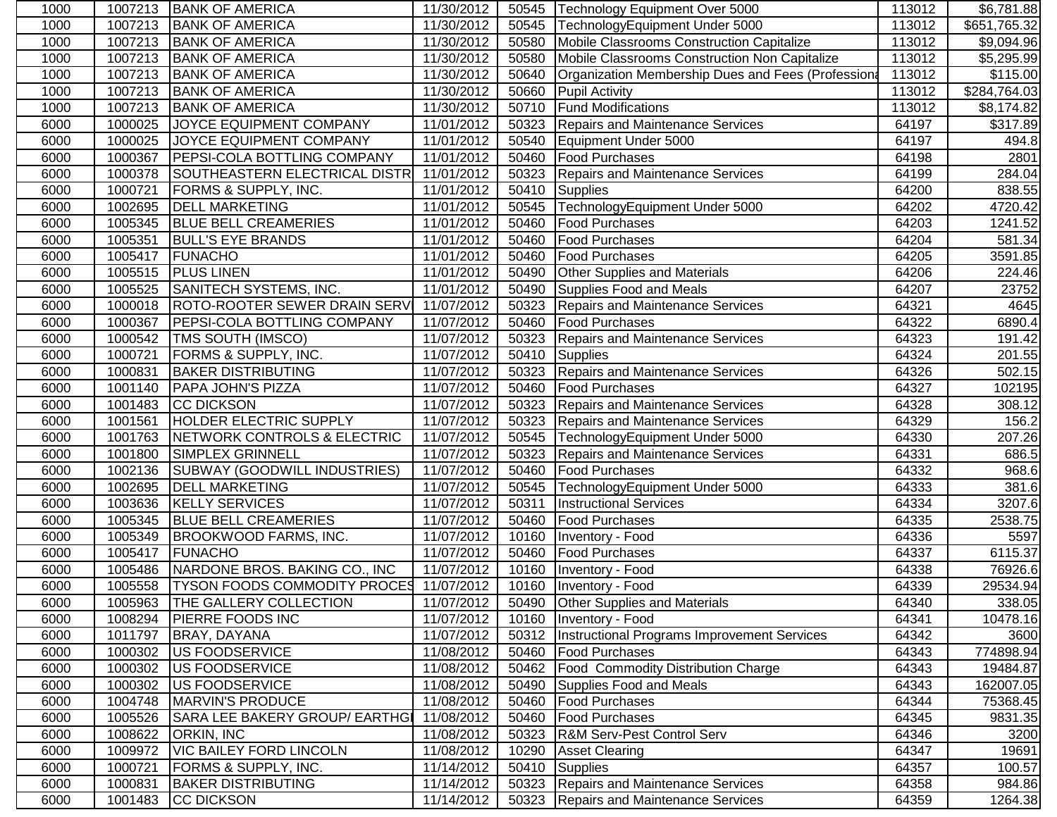| 1000 |         | 1007213 BANK OF AMERICA                         | 11/30/2012 |       | 50545   Technology Equipment Over 5000             | 113012 | \$6,781.88   |
|------|---------|-------------------------------------------------|------------|-------|----------------------------------------------------|--------|--------------|
| 1000 |         | 1007213 BANK OF AMERICA                         | 11/30/2012 | 50545 | TechnologyEquipment Under 5000                     | 113012 | \$651,765.32 |
| 1000 |         | 1007213 BANK OF AMERICA                         | 11/30/2012 | 50580 | Mobile Classrooms Construction Capitalize          | 113012 | \$9,094.96   |
| 1000 |         | 1007213 BANK OF AMERICA                         | 11/30/2012 | 50580 | Mobile Classrooms Construction Non Capitalize      | 113012 | \$5,295.99   |
| 1000 |         | 1007213 BANK OF AMERICA                         | 11/30/2012 | 50640 | Organization Membership Dues and Fees (Professiona | 113012 | \$115.00     |
| 1000 |         | 1007213 BANK OF AMERICA                         | 11/30/2012 | 50660 | <b>Pupil Activity</b>                              | 113012 | \$284,764.03 |
| 1000 | 1007213 | <b>BANK OF AMERICA</b>                          | 11/30/2012 |       | 50710 Fund Modifications                           | 113012 | \$8,174.82   |
| 6000 | 1000025 | JOYCE EQUIPMENT COMPANY                         | 11/01/2012 |       | 50323 Repairs and Maintenance Services             | 64197  | \$317.89     |
| 6000 | 1000025 | JOYCE EQUIPMENT COMPANY                         | 11/01/2012 |       | 50540 Equipment Under 5000                         | 64197  | 494.8        |
| 6000 | 1000367 | <b>PEPSI-COLA BOTTLING COMPANY</b>              | 11/01/2012 | 50460 | <b>Food Purchases</b>                              | 64198  | 2801         |
| 6000 | 1000378 | SOUTHEASTERN ELECTRICAL DISTR 11/01/2012        |            |       | 50323 Repairs and Maintenance Services             | 64199  | 284.04       |
| 6000 | 1000721 | <b>FORMS &amp; SUPPLY, INC.</b>                 | 11/01/2012 | 50410 | Supplies                                           | 64200  | 838.55       |
| 6000 | 1002695 | <b>DELL MARKETING</b>                           | 11/01/2012 | 50545 | TechnologyEquipment Under 5000                     | 64202  | 4720.42      |
| 6000 | 1005345 | <b>BLUE BELL CREAMERIES</b>                     | 11/01/2012 | 50460 | <b>Food Purchases</b>                              | 64203  | 1241.52      |
| 6000 | 1005351 | <b>BULL'S EYE BRANDS</b>                        | 11/01/2012 | 50460 | Food Purchases                                     | 64204  | 581.34       |
| 6000 | 1005417 | FUNACHO                                         | 11/01/2012 | 50460 | <b>IFood Purchases</b>                             | 64205  | 3591.85      |
| 6000 |         | 1005515   PLUS LINEN                            | 11/01/2012 | 50490 | <b>Other Supplies and Materials</b>                | 64206  | 224.46       |
| 6000 |         | 1005525 SANITECH SYSTEMS, INC.                  | 11/01/2012 | 50490 | Supplies Food and Meals                            | 64207  | 23752        |
| 6000 |         | 1000018 ROTO-ROOTER SEWER DRAIN SERV 11/07/2012 |            |       | 50323 Repairs and Maintenance Services             | 64321  | 4645         |
| 6000 | 1000367 | <b>PEPSI-COLA BOTTLING COMPANY</b>              | 11/07/2012 | 50460 | <b>Food Purchases</b>                              | 64322  | 6890.4       |
| 6000 | 1000542 | <b>TMS SOUTH (IMSCO)</b>                        | 11/07/2012 | 50323 | Repairs and Maintenance Services                   | 64323  | 191.42       |
| 6000 | 1000721 | <b>FORMS &amp; SUPPLY, INC.</b>                 | 11/07/2012 | 50410 | Supplies                                           | 64324  | 201.55       |
| 6000 | 1000831 | <b>BAKER DISTRIBUTING</b>                       | 11/07/2012 | 50323 | Repairs and Maintenance Services                   | 64326  | 502.15       |
| 6000 | 1001140 | <b>PAPA JOHN'S PIZZA</b>                        | 11/07/2012 |       | 50460 Food Purchases                               | 64327  | 102195       |
| 6000 | 1001483 | <b>CC DICKSON</b>                               | 11/07/2012 |       | 50323 Repairs and Maintenance Services             | 64328  | 308.12       |
| 6000 | 1001561 | <b>HOLDER ELECTRIC SUPPLY</b>                   | 11/07/2012 |       | 50323 Repairs and Maintenance Services             | 64329  | 156.2        |
| 6000 | 1001763 | NETWORK CONTROLS & ELECTRIC                     | 11/07/2012 | 50545 | TechnologyEquipment Under 5000                     | 64330  | 207.26       |
| 6000 | 1001800 | SIMPLEX GRINNELL                                | 11/07/2012 | 50323 | Repairs and Maintenance Services                   | 64331  | 686.5        |
| 6000 | 1002136 | <b>SUBWAY (GOODWILL INDUSTRIES)</b>             | 11/07/2012 | 50460 | <b>Food Purchases</b>                              | 64332  | 968.6        |
| 6000 | 1002695 | <b>DELL MARKETING</b>                           | 11/07/2012 | 50545 | TechnologyEquipment Under 5000                     | 64333  | 381.6        |
| 6000 | 1003636 | <b>KELLY SERVICES</b>                           | 11/07/2012 | 50311 | <b>Instructional Services</b>                      | 64334  | 3207.6       |
| 6000 | 1005345 | <b>BLUE BELL CREAMERIES</b>                     | 11/07/2012 | 50460 | <b>Food Purchases</b>                              | 64335  | 2538.75      |
| 6000 |         | 1005349 BROOKWOOD FARMS, INC.                   | 11/07/2012 |       | 10160   Inventory - Food                           | 64336  | 5597         |
| 6000 | 1005417 | FUNACHO                                         | 11/07/2012 | 50460 | Food Purchases                                     | 64337  | 6115.37      |
| 6000 |         | 1005486 NARDONE BROS. BAKING CO., INC           | 11/07/2012 |       | 10160   Inventory - Food                           | 64338  | 76926.6      |
| 6000 |         | 1005558 TYSON FOODS COMMODITY PROCES 11/07/2012 |            |       | 10160 Inventory - Food                             | 64339  | 29534.94     |
| 6000 |         | 1005963   THE GALLERY COLLECTION                | 11/07/2012 |       | 50490 Other Supplies and Materials                 | 64340  | 338.05       |
| 6000 | 1008294 | <b>PIERRE FOODS INC</b>                         | 11/07/2012 |       | 10160   Inventory - Food                           | 64341  | 10478.16     |
| 6000 | 1011797 | <b>BRAY, DAYANA</b>                             | 11/07/2012 |       | 50312  Instructional Programs Improvement Services | 64342  | 3600         |
| 6000 | 1000302 | <b>US FOODSERVICE</b>                           | 11/08/2012 |       | 50460 Food Purchases                               | 64343  | 774898.94    |
| 6000 | 1000302 | <b>US FOODSERVICE</b>                           | 11/08/2012 |       | 50462   Food Commodity Distribution Charge         | 64343  | 19484.87     |
| 6000 | 1000302 | <b>US FOODSERVICE</b>                           | 11/08/2012 | 50490 | Supplies Food and Meals                            | 64343  | 162007.05    |
| 6000 | 1004748 | <b>MARVIN'S PRODUCE</b>                         | 11/08/2012 | 50460 | <b>Food Purchases</b>                              | 64344  | 75368.45     |
| 6000 | 1005526 | SARA LEE BAKERY GROUP/ EARTHGI                  | 11/08/2012 |       | 50460 Food Purchases                               | 64345  | 9831.35      |
| 6000 | 1008622 | ORKIN, INC                                      | 11/08/2012 | 50323 | <b>R&amp;M Serv-Pest Control Serv</b>              | 64346  | 3200         |
| 6000 | 1009972 | <b>VIC BAILEY FORD LINCOLN</b>                  | 11/08/2012 | 10290 | <b>Asset Clearing</b>                              | 64347  | 19691        |
| 6000 | 1000721 | <b>FORMS &amp; SUPPLY, INC.</b>                 | 11/14/2012 | 50410 | <b>Supplies</b>                                    | 64357  | 100.57       |
| 6000 | 1000831 | <b>BAKER DISTRIBUTING</b>                       | 11/14/2012 |       | 50323 Repairs and Maintenance Services             | 64358  | 984.86       |
| 6000 | 1001483 | <b>CC DICKSON</b>                               | 11/14/2012 |       | 50323 Repairs and Maintenance Services             | 64359  | 1264.38      |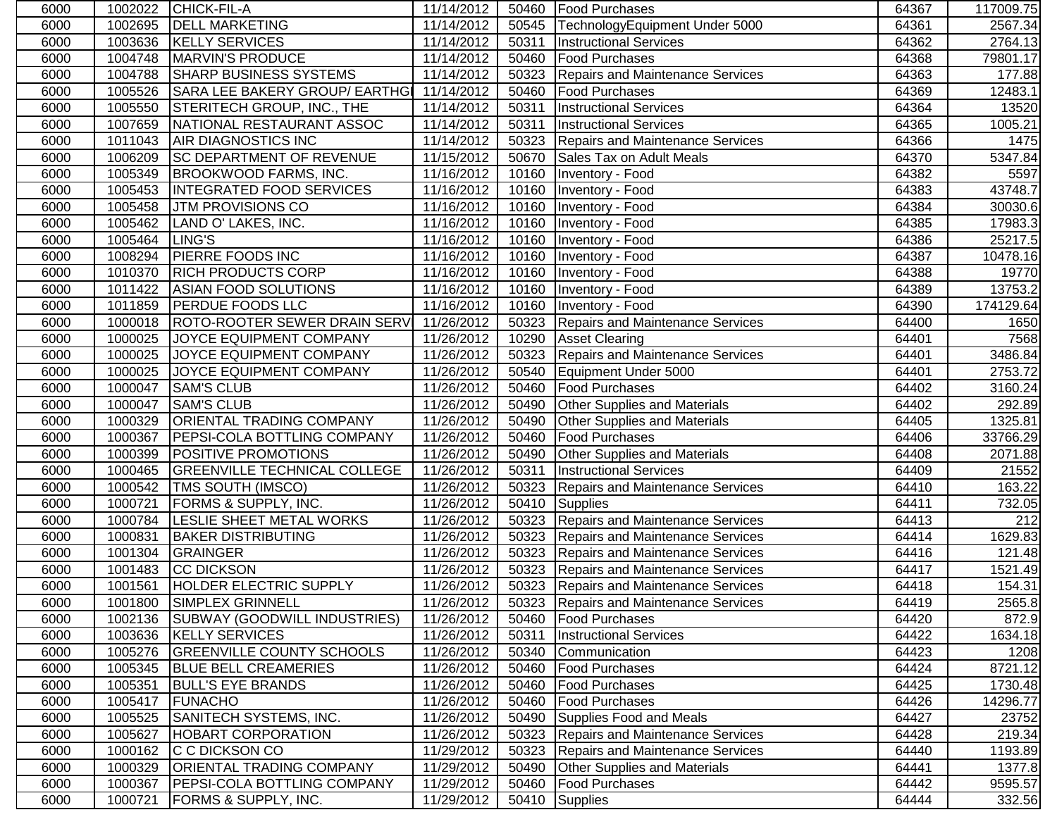| 6000 | 1002022 | CHICK-FIL-A                              | 11/14/2012 |       | 50460   Food Purchases                  | 64367 | 117009.75 |
|------|---------|------------------------------------------|------------|-------|-----------------------------------------|-------|-----------|
| 6000 | 1002695 | <b>DELL MARKETING</b>                    | 11/14/2012 | 50545 | TechnologyEquipment Under 5000          | 64361 | 2567.34   |
| 6000 | 1003636 | <b>KELLY SERVICES</b>                    | 11/14/2012 | 50311 | <b>Instructional Services</b>           | 64362 | 2764.13   |
| 6000 | 1004748 | MARVIN'S PRODUCE                         | 11/14/2012 |       | 50460   Food Purchases                  | 64368 | 79801.17  |
| 6000 | 1004788 | <b>SHARP BUSINESS SYSTEMS</b>            | 11/14/2012 |       | 50323 Repairs and Maintenance Services  | 64363 | 177.88    |
| 6000 | 1005526 | SARA LEE BAKERY GROUP/ EARTHG 11/14/2012 |            |       | 50460   Food Purchases                  | 64369 | 12483.1   |
| 6000 | 1005550 | STERITECH GROUP, INC., THE               | 11/14/2012 | 50311 | <b>Instructional Services</b>           | 64364 | 13520     |
| 6000 | 1007659 | NATIONAL RESTAURANT ASSOC                | 11/14/2012 | 50311 | <b>Instructional Services</b>           | 64365 | 1005.21   |
| 6000 | 1011043 | <b>AIR DIAGNOSTICS INC</b>               | 11/14/2012 | 50323 | Repairs and Maintenance Services        | 64366 | 1475      |
| 6000 | 1006209 | <b>SC DEPARTMENT OF REVENUE</b>          | 11/15/2012 | 50670 | Sales Tax on Adult Meals                | 64370 | 5347.84   |
| 6000 | 1005349 | <b>BROOKWOOD FARMS, INC.</b>             | 11/16/2012 | 10160 | Inventory - Food                        | 64382 | 5597      |
| 6000 | 1005453 | <b>INTEGRATED FOOD SERVICES</b>          | 11/16/2012 | 10160 | Inventory - Food                        | 64383 | 43748.7   |
| 6000 | 1005458 | <b>JTM PROVISIONS CO</b>                 | 11/16/2012 |       | 10160   Inventory - Food                | 64384 | 30030.6   |
| 6000 | 1005462 | LAND O' LAKES, INC.                      | 11/16/2012 | 10160 | Inventory - Food                        | 64385 | 17983.3   |
| 6000 | 1005464 | LING'S                                   | 11/16/2012 | 10160 | Inventory - Food                        | 64386 | 25217.5   |
| 6000 | 1008294 | <b>PIERRE FOODS INC</b>                  | 11/16/2012 |       | 10160   Inventory - Food                | 64387 | 10478.16  |
| 6000 | 1010370 | <b>RICH PRODUCTS CORP</b>                | 11/16/2012 |       | 10160   Inventory - Food                | 64388 | 19770     |
| 6000 | 1011422 | ASIAN FOOD SOLUTIONS                     | 11/16/2012 | 10160 | Inventory - Food                        | 64389 | 13753.2   |
| 6000 | 1011859 | <b>PERDUE FOODS LLC</b>                  | 11/16/2012 |       | 10160   Inventory - Food                | 64390 | 174129.64 |
| 6000 | 1000018 | ROTO-ROOTER SEWER DRAIN SERVI            | 11/26/2012 |       | 50323 Repairs and Maintenance Services  | 64400 | 1650      |
| 6000 | 1000025 | JOYCE EQUIPMENT COMPANY                  | 11/26/2012 | 10290 | <b>Asset Clearing</b>                   | 64401 | 7568      |
| 6000 | 1000025 | JOYCE EQUIPMENT COMPANY                  | 11/26/2012 | 50323 | Repairs and Maintenance Services        | 64401 | 3486.84   |
| 6000 | 1000025 | JOYCE EQUIPMENT COMPANY                  | 11/26/2012 | 50540 | Equipment Under 5000                    | 64401 | 2753.72   |
| 6000 | 1000047 | <b>SAM'S CLUB</b>                        | 11/26/2012 | 50460 | <b>Food Purchases</b>                   | 64402 | 3160.24   |
| 6000 | 1000047 | <b>SAM'S CLUB</b>                        | 11/26/2012 | 50490 | Other Supplies and Materials            | 64402 | 292.89    |
| 6000 | 1000329 | <b>ORIENTAL TRADING COMPANY</b>          | 11/26/2012 | 50490 | <b>Other Supplies and Materials</b>     | 64405 | 1325.81   |
| 6000 | 1000367 | <b>PEPSI-COLA BOTTLING COMPANY</b>       | 11/26/2012 | 50460 | <b>Food Purchases</b>                   | 64406 | 33766.29  |
| 6000 | 1000399 | POSITIVE PROMOTIONS                      | 11/26/2012 | 50490 | <b>Other Supplies and Materials</b>     | 64408 | 2071.88   |
| 6000 | 1000465 | <b>GREENVILLE TECHNICAL COLLEGE</b>      | 11/26/2012 | 50311 | <b>Instructional Services</b>           | 64409 | 21552     |
| 6000 | 1000542 | TMS SOUTH (IMSCO)                        | 11/26/2012 | 50323 | <b>Repairs and Maintenance Services</b> | 64410 | 163.22    |
| 6000 | 1000721 | FORMS & SUPPLY, INC.                     | 11/26/2012 | 50410 | Supplies                                | 64411 | 732.05    |
| 6000 | 1000784 | LESLIE SHEET METAL WORKS                 | 11/26/2012 |       | 50323 Repairs and Maintenance Services  | 64413 | 212       |
| 6000 | 1000831 | <b>BAKER DISTRIBUTING</b>                | 11/26/2012 |       | 50323 Repairs and Maintenance Services  | 64414 | 1629.83   |
| 6000 | 1001304 | GRAINGER                                 | 11/26/2012 |       | 50323 Repairs and Maintenance Services  | 64416 | 121.48    |
| 6000 | 1001483 | <b>CC DICKSON</b>                        | 11/26/2012 |       | 50323 Repairs and Maintenance Services  | 64417 | 1521.49   |
| 6000 | 1001561 | <b>HOLDER ELECTRIC SUPPLY</b>            | 11/26/2012 |       | 50323 Repairs and Maintenance Services  | 64418 | 154.31    |
| 6000 |         | 1001800 SIMPLEX GRINNELL                 | 11/26/2012 |       | 50323 Repairs and Maintenance Services  | 64419 | 2565.8    |
| 6000 |         | 1002136   SUBWAY (GOODWILL INDUSTRIES)   | 11/26/2012 |       | 50460   Food Purchases                  | 64420 | 872.9     |
| 6000 | 1003636 | <b>KELLY SERVICES</b>                    | 11/26/2012 | 50311 | <b>Instructional Services</b>           | 64422 | 1634.18   |
| 6000 | 1005276 | <b>GREENVILLE COUNTY SCHOOLS</b>         | 11/26/2012 | 50340 | Communication                           | 64423 | 1208      |
| 6000 | 1005345 | <b>BLUE BELL CREAMERIES</b>              | 11/26/2012 |       | 50460   Food Purchases                  | 64424 | 8721.12   |
| 6000 | 1005351 | <b>BULL'S EYE BRANDS</b>                 | 11/26/2012 |       | 50460   Food Purchases                  | 64425 | 1730.48   |
| 6000 | 1005417 | FUNACHO                                  | 11/26/2012 |       | 50460 Food Purchases                    | 64426 | 14296.77  |
| 6000 | 1005525 | SANITECH SYSTEMS, INC.                   | 11/26/2012 |       | 50490 Supplies Food and Meals           | 64427 | 23752     |
| 6000 | 1005627 | <b>HOBART CORPORATION</b>                | 11/26/2012 |       | 50323 Repairs and Maintenance Services  | 64428 | 219.34    |
| 6000 | 1000162 | C C DICKSON CO                           | 11/29/2012 |       | 50323 Repairs and Maintenance Services  | 64440 | 1193.89   |
| 6000 | 1000329 | <b>ORIENTAL TRADING COMPANY</b>          | 11/29/2012 | 50490 | <b>Other Supplies and Materials</b>     | 64441 | 1377.8    |
| 6000 | 1000367 | <b>PEPSI-COLA BOTTLING COMPANY</b>       | 11/29/2012 |       | 50460   Food Purchases                  | 64442 | 9595.57   |
| 6000 | 1000721 | <b>FORMS &amp; SUPPLY, INC.</b>          | 11/29/2012 |       | 50410 Supplies                          | 64444 | 332.56    |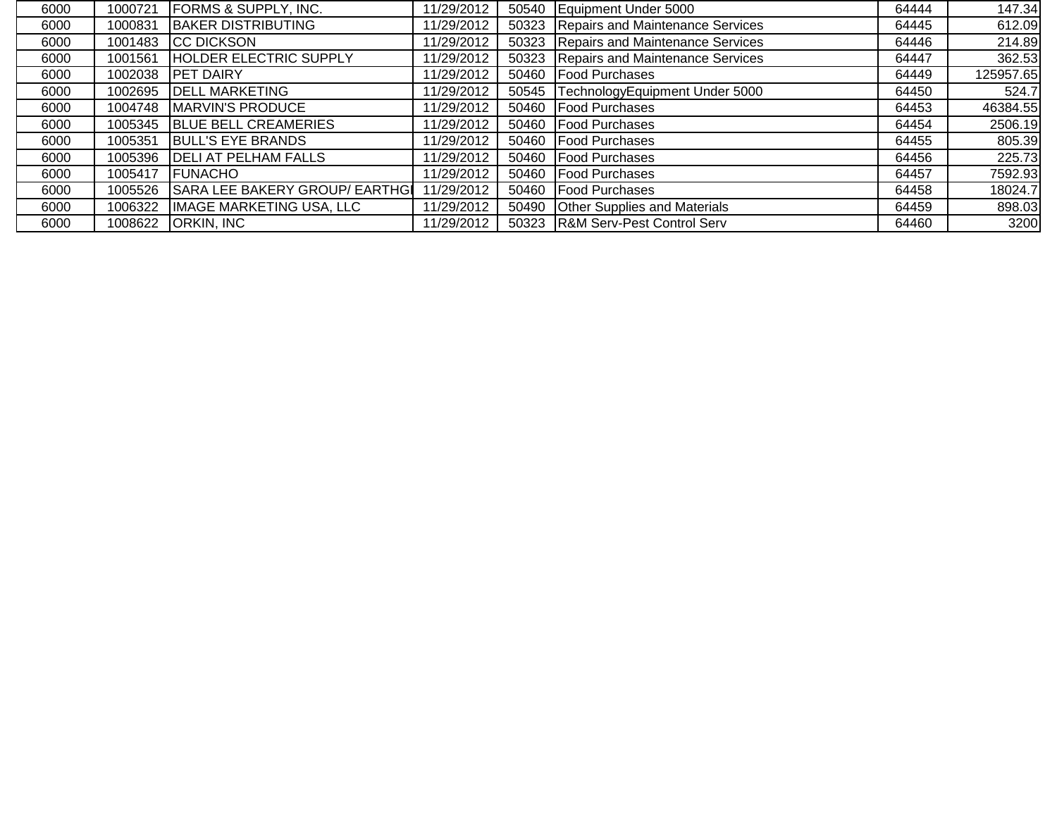| 6000 | 1000721 | <b>FORMS &amp; SUPPLY, INC.</b> | 11/29/2012 | 50540 Equipment Under 5000              | 64444 | 147.34    |
|------|---------|---------------------------------|------------|-----------------------------------------|-------|-----------|
| 6000 | 1000831 | <b>BAKER DISTRIBUTING</b>       | 11/29/2012 | 50323 Repairs and Maintenance Services  | 64445 | 612.09    |
| 6000 | 1001483 | <b>ICC DICKSON</b>              | 11/29/2012 | 50323 Repairs and Maintenance Services  | 64446 | 214.89    |
| 6000 | 1001561 | <b>HOLDER ELECTRIC SUPPLY</b>   | 11/29/2012 | 50323 Repairs and Maintenance Services  | 64447 | 362.53    |
| 6000 | 1002038 | <b>PET DAIRY</b>                | 11/29/2012 | 50460 Food Purchases                    | 64449 | 125957.65 |
| 6000 | 1002695 | <b>IDELL MARKETING</b>          | 11/29/2012 | 50545   Technology Equipment Under 5000 | 64450 | 524.7     |
| 6000 | 1004748 | <b>MARVIN'S PRODUCE</b>         | 11/29/2012 | 50460 Food Purchases                    | 64453 | 46384.55  |
| 6000 | 1005345 | <b>BLUE BELL CREAMERIES</b>     | 11/29/2012 | 50460 Food Purchases                    | 64454 | 2506.19   |
| 6000 | 1005351 | <b>BULL'S EYE BRANDS</b>        | 11/29/2012 | 50460 Food Purchases                    | 64455 | 805.39    |
| 6000 | 1005396 | <b>DELI AT PELHAM FALLS</b>     | 11/29/2012 | 50460   Food Purchases                  | 64456 | 225.73    |
| 6000 | 1005417 | <b>FUNACHO</b>                  | 11/29/2012 | 50460   Food Purchases                  | 64457 | 7592.93   |
| 6000 | 1005526 | SARA LEE BAKERY GROUP/ EARTHG   | 11/29/2012 | 50460 Food Purchases                    | 64458 | 18024.7   |
| 6000 | 1006322 | IMAGE MARKETING USA, LLC        | 11/29/2012 | 50490 Other Supplies and Materials      | 64459 | 898.03    |
| 6000 | 1008622 | <b>JORKIN, INC</b>              | 11/29/2012 | 50323 R&M Serv-Pest Control Serv        | 64460 | 3200      |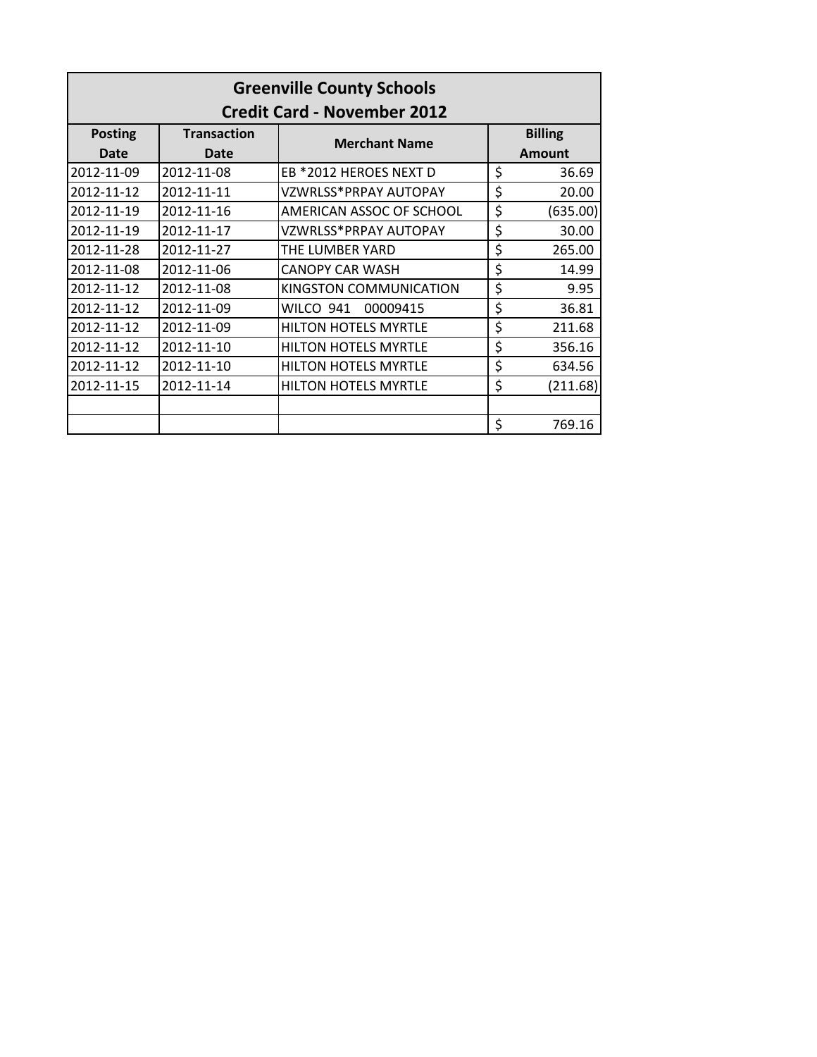| <b>Greenville County Schools</b> |                    |                                    |    |                |  |  |  |
|----------------------------------|--------------------|------------------------------------|----|----------------|--|--|--|
|                                  |                    | <b>Credit Card - November 2012</b> |    |                |  |  |  |
| <b>Posting</b>                   | <b>Transaction</b> | <b>Merchant Name</b>               |    | <b>Billing</b> |  |  |  |
| Date                             | Date               |                                    |    | <b>Amount</b>  |  |  |  |
| 2012-11-09                       | 2012-11-08         | EB *2012 HEROES NEXT D             | \$ | 36.69          |  |  |  |
| 2012-11-12                       | 2012-11-11         | VZWRLSS*PRPAY AUTOPAY              | \$ | 20.00          |  |  |  |
| 2012-11-19                       | 2012-11-16         | AMERICAN ASSOC OF SCHOOL           | \$ | (635.00)       |  |  |  |
| 2012-11-19                       | 2012-11-17         | VZWRLSS*PRPAY AUTOPAY              | \$ | 30.00          |  |  |  |
| 2012-11-28                       | 2012-11-27         | THE LUMBER YARD                    | \$ | 265.00         |  |  |  |
| 2012-11-08                       | 2012-11-06         | <b>CANOPY CAR WASH</b>             | \$ | 14.99          |  |  |  |
| 2012-11-12                       | 2012-11-08         | KINGSTON COMMUNICATION             | \$ | 9.95           |  |  |  |
| 2012-11-12                       | 2012-11-09         | <b>WILCO 941</b><br>00009415       | \$ | 36.81          |  |  |  |
| 2012-11-12                       | 2012-11-09         | <b>HILTON HOTELS MYRTLE</b>        | \$ | 211.68         |  |  |  |
| 2012-11-12                       | 2012-11-10         | <b>HILTON HOTELS MYRTLE</b>        | \$ | 356.16         |  |  |  |
| 2012-11-12                       | 2012-11-10         | <b>HILTON HOTELS MYRTLE</b>        | \$ | 634.56         |  |  |  |
| 2012-11-15                       | 2012-11-14         | <b>HILTON HOTELS MYRTLE</b>        | \$ | (211.68)       |  |  |  |
|                                  |                    |                                    |    |                |  |  |  |
|                                  |                    |                                    | \$ | 769.16         |  |  |  |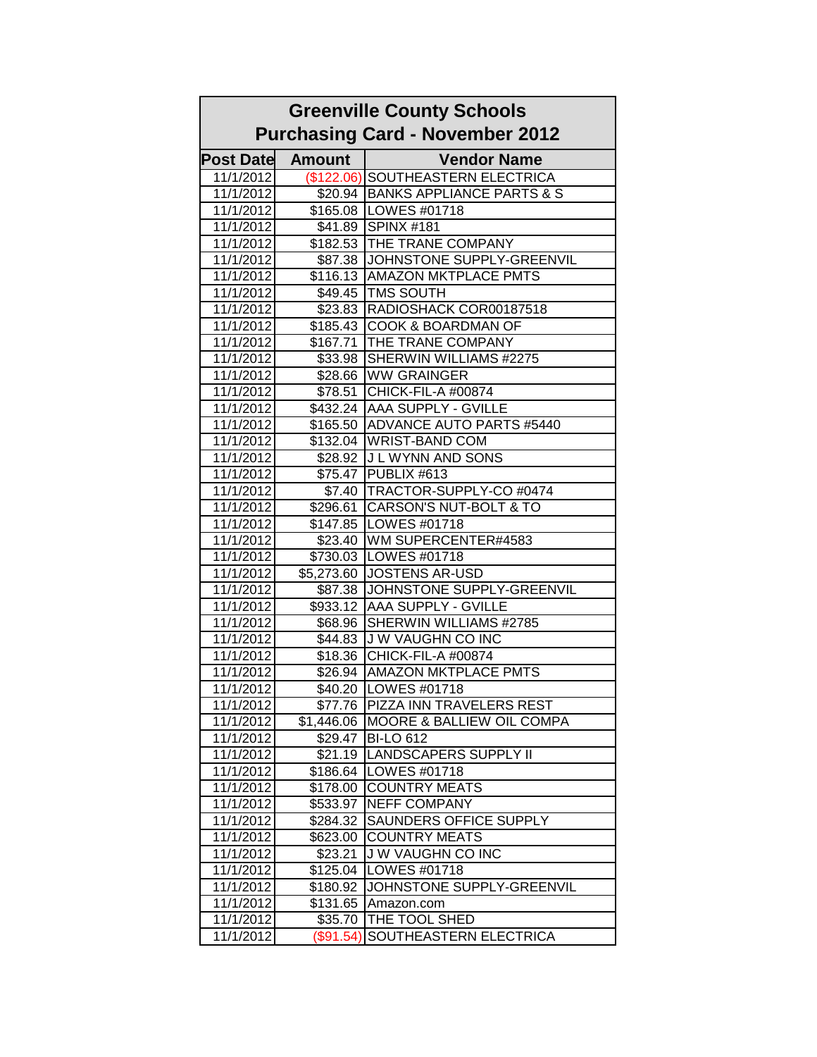|                        | <b>Greenville County Schools</b> |                                                 |  |  |  |  |  |  |
|------------------------|----------------------------------|-------------------------------------------------|--|--|--|--|--|--|
|                        |                                  | <b>Purchasing Card - November 2012</b>          |  |  |  |  |  |  |
| <b>Post Date</b>       | <b>Amount</b>                    | <b>Vendor Name</b>                              |  |  |  |  |  |  |
| 11/1/2012              |                                  | (\$122.06) SOUTHEASTERN ELECTRICA               |  |  |  |  |  |  |
| 11/1/2012              |                                  | \$20.94 BANKS APPLIANCE PARTS & S               |  |  |  |  |  |  |
| 11/1/2012              |                                  | \$165.08   LOWES #01718                         |  |  |  |  |  |  |
| 11/1/2012              |                                  | \$41.89 SPINX #181                              |  |  |  |  |  |  |
| 11/1/2012              |                                  | \$182.53 THE TRANE COMPANY                      |  |  |  |  |  |  |
| 11/1/2012              |                                  | \$87.38 JJOHNSTONE SUPPLY-GREENVIL              |  |  |  |  |  |  |
| 11/1/2012              |                                  | \$116.13 AMAZON MKTPLACE PMTS                   |  |  |  |  |  |  |
| 11/1/2012              |                                  | \$49.45 TMS SOUTH                               |  |  |  |  |  |  |
| 11/1/2012              |                                  | \$23.83 RADIOSHACK COR00187518                  |  |  |  |  |  |  |
| 11/1/2012              |                                  | \$185.43 COOK & BOARDMAN OF                     |  |  |  |  |  |  |
| 11/1/2012              | \$167.71                         | THE TRANE COMPANY                               |  |  |  |  |  |  |
| 11/1/2012              | \$33.98                          | SHERWIN WILLIAMS #2275                          |  |  |  |  |  |  |
| 11/1/2012              |                                  | \$28.66 WW GRAINGER                             |  |  |  |  |  |  |
| 11/1/2012              | \$78.51                          | CHICK-FIL-A #00874                              |  |  |  |  |  |  |
| 11/1/2012              |                                  | \$432.24 AAA SUPPLY - GVILLE                    |  |  |  |  |  |  |
| 11/1/2012              |                                  | \$165.50 ADVANCE AUTO PARTS #5440               |  |  |  |  |  |  |
| 11/1/2012              |                                  | \$132.04   WRIST-BAND COM                       |  |  |  |  |  |  |
| 11/1/2012              |                                  | \$28.92 J L WYNN AND SONS                       |  |  |  |  |  |  |
| 11/1/2012              |                                  | \$75.47 PUBLIX #613                             |  |  |  |  |  |  |
| 11/1/2012              |                                  | \$7.40   TRACTOR-SUPPLY-CO #0474                |  |  |  |  |  |  |
| 11/1/2012              |                                  | \$296.61 CARSON'S NUT-BOLT & TO                 |  |  |  |  |  |  |
| 11/1/2012              |                                  | \$147.85 LOWES #01718                           |  |  |  |  |  |  |
| 11/1/2012              | \$23.40                          | WM SUPERCENTER#4583                             |  |  |  |  |  |  |
| 11/1/2012              |                                  | \$730.03   LOWES #01718                         |  |  |  |  |  |  |
| 11/1/2012              |                                  | \$5,273.60 JOSTENS AR-USD                       |  |  |  |  |  |  |
| 11/1/2012              | \$87.38                          | JOHNSTONE SUPPLY-GREENVIL                       |  |  |  |  |  |  |
| 11/1/2012              |                                  | \$933.12 AAA SUPPLY - GVILLE                    |  |  |  |  |  |  |
| 11/1/2012              | \$68.96                          | SHERWIN WILLIAMS #2785                          |  |  |  |  |  |  |
| 11/1/2012              |                                  | \$44.83 J W VAUGHN CO INC                       |  |  |  |  |  |  |
| 11/1/2012              | \$18.36                          | CHICK-FIL-A #00874                              |  |  |  |  |  |  |
| 11/1/2012              | \$26.94                          | <b>AMAZON MKTPLACE PMTS</b>                     |  |  |  |  |  |  |
| 11/1/2012              | \$40.20                          | LOWES #01718                                    |  |  |  |  |  |  |
| 11/1/2012              | \$77.76                          | PIZZA INN TRAVELERS REST                        |  |  |  |  |  |  |
| 11/1/2012              | \$1,446.06                       | <b>MOORE &amp; BALLIEW OIL COMPA</b>            |  |  |  |  |  |  |
| 11/1/2012              | \$29.47                          | <b>BI-LO 612</b>                                |  |  |  |  |  |  |
| 11/1/2012              | \$21.19                          | <b>LANDSCAPERS SUPPLY II</b>                    |  |  |  |  |  |  |
| 11/1/2012              | \$186.64                         | LOWES #01718                                    |  |  |  |  |  |  |
| 11/1/2012              | \$178.00                         | <b>COUNTRY MEATS</b>                            |  |  |  |  |  |  |
| 11/1/2012              | \$533.97                         | <b>NEFF COMPANY</b>                             |  |  |  |  |  |  |
| 11/1/2012              | \$284.32                         | <b>SAUNDERS OFFICE SUPPLY</b>                   |  |  |  |  |  |  |
| 11/1/2012<br>11/1/2012 | \$623.00                         | <b>COUNTRY MEATS</b><br><b>JW VAUGHN CO INC</b> |  |  |  |  |  |  |
|                        | \$23.21                          |                                                 |  |  |  |  |  |  |
| 11/1/2012              | \$125.04                         | LOWES #01718<br>JOHNSTONE SUPPLY-GREENVIL       |  |  |  |  |  |  |
| 11/1/2012              | \$180.92                         |                                                 |  |  |  |  |  |  |
| 11/1/2012<br>11/1/2012 | \$131.65                         | Amazon.com<br>THE TOOL SHED                     |  |  |  |  |  |  |
| 11/1/2012              | \$35.70<br>(\$91.54)             | SOUTHEASTERN ELECTRICA                          |  |  |  |  |  |  |
|                        |                                  |                                                 |  |  |  |  |  |  |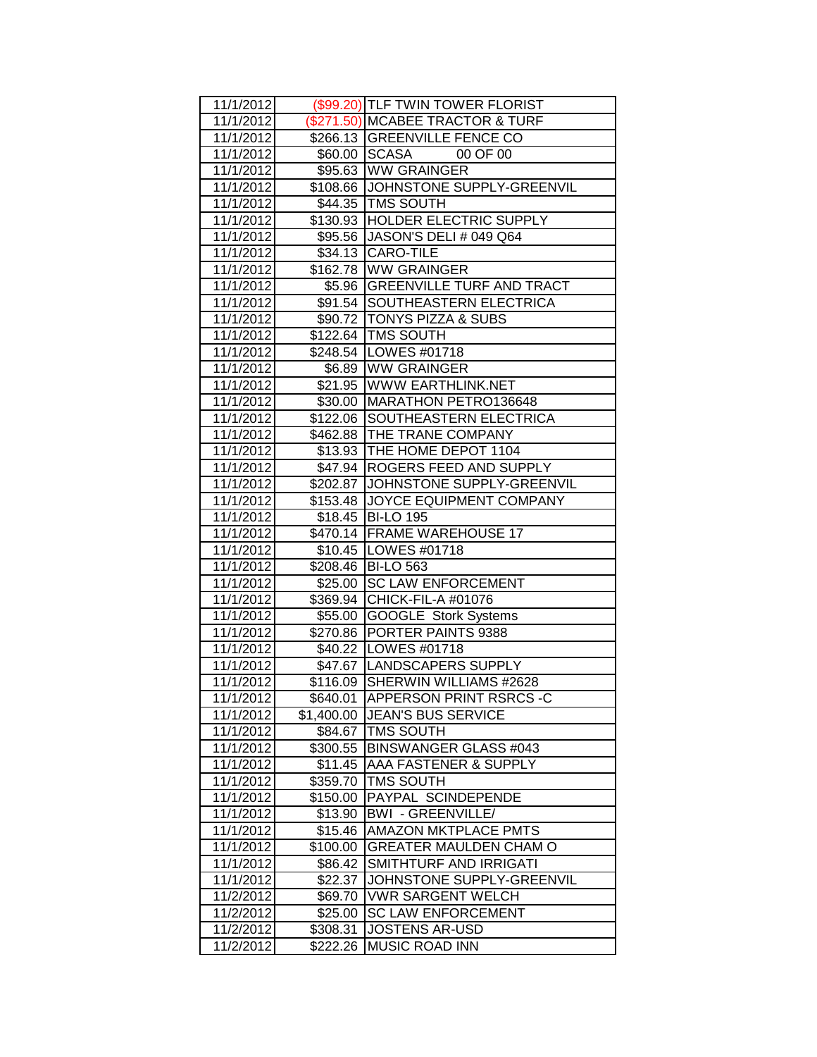| 11/1/2012              |                     | (\$99.20) TLF TWIN TOWER FLORIST                             |
|------------------------|---------------------|--------------------------------------------------------------|
| 11/1/2012              |                     | (\$271.50) MCABEE TRACTOR & TURF                             |
| 11/1/2012              |                     | \$266.13 GREENVILLE FENCE CO                                 |
| 11/1/2012              |                     | \$60.00 SCASA<br>00 OF 00                                    |
| 11/1/2012              |                     | \$95.63 WW GRAINGER                                          |
| 11/1/2012              |                     | \$108.66 JJOHNSTONE SUPPLY-GREENVIL                          |
| 11/1/2012              |                     | \$44.35 TMS SOUTH                                            |
| 11/1/2012              |                     | \$130.93 HOLDER ELECTRIC SUPPLY                              |
| 11/1/2012              | \$95.56             | JASON'S DELI # 049 Q64                                       |
| 11/1/2012              | \$34.13             | <b>CARO-TILE</b>                                             |
| 11/1/2012              |                     | \$162.78 WW GRAINGER                                         |
| 11/1/2012              |                     | \$5.96   GREENVILLE TURF AND TRACT                           |
| 11/1/2012              |                     | \$91.54 SOUTHEASTERN ELECTRICA                               |
| 11/1/2012              |                     | \$90.72  TONYS PIZZA & SUBS                                  |
| 11/1/2012              |                     | \$122.64 TMS SOUTH                                           |
| 11/1/2012              |                     | \$248.54   LOWES #01718                                      |
| 11/1/2012              |                     | \$6.89 WW GRAINGER                                           |
| 11/1/2012              |                     | \$21.95 WWW EARTHLINK.NET                                    |
| 11/1/2012              |                     | \$30.00 MARATHON PETRO136648                                 |
| 11/1/2012              | \$122.06            | SOUTHEASTERN ELECTRICA                                       |
| 11/1/2012              | \$462.88            | THE TRANE COMPANY                                            |
| 11/1/2012              | \$13.93             | THE HOME DEPOT 1104                                          |
| 11/1/2012              | \$47.94             | ROGERS FEED AND SUPPLY                                       |
| 11/1/2012              | \$202.87            | JOHNSTONE SUPPLY-GREENVIL                                    |
| 11/1/2012              | \$153.48            | JOYCE EQUIPMENT COMPANY                                      |
| 11/1/2012              | \$18.45             | <b>BI-LO 195</b>                                             |
| 11/1/2012              | \$470.14            | <b>FRAME WAREHOUSE 17</b>                                    |
| 11/1/2012              |                     | \$10.45   LOWES #01718                                       |
| 11/1/2012              | \$208.46            | <b>BI-LO 563</b>                                             |
| 11/1/2012              | \$25.00             | <b>SC LAW ENFORCEMENT</b>                                    |
| 11/1/2012              | \$369.94            | CHICK-FIL-A #01076                                           |
| 11/1/2012              | \$55.00             | <b>GOOGLE Stork Systems</b>                                  |
| 11/1/2012              | \$270.86            | PORTER PAINTS 9388                                           |
| 11/1/2012              |                     | \$40.22   LOWES #01718                                       |
| 11/1/2012              |                     | \$47.67  LANDSCAPERS SUPPLY                                  |
| 11/1/2012              |                     | \$116.09 SHERWIN WILLIAMS #2628                              |
| 11/1/2012              | \$640.01            | <b>APPERSON PRINT RSRCS-C</b>                                |
| 11/1/2012              | \$1,400.00          | <b>JEAN'S BUS SERVICE</b>                                    |
| 11/1/2012              | \$84.67             | <b>TMS SOUTH</b>                                             |
| 11/1/2012              | \$300.55            | <b>BINSWANGER GLASS #043</b>                                 |
| 11/1/2012              | \$11.45             | AAA FASTENER & SUPPLY                                        |
| 11/1/2012              | \$359.70            | TMS SOUTH                                                    |
| 11/1/2012<br>11/1/2012 | \$150.00<br>\$13.90 | PAYPAL SCINDEPENDE<br><b>BWI - GREENVILLE/</b>               |
|                        |                     |                                                              |
| 11/1/2012<br>11/1/2012 | \$15.46<br>\$100.00 | <b>AMAZON MKTPLACE PMTS</b><br><b>GREATER MAULDEN CHAM O</b> |
| 11/1/2012              | \$86.42             | SMITHTURF AND IRRIGATI                                       |
| 11/1/2012              | \$22.37             | JOHNSTONE SUPPLY-GREENVIL                                    |
| 11/2/2012              | \$69.70             | <b>VWR SARGENT WELCH</b>                                     |
| 11/2/2012              | \$25.00             | <b>SC LAW ENFORCEMENT</b>                                    |
| 11/2/2012              | \$308.31            | <b>JOSTENS AR-USD</b>                                        |
| 11/2/2012              | \$222.26            | MUSIC ROAD INN                                               |
|                        |                     |                                                              |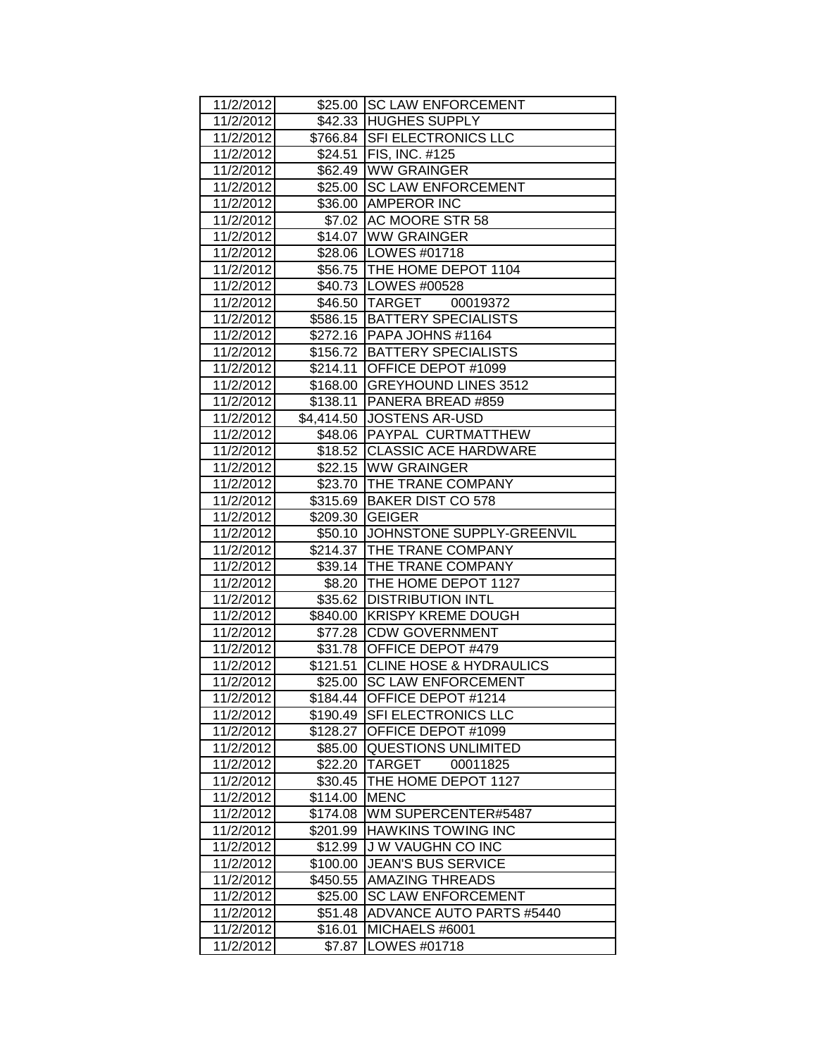| 11/2/2012              |                   | \$25.00 SC LAW ENFORCEMENT         |
|------------------------|-------------------|------------------------------------|
| 11/2/2012              |                   | \$42.33 HUGHES SUPPLY              |
| 11/2/2012              |                   | \$766.84 SFI ELECTRONICS LLC       |
| 11/2/2012              |                   | \$24.51   FIS, INC. #125           |
| 11/2/2012              |                   | \$62.49 WW GRAINGER                |
| 11/2/2012              |                   | \$25.00 SC LAW ENFORCEMENT         |
| 11/2/2012              |                   | \$36.00 AMPEROR INC                |
| 11/2/2012              |                   | \$7.02 AC MOORE STR 58             |
| 11/2/2012              |                   | \$14.07 WW GRAINGER                |
| 11/2/2012              |                   | \$28.06   LOWES #01718             |
| 11/2/2012              |                   | \$56.75   THE HOME DEPOT 1104      |
| 11/2/2012              |                   | \$40.73 LOWES #00528               |
| 11/2/2012              |                   | \$46.50 TARGET<br>00019372         |
| 11/2/2012              |                   | \$586.15 BATTERY SPECIALISTS       |
| 11/2/2012              |                   | \$272.16 PAPA JOHNS #1164          |
| 11/2/2012              | \$156.72          | <b>BATTERY SPECIALISTS</b>         |
| 11/2/2012              | \$214.11          | OFFICE DEPOT #1099                 |
| 11/2/2012              | \$168.00          | <b>GREYHOUND LINES 3512</b>        |
| 11/2/2012              |                   | \$138.11   PANERA BREAD #859       |
| 11/2/2012              |                   | \$4,414.50 JOSTENS AR-USD          |
| 11/2/2012              |                   | \$48.06 PAYPAL CURTMATTHEW         |
| 11/2/2012              | \$18.52           | <b>CLASSIC ACE HARDWARE</b>        |
| 11/2/2012              |                   | \$22.15 WW GRAINGER                |
| 11/2/2012              |                   | \$23.70 THE TRANE COMPANY          |
| 11/2/2012              | \$315.69          | <b>BAKER DIST CO 578</b>           |
| 11/2/2012              | \$209.30          | <b>GEIGER</b>                      |
|                        |                   |                                    |
| 11/2/2012              | \$50.10           | JOHNSTONE SUPPLY-GREENVIL          |
| 11/2/2012              | \$214.37          | THE TRANE COMPANY                  |
| 11/2/2012              |                   | \$39.14   THE TRANE COMPANY        |
| 11/2/2012              |                   | \$8.20 THE HOME DEPOT 1127         |
| 11/2/2012              | \$35.62           | <b>DISTRIBUTION INTL</b>           |
| 11/2/2012              | \$840.00          | <b>KRISPY KREME DOUGH</b>          |
| 11/2/2012              | \$77.28           | <b>CDW GOVERNMENT</b>              |
| 11/2/2012              | \$31.78           | OFFICE DEPOT #479                  |
| 11/2/2012              | \$121.51          | <b>CLINE HOSE &amp; HYDRAULICS</b> |
| 11/2/2012              | \$25.00           | <b>SC LAW ENFORCEMENT</b>          |
| 11/2/2012              | \$184.44          | OFFICE DEPOT #1214                 |
| 11/2/2012              | \$190.49          | SFI ELECTRONICS LLC                |
| 11/2/2012              | \$128.27          | OFFICE DEPOT #1099                 |
| 11/2/2012              | \$85.00           | <b>QUESTIONS UNLIMITED</b>         |
| 11/2/2012              | \$22.20           | <b>TARGET</b><br>00011825          |
| 11/2/2012              | \$30.45           | THE HOME DEPOT 1127                |
| 11/2/2012              | \$114.00          | <b>MENC</b>                        |
| 11/2/2012              | \$174.08          | WM SUPERCENTER#5487                |
| 11/2/2012              | \$201.99          | <b>HAWKINS TOWING INC</b>          |
| 11/2/2012              | \$12.99           | J W VAUGHN CO INC                  |
| 11/2/2012              | \$100.00          | <b>JEAN'S BUS SERVICE</b>          |
| 11/2/2012              | \$450.55          | <b>AMAZING THREADS</b>             |
| 11/2/2012              | \$25.00           | <b>SC LAW ENFORCEMENT</b>          |
| 11/2/2012              | \$51.48           | <b>ADVANCE AUTO PARTS #5440</b>    |
| 11/2/2012<br>11/2/2012 | \$16.01<br>\$7.87 | MICHAELS #6001<br>LOWES #01718     |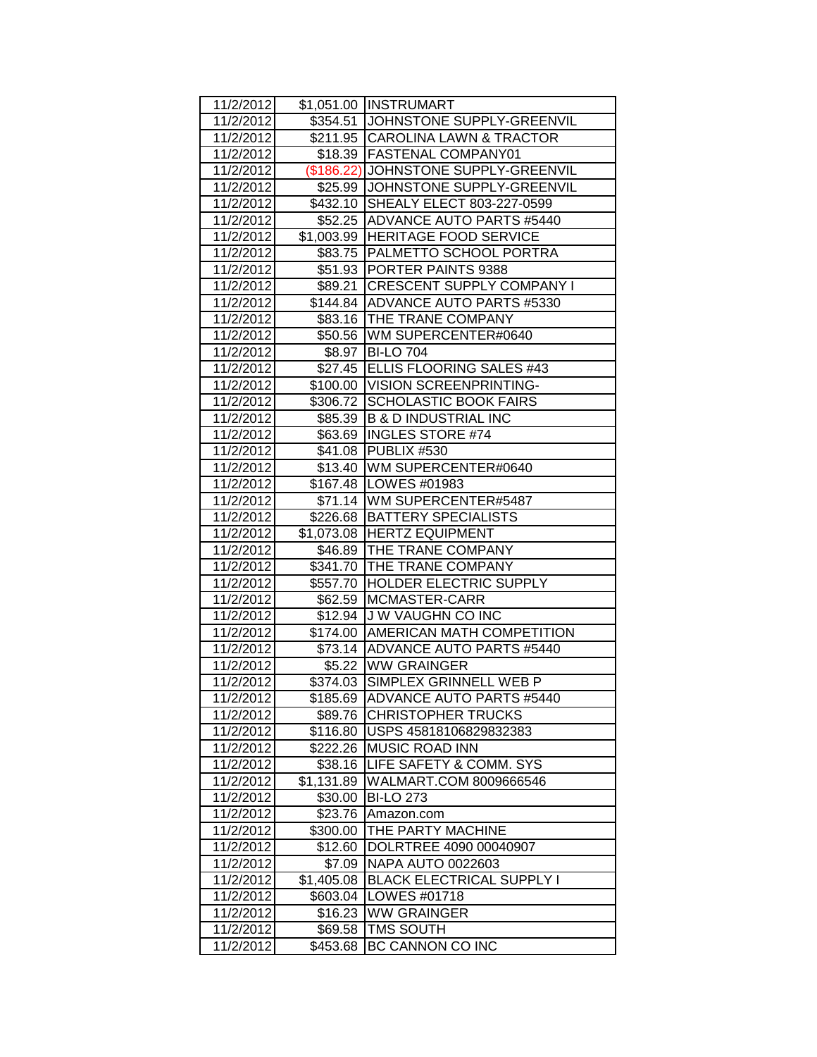| 11/2/2012              |                      | \$1,051.00   INSTRUMART                     |
|------------------------|----------------------|---------------------------------------------|
| 11/2/2012              | \$354.51             | JOHNSTONE SUPPLY-GREENVIL                   |
| 11/2/2012              |                      | \$211.95 CAROLINA LAWN & TRACTOR            |
| 11/2/2012              |                      | \$18.39 FASTENAL COMPANY01                  |
| 11/2/2012              |                      | (\$186.22) JOHNSTONE SUPPLY-GREENVIL        |
| 11/2/2012              |                      | \$25.99 JJOHNSTONE SUPPLY-GREENVIL          |
| 11/2/2012              | \$432.10             | SHEALY ELECT 803-227-0599                   |
| 11/2/2012              |                      | \$52.25 ADVANCE AUTO PARTS #5440            |
| 11/2/2012              | \$1,003.99           | <b>HERITAGE FOOD SERVICE</b>                |
| 11/2/2012              | \$83.75              | <b>PALMETTO SCHOOL PORTRA</b>               |
| 11/2/2012              | \$51.93              | PORTER PAINTS 9388                          |
| 11/2/2012              | \$89.21              | <b>CRESCENT SUPPLY COMPANY I</b>            |
| 11/2/2012              |                      | \$144.84 ADVANCE AUTO PARTS #5330           |
| 11/2/2012              |                      | \$83.16 THE TRANE COMPANY                   |
| 11/2/2012              |                      | \$50.56   WM SUPERCENTER#0640               |
| 11/2/2012              | \$8.97               | <b>BI-LO 704</b>                            |
| 11/2/2012              |                      | \$27.45   ELLIS FLOORING SALES #43          |
| 11/2/2012              | \$100.00             | VISION SCREENPRINTING-                      |
| 11/2/2012              | \$306.72             | <b>SCHOLASTIC BOOK FAIRS</b>                |
| 11/2/2012              | \$85.39              | IB & D INDUSTRIAL INC                       |
| 11/2/2012              | \$63.69              | <b>INGLES STORE #74</b>                     |
| 11/2/2012              | \$41.08              | PUBLIX #530                                 |
| 11/2/2012              | \$13.40              | WM SUPERCENTER#0640                         |
| 11/2/2012              |                      | \$167.48   LOWES #01983                     |
| 11/2/2012              | \$71.14              | WM SUPERCENTER#5487                         |
| 11/2/2012              | \$226.68             | <b>BATTERY SPECIALISTS</b>                  |
| 11/2/2012              | \$1,073.08           | <b>HERTZ EQUIPMENT</b>                      |
| 11/2/2012              | \$46.89              | THE TRANE COMPANY                           |
| 11/2/2012              | \$341.70             | <b>THE TRANE COMPANY</b>                    |
| 11/2/2012              |                      | \$557.70 HOLDER ELECTRIC SUPPLY             |
| 11/2/2012              | \$62.59              | MCMASTER-CARR                               |
| 11/2/2012              | \$12.94              | <b>J W VAUGHN CO INC</b>                    |
| 11/2/2012              | \$174.00             | <b>AMERICAN MATH COMPETITION</b>            |
| 11/2/2012              | \$73.14              | ADVANCE AUTO PARTS #5440                    |
| 11/2/2012              | \$5.22               | <b>WW GRAINGER</b>                          |
| 11/2/2012              | \$374.03             | <b>SIMPLEX GRINNELL WEB P</b>               |
| 11/2/2012              | \$185.69             | ADVANCE AUTO PARTS #5440                    |
| 11/2/2012              | \$89.76              | <b>CHRISTOPHER TRUCKS</b>                   |
| 11/2/2012              | \$116.80             | USPS 45818106829832383                      |
| 11/2/2012              | \$222.26             | <b>MUSIC ROAD INN</b>                       |
| 11/2/2012              | \$38.16              | LIFE SAFETY & COMM. SYS                     |
| 11/2/2012              | \$1,131.89           | WALMART.COM 8009666546                      |
| 11/2/2012              | \$30.00              | <b>BI-LO 273</b>                            |
| 11/2/2012              | \$23.76              | Amazon.com                                  |
| 11/2/2012              | \$300.00             | THE PARTY MACHINE<br>DOLRTREE 4090 00040907 |
| 11/2/2012              | \$12.60              | <b>NAPA AUTO 0022603</b>                    |
| 11/2/2012<br>11/2/2012 | \$7.09<br>\$1,405.08 | <b>BLACK ELECTRICAL SUPPLY I</b>            |
| 11/2/2012              | \$603.04             | LOWES #01718                                |
| 11/2/2012              | \$16.23              | <b>WW GRAINGER</b>                          |
| 11/2/2012              | \$69.58              | <b>TMS SOUTH</b>                            |
| 11/2/2012              | \$453.68             | BC CANNON CO INC                            |
|                        |                      |                                             |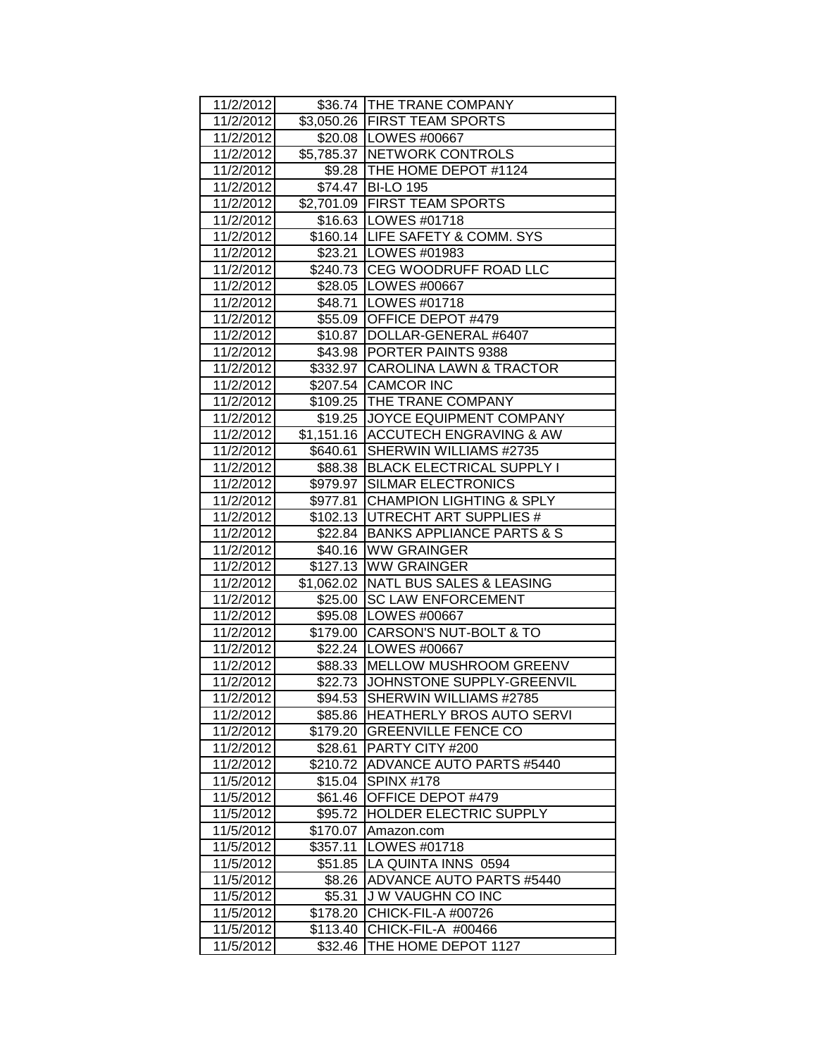| 11/2/2012 |          | \$36.74 THE TRANE COMPANY            |
|-----------|----------|--------------------------------------|
| 11/2/2012 |          | \$3,050.26 FIRST TEAM SPORTS         |
| 11/2/2012 |          | \$20.08   LOWES #00667               |
| 11/2/2012 |          | \$5,785.37 NETWORK CONTROLS          |
| 11/2/2012 |          | \$9.28   THE HOME DEPOT #1124        |
| 11/2/2012 |          | \$74.47   BI-LO 195                  |
| 11/2/2012 |          | \$2,701.09 FIRST TEAM SPORTS         |
| 11/2/2012 |          | \$16.63 LOWES #01718                 |
| 11/2/2012 |          | \$160.14 LIFE SAFETY & COMM. SYS     |
| 11/2/2012 |          | \$23.21   LOWES #01983               |
| 11/2/2012 |          | \$240.73 CEG WOODRUFF ROAD LLC       |
| 11/2/2012 |          | \$28.05   LOWES #00667               |
| 11/2/2012 |          | \$48.71   LOWES #01718               |
| 11/2/2012 |          | \$55.09 OFFICE DEPOT #479            |
| 11/2/2012 |          | \$10.87   DOLLAR-GENERAL #6407       |
| 11/2/2012 |          | \$43.98 PORTER PAINTS 9388           |
| 11/2/2012 |          | \$332.97 CAROLINA LAWN & TRACTOR     |
| 11/2/2012 |          | \$207.54 CAMCOR INC                  |
| 11/2/2012 |          | \$109.25 THE TRANE COMPANY           |
| 11/2/2012 | \$19.25  | <b>JOYCE EQUIPMENT COMPANY</b>       |
| 11/2/2012 |          | \$1,151.16 ACCUTECH ENGRAVING & AW   |
| 11/2/2012 | \$640.61 | SHERWIN WILLIAMS #2735               |
| 11/2/2012 | \$88.38  | <b>BLACK ELECTRICAL SUPPLY I</b>     |
| 11/2/2012 | \$979.97 | <b>SILMAR ELECTRONICS</b>            |
| 11/2/2012 | \$977.81 | <b>CHAMPION LIGHTING &amp; SPLY</b>  |
| 11/2/2012 | \$102.13 | UTRECHT ART SUPPLIES #               |
| 11/2/2012 | \$22.84  | <b>BANKS APPLIANCE PARTS &amp; S</b> |
| 11/2/2012 | \$40.16  | <b>WW GRAINGER</b>                   |
| 11/2/2012 |          | \$127.13 WW GRAINGER                 |
| 11/2/2012 |          | \$1,062.02 NATL BUS SALES & LEASING  |
| 11/2/2012 | \$25.00  | <b>SC LAW ENFORCEMENT</b>            |
| 11/2/2012 |          | \$95.08   LOWES #00667               |
| 11/2/2012 |          | \$179.00 CARSON'S NUT-BOLT & TO      |
| 11/2/2012 |          | \$22.24   LOWES #00667               |
| 11/2/2012 |          | \$88.33 MELLOW MUSHROOM GREENV       |
| 11/2/2012 |          | \$22.73 JJOHNSTONE SUPPLY-GREENVIL   |
| 11/2/2012 | \$94.53  | <b>SHERWIN WILLIAMS #2785</b>        |
| 11/2/2012 | \$85.86  | HEATHERLY BROS AUTO SERVI            |
| 11/2/2012 | \$179.20 | <b>GREENVILLE FENCE CO</b>           |
| 11/2/2012 | \$28.61  | PARTY CITY #200                      |
| 11/2/2012 | \$210.72 | ADVANCE AUTO PARTS #5440             |
| 11/5/2012 | \$15.04  | <b>SPINX #178</b>                    |
| 11/5/2012 | \$61.46  | OFFICE DEPOT #479                    |
| 11/5/2012 | \$95.72  | <b>HOLDER ELECTRIC SUPPLY</b>        |
| 11/5/2012 | \$170.07 | Amazon.com                           |
| 11/5/2012 | \$357.11 | LOWES #01718                         |
| 11/5/2012 | \$51.85  | LA QUINTA INNS 0594                  |
| 11/5/2012 | \$8.26   | ADVANCE AUTO PARTS #5440             |
| 11/5/2012 | \$5.31   | <b>JW VAUGHN CO INC</b>              |
| 11/5/2012 | \$178.20 | CHICK-FIL-A #00726                   |
| 11/5/2012 | \$113.40 | CHICK-FIL-A #00466                   |
| 11/5/2012 | \$32.46  | THE HOME DEPOT 1127                  |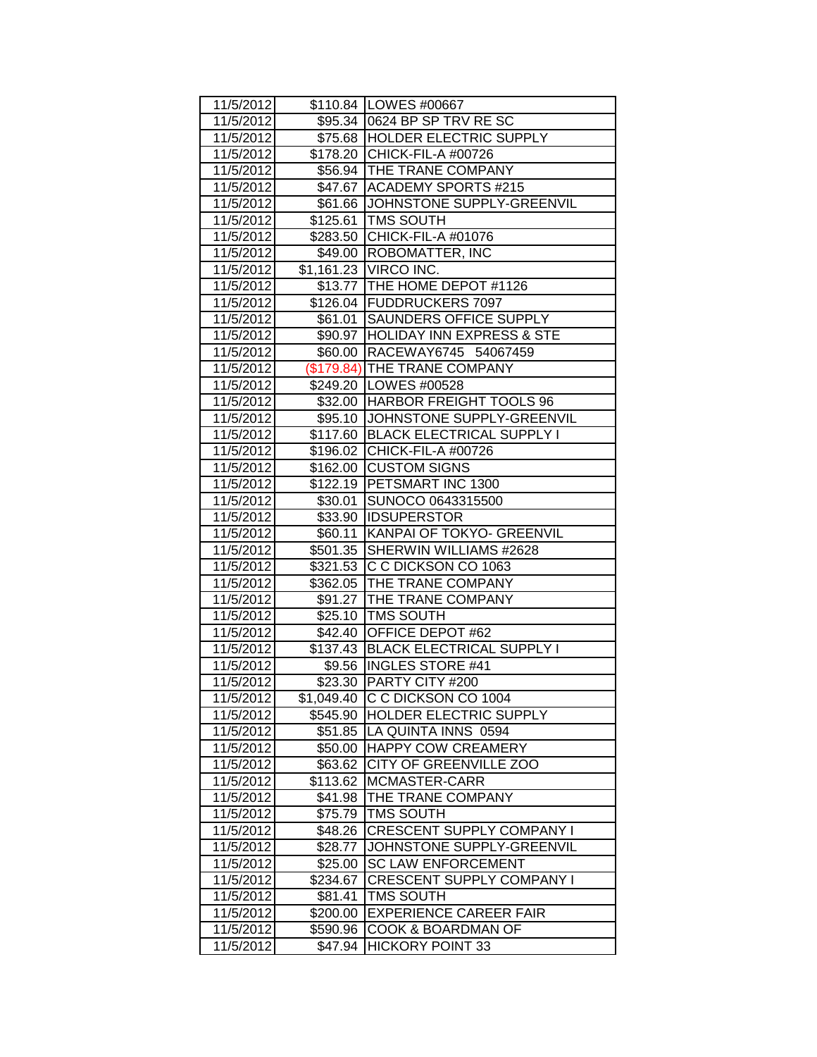| 11/5/2012 |            | \$110.84 LOWES #00667              |
|-----------|------------|------------------------------------|
| 11/5/2012 |            | \$95.34 0624 BP SP TRV RESC        |
| 11/5/2012 |            | \$75.68 HOLDER ELECTRIC SUPPLY     |
| 11/5/2012 |            | \$178.20 CHICK-FIL-A #00726        |
| 11/5/2012 |            | \$56.94   THE TRANE COMPANY        |
| 11/5/2012 |            | \$47.67 ACADEMY SPORTS #215        |
| 11/5/2012 | \$61.66    | JOHNSTONE SUPPLY-GREENVIL          |
| 11/5/2012 | \$125.61   | <b>TMS SOUTH</b>                   |
| 11/5/2012 | \$283.50   | CHICK-FIL-A #01076                 |
| 11/5/2012 |            | \$49.00 ROBOMATTER, INC            |
| 11/5/2012 |            | \$1,161.23 VIRCO INC.              |
| 11/5/2012 |            | \$13.77 THE HOME DEPOT #1126       |
| 11/5/2012 |            | \$126.04 FUDDRUCKERS 7097          |
| 11/5/2012 | \$61.01    | SAUNDERS OFFICE SUPPLY             |
| 11/5/2012 |            | \$90.97 HOLIDAY INN EXPRESS & STE  |
| 11/5/2012 | \$60.00    | RACEWAY6745 54067459               |
| 11/5/2012 |            | (\$179.84) THE TRANE COMPANY       |
| 11/5/2012 |            | \$249.20 LOWES #00528              |
| 11/5/2012 |            | \$32.00 HARBOR FREIGHT TOOLS 96    |
| 11/5/2012 |            | \$95.10 JJOHNSTONE SUPPLY-GREENVIL |
| 11/5/2012 | \$117.60   | <b>BLACK ELECTRICAL SUPPLY I</b>   |
| 11/5/2012 | \$196.02   | CHICK-FIL-A #00726                 |
| 11/5/2012 | \$162.00   | <b>CUSTOM SIGNS</b>                |
| 11/5/2012 | \$122.19   | <b>PETSMART INC 1300</b>           |
| 11/5/2012 | \$30.01    | SUNOCO 0643315500                  |
| 11/5/2012 | \$33.90    | <b>IDSUPERSTOR</b>                 |
| 11/5/2012 | \$60.11    | KANPAI OF TOKYO- GREENVIL          |
| 11/5/2012 | \$501.35   | SHERWIN WILLIAMS #2628             |
| 11/5/2012 | \$321.53   | IC C DICKSON CO 1063               |
| 11/5/2012 | \$362.05   | <b>THE TRANE COMPANY</b>           |
| 11/5/2012 | \$91.27    | <b>THE TRANE COMPANY</b>           |
| 11/5/2012 |            | \$25.10   TMS SOUTH                |
| 11/5/2012 | \$42.40    | OFFICE DEPOT #62                   |
| 11/5/2012 |            | \$137.43 BLACK ELECTRICAL SUPPLY I |
| 11/5/2012 |            | \$9.56 INGLES STORE #41            |
| 11/5/2012 |            | \$23.30 PARTY CITY #200            |
| 11/5/2012 | \$1,049.40 | C C DICKSON CO 1004                |
| 11/5/2012 | \$545.90   | <b>HOLDER ELECTRIC SUPPLY</b>      |
| 11/5/2012 | \$51.85    | LA QUINTA INNS 0594                |
| 11/5/2012 | \$50.00    | <b>HAPPY COW CREAMERY</b>          |
| 11/5/2012 | \$63.62    | CITY OF GREENVILLE ZOO             |
| 11/5/2012 | \$113.62   | MCMASTER-CARR                      |
| 11/5/2012 | \$41.98    | THE TRANE COMPANY                  |
| 11/5/2012 | \$75.79    | <b>TMS SOUTH</b>                   |
| 11/5/2012 | \$48.26    | CRESCENT SUPPLY COMPANY I          |
| 11/5/2012 | \$28.77    | JOHNSTONE SUPPLY-GREENVIL          |
| 11/5/2012 | \$25.00    | <b>SC LAW ENFORCEMENT</b>          |
| 11/5/2012 | \$234.67   | <b>CRESCENT SUPPLY COMPANY I</b>   |
| 11/5/2012 | \$81.41    | TMS SOUTH                          |
| 11/5/2012 | \$200.00   | <b>EXPERIENCE CAREER FAIR</b>      |
| 11/5/2012 | \$590.96   | COOK & BOARDMAN OF                 |
| 11/5/2012 | \$47.94    | <b>HICKORY POINT 33</b>            |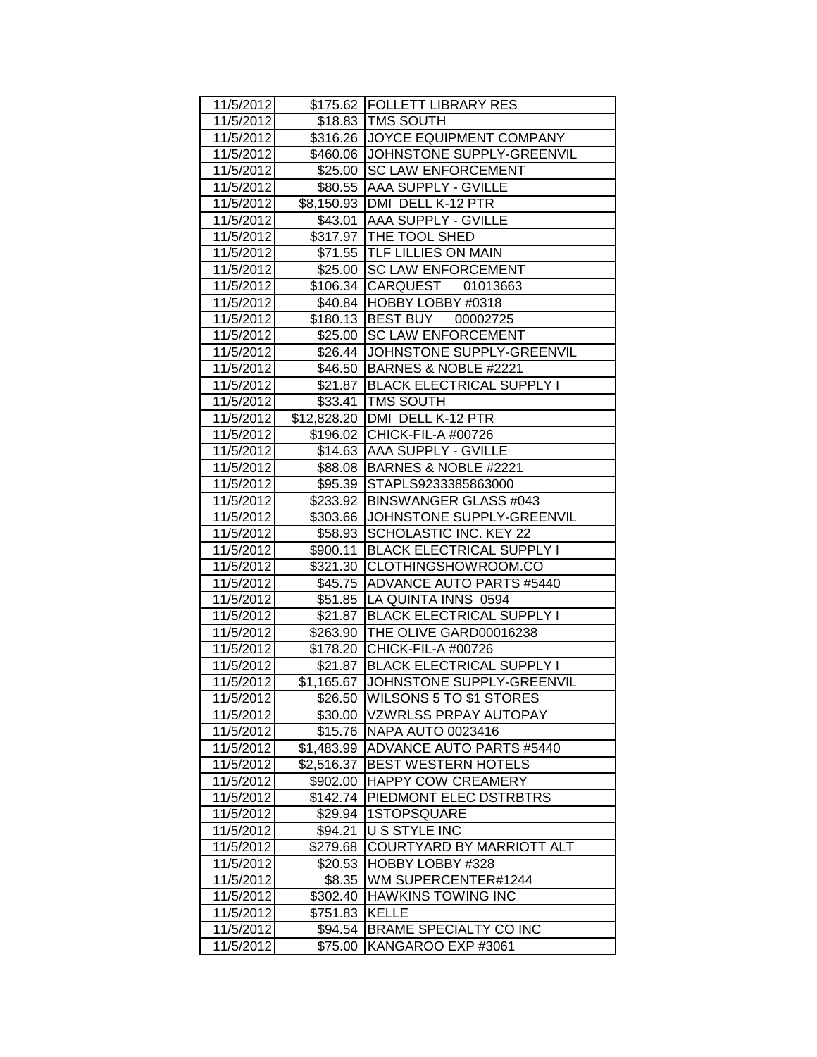| 11/5/2012 |            | \$175.62   FOLLETT LIBRARY RES        |
|-----------|------------|---------------------------------------|
| 11/5/2012 |            | \$18.83   TMS SOUTH                   |
| 11/5/2012 |            | \$316.26 JOYCE EQUIPMENT COMPANY      |
| 11/5/2012 |            | \$460.06 JJOHNSTONE SUPPLY-GREENVIL   |
| 11/5/2012 |            | \$25.00 SC LAW ENFORCEMENT            |
| 11/5/2012 |            | \$80.55 AAA SUPPLY - GVILLE           |
| 11/5/2012 |            | \$8,150.93 DMI DELL K-12 PTR          |
| 11/5/2012 | \$43.01    | <b>AAA SUPPLY - GVILLE</b>            |
| 11/5/2012 |            | \$317.97 THE TOOL SHED                |
| 11/5/2012 |            | \$71.55 TLF LILLIES ON MAIN           |
| 11/5/2012 | \$25.00    | <b>SC LAW ENFORCEMENT</b>             |
| 11/5/2012 |            | \$106.34 CARQUEST 01013663            |
| 11/5/2012 |            | \$40.84 HOBBY LOBBY #0318             |
| 11/5/2012 |            | \$180.13 BEST BUY 00002725            |
| 11/5/2012 |            | \$25.00 SC LAW ENFORCEMENT            |
| 11/5/2012 | \$26.44    | JOHNSTONE SUPPLY-GREENVIL             |
| 11/5/2012 | \$46.50    | BARNES & NOBLE #2221                  |
| 11/5/2012 |            | \$21.87 BLACK ELECTRICAL SUPPLY I     |
| 11/5/2012 |            | \$33.41   TMS SOUTH                   |
| 11/5/2012 |            | \$12,828.20 DMI DELL K-12 PTR         |
| 11/5/2012 | \$196.02   | CHICK-FIL-A #00726                    |
| 11/5/2012 | \$14.63    | <b>JAAA SUPPLY - GVILLE</b>           |
| 11/5/2012 | \$88.08    | BARNES & NOBLE #2221                  |
| 11/5/2012 | \$95.39    | STAPLS9233385863000                   |
| 11/5/2012 | \$233.92   | <b>BINSWANGER GLASS #043</b>          |
| 11/5/2012 | \$303.66   | JOHNSTONE SUPPLY-GREENVIL             |
| 11/5/2012 | \$58.93    | SCHOLASTIC INC. KEY 22                |
| 11/5/2012 | \$900.11   | <b>BLACK ELECTRICAL SUPPLY I</b>      |
| 11/5/2012 | \$321.30   | CLOTHINGSHOWROOM.CO                   |
| 11/5/2012 | \$45.75    | ADVANCE AUTO PARTS #5440              |
| 11/5/2012 | \$51.85    | LA QUINTA INNS 0594                   |
| 11/5/2012 | \$21.87    | <b>BLACK ELECTRICAL SUPPLY I</b>      |
| 11/5/2012 | \$263.90   | THE OLIVE GARD00016238                |
| 11/5/2012 | \$178.20   | CHICK-FIL-A #00726                    |
| 11/5/2012 |            | \$21.87   BLACK ELECTRICAL SUPPLY I   |
| 11/5/2012 |            | \$1,165.67 JJOHNSTONE SUPPLY-GREENVIL |
| 11/5/2012 | \$26.50    | <b>WILSONS 5 TO \$1 STORES</b>        |
| 11/5/2012 | \$30.00    | <b>VZWRLSS PRPAY AUTOPAY</b>          |
| 11/5/2012 | \$15.76    | <b>NAPA AUTO 0023416</b>              |
| 11/5/2012 | \$1,483.99 | <b>ADVANCE AUTO PARTS #5440</b>       |
| 11/5/2012 | \$2,516.37 | <b>BEST WESTERN HOTELS</b>            |
| 11/5/2012 | \$902.00   | <b>HAPPY COW CREAMERY</b>             |
| 11/5/2012 | \$142.74   | PIEDMONT ELEC DSTRBTRS                |
| 11/5/2012 | \$29.94    | 1STOPSQUARE                           |
| 11/5/2012 | \$94.21    | U S STYLE INC                         |
| 11/5/2012 | \$279.68   | COURTYARD BY MARRIOTT ALT             |
| 11/5/2012 | \$20.53    | HOBBY LOBBY #328                      |
| 11/5/2012 | \$8.35     | WM SUPERCENTER#1244                   |
| 11/5/2012 | \$302.40   | <b>HAWKINS TOWING INC</b>             |
| 11/5/2012 | \$751.83   | <b>KELLE</b>                          |
| 11/5/2012 | \$94.54    | BRAME SPECIALTY CO INC                |
| 11/5/2012 | \$75.00    | KANGAROO EXP #3061                    |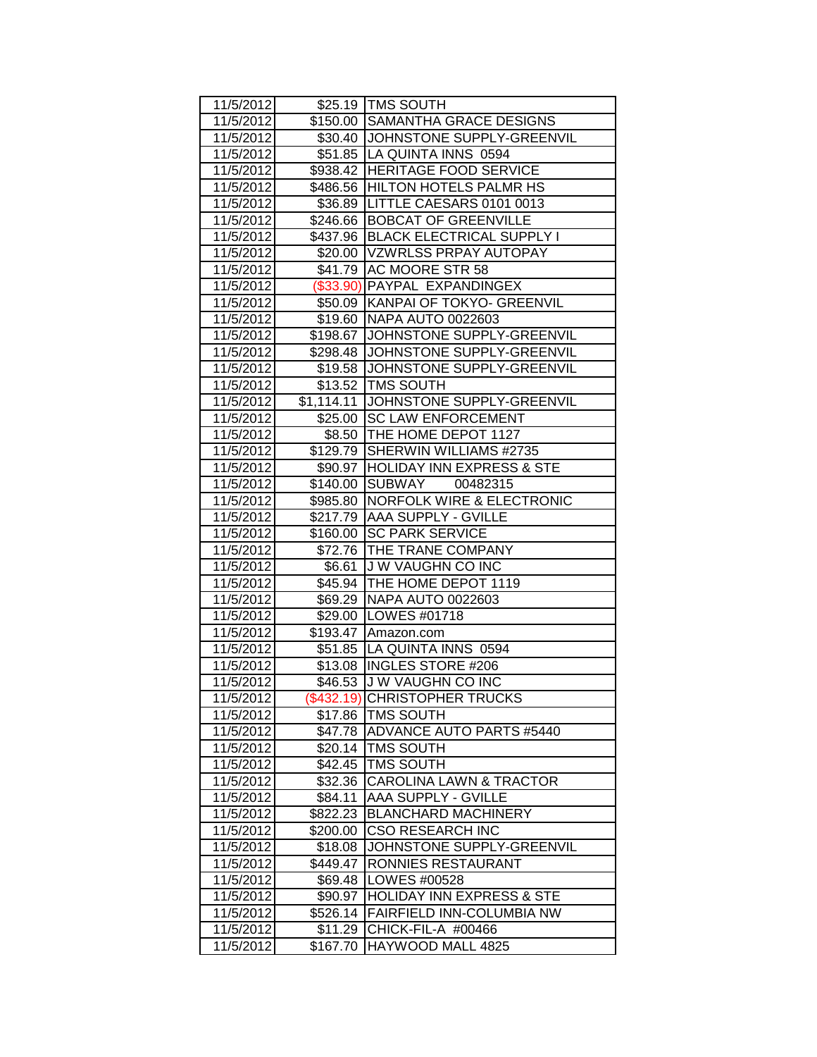| 11/5/2012              |                     | \$25.19 TMS SOUTH                                   |
|------------------------|---------------------|-----------------------------------------------------|
| 11/5/2012              |                     | \$150.00 SAMANTHA GRACE DESIGNS                     |
| 11/5/2012              |                     | \$30.40 JJOHNSTONE SUPPLY-GREENVIL                  |
| 11/5/2012              |                     | \$51.85 LA QUINTA INNS 0594                         |
| 11/5/2012              | \$938.42            | <b>HERITAGE FOOD SERVICE</b>                        |
| 11/5/2012              | \$486.56            | <b>HILTON HOTELS PALMR HS</b>                       |
| 11/5/2012              | \$36.89             | LITTLE CAESARS 0101 0013                            |
| 11/5/2012              | \$246.66            | <b>BOBCAT OF GREENVILLE</b>                         |
| 11/5/2012              | \$437.96            | <b>BLACK ELECTRICAL SUPPLY I</b>                    |
| 11/5/2012              | \$20.00             | <b>VZWRLSS PRPAY AUTOPAY</b>                        |
| 11/5/2012              | \$41.79             | AC MOORE STR 58                                     |
| 11/5/2012              |                     | (\$33.90) PAYPAL EXPANDINGEX                        |
| 11/5/2012              | \$50.09             | KANPAI OF TOKYO- GREENVIL                           |
| 11/5/2012              | \$19.60             | NAPA AUTO 0022603                                   |
| 11/5/2012              | \$198.67            | JOHNSTONE SUPPLY-GREENVIL                           |
| 11/5/2012              | \$298.48            | JOHNSTONE SUPPLY-GREENVIL                           |
| 11/5/2012              | \$19.58             | JOHNSTONE SUPPLY-GREENVIL                           |
| 11/5/2012              | \$13.52             | <b>TMS SOUTH</b>                                    |
| 11/5/2012              | \$1,114.11          | JOHNSTONE SUPPLY-GREENVIL                           |
| 11/5/2012              | \$25.00             | <b>SC LAW ENFORCEMENT</b>                           |
| 11/5/2012              | \$8.50              | THE HOME DEPOT 1127                                 |
| 11/5/2012              | \$129.79            | SHERWIN WILLIAMS #2735                              |
| 11/5/2012              | \$90.97             | <b>HOLIDAY INN EXPRESS &amp; STE</b>                |
| 11/5/2012              | \$140.00            | SUBWAY<br>00482315                                  |
| 11/5/2012              | \$985.80            | <b>NORFOLK WIRE &amp; ELECTRONIC</b>                |
| 11/5/2012              | \$217.79            | <b>AAA SUPPLY - GVILLE</b>                          |
| 11/5/2012              | \$160.00            | <b>SC PARK SERVICE</b>                              |
| 11/5/2012              | \$72.76             | <b>THE TRANE COMPANY</b>                            |
| 11/5/2012              | \$6.61              | <b>JW VAUGHN CO INC</b>                             |
| 11/5/2012              | \$45.94             | THE HOME DEPOT 1119                                 |
| 11/5/2012              | \$69.29             | NAPA AUTO 0022603                                   |
| 11/5/2012              | \$29.00             | <b>LOWES #01718</b>                                 |
| 11/5/2012              | \$193.47            | Amazon.com                                          |
| 11/5/2012              | \$51.85             | LA QUINTA INNS 0594                                 |
| 11/5/2012              | \$13.08             | <b>INGLES STORE #206</b>                            |
| 11/5/2012              | \$46.53             | <b>J W VAUGHN CO INC</b>                            |
| 11/5/2012              |                     | (\$432.19) CHRISTOPHER TRUCKS                       |
| 11/5/2012              | \$17.86             | <b>TMS SOUTH</b><br><b>ADVANCE AUTO PARTS #5440</b> |
| 11/5/2012<br>11/5/2012 | \$47.78<br>\$20.14  | TMS SOUTH                                           |
| 11/5/2012              | \$42.45             | <b>TMS SOUTH</b>                                    |
| 11/5/2012              | \$32.36             | CAROLINA LAWN & TRACTOR                             |
| 11/5/2012              | \$84.11             | AAA SUPPLY - GVILLE                                 |
| 11/5/2012              | \$822.23            | <b>BLANCHARD MACHINERY</b>                          |
|                        |                     | <b>CSO RESEARCH INC</b>                             |
| 11/5/2012<br>11/5/2012 | \$200.00<br>\$18.08 | JOHNSTONE SUPPLY-GREENVIL                           |
| 11/5/2012              | \$449.47            | RONNIES RESTAURANT                                  |
| 11/5/2012              | \$69.48             | LOWES #00528                                        |
| 11/5/2012              | \$90.97             | <b>HOLIDAY INN EXPRESS &amp; STE</b>                |
| 11/5/2012              | \$526.14            | <b>FAIRFIELD INN-COLUMBIA NW</b>                    |
|                        |                     |                                                     |
|                        |                     |                                                     |
| 11/5/2012<br>11/5/2012 | \$11.29<br>\$167.70 | CHICK-FIL-A #00466<br>HAYWOOD MALL 4825             |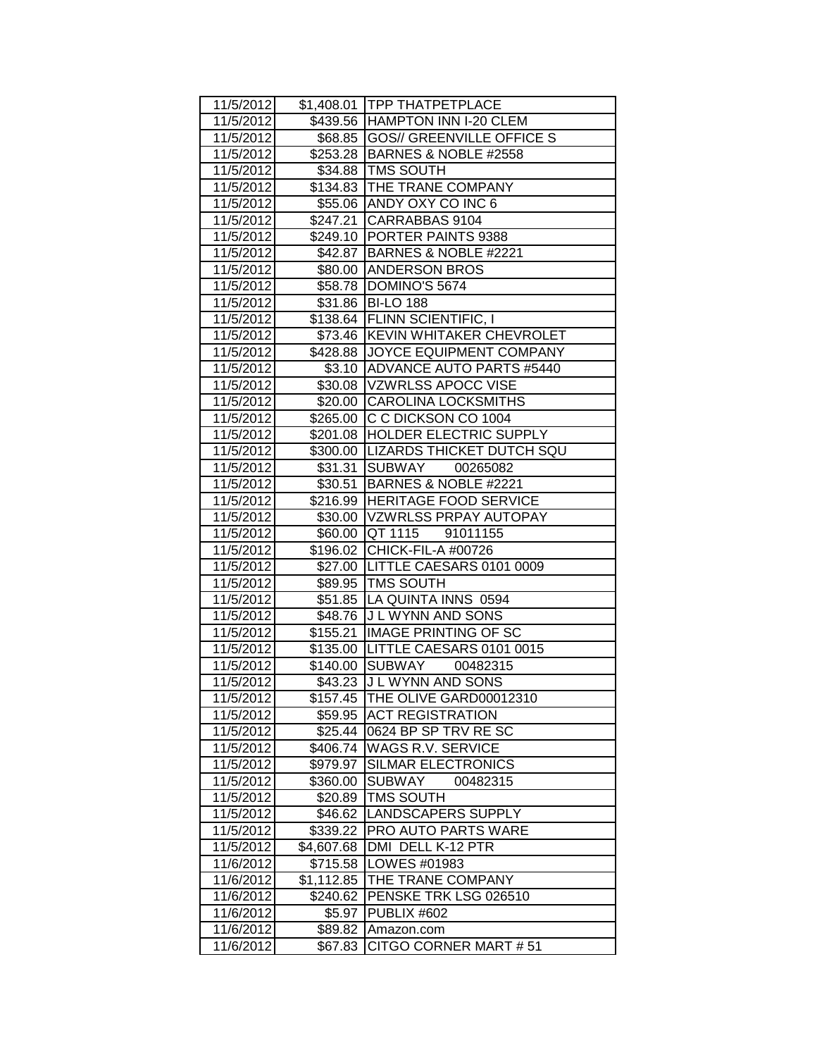| 11/5/2012              |                     | \$1,408.01   TPP THATPETPLACE                         |
|------------------------|---------------------|-------------------------------------------------------|
| 11/5/2012              |                     | \$439.56 HAMPTON INN I-20 CLEM                        |
| 11/5/2012              |                     | \$68.85 GOS// GREENVILLE OFFICE S                     |
| 11/5/2012              |                     | \$253.28   BARNES & NOBLE #2558                       |
| 11/5/2012              |                     | \$34.88   TMS SOUTH                                   |
| 11/5/2012              |                     | \$134.83 THE TRANE COMPANY                            |
| 11/5/2012              |                     | \$55.06 ANDY OXY CO INC 6                             |
| 11/5/2012              | \$247.21            | CARRABBAS 9104                                        |
| 11/5/2012              |                     | \$249.10 PORTER PAINTS 9388                           |
| 11/5/2012              |                     | \$42.87 BARNES & NOBLE #2221                          |
| 11/5/2012              | \$80.00             | <b>ANDERSON BROS</b>                                  |
| 11/5/2012              |                     | \$58.78   DOMINO'S 5674                               |
| 11/5/2012              |                     | \$31.86   BI-LO 188                                   |
| 11/5/2012              |                     | \$138.64 FLINN SCIENTIFIC, I                          |
| 11/5/2012              |                     | \$73.46 KEVIN WHITAKER CHEVROLET                      |
| 11/5/2012              |                     | \$428.88 JOYCE EQUIPMENT COMPANY                      |
| 11/5/2012              |                     | \$3.10 ADVANCE AUTO PARTS #5440                       |
| 11/5/2012              |                     | \$30.08 VZWRLSS APOCC VISE                            |
| 11/5/2012              |                     | \$20.00 CAROLINA LOCKSMITHS                           |
| 11/5/2012              | \$265.00            | C C DICKSON CO 1004                                   |
| 11/5/2012              | \$201.08            | <b>HOLDER ELECTRIC SUPPLY</b>                         |
| 11/5/2012              | \$300.00            | <b>LIZARDS THICKET DUTCH SQU</b>                      |
| 11/5/2012              | \$31.31             | SUBWAY<br>00265082                                    |
| 11/5/2012              | \$30.51             | BARNES & NOBLE #2221                                  |
| 11/5/2012              | \$216.99            | <b>HERITAGE FOOD SERVICE</b>                          |
| 11/5/2012              | \$30.00             | VZWRLSS PRPAY AUTOPAY                                 |
| 11/5/2012              | \$60.00             | QT 1115 91011155                                      |
| 11/5/2012              |                     | \$196.02 CHICK-FIL-A #00726                           |
| 11/5/2012              |                     | \$27.00 LITTLE CAESARS 0101 0009                      |
| 11/5/2012              |                     | \$89.95   TMS SOUTH                                   |
| 11/5/2012              |                     | \$51.85   LA QUINTA INNS 0594                         |
| 11/5/2012              |                     | \$48.76 J L WYNN AND SONS                             |
| 11/5/2012              | \$155.21            | <b>IMAGE PRINTING OF SC</b>                           |
| 11/5/2012              |                     | \$135.00   LITTLE CAESARS 0101 0015                   |
| 11/5/2012              | \$140.00            | SUBWAY<br>00482315                                    |
| 11/5/2012              |                     | \$43.23 J L WYNN AND SONS                             |
| 11/5/2012              | \$157.45            | <b>THE OLIVE GARD00012310</b>                         |
| 11/5/2012              | \$59.95             | <b>ACT REGISTRATION</b>                               |
| 11/5/2012              | \$25.44             | 0624 BP SP TRV RE SC                                  |
| 11/5/2012              | \$406.74            | <b>WAGS R.V. SERVICE</b><br><b>SILMAR ELECTRONICS</b> |
| 11/5/2012              | \$979.97            | SUBWAY<br>00482315                                    |
| 11/5/2012<br>11/5/2012 | \$360.00            | TMS SOUTH                                             |
| 11/5/2012              | \$20.89             | <b>LANDSCAPERS SUPPLY</b>                             |
| 11/5/2012              | \$46.62<br>\$339.22 | <b>PRO AUTO PARTS WARE</b>                            |
| 11/5/2012              | \$4,607.68          | DMI DELL K-12 PTR                                     |
| 11/6/2012              | \$715.58            | LOWES #01983                                          |
| 11/6/2012              | \$1,112.85          | THE TRANE COMPANY                                     |
| 11/6/2012              | \$240.62            | PENSKE TRK LSG 026510                                 |
| 11/6/2012              | \$5.97              | PUBLIX #602                                           |
| 11/6/2012              | \$89.82             | Amazon.com                                            |
| 11/6/2012              | \$67.83             | CITGO CORNER MART #51                                 |
|                        |                     |                                                       |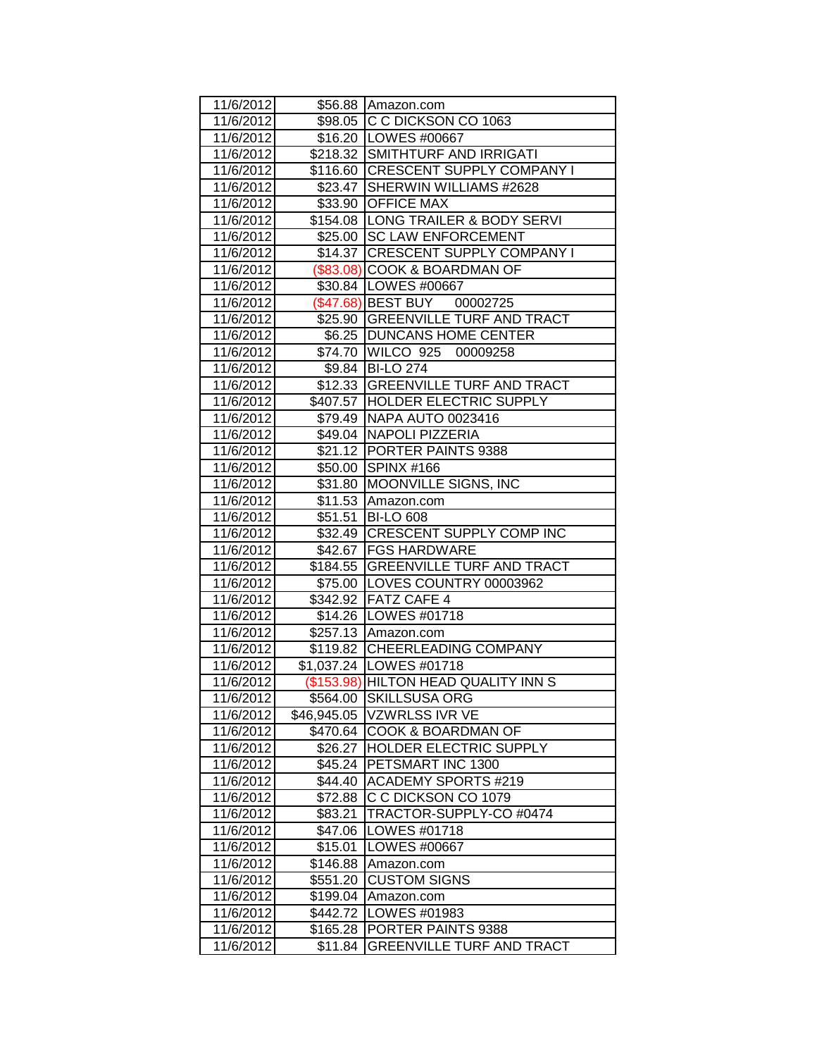| 11/6/2012 |             | \$56.88 Amazon.com                   |
|-----------|-------------|--------------------------------------|
| 11/6/2012 |             | \$98.05 C C DICKSON CO 1063          |
| 11/6/2012 |             | \$16.20   LOWES #00667               |
| 11/6/2012 |             | \$218.32 SMITHTURF AND IRRIGATI      |
| 11/6/2012 |             | \$116.60 CRESCENT SUPPLY COMPANY I   |
| 11/6/2012 |             | \$23.47 SHERWIN WILLIAMS #2628       |
| 11/6/2012 |             | \$33.90 OFFICE MAX                   |
| 11/6/2012 |             | \$154.08   LONG TRAILER & BODY SERVI |
| 11/6/2012 | \$25.00     | <b>SC LAW ENFORCEMENT</b>            |
| 11/6/2012 | \$14.37     | <b>CRESCENT SUPPLY COMPANY I</b>     |
| 11/6/2012 |             | (\$83.08) COOK & BOARDMAN OF         |
| 11/6/2012 |             | \$30.84   LOWES #00667               |
| 11/6/2012 |             | (\$47.68) BEST BUY 00002725          |
| 11/6/2012 |             | \$25.90 GREENVILLE TURF AND TRACT    |
| 11/6/2012 |             | \$6.25   DUNCANS HOME CENTER         |
| 11/6/2012 |             | \$74.70 WILCO 925 00009258           |
| 11/6/2012 | \$9.84      | <b>BI-LO 274</b>                     |
| 11/6/2012 |             | \$12.33 GREENVILLE TURF AND TRACT    |
| 11/6/2012 | \$407.57    | <b>HOLDER ELECTRIC SUPPLY</b>        |
| 11/6/2012 | \$79.49     | <b>NAPA AUTO 0023416</b>             |
| 11/6/2012 | \$49.04     | <b>NAPOLI PIZZERIA</b>               |
| 11/6/2012 |             | \$21.12 PORTER PAINTS 9388           |
| 11/6/2012 | \$50.00     | SPINX #166                           |
| 11/6/2012 | \$31.80     | <b>MOONVILLE SIGNS, INC</b>          |
| 11/6/2012 | \$11.53     | Amazon.com                           |
| 11/6/2012 | \$51.51     | <b>BI-LO 608</b>                     |
| 11/6/2012 | \$32.49     | <b>CRESCENT SUPPLY COMP INC</b>      |
| 11/6/2012 | \$42.67     | <b>FGS HARDWARE</b>                  |
| 11/6/2012 | \$184.55    | <b>GREENVILLE TURF AND TRACT</b>     |
| 11/6/2012 |             | \$75.00 LOVES COUNTRY 00003962       |
| 11/6/2012 |             | \$342.92 FATZ CAFE 4                 |
| 11/6/2012 |             | \$14.26   LOWES #01718               |
| 11/6/2012 |             | \$257.13 Amazon.com                  |
| 11/6/2012 |             | \$119.82 CHEERLEADING COMPANY        |
| 11/6/2012 |             | \$1,037.24   LOWES #01718            |
| 11/6/2012 |             | (\$153.98) HILTON HEAD QUALITY INN S |
| 11/6/2012 | \$564.00    | <b>SKILLSUSA ORG</b>                 |
| 11/6/2012 | \$46,945.05 | VZWRLSS IVR VE                       |
| 11/6/2012 | \$470.64    | <b>COOK &amp; BOARDMAN OF</b>        |
| 11/6/2012 | \$26.27     | <b>HOLDER ELECTRIC SUPPLY</b>        |
| 11/6/2012 | \$45.24     | PETSMART INC 1300                    |
| 11/6/2012 | \$44.40     | <b>ACADEMY SPORTS #219</b>           |
| 11/6/2012 | \$72.88     | C C DICKSON CO 1079                  |
| 11/6/2012 | \$83.21     | TRACTOR-SUPPLY-CO #0474              |
| 11/6/2012 | \$47.06     | LOWES #01718                         |
| 11/6/2012 | \$15.01     | LOWES #00667                         |
| 11/6/2012 | \$146.88    | Amazon.com                           |
| 11/6/2012 | \$551.20    | <b>CUSTOM SIGNS</b>                  |
| 11/6/2012 | \$199.04    | Amazon.com                           |
| 11/6/2012 | \$442.72    | LOWES #01983                         |
| 11/6/2012 | \$165.28    | PORTER PAINTS 9388                   |
| 11/6/2012 | \$11.84     | <b>GREENVILLE TURF AND TRACT</b>     |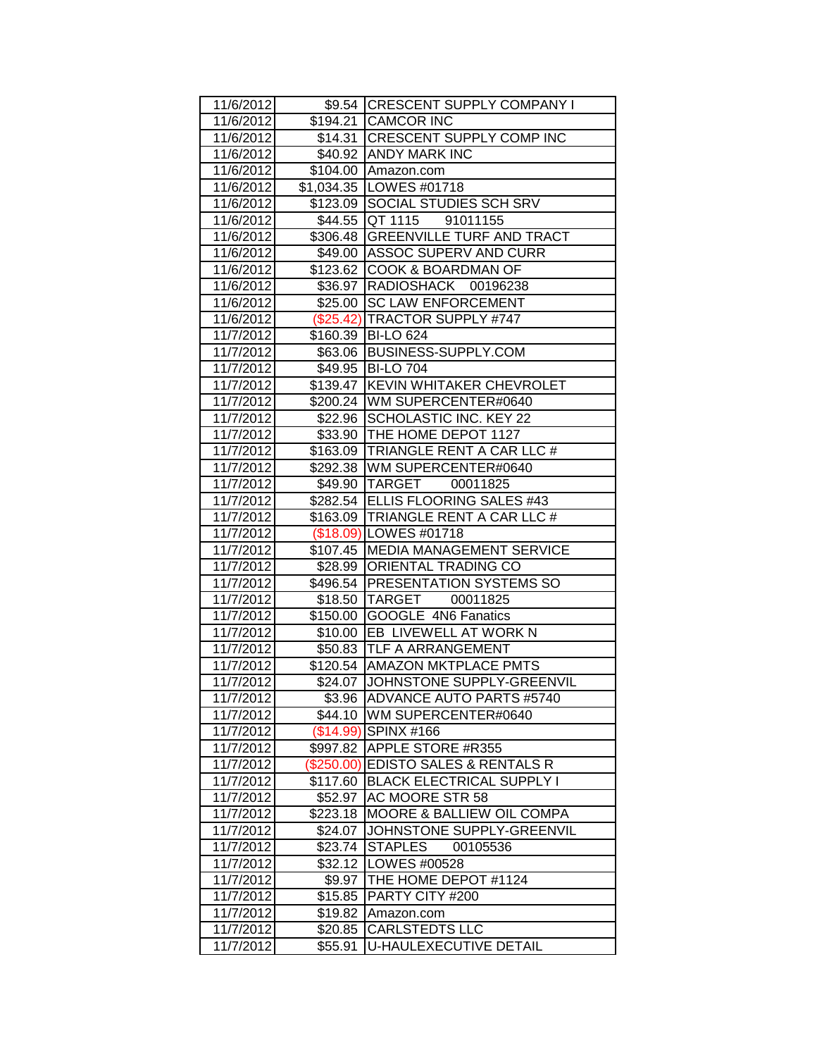| 11/6/2012              |                    | \$9.54 CRESCENT SUPPLY COMPANY I         |
|------------------------|--------------------|------------------------------------------|
| 11/6/2012              |                    | \$194.21 CAMCOR INC                      |
| 11/6/2012              |                    | \$14.31 CRESCENT SUPPLY COMP INC         |
| 11/6/2012              |                    | \$40.92 ANDY MARK INC                    |
| 11/6/2012              |                    | \$104.00 Amazon.com                      |
| 11/6/2012              |                    | \$1,034.35 LOWES #01718                  |
| 11/6/2012              | \$123.09           | SOCIAL STUDIES SCH SRV                   |
| 11/6/2012              | \$44.55            | QT 1115 91011155                         |
| 11/6/2012              |                    | \$306.48 GREENVILLE TURF AND TRACT       |
| 11/6/2012              | \$49.00            | <b>ASSOC SUPERV AND CURR</b>             |
| 11/6/2012              | \$123.62           | <b>COOK &amp; BOARDMAN OF</b>            |
| 11/6/2012              |                    | \$36.97  RADIOSHACK 00196238             |
| 11/6/2012              |                    | \$25.00 SC LAW ENFORCEMENT               |
| 11/6/2012              |                    | (\$25.42) TRACTOR SUPPLY #747            |
| 11/7/2012              | \$160.39           | <b>BI-LO 624</b>                         |
| 11/7/2012              | \$63.06            | <b>BUSINESS-SUPPLY.COM</b>               |
| 11/7/2012              | \$49.95            | <b>BI-LO 704</b>                         |
| 11/7/2012              |                    | \$139.47 KEVIN WHITAKER CHEVROLET        |
| 11/7/2012              |                    | \$200.24 WM SUPERCENTER#0640             |
| 11/7/2012              |                    | \$22.96 SCHOLASTIC INC. KEY 22           |
| 11/7/2012              |                    | \$33.90 THE HOME DEPOT 1127              |
| 11/7/2012              | \$163.09           | <b>TRIANGLE RENT A CAR LLC #</b>         |
| 11/7/2012              | \$292.38           | WM SUPERCENTER#0640                      |
| 11/7/2012              | \$49.90            | <b>TARGET</b><br>00011825                |
| 11/7/2012              | \$282.54           | <b>ELLIS FLOORING SALES #43</b>          |
| 11/7/2012              | \$163.09           | <b>TRIANGLE RENT A CAR LLC #</b>         |
|                        |                    |                                          |
| 11/7/2012              |                    | (\$18.09) LOWES #01718                   |
| 11/7/2012              | \$107.45           | <b>MEDIA MANAGEMENT SERVICE</b>          |
| 11/7/2012              | \$28.99            | <b>JORIENTAL TRADING CO</b>              |
| 11/7/2012              |                    | \$496.54 PRESENTATION SYSTEMS SO         |
| 11/7/2012              |                    |                                          |
| 11/7/2012              | \$150.00           | GOOGLE 4N6 Fanatics                      |
| 11/7/2012              | \$10.00            | EB LIVEWELL AT WORK N                    |
| 11/7/2012              |                    | \$50.83 TLF A ARRANGEMENT                |
| 11/7/2012              |                    | \$120.54 AMAZON MKTPLACE PMTS            |
| 11/7/2012              | \$24.07            | JOHNSTONE SUPPLY-GREENVIL                |
| 11/7/2012              | \$3.96             | <b>ADVANCE AUTO PARTS #5740</b>          |
| 11/7/2012              | \$44.10            | WM SUPERCENTER#0640                      |
| 11/7/2012              | (\$14.99)          | <b>SPINX #166</b>                        |
| 11/7/2012              | \$997.82           | <b>APPLE STORE #R355</b>                 |
| 11/7/2012              | (\$250.00)         | <b>EDISTO SALES &amp; RENTALS R</b>      |
| 11/7/2012              | \$117.60           | <b>BLACK ELECTRICAL SUPPLY I</b>         |
| 11/7/2012              | \$52.97            | AC MOORE STR 58                          |
| 11/7/2012              | \$223.18           | <b>MOORE &amp; BALLIEW OIL COMPA</b>     |
| 11/7/2012              | \$24.07            | JOHNSTONE SUPPLY-GREENVIL                |
| 11/7/2012              | \$23.74            | <b>STAPLES</b><br>00105536               |
| 11/7/2012              | \$32.12            | LOWES #00528                             |
| 11/7/2012              | \$9.97             | THE HOME DEPOT #1124                     |
| 11/7/2012              | \$15.85            | PARTY CITY #200                          |
| 11/7/2012              | \$19.82            | Amazon.com                               |
| 11/7/2012<br>11/7/2012 | \$20.85<br>\$55.91 | CARLSTEDTS LLC<br>U-HAULEXECUTIVE DETAIL |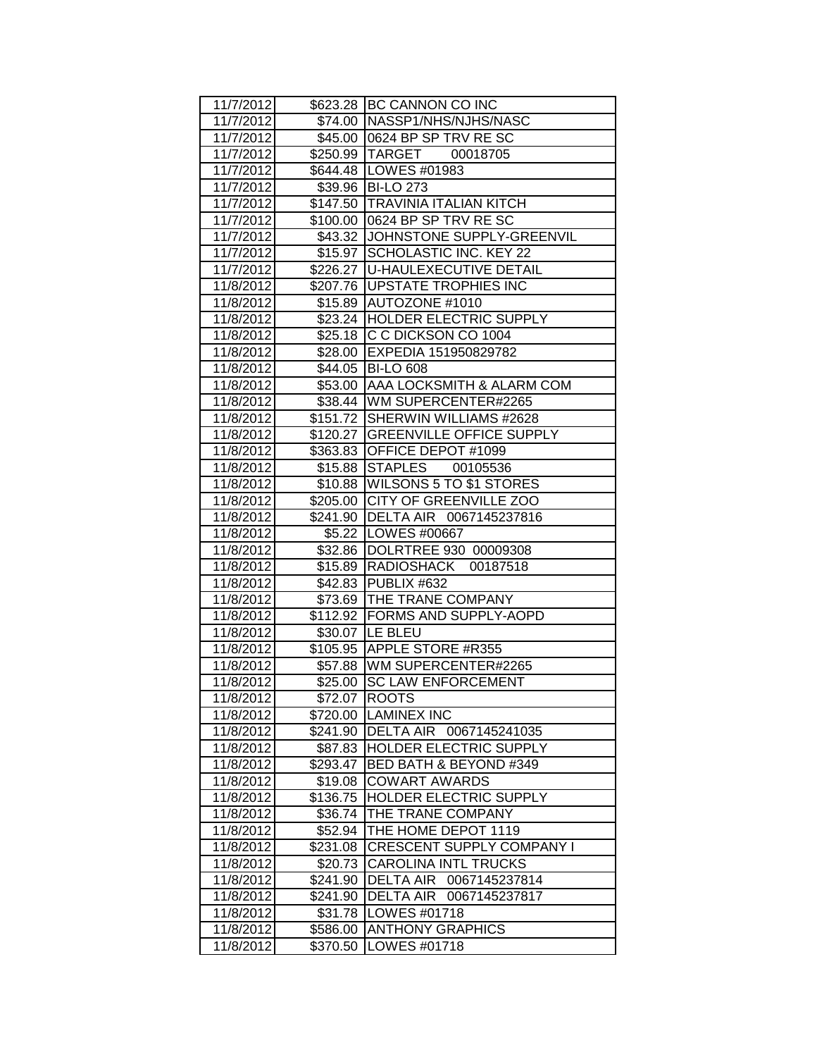| 11/7/2012              |                      | \$623.28 BC CANNON CO INC               |
|------------------------|----------------------|-----------------------------------------|
| 11/7/2012              |                      | \$74.00   NASSP1/NHS/NJHS/NASC          |
| 11/7/2012              |                      | \$45.00   0624 BP SP TRV RESC           |
| 11/7/2012              |                      | \$250.99   TARGET 00018705              |
| 11/7/2012              |                      | \$644.48   LOWES #01983                 |
| 11/7/2012              |                      | \$39.96 BI-LO 273                       |
| 11/7/2012              |                      | \$147.50 TRAVINIA ITALIAN KITCH         |
| 11/7/2012              | \$100.00             | 0624 BP SP TRV RE SC                    |
| 11/7/2012              | \$43.32              | JOHNSTONE SUPPLY-GREENVIL               |
| 11/7/2012              | \$15.97              | SCHOLASTIC INC. KEY 22                  |
| 11/7/2012              |                      | \$226.27   U-HAULEXECUTIVE DETAIL       |
| 11/8/2012              |                      | \$207.76   UPSTATE TROPHIES INC         |
| 11/8/2012              |                      | \$15.89 AUTOZONE #1010                  |
| 11/8/2012              | \$23.24              | <b>HOLDER ELECTRIC SUPPLY</b>           |
| 11/8/2012              |                      | \$25.18 C C DICKSON CO 1004             |
| 11/8/2012              | \$28.00              | EXPEDIA 151950829782                    |
| 11/8/2012              | \$44.05              | <b>BI-LO 608</b>                        |
| 11/8/2012              |                      | \$53.00 AAA LOCKSMITH & ALARM COM       |
| 11/8/2012              |                      | \$38.44 WM SUPERCENTER#2265             |
| 11/8/2012              |                      | \$151.72 SHERWIN WILLIAMS #2628         |
| 11/8/2012              |                      | \$120.27   GREENVILLE OFFICE SUPPLY     |
| 11/8/2012              | \$363.83             | <b>OFFICE DEPOT #1099</b>               |
| 11/8/2012              | \$15.88              | <b>STAPLES</b><br>00105536              |
| 11/8/2012              | \$10.88              | <b>WILSONS 5 TO \$1 STORES</b>          |
| 11/8/2012              | \$205.00             | <b>CITY OF GREENVILLE ZOO</b>           |
| 11/8/2012              | \$241.90             | DELTA AIR 0067145237816                 |
| 11/8/2012              |                      | \$5.22 LOWES #00667                     |
| 11/8/2012              | \$32.86              | DOLRTREE 930 00009308                   |
| 11/8/2012              | \$15.89              | RADIOSHACK 00187518                     |
| 11/8/2012              | \$42.83              | PUBLIX #632                             |
| 11/8/2012              |                      | \$73.69 THE TRANE COMPANY               |
| 11/8/2012              |                      | \$112.92 FORMS AND SUPPLY-AOPD          |
| 11/8/2012              | \$30.07              | <b>ILE BLEU</b>                         |
| 11/8/2012              |                      | \$105.95 APPLE STORE #R355              |
| 11/8/2012              |                      | \$57.88   WM SUPERCENTER#2265           |
| 11/8/2012              | \$25.00              | <b>SC LAW ENFORCEMENT</b>               |
| 11/8/2012              |                      | \$72.07 ROOTS                           |
| 11/8/2012              | \$720.00             | LAMINEX INC                             |
| 11/8/2012              |                      | <b>DELTA AIR</b><br>0067145241035       |
|                        | \$241.90             |                                         |
| 11/8/2012              | \$87.83              | HOLDER ELECTRIC SUPPLY                  |
| 11/8/2012              | \$293.47             | BED BATH & BEYOND #349                  |
| 11/8/2012              | \$19.08              | <b>COWART AWARDS</b>                    |
| 11/8/2012              | \$136.75             | HOLDER ELECTRIC SUPPLY                  |
| 11/8/2012              | \$36.74              | THE TRANE COMPANY                       |
| 11/8/2012              | \$52.94              | THE HOME DEPOT 1119                     |
| 11/8/2012              | \$231.08             | CRESCENT SUPPLY COMPANY I               |
| 11/8/2012              | \$20.73              | <b>CAROLINA INTL TRUCKS</b>             |
| 11/8/2012              | \$241.90             | DELTA AIR<br>0067145237814              |
| 11/8/2012              | \$241.90             | <b>DELTA AIR</b><br>0067145237817       |
| 11/8/2012              | \$31.78              | LOWES #01718                            |
| 11/8/2012<br>11/8/2012 | \$586.00<br>\$370.50 | <b>ANTHONY GRAPHICS</b><br>LOWES #01718 |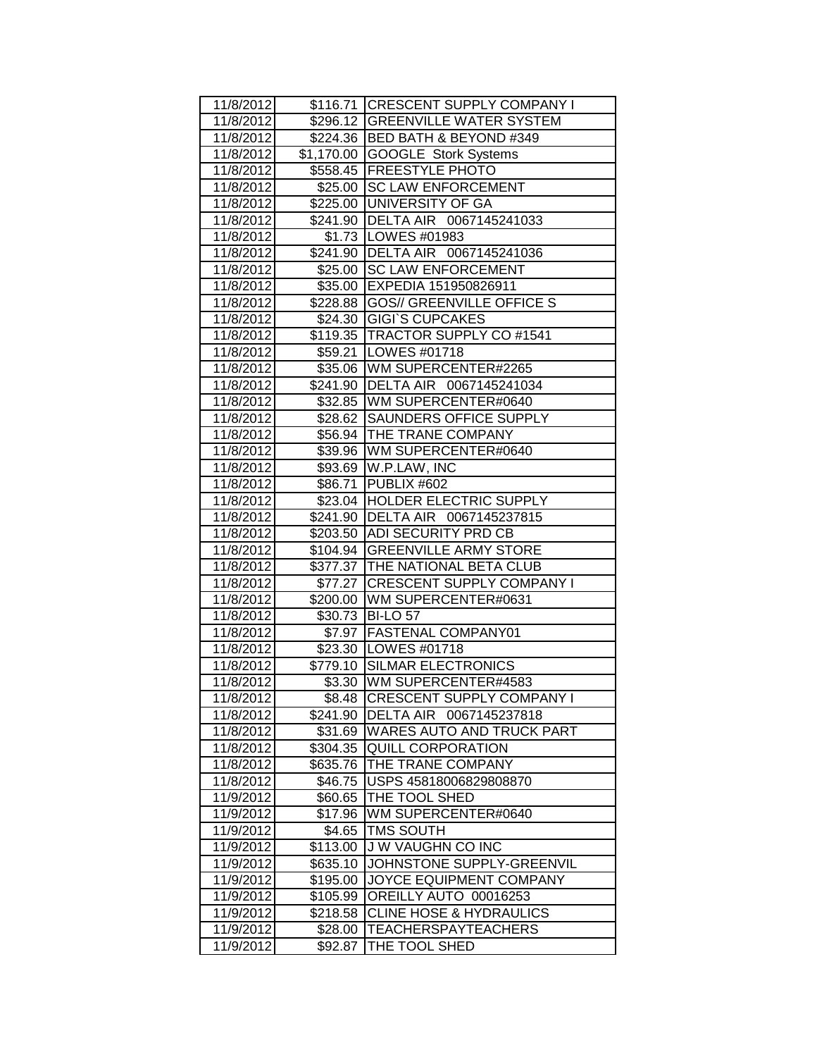| 11/8/2012 |          | \$116.71 CRESCENT SUPPLY COMPANY I |
|-----------|----------|------------------------------------|
| 11/8/2012 |          | \$296.12 GREENVILLE WATER SYSTEM   |
| 11/8/2012 |          | \$224.36 BED BATH & BEYOND #349    |
| 11/8/2012 |          | \$1,170.00 GOOGLE Stork Systems    |
| 11/8/2012 |          | \$558.45 FREESTYLE PHOTO           |
| 11/8/2012 |          | \$25.00 SC LAW ENFORCEMENT         |
| 11/8/2012 | \$225.00 | UNIVERSITY OF GA                   |
| 11/8/2012 | \$241.90 | DELTA AIR 0067145241033            |
| 11/8/2012 |          | \$1.73 LOWES #01983                |
| 11/8/2012 | \$241.90 | DELTA AIR 0067145241036            |
| 11/8/2012 | \$25.00  | <b>SC LAW ENFORCEMENT</b>          |
| 11/8/2012 |          | \$35.00 EXPEDIA 151950826911       |
| 11/8/2012 |          | \$228.88 GOS// GREENVILLE OFFICE S |
| 11/8/2012 | \$24.30  | GIGI'S CUPCAKES                    |
| 11/8/2012 |          | \$119.35   TRACTOR SUPPLY CO #1541 |
| 11/8/2012 | \$59.21  | LOWES #01718                       |
| 11/8/2012 | \$35.06  | WM SUPERCENTER#2265                |
| 11/8/2012 | \$241.90 | DELTA AIR 0067145241034            |
| 11/8/2012 |          | \$32.85 WM SUPERCENTER#0640        |
| 11/8/2012 |          | \$28.62 SAUNDERS OFFICE SUPPLY     |
| 11/8/2012 |          | \$56.94 THE TRANE COMPANY          |
| 11/8/2012 | \$39.96  | WM SUPERCENTER#0640                |
| 11/8/2012 | \$93.69  | W.P.LAW, INC                       |
| 11/8/2012 | \$86.71  | PUBLIX #602                        |
| 11/8/2012 | \$23.04  | <b>HOLDER ELECTRIC SUPPLY</b>      |
| 11/8/2012 | \$241.90 | DELTA AIR 0067145237815            |
| 11/8/2012 | \$203.50 | <b>ADI SECURITY PRD CB</b>         |
| 11/8/2012 | \$104.94 | <b>GREENVILLE ARMY STORE</b>       |
| 11/8/2012 |          | \$377.37 THE NATIONAL BETA CLUB    |
| 11/8/2012 | \$77.27  | <b>CRESCENT SUPPLY COMPANY I</b>   |
| 11/8/2012 | \$200.00 | WM SUPERCENTER#0631                |
| 11/8/2012 | \$30.73  | <b>BI-LO 57</b>                    |
| 11/8/2012 | \$7.97   | <b>FASTENAL COMPANY01</b>          |
| 11/8/2012 |          | \$23.30   LOWES #01718             |
| 11/8/2012 | \$779.10 | <b>SILMAR ELECTRONICS</b>          |
| 11/8/2012 | \$3.30   | WM SUPERCENTER#4583                |
| 11/8/2012 | \$8.48   | <b>CRESCENT SUPPLY COMPANY I</b>   |
| 11/8/2012 | \$241.90 | DELTA AIR<br>0067145237818         |
| 11/8/2012 | \$31.69  | <b>WARES AUTO AND TRUCK PART</b>   |
| 11/8/2012 | \$304.35 | <b>QUILL CORPORATION</b>           |
| 11/8/2012 | \$635.76 | THE TRANE COMPANY                  |
| 11/8/2012 | \$46.75  | USPS 45818006829808870             |
| 11/9/2012 | \$60.65  | THE TOOL SHED                      |
| 11/9/2012 | \$17.96  | WM SUPERCENTER#0640                |
| 11/9/2012 | \$4.65   | <b>TMS SOUTH</b>                   |
| 11/9/2012 | \$113.00 | J W VAUGHN CO INC                  |
| 11/9/2012 | \$635.10 | JOHNSTONE SUPPLY-GREENVIL          |
| 11/9/2012 | \$195.00 | JOYCE EQUIPMENT COMPANY            |
| 11/9/2012 | \$105.99 | OREILLY AUTO 00016253              |
| 11/9/2012 | \$218.58 | <b>CLINE HOSE &amp; HYDRAULICS</b> |
| 11/9/2012 | \$28.00  | <b>TEACHERSPAYTEACHERS</b>         |
| 11/9/2012 | \$92.87  | THE TOOL SHED                      |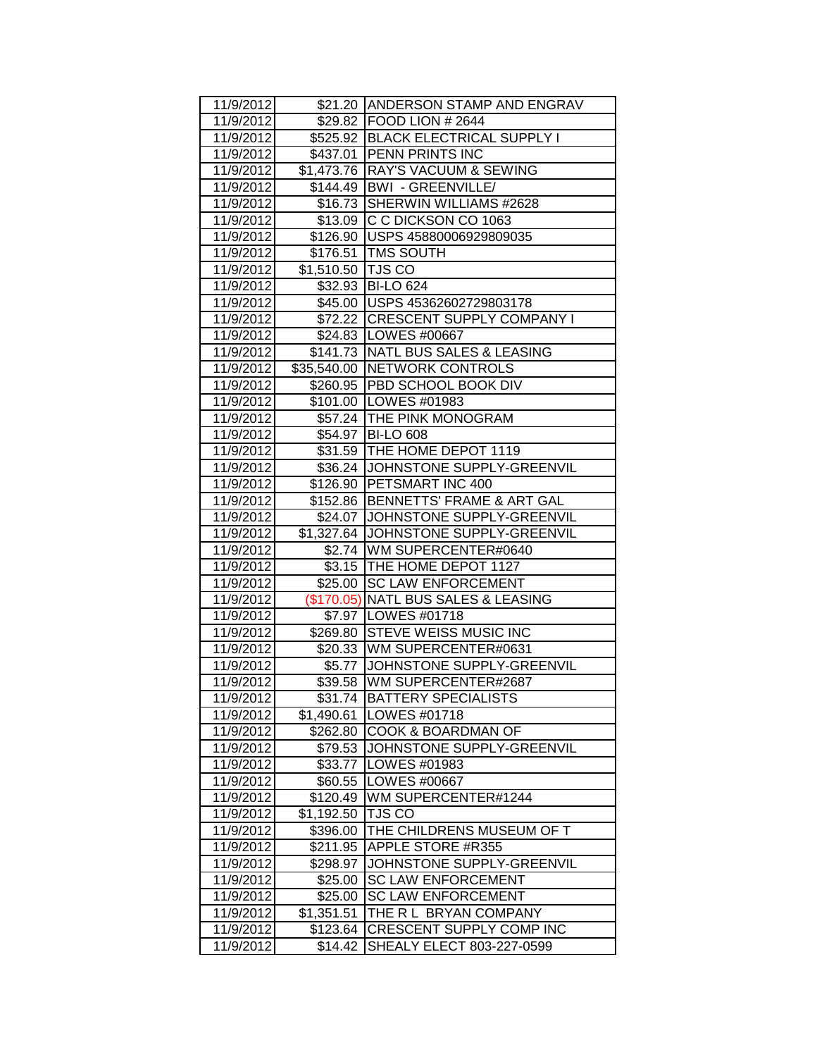| 11/9/2012 |             | \$21.20 ANDERSON STAMP AND ENGRAV    |
|-----------|-------------|--------------------------------------|
| 11/9/2012 |             | \$29.82   FOOD LION # 2644           |
| 11/9/2012 |             | \$525.92 BLACK ELECTRICAL SUPPLY I   |
| 11/9/2012 |             | \$437.01 PENN PRINTS INC             |
| 11/9/2012 |             | \$1,473.76 RAY'S VACUUM & SEWING     |
| 11/9/2012 | \$144.49    | <b>BWI - GREENVILLE/</b>             |
| 11/9/2012 | \$16.73     | SHERWIN WILLIAMS #2628               |
| 11/9/2012 | \$13.09     | C C DICKSON CO 1063                  |
| 11/9/2012 | \$126.90    | USPS 45880006929809035               |
| 11/9/2012 | \$176.51    | <b>TMS SOUTH</b>                     |
| 11/9/2012 | \$1,510.50  | <b>TJS CO</b>                        |
| 11/9/2012 | \$32.93     | <b>BI-LO 624</b>                     |
| 11/9/2012 |             | \$45.00 USPS 45362602729803178       |
| 11/9/2012 |             | \$72.22 CRESCENT SUPPLY COMPANY I    |
| 11/9/2012 |             | \$24.83   LOWES #00667               |
| 11/9/2012 | \$141.73    | NATL BUS SALES & LEASING             |
| 11/9/2012 | \$35,540.00 | NETWORK CONTROLS                     |
| 11/9/2012 | \$260.95    | <b>PBD SCHOOL BOOK DIV</b>           |
| 11/9/2012 |             | \$101.00 LOWES #01983                |
| 11/9/2012 |             | \$57.24   THE PINK MONOGRAM          |
| 11/9/2012 | \$54.97     | <b>BI-LO 608</b>                     |
| 11/9/2012 | \$31.59     | <b>THE HOME DEPOT 1119</b>           |
| 11/9/2012 | \$36.24     | JOHNSTONE SUPPLY-GREENVIL            |
| 11/9/2012 | \$126.90    | PETSMART INC 400                     |
| 11/9/2012 | \$152.86    | <b>BENNETTS' FRAME &amp; ART GAL</b> |
| 11/9/2012 | \$24.07     | JOHNSTONE SUPPLY-GREENVIL            |
| 11/9/2012 | \$1,327.64  | JOHNSTONE SUPPLY-GREENVIL            |
| 11/9/2012 | \$2.74      | WM SUPERCENTER#0640                  |
| 11/9/2012 | \$3.15      | THE HOME DEPOT 1127                  |
| 11/9/2012 | \$25.00     | <b>SC LAW ENFORCEMENT</b>            |
| 11/9/2012 |             | (\$170.05) NATL BUS SALES & LEASING  |
| 11/9/2012 |             | \$7.97   LOWES #01718                |
| 11/9/2012 | \$269.80    | <b>STEVE WEISS MUSIC INC</b>         |
| 11/9/2012 | \$20.33     | WM SUPERCENTER#0631                  |
| 11/9/2012 | \$5.77      | JOHNSTONE SUPPLY-GREENVIL            |
| 11/9/2012 | \$39.58     | WM SUPERCENTER#2687                  |
| 11/9/2012 | \$31.74     | <b>BATTERY SPECIALISTS</b>           |
| 11/9/2012 | \$1,490.61  | LOWES #01718                         |
| 11/9/2012 | \$262.80    | <b>COOK &amp; BOARDMAN OF</b>        |
| 11/9/2012 | \$79.53     | JOHNSTONE SUPPLY-GREENVIL            |
| 11/9/2012 | \$33.77     | LOWES #01983                         |
| 11/9/2012 | \$60.55     | LOWES #00667                         |
| 11/9/2012 | \$120.49    | WM SUPERCENTER#1244                  |
| 11/9/2012 | \$1,192.50  | <b>TJS CO</b>                        |
| 11/9/2012 | \$396.00    | THE CHILDRENS MUSEUM OF T            |
| 11/9/2012 | \$211.95    | APPLE STORE #R355                    |
| 11/9/2012 | \$298.97    | JOHNSTONE SUPPLY-GREENVIL            |
| 11/9/2012 | \$25.00     | <b>SC LAW ENFORCEMENT</b>            |
| 11/9/2012 | \$25.00     | <b>SC LAW ENFORCEMENT</b>            |
| 11/9/2012 | \$1,351.51  | THE R L BRYAN COMPANY                |
| 11/9/2012 | \$123.64    | CRESCENT SUPPLY COMP INC             |
| 11/9/2012 | \$14.42     | SHEALY ELECT 803-227-0599            |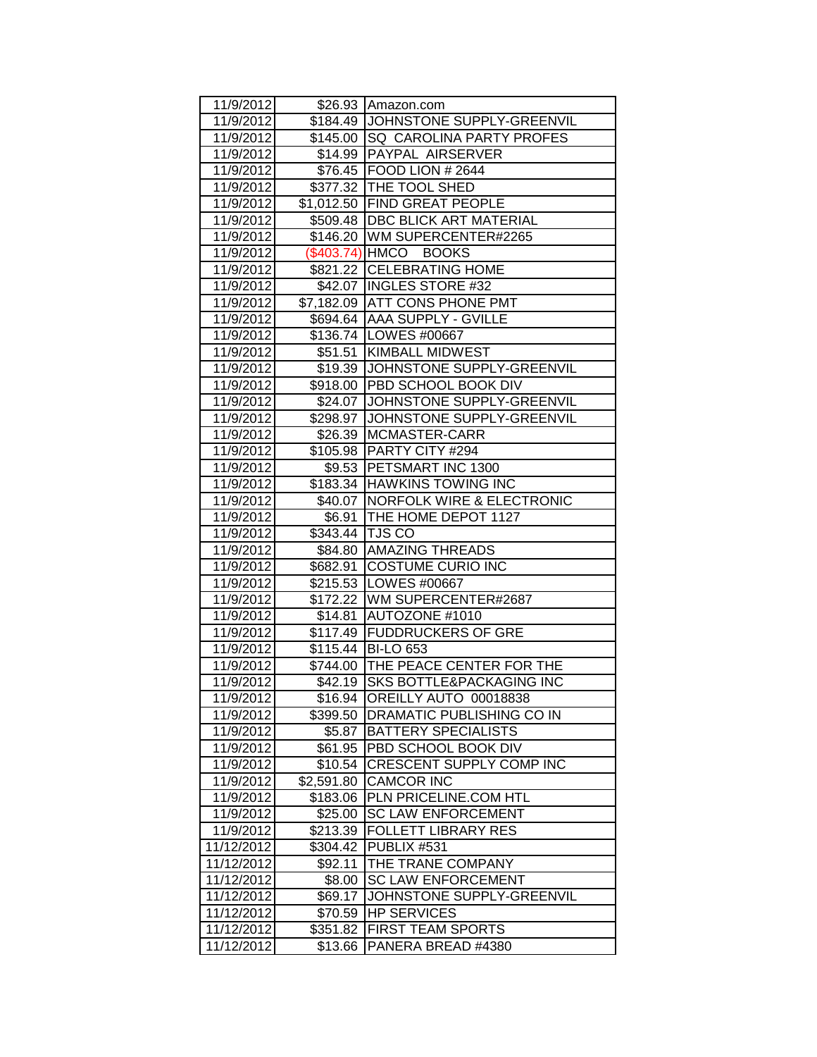| 11/9/2012                |                     | \$26.93 Amazon.com                             |
|--------------------------|---------------------|------------------------------------------------|
| 11/9/2012                |                     | \$184.49 JOHNSTONE SUPPLY-GREENVIL             |
| 11/9/2012                |                     | \$145.00   SQ CAROLINA PARTY PROFES            |
| 11/9/2012                |                     | \$14.99 PAYPAL AIRSERVER                       |
| 11/9/2012                |                     | \$76.45   FOOD LION # 2644                     |
| 11/9/2012                |                     | \$377.32   THE TOOL SHED                       |
| 11/9/2012                |                     | \$1,012.50 FIND GREAT PEOPLE                   |
| 11/9/2012                |                     | \$509.48   DBC BLICK ART MATERIAL              |
| 11/9/2012                |                     | \$146.20 WM SUPERCENTER#2265                   |
| 11/9/2012                |                     | (\$403.74) HMCO BOOKS                          |
| 11/9/2012                |                     | \$821.22 CELEBRATING HOME                      |
| 11/9/2012                |                     | \$42.07   INGLES STORE #32                     |
| 11/9/2012                |                     | \$7,182.09 ATT CONS PHONE PMT                  |
| 11/9/2012                |                     | \$694.64 AAA SUPPLY - GVILLE                   |
| 11/9/2012                |                     | \$136.74 LOWES #00667                          |
| 11/9/2012                | \$51.51             | <b>KIMBALL MIDWEST</b>                         |
| 11/9/2012                | \$19.39             | JOHNSTONE SUPPLY-GREENVIL                      |
| 11/9/2012                | \$918.00            | <b>PBD SCHOOL BOOK DIV</b>                     |
| 11/9/2012                | \$24.07             | <b>JOHNSTONE SUPPLY-GREENVIL</b>               |
| 11/9/2012                | \$298.97            | JOHNSTONE SUPPLY-GREENVIL                      |
| 11/9/2012                | \$26.39             | MCMASTER-CARR                                  |
| 11/9/2012                | \$105.98            | <b>PARTY CITY #294</b>                         |
| 11/9/2012                | \$9.53              | PETSMART INC 1300                              |
| 11/9/2012                | \$183.34            | <b>HAWKINS TOWING INC</b>                      |
| 11/9/2012                | \$40.07             | <b>NORFOLK WIRE &amp; ELECTRONIC</b>           |
| 11/9/2012                | \$6.91              | THE HOME DEPOT 1127                            |
|                          |                     |                                                |
| 11/9/2012                | \$343.44            | <b>TJS CO</b>                                  |
| 11/9/2012                | \$84.80             | <b>AMAZING THREADS</b>                         |
| 11/9/2012                | \$682.91            | COSTUME CURIO INC                              |
| 11/9/2012                | \$215.53            | LOWES #00667                                   |
| 11/9/2012                | \$172.22            | WM SUPERCENTER#2687                            |
| 11/9/2012                | \$14.81             | AUTOZONE #1010                                 |
| 11/9/2012                | \$117.49            | <b>FUDDRUCKERS OF GRE</b>                      |
| 11/9/2012                | \$115.44            | <b>BI-LO 653</b>                               |
| 11/9/2012                | \$744.00            | THE PEACE CENTER FOR THE                       |
| 11/9/2012                | \$42.19             | SKS BOTTLE&PACKAGING INC                       |
| 11/9/2012                | \$16.94             | OREILLY AUTO 00018838                          |
| 11/9/2012                | \$399.50            | DRAMATIC PUBLISHING CO IN                      |
| 11/9/2012                | \$5.87              | <b>BATTERY SPECIALISTS</b>                     |
| 11/9/2012                | \$61.95             | PBD SCHOOL BOOK DIV                            |
| 11/9/2012                | \$10.54             | <b>CRESCENT SUPPLY COMP INC</b>                |
| 11/9/2012                | \$2,591.80          | <b>CAMCOR INC</b>                              |
| 11/9/2012                | \$183.06            | PLN PRICELINE.COM HTL                          |
| 11/9/2012                | \$25.00             | <b>SC LAW ENFORCEMENT</b>                      |
| 11/9/2012                | \$213.39            | <b>FOLLETT LIBRARY RES</b>                     |
| 11/12/2012               | \$304.42            | PUBLIX #531                                    |
| 11/12/2012               | \$92.11             | THE TRANE COMPANY                              |
| 11/12/2012               | \$8.00              | <b>SC LAW ENFORCEMENT</b>                      |
| 11/12/2012               | \$69.17             | JOHNSTONE SUPPLY-GREENVIL                      |
| 11/12/2012               | \$70.59             | <b>HP SERVICES</b>                             |
| 11/12/2012<br>11/12/2012 | \$351.82<br>\$13.66 | <b>FIRST TEAM SPORTS</b><br>PANERA BREAD #4380 |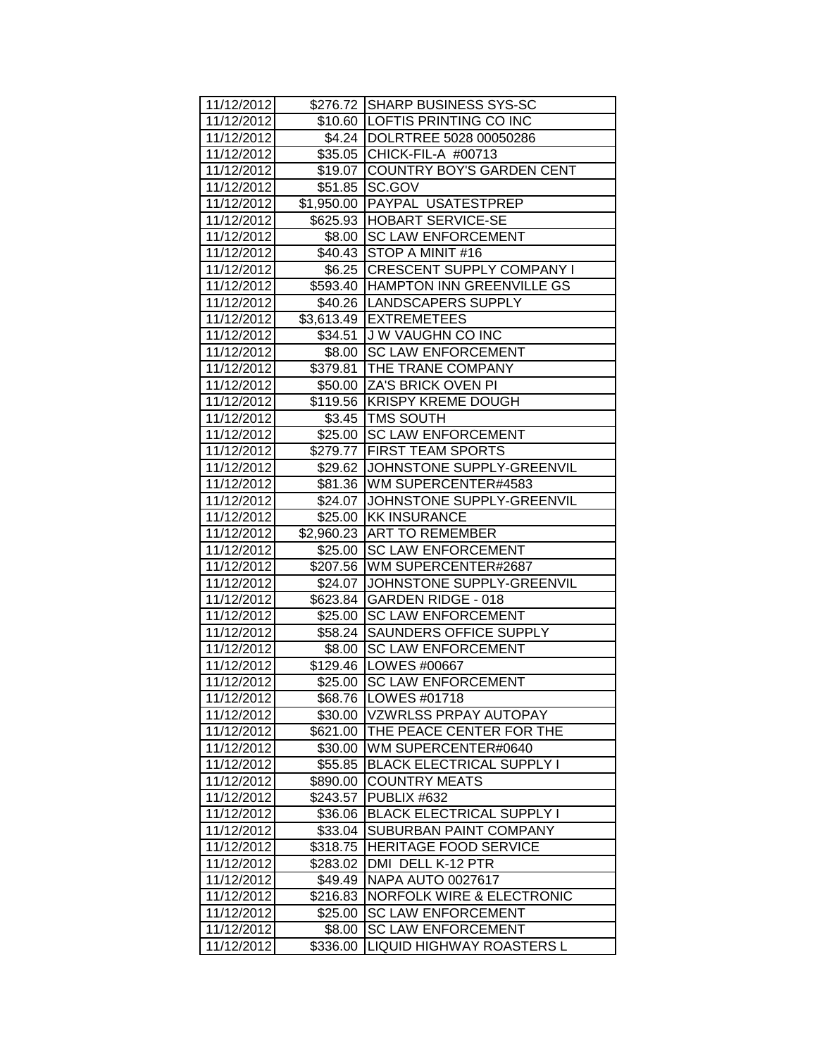| 11/12/2012 |            | \$276.72 SHARP BUSINESS SYS-SC     |
|------------|------------|------------------------------------|
| 11/12/2012 |            | \$10.60  LOFTIS PRINTING CO INC    |
| 11/12/2012 |            | \$4.24   DOLRTREE 5028 00050286    |
| 11/12/2012 |            | \$35.05 CHICK-FIL-A #00713         |
| 11/12/2012 |            | \$19.07 COUNTRY BOY'S GARDEN CENT  |
| 11/12/2012 | \$51.85    | SC.GOV                             |
| 11/12/2012 | \$1,950.00 | <b>PAYPAL USATESTPREP</b>          |
| 11/12/2012 | \$625.93   | <b>HOBART SERVICE-SE</b>           |
| 11/12/2012 | \$8.00     | <b>SC LAW ENFORCEMENT</b>          |
| 11/12/2012 | \$40.43    | <b>STOP A MINIT #16</b>            |
| 11/12/2012 | \$6.25     | <b>CRESCENT SUPPLY COMPANY I</b>   |
| 11/12/2012 |            | \$593.40 HAMPTON INN GREENVILLE GS |
| 11/12/2012 |            | \$40.26   LANDSCAPERS SUPPLY       |
| 11/12/2012 |            | \$3,613.49 EXTREMETEES             |
| 11/12/2012 | \$34.51    | J W VAUGHN CO INC                  |
| 11/12/2012 | \$8.00     | <b>ISC LAW ENFORCEMENT</b>         |
| 11/12/2012 | \$379.81   | <b>THE TRANE COMPANY</b>           |
| 11/12/2012 | \$50.00    | <b>ZA'S BRICK OVEN PI</b>          |
| 11/12/2012 | \$119.56   | <b>KRISPY KREME DOUGH</b>          |
| 11/12/2012 |            | \$3.45   TMS SOUTH                 |
| 11/12/2012 | \$25.00    | <b>SC LAW ENFORCEMENT</b>          |
| 11/12/2012 | \$279.77   | <b>FIRST TEAM SPORTS</b>           |
| 11/12/2012 | \$29.62    | JOHNSTONE SUPPLY-GREENVIL          |
| 11/12/2012 | \$81.36    | WM SUPERCENTER#4583                |
| 11/12/2012 | \$24.07    | JOHNSTONE SUPPLY-GREENVIL          |
| 11/12/2012 | \$25.00    | <b>KK INSURANCE</b>                |
| 11/12/2012 | \$2,960.23 | <b>ART TO REMEMBER</b>             |
| 11/12/2012 | \$25.00    | <b>SC LAW ENFORCEMENT</b>          |
| 11/12/2012 | \$207.56   | WM SUPERCENTER#2687                |
| 11/12/2012 | \$24.07    | JOHNSTONE SUPPLY-GREENVIL          |
| 11/12/2012 | \$623.84   | <b>GARDEN RIDGE - 018</b>          |
| 11/12/2012 | \$25.00    | <b>SC LAW ENFORCEMENT</b>          |
| 11/12/2012 | \$58.24    | ISAUNDERS OFFICE SUPPLY            |
| 11/12/2012 | \$8.00     | <b>SC LAW ENFORCEMENT</b>          |
| 11/12/2012 | \$129.46   | LOWES #00667                       |
| 11/12/2012 | \$25.00    | <b>SC LAW ENFORCEMENT</b>          |
| 11/12/2012 | \$68.76    | $\lfloor$ LOWES #01718             |
| 11/12/2012 | \$30.00    | VZWRLSS PRPAY AUTOPAY              |
| 11/12/2012 | \$621.00   | THE PEACE CENTER FOR THE           |
| 11/12/2012 | \$30.00    | WM SUPERCENTER#0640                |
| 11/12/2012 | \$55.85    | <b>BLACK ELECTRICAL SUPPLY I</b>   |
| 11/12/2012 | \$890.00   | <b>COUNTRY MEATS</b>               |
| 11/12/2012 | \$243.57   | PUBLIX #632                        |
| 11/12/2012 | \$36.06    | <b>BLACK ELECTRICAL SUPPLY I</b>   |
| 11/12/2012 | \$33.04    | SUBURBAN PAINT COMPANY             |
| 11/12/2012 | \$318.75   | HERITAGE FOOD SERVICE              |
| 11/12/2012 | \$283.02   | DMI DELL K-12 PTR                  |
| 11/12/2012 | \$49.49    | NAPA AUTO 0027617                  |
| 11/12/2012 | \$216.83   | NORFOLK WIRE & ELECTRONIC          |
| 11/12/2012 | \$25.00    | <b>SC LAW ENFORCEMENT</b>          |
| 11/12/2012 |            |                                    |
|            | \$8.00     | <b>SC LAW ENFORCEMENT</b>          |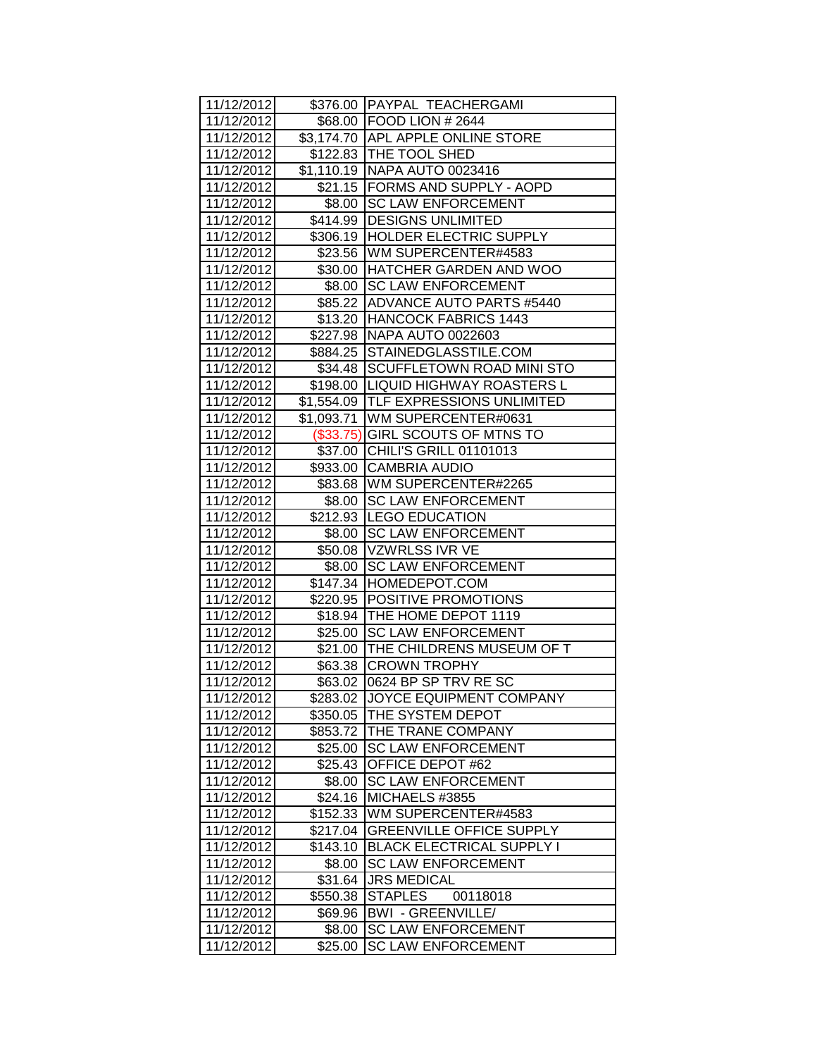| 11/12/2012 |                     | \$376.00 PAYPAL TEACHERGAMI           |
|------------|---------------------|---------------------------------------|
| 11/12/2012 |                     | \$68.00 FOOD LION # 2644              |
| 11/12/2012 |                     | \$3,174.70 APL APPLE ONLINE STORE     |
| 11/12/2012 |                     | \$122.83 THE TOOL SHED                |
| 11/12/2012 |                     | \$1,110.19 NAPA AUTO 0023416          |
| 11/12/2012 | $\overline{$}21.15$ | <b>FORMS AND SUPPLY - AOPD</b>        |
| 11/12/2012 | \$8.00              | <b>SC LAW ENFORCEMENT</b>             |
| 11/12/2012 | \$414.99            | <b>DESIGNS UNLIMITED</b>              |
| 11/12/2012 | \$306.19            | <b>HOLDER ELECTRIC SUPPLY</b>         |
| 11/12/2012 | \$23.56             | WM SUPERCENTER#4583                   |
| 11/12/2012 |                     | \$30.00 HATCHER GARDEN AND WOO        |
| 11/12/2012 |                     | \$8.00 SC LAW ENFORCEMENT             |
| 11/12/2012 |                     | \$85.22 ADVANCE AUTO PARTS #5440      |
| 11/12/2012 |                     | \$13.20 HANCOCK FABRICS 1443          |
| 11/12/2012 | \$227.98            | NAPA AUTO 0022603                     |
| 11/12/2012 | \$884.25            | STAINEDGLASSTILE.COM                  |
| 11/12/2012 |                     | \$34.48 SCUFFLETOWN ROAD MINI STO     |
| 11/12/2012 | \$198.00            | LIQUID HIGHWAY ROASTERS L             |
| 11/12/2012 |                     | \$1,554.09  TLF EXPRESSIONS UNLIMITED |
| 11/12/2012 |                     | \$1,093.71   WM SUPERCENTER#0631      |
| 11/12/2012 |                     | (\$33.75) GIRL SCOUTS OF MTNS TO      |
| 11/12/2012 |                     | \$37.00 CHILI'S GRILL 01101013        |
| 11/12/2012 | \$933.00            | <b>CAMBRIA AUDIO</b>                  |
| 11/12/2012 | \$83.68             | WM SUPERCENTER#2265                   |
| 11/12/2012 | \$8.00              | <b>SC LAW ENFORCEMENT</b>             |
| 11/12/2012 | \$212.93            | <b>LEGO EDUCATION</b>                 |
| 11/12/2012 | \$8.00              | <b>SC LAW ENFORCEMENT</b>             |
| 11/12/2012 |                     | \$50.08 VZWRLSS IVR VE                |
| 11/12/2012 | \$8.00              | <b>SC LAW ENFORCEMENT</b>             |
| 11/12/2012 | \$147.34            | HOMEDEPOT.COM                         |
| 11/12/2012 | \$220.95            | <b>POSITIVE PROMOTIONS</b>            |
|            |                     | THE HOME DEPOT 1119                   |
| 11/12/2012 | \$18.94             |                                       |
| 11/12/2012 | \$25.00             | <b>SC LAW ENFORCEMENT</b>             |
| 11/12/2012 |                     | \$21.00   THE CHILDRENS MUSEUM OF T   |
| 11/12/2012 |                     | \$63.38 CROWN TROPHY                  |
| 11/12/2012 |                     | \$63.02 0624 BP SP TRV RE SC          |
| 11/12/2012 | \$283.02            | JOYCE EQUIPMENT COMPANY               |
| 11/12/2012 | \$350.05            | THE SYSTEM DEPOT                      |
| 11/12/2012 | \$853.72            | THE TRANE COMPANY                     |
| 11/12/2012 | \$25.00             | <b>SC LAW ENFORCEMENT</b>             |
| 11/12/2012 | \$25.43             | OFFICE DEPOT #62                      |
| 11/12/2012 | \$8.00              | <b>SC LAW ENFORCEMENT</b>             |
| 11/12/2012 | \$24.16             | MICHAELS #3855                        |
| 11/12/2012 | \$152.33            | WM SUPERCENTER#4583                   |
| 11/12/2012 | \$217.04            | <b>GREENVILLE OFFICE SUPPLY</b>       |
| 11/12/2012 | \$143.10            | <b>BLACK ELECTRICAL SUPPLY I</b>      |
| 11/12/2012 | \$8.00              | <b>SC LAW ENFORCEMENT</b>             |
| 11/12/2012 | \$31.64             | <b>JRS MEDICAL</b>                    |
| 11/12/2012 | \$550.38            | <b>STAPLES</b><br>00118018            |
| 11/12/2012 | \$69.96             | <b>BWI - GREENVILLE/</b>              |
| 11/12/2012 | \$8.00              | <b>SC LAW ENFORCEMENT</b>             |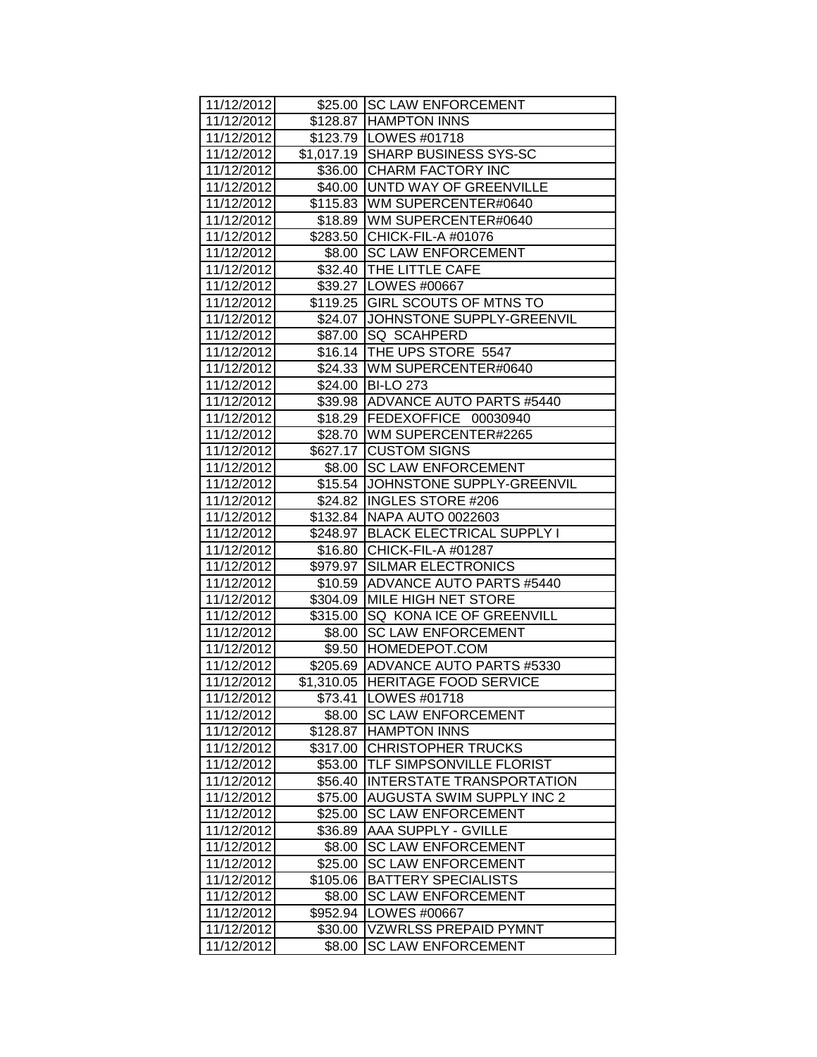| 11/12/2012 |            | \$25.00 SC LAW ENFORCEMENT       |
|------------|------------|----------------------------------|
| 11/12/2012 |            | \$128.87 HAMPTON INNS            |
| 11/12/2012 |            | \$123.79   LOWES #01718          |
| 11/12/2012 |            | \$1,017.19 SHARP BUSINESS SYS-SC |
| 11/12/2012 |            | \$36.00 CHARM FACTORY INC        |
| 11/12/2012 |            | \$40.00 UNTD WAY OF GREENVILLE   |
| 11/12/2012 | \$115.83   | WM SUPERCENTER#0640              |
| 11/12/2012 | \$18.89    | WM SUPERCENTER#0640              |
| 11/12/2012 | \$283.50   | CHICK-FIL-A #01076               |
| 11/12/2012 | \$8.00     | <b>SC LAW ENFORCEMENT</b>        |
| 11/12/2012 | \$32.40    | <b>THE LITTLE CAFE</b>           |
| 11/12/2012 |            | \$39.27 LOWES #00667             |
| 11/12/2012 |            | \$119.25 GIRL SCOUTS OF MTNS TO  |
| 11/12/2012 | \$24.07    | JOHNSTONE SUPPLY-GREENVIL        |
| 11/12/2012 | \$87.00    | <b>SQ SCAHPERD</b>               |
| 11/12/2012 | \$16.14    | THE UPS STORE 5547               |
| 11/12/2012 | \$24.33    | WM SUPERCENTER#0640              |
| 11/12/2012 | \$24.00    | <b>IBI-LO 273</b>                |
| 11/12/2012 | \$39.98    | <b>ADVANCE AUTO PARTS #5440</b>  |
| 11/12/2012 | \$18.29    | FEDEXOFFICE 00030940             |
| 11/12/2012 | \$28.70    | WM SUPERCENTER#2265              |
| 11/12/2012 | \$627.17   | <b>CUSTOM SIGNS</b>              |
| 11/12/2012 | \$8.00     | <b>SC LAW ENFORCEMENT</b>        |
| 11/12/2012 | \$15.54    | JOHNSTONE SUPPLY-GREENVIL        |
| 11/12/2012 | \$24.82    | <b>INGLES STORE #206</b>         |
| 11/12/2012 | \$132.84   | NAPA AUTO 0022603                |
| 11/12/2012 | \$248.97   | <b>BLACK ELECTRICAL SUPPLY I</b> |
| 11/12/2012 | \$16.80    | CHICK-FIL-A #01287               |
| 11/12/2012 | \$979.97   | <b>SILMAR ELECTRONICS</b>        |
| 11/12/2012 | \$10.59    | <b>ADVANCE AUTO PARTS #5440</b>  |
| 11/12/2012 | \$304.09   | MILE HIGH NET STORE              |
| 11/12/2012 | \$315.00   | SQ KONA ICE OF GREENVILL         |
| 11/12/2012 | \$8.00     | <b>SC LAW ENFORCEMENT</b>        |
| 11/12/2012 | \$9.50     | HOMEDEPOT.COM                    |
| 11/12/2012 | \$205.69   | <b>ADVANCE AUTO PARTS #5330</b>  |
| 11/12/2012 | \$1,310.05 | <b>HERITAGE FOOD SERVICE</b>     |
| 11/12/2012 | \$73.41    | LOWES #01718                     |
| 11/12/2012 | \$8.00     | <b>SC LAW ENFORCEMENT</b>        |
| 11/12/2012 | \$128.87   | <b>HAMPTON INNS</b>              |
| 11/12/2012 | \$317.00   | <b>CHRISTOPHER TRUCKS</b>        |
| 11/12/2012 | \$53.00    | TLF SIMPSONVILLE FLORIST         |
| 11/12/2012 | \$56.40    | INTERSTATE TRANSPORTATION        |
| 11/12/2012 | \$75.00    | <b>AUGUSTA SWIM SUPPLY INC 2</b> |
| 11/12/2012 | \$25.00    | <b>SC LAW ENFORCEMENT</b>        |
| 11/12/2012 | \$36.89    | AAA SUPPLY - GVILLE              |
| 11/12/2012 | \$8.00     | <b>SC LAW ENFORCEMENT</b>        |
| 11/12/2012 | \$25.00    | <b>SC LAW ENFORCEMENT</b>        |
| 11/12/2012 | \$105.06   | <b>BATTERY SPECIALISTS</b>       |
| 11/12/2012 | \$8.00     | <b>SC LAW ENFORCEMENT</b>        |
| 11/12/2012 | \$952.94   | LOWES #00667                     |
| 11/12/2012 | \$30.00    | <b>VZWRLSS PREPAID PYMNT</b>     |
| 11/12/2012 | \$8.00     | <b>SC LAW ENFORCEMENT</b>        |
|            |            |                                  |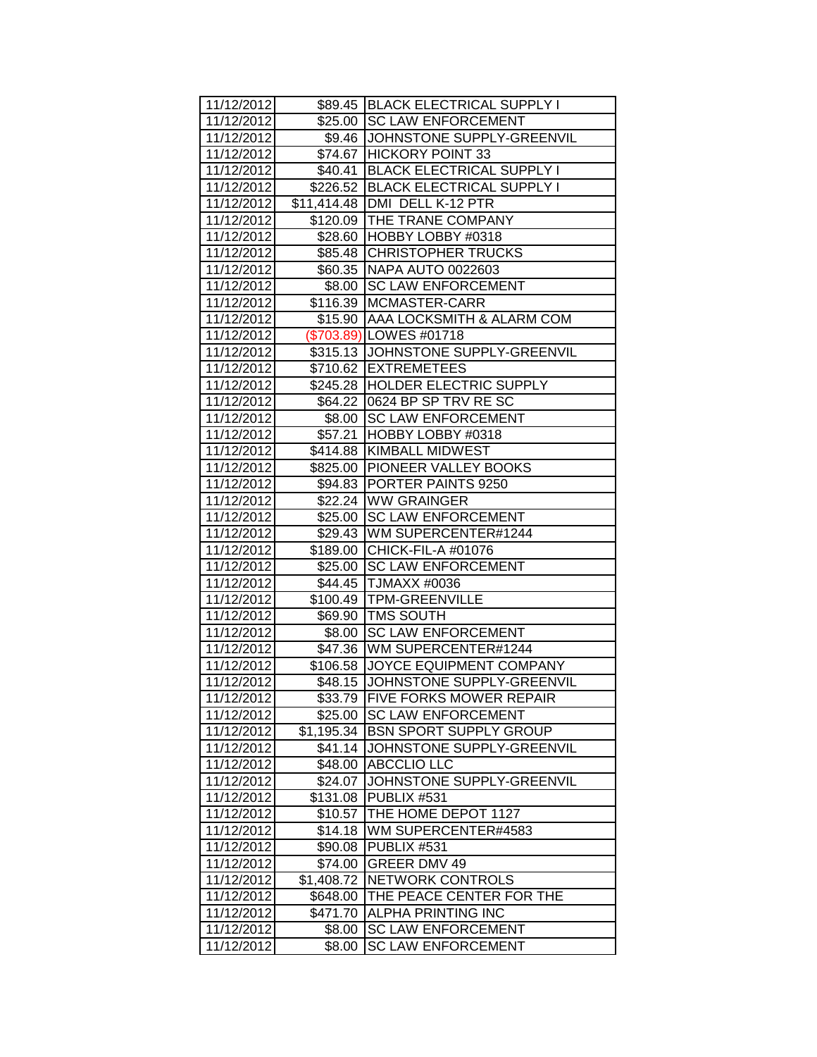| 11/12/2012 |             | \$89.45   BLACK ELECTRICAL SUPPLY I |
|------------|-------------|-------------------------------------|
| 11/12/2012 | \$25.00     | <b>SC LAW ENFORCEMENT</b>           |
| 11/12/2012 | \$9.46      | JOHNSTONE SUPPLY-GREENVIL           |
| 11/12/2012 | \$74.67     | <b>HICKORY POINT 33</b>             |
| 11/12/2012 | \$40.41     | <b>BLACK ELECTRICAL SUPPLY I</b>    |
| 11/12/2012 | \$226.52    | <b>BLACK ELECTRICAL SUPPLY I</b>    |
| 11/12/2012 | \$11,414.48 | DMI DELL K-12 PTR                   |
| 11/12/2012 | \$120.09    | THE TRANE COMPANY                   |
| 11/12/2012 | \$28.60     | HOBBY LOBBY #0318                   |
| 11/12/2012 | \$85.48     | <b>CHRISTOPHER TRUCKS</b>           |
| 11/12/2012 | \$60.35     | <b>NAPA AUTO 0022603</b>            |
| 11/12/2012 | \$8.00      | <b>SC LAW ENFORCEMENT</b>           |
| 11/12/2012 | \$116.39    | MCMASTER-CARR                       |
| 11/12/2012 | \$15.90     | AAA LOCKSMITH & ALARM COM           |
| 11/12/2012 |             | (\$703.89) LOWES #01718             |
| 11/12/2012 | \$315.13    | JOHNSTONE SUPPLY-GREENVIL           |
| 11/12/2012 | \$710.62    | <b>EXTREMETEES</b>                  |
| 11/12/2012 | \$245.28    | <b>HOLDER ELECTRIC SUPPLY</b>       |
| 11/12/2012 | \$64.22     | 0624 BP SP TRV RE SC                |
| 11/12/2012 | \$8.00      | <b>ISC LAW ENFORCEMENT</b>          |
| 11/12/2012 | \$57.21     | HOBBY LOBBY #0318                   |
| 11/12/2012 | \$414.88    | <b>KIMBALL MIDWEST</b>              |
| 11/12/2012 | \$825.00    | PIONEER VALLEY BOOKS                |
| 11/12/2012 | \$94.83     | PORTER PAINTS 9250                  |
| 11/12/2012 | \$22.24     | <b>WW GRAINGER</b>                  |
| 11/12/2012 | \$25.00     | <b>SC LAW ENFORCEMENT</b>           |
| 11/12/2012 | \$29.43     | WM SUPERCENTER#1244                 |
| 11/12/2012 | \$189.00    | CHICK-FIL-A #01076                  |
| 11/12/2012 | \$25.00     | <b>SC LAW ENFORCEMENT</b>           |
| 11/12/2012 | \$44.45     | <b>TJMAXX #0036</b>                 |
| 11/12/2012 | \$100.49    | <b>TPM-GREENVILLE</b>               |
| 11/12/2012 | \$69.90     | <b>TMS SOUTH</b>                    |
| 11/12/2012 | \$8.00      | <b>SC LAW ENFORCEMENT</b>           |
| 11/12/2012 | \$47.36     | WM SUPERCENTER#1244                 |
| 11/12/2012 | \$106.58    | JOYCE EQUIPMENT COMPANY             |
| 11/12/2012 | \$48.15     | JOHNSTONE SUPPLY-GREENVIL           |
| 11/12/2012 | \$33.79     | <b>FIVE FORKS MOWER REPAIR</b>      |
| 11/12/2012 | \$25.00     | <b>SC LAW ENFORCEMENT</b>           |
| 11/12/2012 | \$1,195.34  | <b>BSN SPORT SUPPLY GROUP</b>       |
| 11/12/2012 | \$41.14     | JOHNSTONE SUPPLY-GREENVIL           |
| 11/12/2012 | \$48.00     | ABCCLIO LLC                         |
| 11/12/2012 | \$24.07     | JOHNSTONE SUPPLY-GREENVIL           |
| 11/12/2012 | \$131.08    | PUBLIX #531                         |
| 11/12/2012 | \$10.57     | THE HOME DEPOT 1127                 |
| 11/12/2012 | \$14.18     | WM SUPERCENTER#4583                 |
| 11/12/2012 | \$90.08     | PUBLIX #531                         |
| 11/12/2012 | \$74.00     | <b>GREER DMV 49</b>                 |
| 11/12/2012 | \$1,408.72  | NETWORK CONTROLS                    |
| 11/12/2012 | \$648.00    | THE PEACE CENTER FOR THE            |
| 11/12/2012 | \$471.70    | ALPHA PRINTING INC                  |
| 11/12/2012 | \$8.00      | <b>SC LAW ENFORCEMENT</b>           |
| 11/12/2012 | \$8.00      | <b>SC LAW ENFORCEMENT</b>           |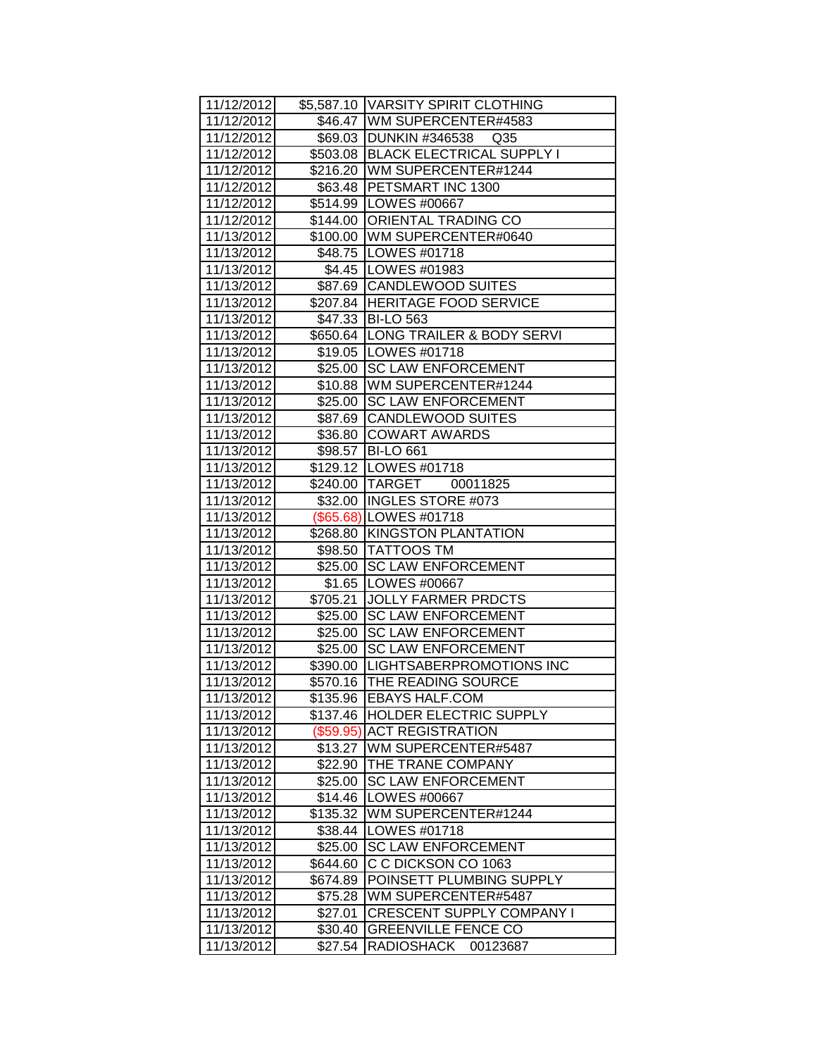| 11/12/2012               |                    | \$5,587.10 VARSITY SPIRIT CLOTHING                          |
|--------------------------|--------------------|-------------------------------------------------------------|
| 11/12/2012               |                    | \$46.47   WM SUPERCENTER#4583                               |
| 11/12/2012               |                    | \$69.03  DUNKIN #346538<br>Q <sub>35</sub>                  |
| 11/12/2012               |                    | \$503.08 BLACK ELECTRICAL SUPPLY I                          |
| 11/12/2012               |                    | \$216.20 WM SUPERCENTER#1244                                |
| 11/12/2012               |                    | \$63.48 PETSMART INC 1300                                   |
| 11/12/2012               |                    | \$514.99   LOWES #00667                                     |
| 11/12/2012               |                    | \$144.00 ORIENTAL TRADING CO                                |
| 11/13/2012               | \$100.00           | WM SUPERCENTER#0640                                         |
| 11/13/2012               |                    | \$48.75   LOWES #01718                                      |
| 11/13/2012               |                    | \$4.45   LOWES #01983                                       |
| 11/13/2012               |                    | \$87.69 CANDLEWOOD SUITES                                   |
| 11/13/2012               |                    | \$207.84 HERITAGE FOOD SERVICE                              |
| 11/13/2012               |                    | \$47.33 BI-LO 563                                           |
| 11/13/2012               |                    | \$650.64   LONG TRAILER & BODY SERVI                        |
| 11/13/2012               |                    | \$19.05   LOWES #01718                                      |
| 11/13/2012               | \$25.00            | <b>SC LAW ENFORCEMENT</b>                                   |
| 11/13/2012               | \$10.88            | WM SUPERCENTER#1244                                         |
| 11/13/2012               | \$25.00            | <b>SC LAW ENFORCEMENT</b>                                   |
| 11/13/2012               | \$87.69            | CANDLEWOOD SUITES                                           |
| 11/13/2012               | \$36.80            | <b>COWART AWARDS</b>                                        |
| 11/13/2012               | \$98.57            | <b>BI-LO 661</b>                                            |
| 11/13/2012               | \$129.12           | LOWES #01718                                                |
| 11/13/2012               | \$240.00           | TARGET<br>00011825                                          |
| 11/13/2012               | \$32.00            | <b>INGLES STORE #073</b>                                    |
| 11/13/2012               |                    | (\$65.68) LOWES #01718                                      |
| 11/13/2012               | \$268.80           | <b>KINGSTON PLANTATION</b>                                  |
| 11/13/2012               | \$98.50            | <b>TATTOOS TM</b>                                           |
|                          |                    |                                                             |
| 11/13/2012               | \$25.00            | <b>SC LAW ENFORCEMENT</b>                                   |
| 11/13/2012               | \$1.65             | LOWES #00667                                                |
| 11/13/2012               | \$705.21           | <b>JOLLY FARMER PRDCTS</b>                                  |
| 11/13/2012               | \$25.00            | <b>SC LAW ENFORCEMENT</b>                                   |
| 11/13/2012               | \$25.00            | <b>SC LAW ENFORCEMENT</b>                                   |
| 11/13/2012               | \$25.00            | <b>SC LAW ENFORCEMENT</b>                                   |
| 11/13/2012               | \$390.00           | LIGHTSABERPROMOTIONS INC                                    |
| 11/13/2012               | \$570.16           | THE READING SOURCE                                          |
| 11/13/2012               |                    | \$135.96 EBAYS HALF.COM                                     |
| 11/13/2012               | \$137.46           | <b>HOLDER ELECTRIC SUPPLY</b>                               |
| 11/13/2012               |                    | (\$59.95) ACT REGISTRATION                                  |
| 11/13/2012               | \$13.27            | WM SUPERCENTER#5487                                         |
| 11/13/2012               | \$22.90            | THE TRANE COMPANY                                           |
| 11/13/2012               | \$25.00            | <b>SC LAW ENFORCEMENT</b>                                   |
| 11/13/2012               | \$14.46            | LOWES #00667                                                |
| 11/13/2012               | \$135.32           | WM SUPERCENTER#1244                                         |
| 11/13/2012               | \$38.44            | LOWES #01718                                                |
| 11/13/2012               | \$25.00            | <b>SC LAW ENFORCEMENT</b>                                   |
| 11/13/2012               | \$644.60           | C C DICKSON CO 1063                                         |
| 11/13/2012               | \$674.89           | POINSETT PLUMBING SUPPLY                                    |
| 11/13/2012               | \$75.28            | WM SUPERCENTER#5487                                         |
| 11/13/2012               | \$27.01            | <b>CRESCENT SUPPLY COMPANY I</b>                            |
| 11/13/2012<br>11/13/2012 | \$30.40<br>\$27.54 | <b>GREENVILLE FENCE CO</b><br><b>RADIOSHACK</b><br>00123687 |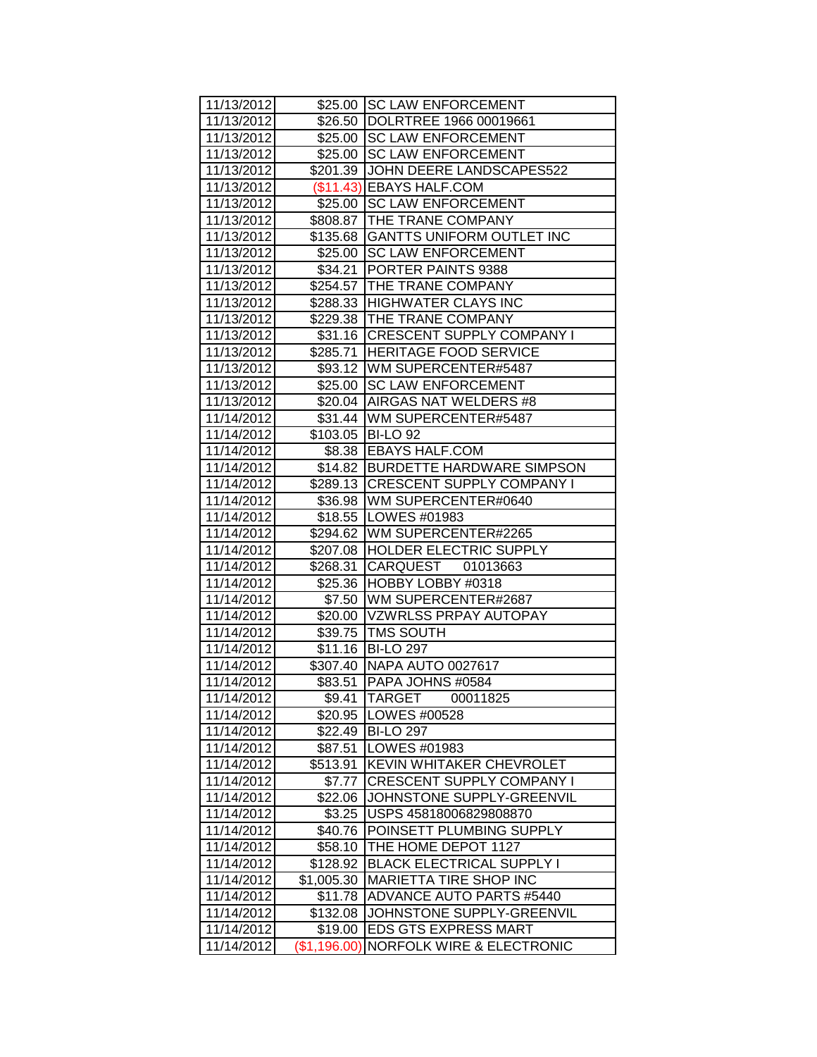| 11/13/2012               |                               | \$25.00 SC LAW ENFORCEMENT                               |
|--------------------------|-------------------------------|----------------------------------------------------------|
| 11/13/2012               | \$26.50                       | DOLRTREE 1966 00019661                                   |
| 11/13/2012               |                               | \$25.00 SC LAW ENFORCEMENT                               |
| 11/13/2012               |                               | \$25.00 SC LAW ENFORCEMENT                               |
| 11/13/2012               | \$201.39                      | JOHN DEERE LANDSCAPES522                                 |
| 11/13/2012               |                               | $($11.43)$ EBAYS HALF.COM                                |
| 11/13/2012               | \$25.00                       | <b>SC LAW ENFORCEMENT</b>                                |
| 11/13/2012               | \$808.87                      | <b>THE TRANE COMPANY</b>                                 |
| 11/13/2012               | \$135.68                      | <b>GANTTS UNIFORM OUTLET INC</b>                         |
| 11/13/2012               | \$25.00                       | <b>SC LAW ENFORCEMENT</b>                                |
| 11/13/2012               | \$34.21                       | PORTER PAINTS 9388                                       |
| 11/13/2012               | \$254.57                      | THE TRANE COMPANY                                        |
| 11/13/2012               |                               | \$288.33 HIGHWATER CLAYS INC                             |
| 11/13/2012               |                               | \$229.38   THE TRANE COMPANY                             |
| 11/13/2012               |                               | \$31.16 CRESCENT SUPPLY COMPANY I                        |
| 11/13/2012               | \$285.71                      | <b>HERITAGE FOOD SERVICE</b>                             |
| 11/13/2012               |                               | \$93.12   WM SUPERCENTER#5487                            |
| 11/13/2012               | \$25.00                       | <b>SC LAW ENFORCEMENT</b>                                |
| 11/13/2012               | \$20.04                       | AIRGAS NAT WELDERS #8                                    |
| 11/14/2012               | \$31.44                       | <b>WM SUPERCENTER#5487</b>                               |
| 11/14/2012               | \$103.05                      | <b>BI-LO 92</b>                                          |
| 11/14/2012               | \$8.38                        | <b>EBAYS HALF.COM</b>                                    |
| 11/14/2012               | \$14.82                       | <b>BURDETTE HARDWARE SIMPSON</b>                         |
| 11/14/2012               | \$289.13                      | <b>CRESCENT SUPPLY COMPANY I</b>                         |
| 11/14/2012               | \$36.98                       | WM SUPERCENTER#0640                                      |
| 11/14/2012               | \$18.55                       | LOWES #01983                                             |
| 11/14/2012               | \$294.62                      | WM SUPERCENTER#2265                                      |
| 11/14/2012               | \$207.08                      | <b>HOLDER ELECTRIC SUPPLY</b>                            |
| 11/14/2012               | \$268.31                      | CARQUEST 01013663                                        |
| 11/14/2012               | \$25.36                       | HOBBY LOBBY #0318                                        |
| 11/14/2012               | \$7.50                        | WM SUPERCENTER#2687                                      |
| 11/14/2012               | \$20.00                       | <b>VZWRLSS PRPAY AUTOPAY</b>                             |
| 11/14/2012               | \$39.75                       | <b>TMS SOUTH</b>                                         |
| 11/14/2012               | \$11.16                       | <b>BI-LO 297</b>                                         |
| 11/14/2012               | \$307.40                      | NAPA AUTO 0027617                                        |
| 11/14/2012               | \$83.51                       | PAPA JOHNS #0584                                         |
| 11/14/2012               | \$9.41                        | <b>TARGET</b><br>00011825                                |
| 11/14/2012               | \$20.95                       | LOWES #00528                                             |
| 11/14/2012               | \$22.49                       | <b>BI-LO 297</b>                                         |
| 11/14/2012               | \$87.51                       | LOWES #01983                                             |
| 11/14/2012               | \$513.91                      | KEVIN WHITAKER CHEVROLET                                 |
| 11/14/2012               | \$7.77                        | <b>CRESCENT SUPPLY COMPANY I</b>                         |
| 11/14/2012               | \$22.06                       | JOHNSTONE SUPPLY-GREENVIL                                |
| 11/14/2012               | \$3.25                        | USPS 45818006829808870                                   |
| 11/14/2012               | \$40.76                       | POINSETT PLUMBING SUPPLY                                 |
| 11/14/2012               | \$58.10                       | THE HOME DEPOT 1127                                      |
| 11/14/2012               | \$128.92                      | <b>BLACK ELECTRICAL SUPPLY I</b>                         |
| 11/14/2012               | \$1,005.30                    | MARIETTA TIRE SHOP INC                                   |
| 11/14/2012               | \$11.78                       | <b>ADVANCE AUTO PARTS #5440</b>                          |
|                          |                               |                                                          |
| 11/14/2012               | \$132.08                      | JOHNSTONE SUPPLY-GREENVIL                                |
| 11/14/2012<br>11/14/2012 | \$19.00<br>$($ \$1,196.00 $)$ | <b>EDS GTS EXPRESS MART</b><br>NORFOLK WIRE & ELECTRONIC |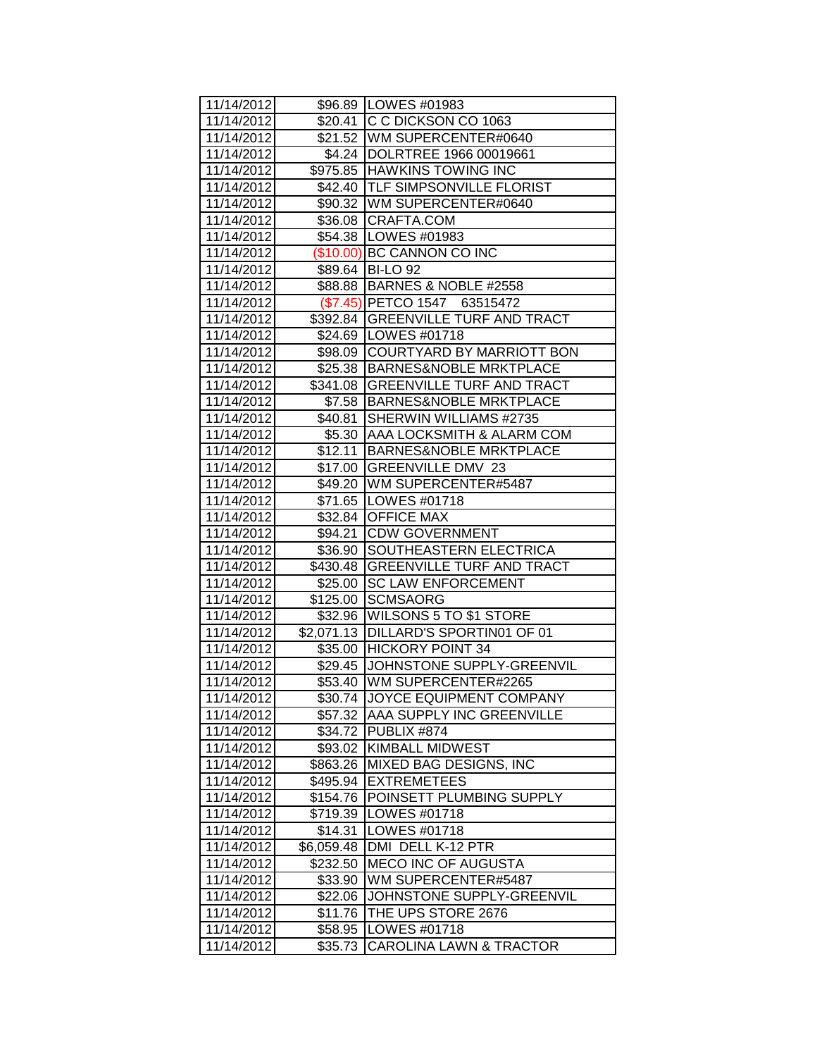| 11/14/2012               |                       | \$96.89   LOWES #01983                          |
|--------------------------|-----------------------|-------------------------------------------------|
| 11/14/2012               |                       | \$20.41 C C DICKSON CO 1063                     |
| 11/14/2012               |                       | \$21.52 WM SUPERCENTER#0640                     |
| 11/14/2012               |                       | \$4.24   DOLRTREE 1966 00019661                 |
| 11/14/2012               |                       | \$975.85 HAWKINS TOWING INC                     |
| 11/14/2012               |                       | \$42.40 TLF SIMPSONVILLE FLORIST                |
| 11/14/2012               | \$90.32               | WM SUPERCENTER#0640                             |
| 11/14/2012               | \$36.08               | <b>CRAFTA.COM</b>                               |
| 11/14/2012               |                       | \$54.38   LOWES #01983                          |
| 11/14/2012               | (\$10.00)             | <b>BC CANNON CO INC</b>                         |
| 11/14/2012               | \$89.64               | <b>BI-LO 92</b>                                 |
| 11/14/2012               |                       | \$88.88   BARNES & NOBLE #2558                  |
| 11/14/2012               |                       | (\$7.45) PETCO 1547 63515472                    |
| 11/14/2012               | \$392.84              | <b>GREENVILLE TURF AND TRACT</b>                |
| 11/14/2012               | \$24.69               | <b>LOWES #01718</b>                             |
| 11/14/2012               | \$98.09               | COURTYARD BY MARRIOTT BON                       |
| 11/14/2012               | \$25.38               | BARNES&NOBLE MRKTPLACE                          |
| 11/14/2012               |                       | \$341.08   GREENVILLE TURF AND TRACT            |
| 11/14/2012               |                       | \$7.58 BARNES&NOBLE MRKTPLACE                   |
| 11/14/2012               | \$40.81               | SHERWIN WILLIAMS #2735                          |
| 11/14/2012               | \$5.30                | AAA LOCKSMITH & ALARM COM                       |
| 11/14/2012               | \$12.11               | <b>BARNES&amp;NOBLE MRKTPLACE</b>               |
| 11/14/2012               | \$17.00               | <b>GREENVILLE DMV 23</b>                        |
| 11/14/2012               | \$49.20               | WM SUPERCENTER#5487                             |
| 11/14/2012               | \$71.65               | <b>LOWES #01718</b>                             |
| 11/14/2012               | \$32.84               | <b>OFFICE MAX</b>                               |
|                          |                       |                                                 |
|                          |                       |                                                 |
| 11/14/2012               | \$94.21               | <b>CDW GOVERNMENT</b>                           |
| 11/14/2012               | \$36.90               | <b>SOUTHEASTERN ELECTRICA</b>                   |
| 11/14/2012               | \$430.48              | <b>GREENVILLE TURF AND TRACT</b>                |
| 11/14/2012               | \$25.00               | <b>SC LAW ENFORCEMENT</b>                       |
| 11/14/2012               | \$125.00              | <b>SCMSAORG</b>                                 |
| 11/14/2012               | \$32.96               | WILSONS 5 TO \$1 STORE                          |
| 11/14/2012<br>11/14/2012 | \$2,071.13<br>\$35.00 | DILLARD'S SPORTIN01 OF 01                       |
|                          |                       | HICKORY POINT 34                                |
| 11/14/2012               | \$29.45<br>\$53.40    | JOHNSTONE SUPPLY-GREENVIL                       |
| 11/14/2012               |                       | <b>WM SUPERCENTER#2265</b>                      |
| 11/14/2012<br>11/14/2012 | \$57.32               | \$30.74 JOYCE EQUIPMENT COMPANY                 |
|                          |                       | <b>AAA SUPPLY INC GREENVILLE</b><br>PUBLIX #874 |
| 11/14/2012               | \$34.72               | <b>KIMBALL MIDWEST</b>                          |
| 11/14/2012               | \$93.02               | MIXED BAG DESIGNS, INC                          |
| 11/14/2012<br>11/14/2012 | \$863.26              |                                                 |
|                          | \$495.94              | <b>EXTREMETEES</b>                              |
| 11/14/2012<br>11/14/2012 | \$154.76<br>\$719.39  | POINSETT PLUMBING SUPPLY<br>LOWES #01718        |
| 11/14/2012               | \$14.31               | LOWES #01718                                    |
| 11/14/2012               | \$6,059.48            | DMI DELL K-12 PTR                               |
| 11/14/2012               | \$232.50              | MECO INC OF AUGUSTA                             |
| 11/14/2012               | \$33.90               | WM SUPERCENTER#5487                             |
| 11/14/2012               | \$22.06               | JOHNSTONE SUPPLY-GREENVIL                       |
| 11/14/2012               | \$11.76               | THE UPS STORE 2676                              |
| 11/14/2012               | \$58.95               | LOWES #01718                                    |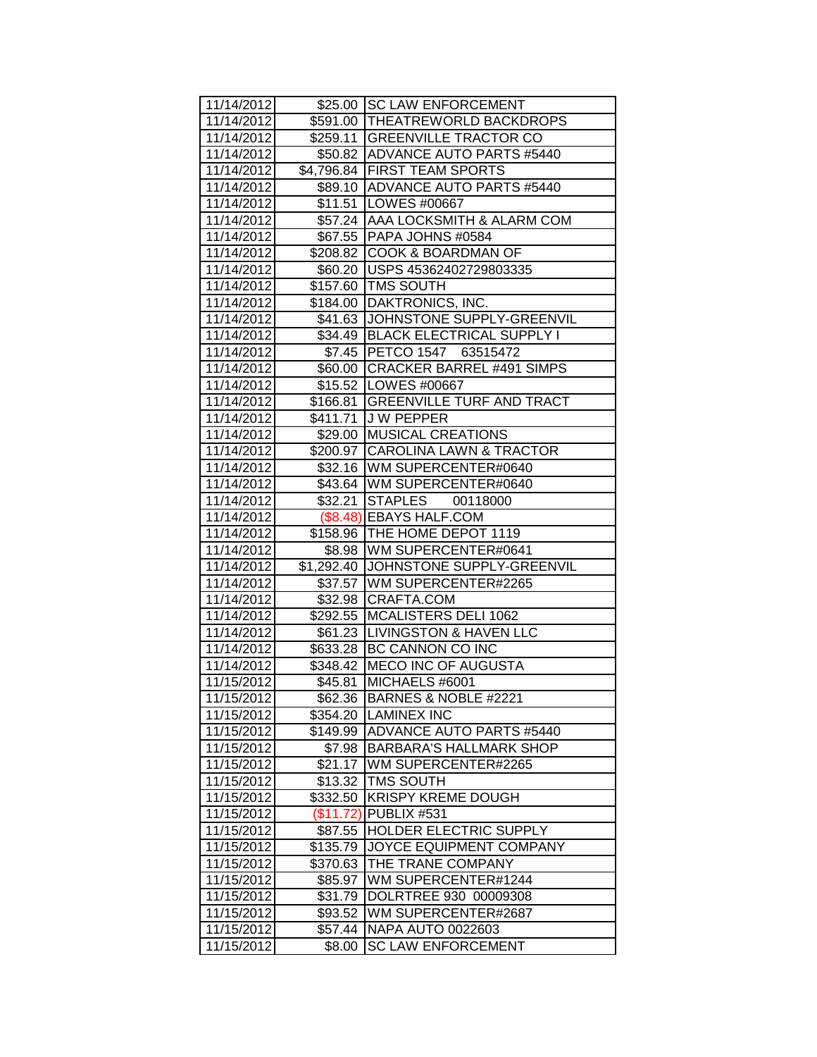| 11/14/2012 |            | \$25.00 SC LAW ENFORCEMENT         |
|------------|------------|------------------------------------|
| 11/14/2012 |            | \$591.00 THEATREWORLD BACKDROPS    |
| 11/14/2012 |            | \$259.11 GREENVILLE TRACTOR CO     |
| 11/14/2012 |            | \$50.82 ADVANCE AUTO PARTS #5440   |
| 11/14/2012 |            | \$4,796.84 FIRST TEAM SPORTS       |
| 11/14/2012 |            | \$89.10 ADVANCE AUTO PARTS #5440   |
| 11/14/2012 | \$11.51    | LOWES #00667                       |
| 11/14/2012 |            | \$57.24 AAA LOCKSMITH & ALARM COM  |
| 11/14/2012 | \$67.55    | <b>PAPA JOHNS #0584</b>            |
| 11/14/2012 | \$208.82   | <b>COOK &amp; BOARDMAN OF</b>      |
| 11/14/2012 | \$60.20    | USPS 45362402729803335             |
| 11/14/2012 | \$157.60   | <b>TMS SOUTH</b>                   |
| 11/14/2012 |            | \$184.00 DAKTRONICS, INC.          |
| 11/14/2012 | \$41.63    | JOHNSTONE SUPPLY-GREENVIL          |
| 11/14/2012 | \$34.49    | <b>BLACK ELECTRICAL SUPPLY I</b>   |
| 11/14/2012 | \$7.45     | PETCO 1547<br>63515472             |
| 11/14/2012 | \$60.00    | <b>CRACKER BARREL #491 SIMPS</b>   |
| 11/14/2012 | \$15.52    | <b>ILOWES #00667</b>               |
| 11/14/2012 | \$166.81   | <b>GREENVILLE TURF AND TRACT</b>   |
| 11/14/2012 | \$411.71   | <b>JW PEPPER</b>                   |
| 11/14/2012 | \$29.00    | <b>MUSICAL CREATIONS</b>           |
| 11/14/2012 | \$200.97   | <b>CAROLINA LAWN &amp; TRACTOR</b> |
| 11/14/2012 |            | \$32.16 WM SUPERCENTER#0640        |
| 11/14/2012 | \$43.64    | WM SUPERCENTER#0640                |
| 11/14/2012 | \$32.21    | STAPLES 00118000                   |
| 11/14/2012 |            | (\$8.48) EBAYS HALF.COM            |
| 11/14/2012 | \$158.96   | <b>THE HOME DEPOT 1119</b>         |
| 11/14/2012 | \$8.98     | WM SUPERCENTER#0641                |
| 11/14/2012 | \$1,292.40 | JOHNSTONE SUPPLY-GREENVIL          |
| 11/14/2012 | \$37.57    | WM SUPERCENTER#2265                |
| 11/14/2012 | \$32.98    | CRAFTA.COM                         |
| 11/14/2012 | \$292.55   | <b>MCALISTERS DELI 1062</b>        |
| 11/14/2012 | \$61.23    | <b>LIVINGSTON &amp; HAVEN LLC</b>  |
| 11/14/2012 | \$633.28   | BC CANNON CO INC                   |
| 11/14/2012 | \$348.42   | <b>MECO INC OF AUGUSTA</b>         |
| 11/15/2012 | \$45.81    | MICHAELS #6001                     |
| 11/15/2012 | \$62.36    | BARNES & NOBLE #2221               |
| 11/15/2012 | \$354.20   | <b>LAMINEX INC</b>                 |
| 11/15/2012 | \$149.99   | <b>ADVANCE AUTO PARTS #5440</b>    |
| 11/15/2012 | \$7.98     | <b>BARBARA'S HALLMARK SHOP</b>     |
| 11/15/2012 | \$21.17    | WM SUPERCENTER#2265                |
| 11/15/2012 | \$13.32    | <b>TMS SOUTH</b>                   |
| 11/15/2012 | \$332.50   | <b>KRISPY KREME DOUGH</b>          |
| 11/15/2012 | (\$11.72)  | PUBLIX #531                        |
| 11/15/2012 | \$87.55    | HOLDER ELECTRIC SUPPLY             |
| 11/15/2012 | \$135.79   | JOYCE EQUIPMENT COMPANY            |
| 11/15/2012 | \$370.63   | THE TRANE COMPANY                  |
| 11/15/2012 | \$85.97    | WM SUPERCENTER#1244                |
| 11/15/2012 | \$31.79    | DOLRTREE 930 00009308              |
| 11/15/2012 | \$93.52    | WM SUPERCENTER#2687                |
| 11/15/2012 | \$57.44    | NAPA AUTO 0022603                  |
| 11/15/2012 | \$8.00     | <b>SC LAW ENFORCEMENT</b>          |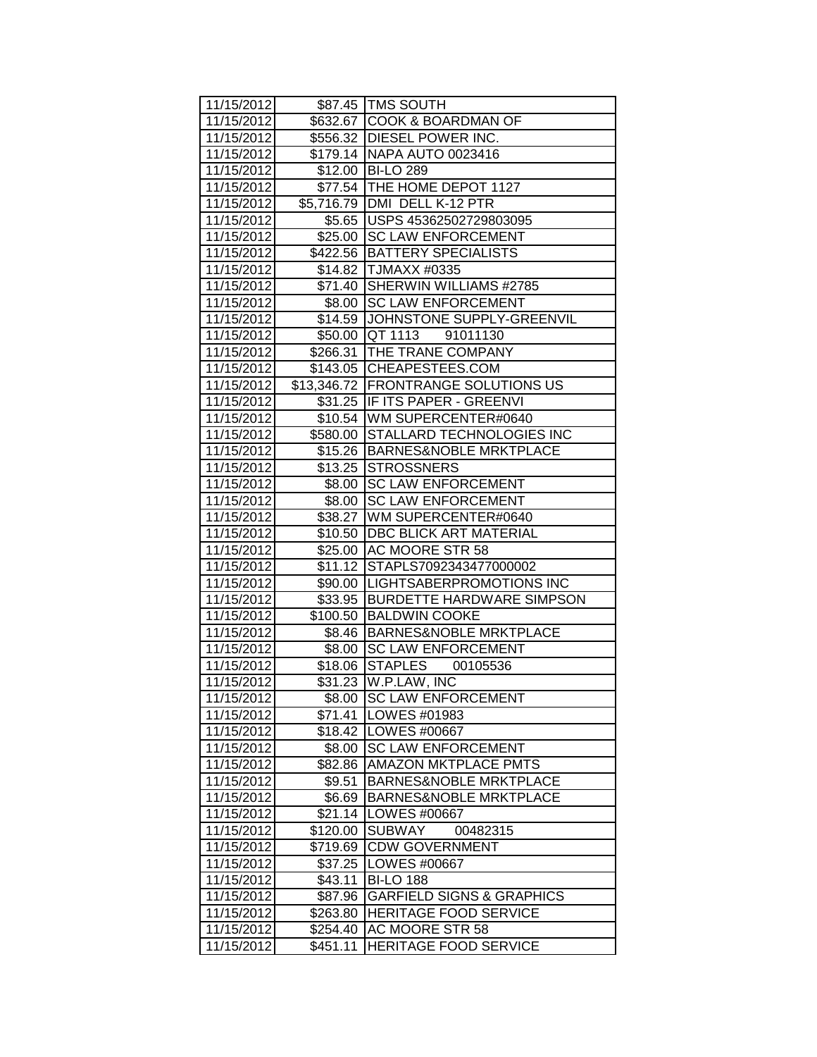| 11/15/2012               |          | \$87.45   TMS SOUTH<br>\$632.67 COOK & BOARDMAN OF     |
|--------------------------|----------|--------------------------------------------------------|
| 11/15/2012               |          |                                                        |
| 11/15/2012               |          | \$556.32   DIESEL POWER INC.                           |
| 11/15/2012<br>11/15/2012 |          | \$179.14 NAPA AUTO 0023416<br>\$12.00 BI-LO 289        |
|                          |          |                                                        |
| 11/15/2012               |          | \$77.54 THE HOME DEPOT 1127                            |
| 11/15/2012               |          | \$5,716.79 DMI DELL K-12 PTR                           |
| 11/15/2012               | \$5.65   | USPS 45362502729803095<br><b>SC LAW ENFORCEMENT</b>    |
| 11/15/2012               | \$25.00  |                                                        |
| 11/15/2012               | \$422.56 | <b>BATTERY SPECIALISTS</b>                             |
| 11/15/2012               |          | \$14.82 TJMAXX #0335<br>\$71.40 SHERWIN WILLIAMS #2785 |
| 11/15/2012               |          |                                                        |
| 11/15/2012               | \$8.00   | <b>SC LAW ENFORCEMENT</b>                              |
| 11/15/2012               |          | \$14.59 JOHNSTONE SUPPLY-GREENVIL                      |
| 11/15/2012               | \$50.00  | QT 1113<br>91011130                                    |
| 11/15/2012               | \$266.31 | <b>THE TRANE COMPANY</b>                               |
| 11/15/2012               |          | \$143.05 CHEAPESTEES.COM                               |
| 11/15/2012               |          | \$13,346.72 FRONTRANGE SOLUTIONS US                    |
| 11/15/2012               |          | \$31.25 IF ITS PAPER - GREENVI                         |
| 11/15/2012               |          | \$10.54 WM SUPERCENTER#0640                            |
| 11/15/2012               | \$580.00 | <b>STALLARD TECHNOLOGIES INC</b>                       |
| 11/15/2012               | \$15.26  | <b>BARNES&amp;NOBLE MRKTPLACE</b>                      |
| 11/15/2012               | \$13.25  | <b>STROSSNERS</b>                                      |
| 11/15/2012               | \$8.00   | <b>SC LAW ENFORCEMENT</b>                              |
| 11/15/2012               | \$8.00   | <b>SC LAW ENFORCEMENT</b>                              |
| 11/15/2012               | \$38.27  | WM SUPERCENTER#0640                                    |
| 11/15/2012               | \$10.50  | DBC BLICK ART MATERIAL                                 |
| 11/15/2012               | \$25.00  | <b>AC MOORE STR 58</b>                                 |
| 11/15/2012               | \$11.12  | STAPLS7092343477000002                                 |
| 11/15/2012               | \$90.00  | LIGHTSABERPROMOTIONS INC                               |
| 11/15/2012               | \$33.95  | <b>BURDETTE HARDWARE SIMPSON</b>                       |
| 11/15/2012               | \$100.50 | <b>BALDWIN COOKE</b>                                   |
| 11/15/2012               | \$8.46   | <b>BARNES&amp;NOBLE MRKTPLACE</b>                      |
| 11/15/2012               | \$8.00   | <b>SC LAW ENFORCEMENT</b>                              |
| 11/15/2012               | \$18.06  | STAPLES 00105536                                       |
| 11/15/2012               | \$31.23  | W.P.LAW, INC                                           |
| 11/15/2012               | \$8.00   | <b>SC LAW ENFORCEMENT</b>                              |
| 11/15/2012               | \$71.41  | LOWES #01983                                           |
| 11/15/2012               | \$18.42  | LOWES #00667                                           |
| 11/15/2012               | \$8.00   | <b>SC LAW ENFORCEMENT</b>                              |
| 11/15/2012               | \$82.86  | <b>AMAZON MKTPLACE PMTS</b>                            |
| 11/15/2012               | \$9.51   | <b>BARNES&amp;NOBLE MRKTPLACE</b>                      |
| 11/15/2012               | \$6.69   | <b>BARNES&amp;NOBLE MRKTPLACE</b>                      |
| 11/15/2012               | \$21.14  | LOWES #00667                                           |
| 11/15/2012               | \$120.00 | <b>SUBWAY</b><br>00482315                              |
| 11/15/2012               | \$719.69 | <b>CDW GOVERNMENT</b>                                  |
| 11/15/2012               | \$37.25  | LOWES #00667                                           |
| 11/15/2012               | \$43.11  | <b>BI-LO 188</b>                                       |
| 11/15/2012               | \$87.96  | <b>GARFIELD SIGNS &amp; GRAPHICS</b>                   |
| 11/15/2012               | \$263.80 | <b>HERITAGE FOOD SERVICE</b>                           |
| 11/15/2012               | \$254.40 | AC MOORE STR 58                                        |
| 11/15/2012               | \$451.11 | HERITAGE FOOD SERVICE                                  |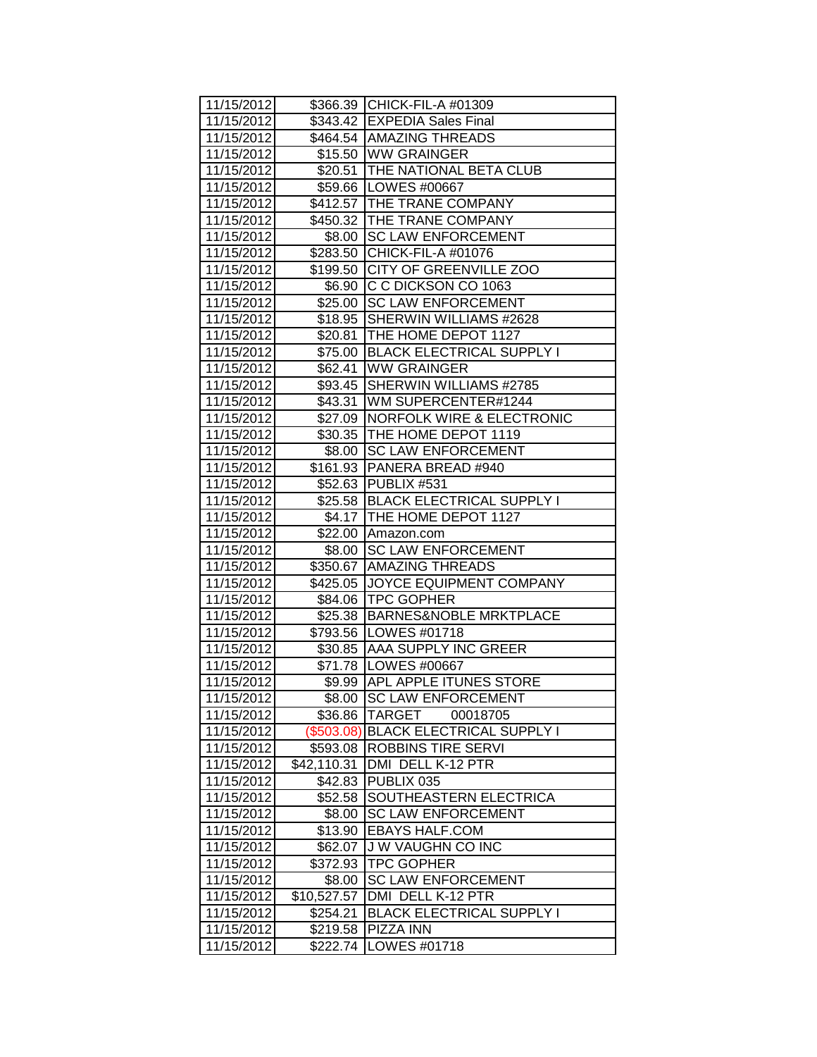| 11/15/2012               |                      | \$366.39 CHICK-FIL-A #01309       |
|--------------------------|----------------------|-----------------------------------|
| 11/15/2012               |                      | \$343.42 EXPEDIA Sales Final      |
| 11/15/2012               |                      | \$464.54 AMAZING THREADS          |
| 11/15/2012               |                      | \$15.50 WW GRAINGER               |
| 11/15/2012               |                      | \$20.51   THE NATIONAL BETA CLUB  |
| 11/15/2012               |                      | \$59.66 LOWES #00667              |
| 11/15/2012               |                      | \$412.57 THE TRANE COMPANY        |
| 11/15/2012               |                      | \$450.32 THE TRANE COMPANY        |
| 11/15/2012               | \$8.00               | <b>SC LAW ENFORCEMENT</b>         |
| 11/15/2012               |                      | \$283.50 CHICK-FIL-A #01076       |
| 11/15/2012               |                      | \$199.50 CITY OF GREENVILLE ZOO   |
| 11/15/2012               | \$6.90               | C C DICKSON CO 1063               |
| 11/15/2012               | \$25.00              | <b>SC LAW ENFORCEMENT</b>         |
| 11/15/2012               | \$18.95              | <b>SHERWIN WILLIAMS #2628</b>     |
| 11/15/2012               | \$20.81              | THE HOME DEPOT 1127               |
| 11/15/2012               | \$75.00              | <b>BLACK ELECTRICAL SUPPLY I</b>  |
| 11/15/2012               | \$62.41              | <b>WW GRAINGER</b>                |
| 11/15/2012               | \$93.45              | SHERWIN WILLIAMS #2785            |
| 11/15/2012               | \$43.31              | WM SUPERCENTER#1244               |
| 11/15/2012               | \$27.09              | INORFOLK WIRE & ELECTRONIC        |
| 11/15/2012               | \$30.35              | THE HOME DEPOT 1119               |
| 11/15/2012               | \$8.00               | <b>SC LAW ENFORCEMENT</b>         |
| 11/15/2012               | \$161.93             | <b>PANERA BREAD #940</b>          |
| 11/15/2012               | \$52.63              | PUBLIX #531                       |
| 11/15/2012               | \$25.58              | <b>BLACK ELECTRICAL SUPPLY I</b>  |
| 11/15/2012               | \$4.17               | THE HOME DEPOT 1127               |
|                          |                      |                                   |
| 11/15/2012               | \$22.00              | Amazon.com                        |
| 11/15/2012               | \$8.00               | <b>SC LAW ENFORCEMENT</b>         |
| 11/15/2012               | \$350.67             | <b>AMAZING THREADS</b>            |
| 11/15/2012               | $\overline{$}425.05$ | JOYCE EQUIPMENT COMPANY           |
| 11/15/2012               | \$84.06              | <b>TPC GOPHER</b>                 |
| 11/15/2012               | \$25.38              | <b>BARNES&amp;NOBLE MRKTPLACE</b> |
| 11/15/2012               |                      | \$793.56   LOWES #01718           |
| 11/15/2012               |                      | \$30.85 AAA SUPPLY INC GREER      |
| 11/15/2012               | \$71.78              | LOWES #00667                      |
| 11/15/2012               | \$9.99               | <b>APL APPLE ITUNES STORE</b>     |
| 11/15/2012               | \$8.00               | <b>ISC LAW ENFORCEMENT</b>        |
| 11/15/2012               | \$36.86              | TARGET<br>00018705                |
| 11/15/2012               | (\$503.08)           | <b>BLACK ELECTRICAL SUPPLY I</b>  |
| 11/15/2012               | \$593.08             | <b>ROBBINS TIRE SERVI</b>         |
| 11/15/2012               | \$42,110.31          | DMI DELL K-12 PTR                 |
| 11/15/2012               | \$42.83              | PUBLIX 035                        |
| 11/15/2012               | \$52.58              | SOUTHEASTERN ELECTRICA            |
| 11/15/2012               | \$8.00               | <b>SC LAW ENFORCEMENT</b>         |
| 11/15/2012               | \$13.90              | <b>EBAYS HALF.COM</b>             |
| 11/15/2012               | \$62.07              | <b>JW VAUGHN CO INC</b>           |
| 11/15/2012               | \$372.93             | <b>TPC GOPHER</b>                 |
| 11/15/2012               | \$8.00               | <b>SC LAW ENFORCEMENT</b>         |
| 11/15/2012               | \$10,527.57          | DMI DELL K-12 PTR                 |
| 11/15/2012               | \$254.21             | <b>BLACK ELECTRICAL SUPPLY I</b>  |
| 11/15/2012<br>11/15/2012 | \$219.58<br>\$222.74 | PIZZA INN<br>LOWES #01718         |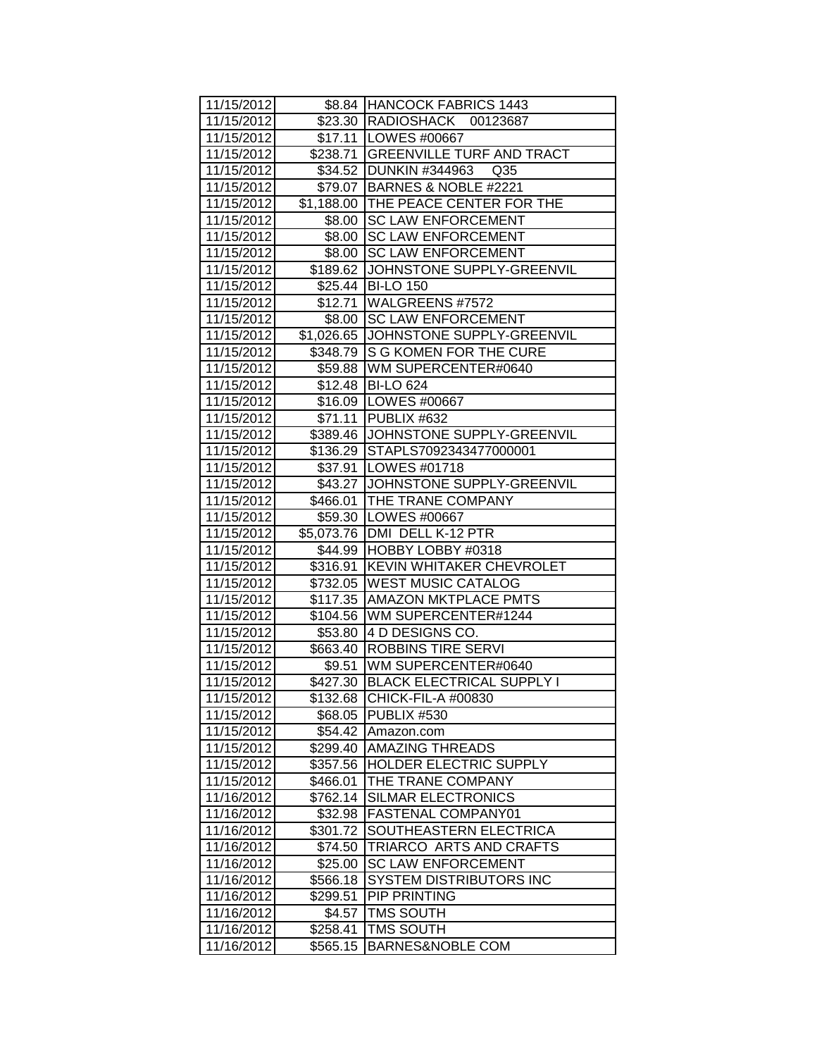| 11/15/2012               |                      | \$8.84 HANCOCK FABRICS 1443              |
|--------------------------|----------------------|------------------------------------------|
| 11/15/2012               |                      | \$23.30 RADIOSHACK 00123687              |
| 11/15/2012               |                      | \$17.11   LOWES #00667                   |
| 11/15/2012               |                      | \$238.71 GREENVILLE TURF AND TRACT       |
| 11/15/2012               |                      | \$34.52 DUNKIN #344963 Q35               |
| 11/15/2012               | \$79.07              | BARNES & NOBLE #2221                     |
| 11/15/2012               | \$1,188.00           | <b>THE PEACE CENTER FOR THE</b>          |
| 11/15/2012               | \$8.00               | <b>SC LAW ENFORCEMENT</b>                |
| 11/15/2012               | \$8.00               | <b>SC LAW ENFORCEMENT</b>                |
| 11/15/2012               | \$8.00               | <b>SC LAW ENFORCEMENT</b>                |
| 11/15/2012               | \$189.62             | JOHNSTONE SUPPLY-GREENVIL                |
| 11/15/2012               | \$25.44              | <b>BI-LO 150</b>                         |
| 11/15/2012               |                      | \$12.71   WALGREENS #7572                |
| 11/15/2012               | \$8.00               | <b>SC LAW ENFORCEMENT</b>                |
| 11/15/2012               | \$1,026.65           | JOHNSTONE SUPPLY-GREENVIL                |
| 11/15/2012               | \$348.79             | S G KOMEN FOR THE CURE                   |
| 11/15/2012               | \$59.88              | WM SUPERCENTER#0640                      |
| 11/15/2012               | \$12.48              | <b>BI-LO 624</b>                         |
| 11/15/2012               | \$16.09              | <b>LOWES #00667</b>                      |
| 11/15/2012               | \$71.11              | PUBLIX #632                              |
| 11/15/2012               | \$389.46             | JOHNSTONE SUPPLY-GREENVIL                |
| 11/15/2012               | \$136.29             | STAPLS7092343477000001                   |
| 11/15/2012               | \$37.91              | LOWES #01718                             |
| 11/15/2012               | \$43.27              | JOHNSTONE SUPPLY-GREENVIL                |
| 11/15/2012               | \$466.01             | THE TRANE COMPANY                        |
| 11/15/2012               | \$59.30              | LOWES #00667                             |
| 11/15/2012               | \$5,073.76           | DMI DELL K-12 PTR                        |
| 11/15/2012               | \$44.99              | HOBBY LOBBY #0318                        |
| 11/15/2012               | \$316.91             | KEVIN WHITAKER CHEVROLET                 |
| 11/15/2012               | \$732.05             | <b>WEST MUSIC CATALOG</b>                |
| 11/15/2012               | \$117.35             | <b>AMAZON MKTPLACE PMTS</b>              |
| 11/15/2012               | \$104.56             | WM SUPERCENTER#1244                      |
| 11/15/2012               | \$53.80              | 4 D DESIGNS CO.                          |
| 11/15/2012               |                      |                                          |
|                          | \$663.40             | ROBBINS TIRE SERVI                       |
| 11/15/2012               | \$9.51               | WM SUPERCENTER#0640                      |
| 11/15/2012               | \$427.30             | <b>BLACK ELECTRICAL SUPPLY I</b>         |
| 11/15/2012               | \$132.68             | CHICK-FIL-A #00830                       |
| 11/15/2012               | \$68.05              | PUBLIX #530                              |
| 11/15/2012               | \$54.42              | Amazon.com                               |
| 11/15/2012               | \$299.40             | <b>AMAZING THREADS</b>                   |
| 11/15/2012               | \$357.56             | HOLDER ELECTRIC SUPPLY                   |
| 11/15/2012               | \$466.01             | THE TRANE COMPANY                        |
| 11/16/2012               | \$762.14             | <b>SILMAR ELECTRONICS</b>                |
| 11/16/2012               | \$32.98              | FASTENAL COMPANY01                       |
| 11/16/2012               | \$301.72             | SOUTHEASTERN ELECTRICA                   |
| 11/16/2012               | \$74.50              | TRIARCO ARTS AND CRAFTS                  |
| 11/16/2012               | \$25.00              | <b>SC LAW ENFORCEMENT</b>                |
| 11/16/2012               | \$566.18             | SYSTEM DISTRIBUTORS INC                  |
| 11/16/2012               | \$299.51             | <b>PIP PRINTING</b>                      |
| 11/16/2012               | \$4.57               | <b>TMS SOUTH</b>                         |
| 11/16/2012<br>11/16/2012 | \$258.41<br>\$565.15 | TMS SOUTH<br><b>BARNES&amp;NOBLE COM</b> |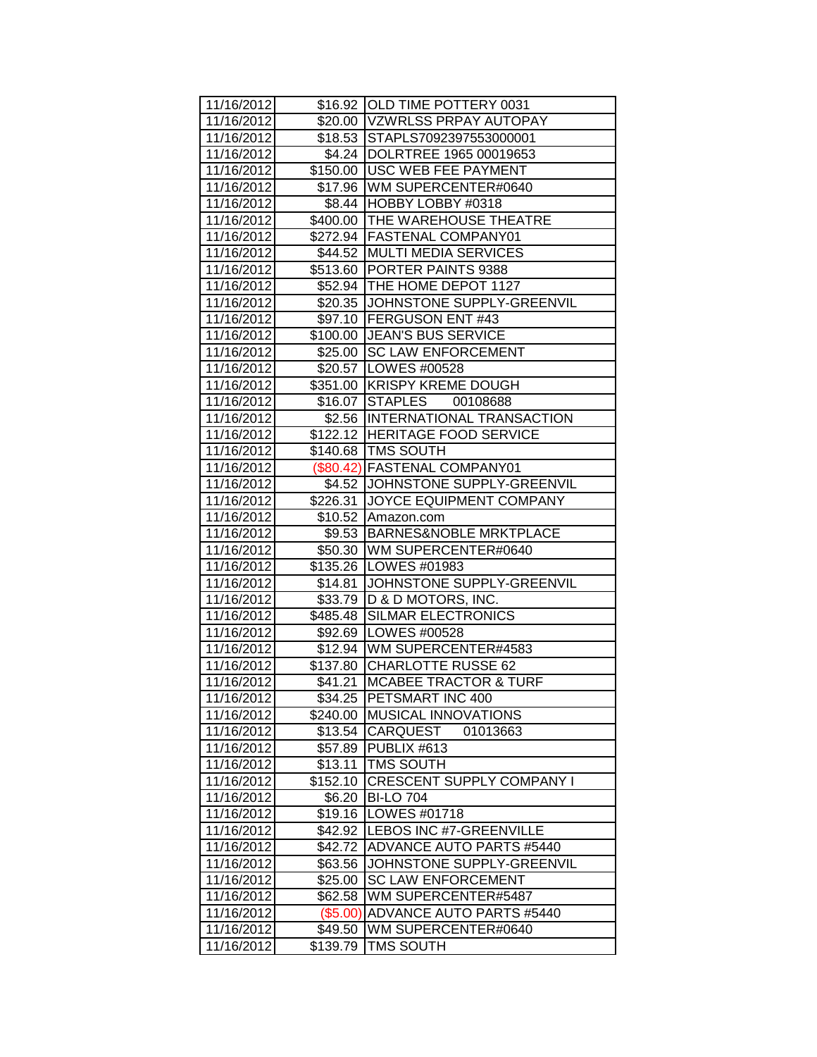| 11/16/2012               |                     | \$16.92 OLD TIME POTTERY 0031           |
|--------------------------|---------------------|-----------------------------------------|
| 11/16/2012               |                     | \$20.00 VZWRLSS PRPAY AUTOPAY           |
| 11/16/2012               |                     | \$18.53 STAPLS7092397553000001          |
| 11/16/2012               |                     | \$4.24   DOLRTREE 1965 00019653         |
| 11/16/2012               | \$150.00            | <b>USC WEB FEE PAYMENT</b>              |
| 11/16/2012               | \$17.96             | WM SUPERCENTER#0640                     |
| 11/16/2012               | \$8.44              | HOBBY LOBBY #0318                       |
| 11/16/2012               | \$400.00            | <b>THE WAREHOUSE THEATRE</b>            |
| 11/16/2012               | \$272.94            | <b>FASTENAL COMPANY01</b>               |
| 11/16/2012               | \$44.52             | <b>MULTI MEDIA SERVICES</b>             |
| 11/16/2012               |                     | \$513.60 PORTER PAINTS 9388             |
| 11/16/2012               |                     | \$52.94   THE HOME DEPOT 1127           |
| 11/16/2012               | \$20.35             | JOHNSTONE SUPPLY-GREENVIL               |
| 11/16/2012               | \$97.10             | <b>IFERGUSON ENT #43</b>                |
| 11/16/2012               | \$100.00            | <b>JEAN'S BUS SERVICE</b>               |
| 11/16/2012               | \$25.00             | <b>SC LAW ENFORCEMENT</b>               |
| 11/16/2012               | \$20.57             | <b>LOWES #00528</b>                     |
| 11/16/2012               | \$351.00            | <b>KRISPY KREME DOUGH</b>               |
| 11/16/2012               |                     | \$16.07  STAPLES<br>00108688            |
| 11/16/2012               | \$2.56              | <b>INTERNATIONAL TRANSACTION</b>        |
| 11/16/2012               | \$122.12            | <b>HERITAGE FOOD SERVICE</b>            |
| 11/16/2012               | \$140.68            | <b>TMS SOUTH</b>                        |
| 11/16/2012               | (\$80.42)           | <b>FASTENAL COMPANY01</b>               |
| 11/16/2012               | \$4.52              | JOHNSTONE SUPPLY-GREENVIL               |
| 11/16/2012               | \$226.31            | JOYCE EQUIPMENT COMPANY                 |
| 11/16/2012               | \$10.52             | Amazon.com                              |
| 11/16/2012               | \$9.53              | <b>BARNES&amp;NOBLE MRKTPLACE</b>       |
|                          |                     |                                         |
| 11/16/2012               | \$50.30             | WM SUPERCENTER#0640                     |
| 11/16/2012               | \$135.26            | LOWES #01983                            |
| 11/16/2012               | \$14.81             | JOHNSTONE SUPPLY-GREENVIL               |
| 11/16/2012               | \$33.79             | D & D MOTORS, INC.                      |
| 11/16/2012               | \$485.48            | <b>SILMAR ELECTRONICS</b>               |
| 11/16/2012               | \$92.69             | LOWES #00528                            |
| 11/16/2012               | \$12.94             | WM SUPERCENTER#4583                     |
| 11/16/2012               | \$137.80            | CHARLOTTE RUSSE 62                      |
| 11/16/2012               | \$41.21             | <b>MCABEE TRACTOR &amp; TURF</b>        |
| 11/16/2012               | \$34.25             | <b>PETSMART INC 400</b>                 |
| 11/16/2012               | \$240.00            | <b>MUSICAL INNOVATIONS</b>              |
| 11/16/2012               | \$13.54             | <b>CARQUEST</b><br>01013663             |
| 11/16/2012               | \$57.89             | PUBLIX #613                             |
| 11/16/2012               | \$13.11             | <b>TMS SOUTH</b>                        |
| 11/16/2012               | \$152.10            | <b>CRESCENT SUPPLY COMPANY I</b>        |
| 11/16/2012               | \$6.20              | <b>BI-LO 704</b>                        |
| 11/16/2012               | \$19.16             | LOWES #01718                            |
| 11/16/2012               | \$42.92             | LEBOS INC #7-GREENVILLE                 |
| 11/16/2012               | \$42.72             | <b>ADVANCE AUTO PARTS #5440</b>         |
| 11/16/2012               | \$63.56             | JOHNSTONE SUPPLY-GREENVIL               |
| 11/16/2012               | \$25.00             | <b>SC LAW ENFORCEMENT</b>               |
| 11/16/2012               | \$62.58             | WM SUPERCENTER#5487                     |
| 11/16/2012               | $(\$5.00)$          | ADVANCE AUTO PARTS #5440                |
| 11/16/2012<br>11/16/2012 | \$49.50<br>\$139.79 | WM SUPERCENTER#0640<br><b>TMS SOUTH</b> |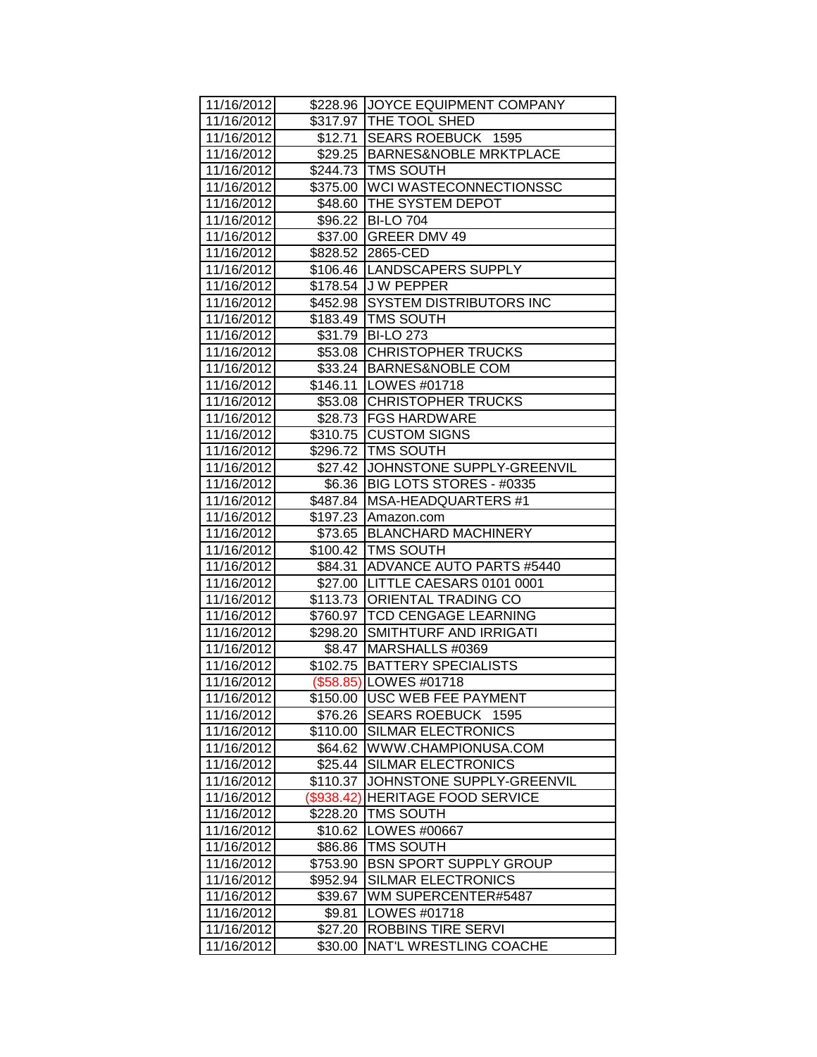| 11/16/2012 |            | \$228.96 JOYCE EQUIPMENT COMPANY  |
|------------|------------|-----------------------------------|
| 11/16/2012 | \$317.97   | <b>THE TOOL SHED</b>              |
| 11/16/2012 | \$12.71    | SEARS ROEBUCK 1595                |
| 11/16/2012 | \$29.25    | <b>BARNES&amp;NOBLE MRKTPLACE</b> |
| 11/16/2012 |            | \$244.73   TMS SOUTH              |
| 11/16/2012 | \$375.00   | <b>WCI WASTECONNECTIONSSC</b>     |
| 11/16/2012 | \$48.60    | <b>THE SYSTEM DEPOT</b>           |
| 11/16/2012 | \$96.22    | <b>BI-LO 704</b>                  |
| 11/16/2012 | \$37.00    | <b>GREER DMV 49</b>               |
| 11/16/2012 | \$828.52   | 2865-CED                          |
| 11/16/2012 | \$106.46   | <b>LANDSCAPERS SUPPLY</b>         |
| 11/16/2012 | \$178.54   | <b>JW PEPPER</b>                  |
| 11/16/2012 | \$452.98   | <b>SYSTEM DISTRIBUTORS INC</b>    |
| 11/16/2012 | \$183.49   | <b>TMS SOUTH</b>                  |
| 11/16/2012 | \$31.79    | <b>BI-LO 273</b>                  |
| 11/16/2012 | \$53.08    | <b>CHRISTOPHER TRUCKS</b>         |
| 11/16/2012 | \$33.24    | <b>BARNES&amp;NOBLE COM</b>       |
| 11/16/2012 | \$146.11   | <b>LOWES #01718</b>               |
| 11/16/2012 | \$53.08    | <b>CHRISTOPHER TRUCKS</b>         |
| 11/16/2012 | \$28.73    | <b>IFGS HARDWARE</b>              |
| 11/16/2012 | \$310.75   | <b>CUSTOM SIGNS</b>               |
| 11/16/2012 | \$296.72   | <b>TMS SOUTH</b>                  |
| 11/16/2012 | \$27.42    | JOHNSTONE SUPPLY-GREENVIL         |
| 11/16/2012 | \$6.36     | BIG LOTS STORES - #0335           |
| 11/16/2012 | \$487.84   | <b>MSA-HEADQUARTERS #1</b>        |
| 11/16/2012 | \$197.23   | Amazon.com                        |
| 11/16/2012 | \$73.65    | <b>BLANCHARD MACHINERY</b>        |
| 11/16/2012 | \$100.42   | <b>TMS SOUTH</b>                  |
| 11/16/2012 | \$84.31    | <b>ADVANCE AUTO PARTS #5440</b>   |
| 11/16/2012 |            | \$27.00 LITTLE CAESARS 0101 0001  |
| 11/16/2012 | \$113.73   | <b>ORIENTAL TRADING CO</b>        |
| 11/16/2012 | \$760.97   | <b>TCD CENGAGE LEARNING</b>       |
| 11/16/2012 | \$298.20   | SMITHTURF AND IRRIGATI            |
| 11/16/2012 | \$8.47     | MARSHALLS #0369                   |
| 11/16/2012 | \$102.75   | <b>BATTERY SPECIALISTS</b>        |
| 11/16/2012 | (\$58.85)  | <b>LOWES #01718</b>               |
| 11/16/2012 | \$150.00   | <b>JUSC WEB FEE PAYMENT</b>       |
| 11/16/2012 | \$76.26    | <b>SEARS ROEBUCK</b><br>1595      |
| 11/16/2012 | \$110.00   | SILMAR ELECTRONICS                |
| 11/16/2012 | \$64.62    | WWW.CHAMPIONUSA.COM               |
| 11/16/2012 | \$25.44    | SILMAR ELECTRONICS                |
| 11/16/2012 | \$110.37   | JOHNSTONE SUPPLY-GREENVIL         |
| 11/16/2012 | (\$938.42) | <b>HERITAGE FOOD SERVICE</b>      |
| 11/16/2012 | \$228.20   | TMS SOUTH                         |
| 11/16/2012 | \$10.62    | LOWES #00667                      |
| 11/16/2012 | \$86.86    | <b>TMS SOUTH</b>                  |
| 11/16/2012 | \$753.90   | <b>BSN SPORT SUPPLY GROUP</b>     |
| 11/16/2012 | \$952.94   | <b>SILMAR ELECTRONICS</b>         |
| 11/16/2012 | \$39.67    | WM SUPERCENTER#5487               |
| 11/16/2012 | \$9.81     | LOWES #01718                      |
| 11/16/2012 | \$27.20    | ROBBINS TIRE SERVI                |
| 11/16/2012 | \$30.00    | NAT'L WRESTLING COACHE            |
|            |            |                                   |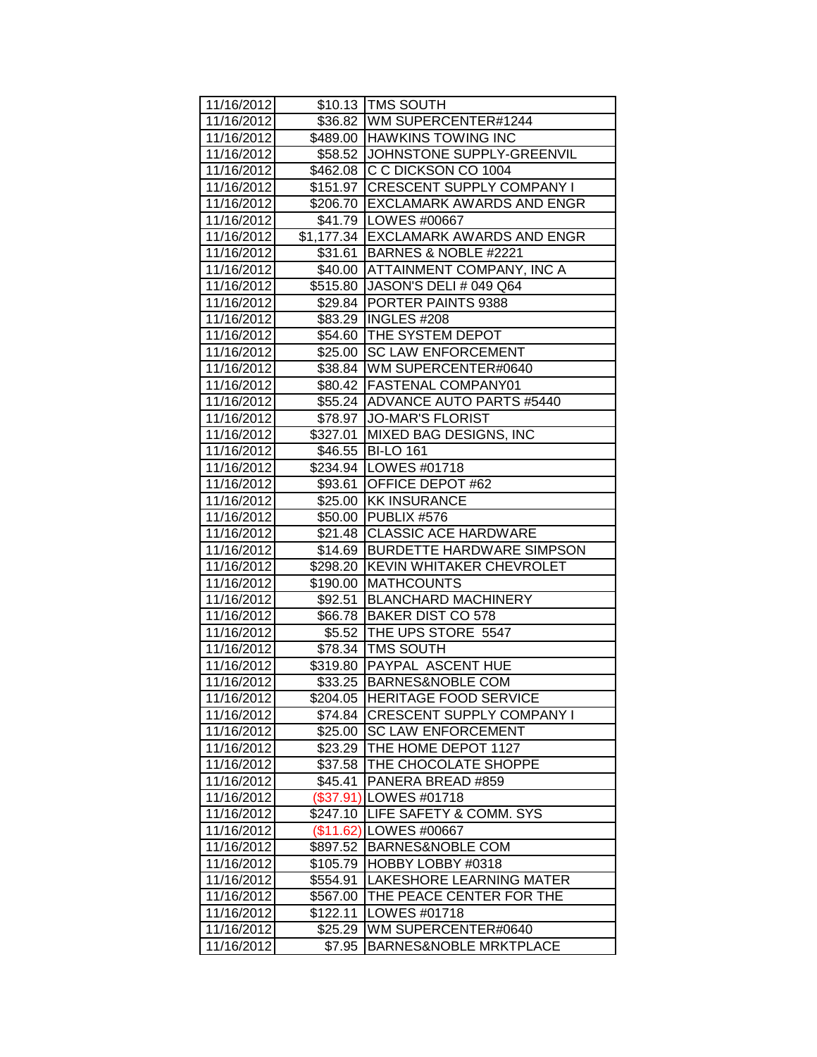| 11/16/2012 |                       | \$10.13 TMS SOUTH                    |
|------------|-----------------------|--------------------------------------|
| 11/16/2012 |                       | \$36.82 WM SUPERCENTER#1244          |
| 11/16/2012 |                       | \$489.00 HAWKINS TOWING INC          |
| 11/16/2012 |                       | \$58.52 JJOHNSTONE SUPPLY-GREENVIL   |
| 11/16/2012 |                       | \$462.08 C C DICKSON CO 1004         |
| 11/16/2012 |                       | \$151.97 CRESCENT SUPPLY COMPANY I   |
| 11/16/2012 | \$206.70              | <b>EXCLAMARK AWARDS AND ENGR</b>     |
| 11/16/2012 |                       | \$41.79   LOWES #00667               |
| 11/16/2012 |                       | \$1,177.34 EXCLAMARK AWARDS AND ENGR |
| 11/16/2012 | \$31.61               | BARNES & NOBLE #2221                 |
| 11/16/2012 |                       | \$40.00 ATTAINMENT COMPANY, INC A    |
| 11/16/2012 | \$515.80              | <b>JASON'S DELI # 049 Q64</b>        |
| 11/16/2012 | \$29.84               | <b>PORTER PAINTS 9388</b>            |
| 11/16/2012 | \$83.29               | INGLES #208                          |
| 11/16/2012 | \$54.60               | THE SYSTEM DEPOT                     |
| 11/16/2012 | \$25.00               | <b>SC LAW ENFORCEMENT</b>            |
| 11/16/2012 |                       | \$38.84   WM SUPERCENTER#0640        |
| 11/16/2012 |                       | \$80.42   FASTENAL COMPANY01         |
| 11/16/2012 |                       | \$55.24 ADVANCE AUTO PARTS #5440     |
| 11/16/2012 | \$78.97               | <b>JO-MAR'S FLORIST</b>              |
| 11/16/2012 | \$327.01              | MIXED BAG DESIGNS, INC               |
| 11/16/2012 | \$46.55               | <b>BI-LO 161</b>                     |
| 11/16/2012 | \$234.94              | LOWES #01718                         |
| 11/16/2012 | \$93.61               | <b>OFFICE DEPOT #62</b>              |
| 11/16/2012 | \$25.00               | <b>KK INSURANCE</b>                  |
| 11/16/2012 | \$50.00               | PUBLIX #576                          |
| 11/16/2012 | \$21.48               | <b>CLASSIC ACE HARDWARE</b>          |
|            |                       |                                      |
| 11/16/2012 | \$14.69               | <b>BURDETTE HARDWARE SIMPSON</b>     |
| 11/16/2012 | \$298.20              | <b>KEVIN WHITAKER CHEVROLET</b>      |
| 11/16/2012 | \$190.00              | <b>MATHCOUNTS</b>                    |
| 11/16/2012 | \$92.51               | <b>BLANCHARD MACHINERY</b>           |
| 11/16/2012 | \$66.78               | <b>BAKER DIST CO 578</b>             |
| 11/16/2012 | \$5.52                | THE UPS STORE 5547                   |
| 11/16/2012 |                       | \$78.34 TMS SOUTH                    |
| 11/16/2012 | \$319.80              | <b>PAYPAL ASCENT HUE</b>             |
| 11/16/2012 |                       | \$33.25 BARNES&NOBLE COM             |
| 11/16/2012 | \$204.05              | <b>HERITAGE FOOD SERVICE</b>         |
| 11/16/2012 | \$74.84               | <b>CRESCENT SUPPLY COMPANY I</b>     |
| 11/16/2012 | \$25.00               | <b>SC LAW ENFORCEMENT</b>            |
| 11/16/2012 | \$23.29               | THE HOME DEPOT 1127                  |
| 11/16/2012 | \$37.58               | THE CHOCOLATE SHOPPE                 |
| 11/16/2012 | \$45.41               | PANERA BREAD #859                    |
| 11/16/2012 |                       | LOWES #01718                         |
| 11/16/2012 | (\$37.91)<br>\$247.10 | LIFE SAFETY & COMM. SYS              |
| 11/16/2012 |                       | LOWES #00667                         |
| 11/16/2012 | (\$11.62)<br>\$897.52 | <b>BARNES&amp;NOBLE COM</b>          |
| 11/16/2012 | \$105.79              | HOBBY LOBBY #0318                    |
| 11/16/2012 | \$554.91              | LAKESHORE LEARNING MATER             |
| 11/16/2012 | \$567.00              | THE PEACE CENTER FOR THE             |
| 11/16/2012 | \$122.11              | LOWES #01718                         |
| 11/16/2012 | \$25.29               | WM SUPERCENTER#0640                  |
| 11/16/2012 | \$7.95                | <b>BARNES&amp;NOBLE MRKTPLACE</b>    |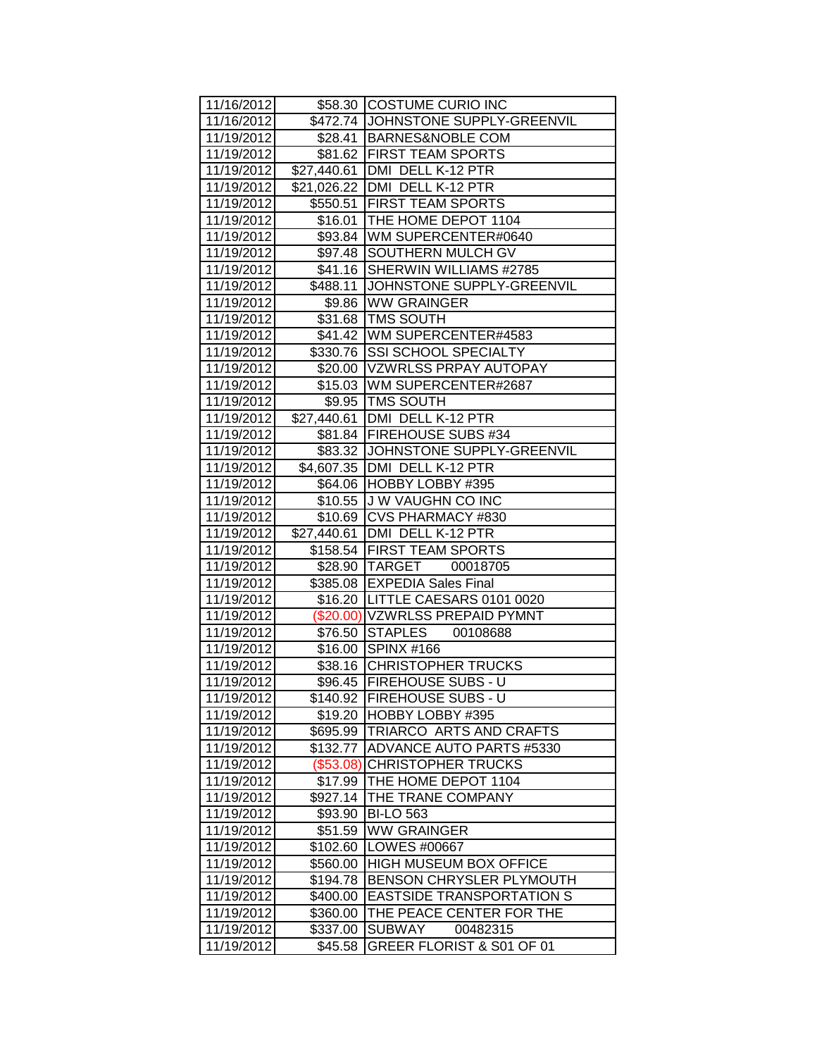| 11/16/2012               |             | \$58.30 COSTUME CURIO INC                              |
|--------------------------|-------------|--------------------------------------------------------|
| 11/16/2012               | \$472.74    | JOHNSTONE SUPPLY-GREENVIL                              |
| 11/19/2012               |             | \$28.41   BARNES&NOBLE COM                             |
| 11/19/2012               |             | \$81.62 FIRST TEAM SPORTS                              |
| 11/19/2012               | \$27,440.61 | DMI DELL K-12 PTR                                      |
| 11/19/2012               |             | \$21,026.22   DMI DELL K-12 PTR                        |
| 11/19/2012               | \$550.51    | <b>FIRST TEAM SPORTS</b>                               |
| 11/19/2012               | \$16.01     | THE HOME DEPOT 1104                                    |
| 11/19/2012               | \$93.84     | WM SUPERCENTER#0640                                    |
| 11/19/2012               | \$97.48     | <b>SOUTHERN MULCH GV</b>                               |
| 11/19/2012               | \$41.16     | SHERWIN WILLIAMS #2785                                 |
| 11/19/2012               | \$488.11    | JOHNSTONE SUPPLY-GREENVIL                              |
| 11/19/2012               | \$9.86      | <b>WW GRAINGER</b>                                     |
| 11/19/2012               | \$31.68     | <b>TMS SOUTH</b>                                       |
| 11/19/2012               |             | \$41.42 WM SUPERCENTER#4583                            |
| 11/19/2012               | \$330.76    | <b>SSI SCHOOL SPECIALTY</b>                            |
| 11/19/2012               |             | \$20.00 VZWRLSS PRPAY AUTOPAY                          |
| 11/19/2012               |             | \$15.03  WM SUPERCENTER#2687                           |
| 11/19/2012               |             | \$9.95   TMS SOUTH                                     |
| 11/19/2012               | \$27,440.61 | DMI DELL K-12 PTR                                      |
| 11/19/2012               |             | \$81.84 FIREHOUSE SUBS #34                             |
| 11/19/2012               | \$83.32     | JOHNSTONE SUPPLY-GREENVIL                              |
| 11/19/2012               | \$4,607.35  | DMI DELL K-12 PTR                                      |
| 11/19/2012               | \$64.06     | HOBBY LOBBY #395                                       |
| 11/19/2012               | \$10.55     | J W VAUGHN CO INC                                      |
| 11/19/2012               | \$10.69     | <b>CVS PHARMACY #830</b>                               |
| 11/19/2012               | \$27,440.61 | DMI DELL K-12 PTR                                      |
|                          |             |                                                        |
| 11/19/2012               | \$158.54    | FIRST TEAM SPORTS                                      |
| 11/19/2012               |             | \$28.90 TARGET<br>00018705                             |
| 11/19/2012               | \$385.08    | <b>EXPEDIA Sales Final</b>                             |
| 11/19/2012               |             | \$16.20 LITTLE CAESARS 0101 0020                       |
| 11/19/2012               |             | (\$20.00) VZWRLSS PREPAID PYMNT                        |
| 11/19/2012               | \$76.50     | <b>STAPLES</b><br>00108688                             |
| 11/19/2012               | \$16.00     | <b>SPINX #166</b>                                      |
| 11/19/2012               | \$38.16     | <b>CHRISTOPHER TRUCKS</b>                              |
| 11/19/2012               | \$96.45     | <b>FIREHOUSE SUBS - U</b>                              |
| 11/19/2012               |             | \$140.92  FIREHOUSE SUBS - U                           |
| 11/19/2012               | \$19.20     | HOBBY LOBBY #395                                       |
| 11/19/2012               | \$695.99    | <b>TRIARCO ARTS AND CRAFTS</b>                         |
| 11/19/2012               | \$132.77    | <b>ADVANCE AUTO PARTS #5330</b>                        |
| 11/19/2012               | (\$53.08)   | <b>CHRISTOPHER TRUCKS</b>                              |
| 11/19/2012               | \$17.99     | THE HOME DEPOT 1104                                    |
| 11/19/2012               | \$927.14    | THE TRANE COMPANY                                      |
| 11/19/2012               | \$93.90     | <b>BI-LO 563</b>                                       |
| 11/19/2012               | \$51.59     | <b>WW GRAINGER</b>                                     |
| 11/19/2012               | \$102.60    | LOWES #00667                                           |
| 11/19/2012               | \$560.00    | <b>HIGH MUSEUM BOX OFFICE</b>                          |
| 11/19/2012               | \$194.78    | BENSON CHRYSLER PLYMOUTH                               |
| 11/19/2012               | \$400.00    | <b>EASTSIDE TRANSPORTATION S</b>                       |
| 11/19/2012               | \$360.00    | THE PEACE CENTER FOR THE                               |
| 11/19/2012<br>11/19/2012 | \$337.00    | <b>SUBWAY</b><br>00482315<br>GREER FLORIST & S01 OF 01 |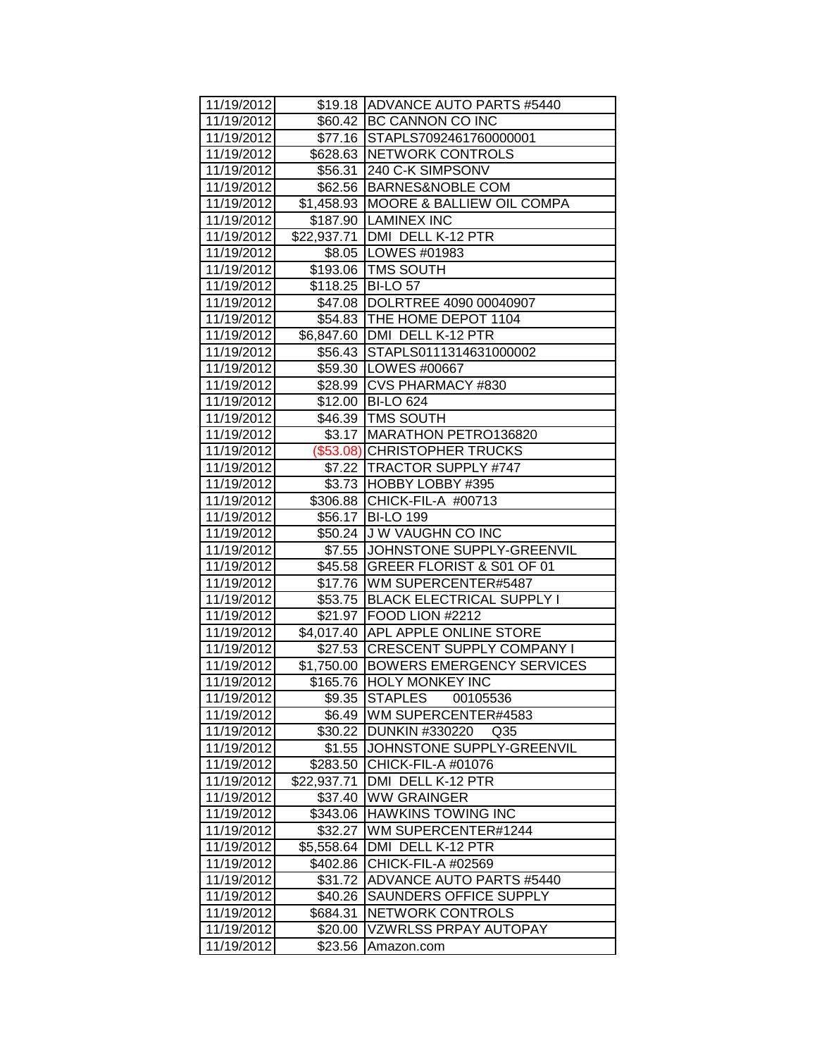| 11/19/2012               |                    | \$19.18 ADVANCE AUTO PARTS #5440           |
|--------------------------|--------------------|--------------------------------------------|
| 11/19/2012               |                    | \$60.42 BC CANNON CO INC                   |
| 11/19/2012               |                    | \$77.16 STAPLS7092461760000001             |
| 11/19/2012               |                    | \$628.63 NETWORK CONTROLS                  |
| 11/19/2012               | \$56.31            | 240 C-K SIMPSONV                           |
| 11/19/2012               | \$62.56            | BARNES&NOBLE COM                           |
| 11/19/2012               | \$1,458.93         | <b>MOORE &amp; BALLIEW OIL COMPA</b>       |
| 11/19/2012               | \$187.90           | <b>LAMINEX INC</b>                         |
| 11/19/2012               | \$22,937.71        | DMI DELL K-12 PTR                          |
| 11/19/2012               | \$8.05             | LOWES #01983                               |
| 11/19/2012               | \$193.06           | <b>TMS SOUTH</b>                           |
| 11/19/2012               | \$118.25           | BI-LO 57                                   |
| 11/19/2012               |                    | \$47.08 DOLRTREE 4090 00040907             |
| 11/19/2012               | \$54.83            | THE HOME DEPOT 1104                        |
| 11/19/2012               |                    | \$6,847.60   DMI DELL K-12 PTR             |
| 11/19/2012               | \$56.43            | STAPLS0111314631000002                     |
| 11/19/2012               | \$59.30            | LOWES #00667                               |
| 11/19/2012               | \$28.99            | CVS PHARMACY #830                          |
| 11/19/2012               | \$12.00            | <b>BI-LO 624</b>                           |
| 11/19/2012               |                    | \$46.39 TMS SOUTH                          |
| 11/19/2012               | \$3.17             | MARATHON PETRO136820                       |
| 11/19/2012               |                    | (\$53.08) CHRISTOPHER TRUCKS               |
| 11/19/2012               |                    | \$7.22 TRACTOR SUPPLY #747                 |
| 11/19/2012               | \$3.73             | HOBBY LOBBY #395                           |
| 11/19/2012               | \$306.88           | CHICK-FIL-A #00713                         |
| 11/19/2012               | \$56.17            | <b>BI-LO 199</b>                           |
| 11/19/2012               | \$50.24            | J W VAUGHN CO INC                          |
| 11/19/2012               | \$7.55             | JOHNSTONE SUPPLY-GREENVIL                  |
| 11/19/2012               | \$45.58            | <b>GREER FLORIST &amp; S01 OF 01</b>       |
| 11/19/2012               | \$17.76            | WM SUPERCENTER#5487                        |
| 11/19/2012               | \$53.75            | <b>BLACK ELECTRICAL SUPPLY I</b>           |
| 11/19/2012               | \$21.97            | FOOD LION #2212                            |
| 11/19/2012               | \$4,017.40         | APL APPLE ONLINE STORE                     |
| 11/19/2012               | \$27.53            | <b>CRESCENT SUPPLY COMPANY I</b>           |
| 11/19/2012               |                    |                                            |
|                          | \$1,750.00         | <b>BOWERS EMERGENCY SERVICES</b>           |
| 11/19/2012               | \$165.76           | <b>HOLY MONKEY INC</b>                     |
| 11/19/2012               | \$9.35             | <b>STAPLES</b><br>00105536                 |
| 11/19/2012               | \$6.49             | WM SUPERCENTER#4583                        |
| 11/19/2012               | \$30.22            | <b>DUNKIN #330220</b><br>Q <sub>35</sub>   |
| 11/19/2012               | \$1.55             | JOHNSTONE SUPPLY-GREENVIL                  |
| 11/19/2012               | \$283.50           | CHICK-FIL-A #01076                         |
| 11/19/2012               | \$22,937.71        | DMI DELL K-12 PTR                          |
| 11/19/2012               | \$37.40            | <b>WW GRAINGER</b>                         |
| 11/19/2012               | \$343.06           | <b>HAWKINS TOWING INC</b>                  |
| 11/19/2012               | \$32.27            | WM SUPERCENTER#1244                        |
| 11/19/2012               | \$5,558.64         | DMI DELL K-12 PTR                          |
| 11/19/2012               | \$402.86           | CHICK-FIL-A #02569                         |
| 11/19/2012               | \$31.72            | <b>ADVANCE AUTO PARTS #5440</b>            |
| 11/19/2012               | \$40.26            | SAUNDERS OFFICE SUPPLY                     |
| 11/19/2012               | \$684.31           | NETWORK CONTROLS                           |
| 11/19/2012<br>11/19/2012 | \$20.00<br>\$23.56 | <b>VZWRLSS PRPAY AUTOPAY</b><br>Amazon.com |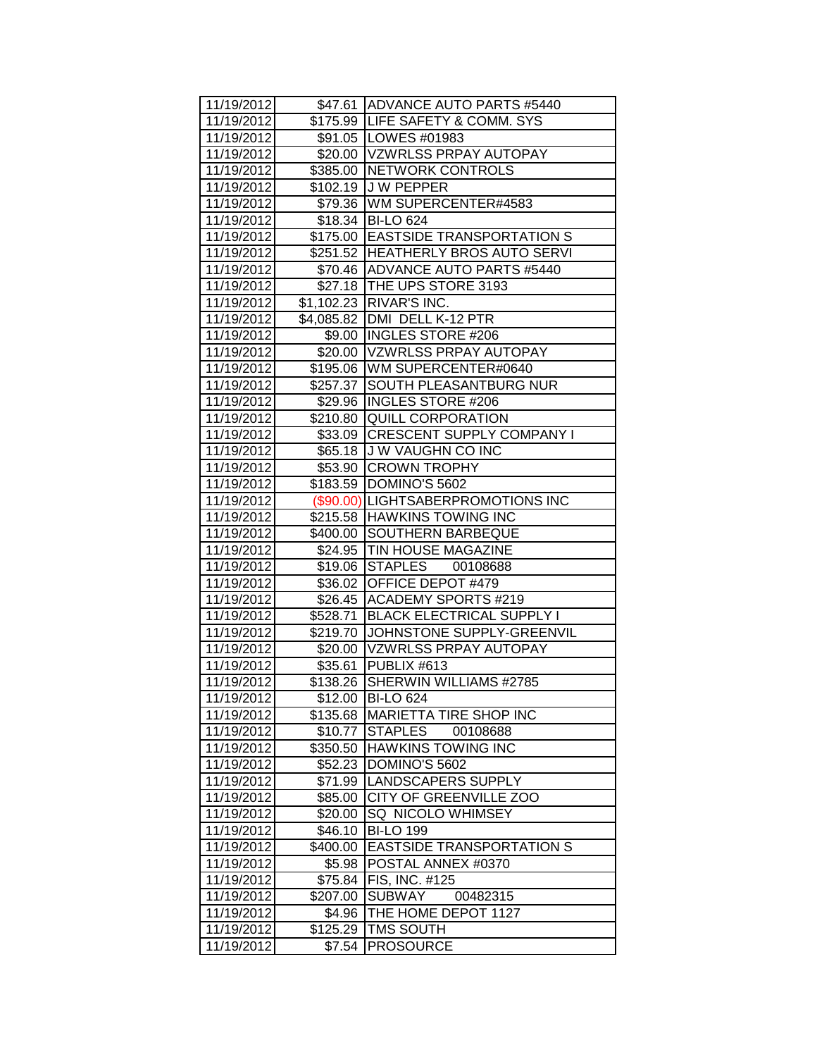| 11/19/2012 |           | \$47.61 ADVANCE AUTO PARTS #5440 |
|------------|-----------|----------------------------------|
| 11/19/2012 |           | \$175.99 LIFE SAFETY & COMM. SYS |
| 11/19/2012 |           | \$91.05   LOWES #01983           |
| 11/19/2012 |           | \$20.00 VZWRLSS PRPAY AUTOPAY    |
| 11/19/2012 |           | \$385.00 NETWORK CONTROLS        |
| 11/19/2012 | \$102.19  | <b>J W PEPPER</b>                |
| 11/19/2012 | \$79.36   | WM SUPERCENTER#4583              |
| 11/19/2012 | \$18.34   | <b>BI-LO 624</b>                 |
| 11/19/2012 | \$175.00  | <b>EASTSIDE TRANSPORTATION S</b> |
| 11/19/2012 | \$251.52  | <b>HEATHERLY BROS AUTO SERVI</b> |
| 11/19/2012 | \$70.46   | ADVANCE AUTO PARTS #5440         |
| 11/19/2012 |           | \$27.18 THE UPS STORE 3193       |
| 11/19/2012 |           | \$1,102.23 RIVAR'S INC.          |
| 11/19/2012 |           | \$4,085.82 DMI DELL K-12 PTR     |
| 11/19/2012 | \$9.00    | <b>INGLES STORE #206</b>         |
| 11/19/2012 | \$20.00   | VZWRLSS PRPAY AUTOPAY            |
| 11/19/2012 | \$195.06  | WM SUPERCENTER#0640              |
| 11/19/2012 | \$257.37  | SOUTH PLEASANTBURG NUR           |
| 11/19/2012 | \$29.96   | INGLES STORE #206                |
| 11/19/2012 | \$210.80  | QUILL CORPORATION                |
| 11/19/2012 | \$33.09   | <b>CRESCENT SUPPLY COMPANY I</b> |
| 11/19/2012 | \$65.18   | J W VAUGHN CO INC                |
| 11/19/2012 | \$53.90   | <b>CROWN TROPHY</b>              |
| 11/19/2012 | \$183.59  | DOMINO'S 5602                    |
| 11/19/2012 | (\$90.00) | <b>LIGHTSABERPROMOTIONS INC</b>  |
| 11/19/2012 | \$215.58  | <b>HAWKINS TOWING INC</b>        |
| 11/19/2012 | \$400.00  | SOUTHERN BARBEQUE                |
| 11/19/2012 | \$24.95   | TIN HOUSE MAGAZINE               |
| 11/19/2012 | \$19.06   | <b>STAPLES</b><br>00108688       |
| 11/19/2012 | \$36.02   | OFFICE DEPOT #479                |
| 11/19/2012 | \$26.45   | <b>ACADEMY SPORTS #219</b>       |
| 11/19/2012 | \$528.71  | <b>BLACK ELECTRICAL SUPPLY I</b> |
| 11/19/2012 | \$219.70  | JOHNSTONE SUPPLY-GREENVIL        |
| 11/19/2012 | \$20.00   | <b>VZWRLSS PRPAY AUTOPAY</b>     |
| 11/19/2012 | \$35.61   | PUBLIX #613                      |
| 11/19/2012 | \$138.26  | SHERWIN WILLIAMS #2785           |
| 11/19/2012 | \$12.00   | <b>BI-LO 624</b>                 |
| 11/19/2012 | \$135.68  | <b>MARIETTA TIRE SHOP INC</b>    |
| 11/19/2012 | \$10.77   | <b>STAPLES</b><br>00108688       |
| 11/19/2012 | \$350.50  | <b>HAWKINS TOWING INC</b>        |
| 11/19/2012 | \$52.23   | DOMINO'S 5602                    |
| 11/19/2012 | \$71.99   | LANDSCAPERS SUPPLY               |
| 11/19/2012 | \$85.00   | CITY OF GREENVILLE ZOO           |
| 11/19/2012 | \$20.00   | SQ NICOLO WHIMSEY                |
| 11/19/2012 | \$46.10   | <b>BI-LO 199</b>                 |
| 11/19/2012 | \$400.00  | <b>EASTSIDE TRANSPORTATION S</b> |
| 11/19/2012 | \$5.98    | POSTAL ANNEX #0370               |
| 11/19/2012 | \$75.84   | FIS, INC. #125                   |
| 11/19/2012 | \$207.00  | <b>SUBWAY</b><br>00482315        |
| 11/19/2012 | \$4.96    | THE HOME DEPOT 1127              |
| 11/19/2012 | \$125.29  | <b>TMS SOUTH</b>                 |
| 11/19/2012 | \$7.54    | <b>PROSOURCE</b>                 |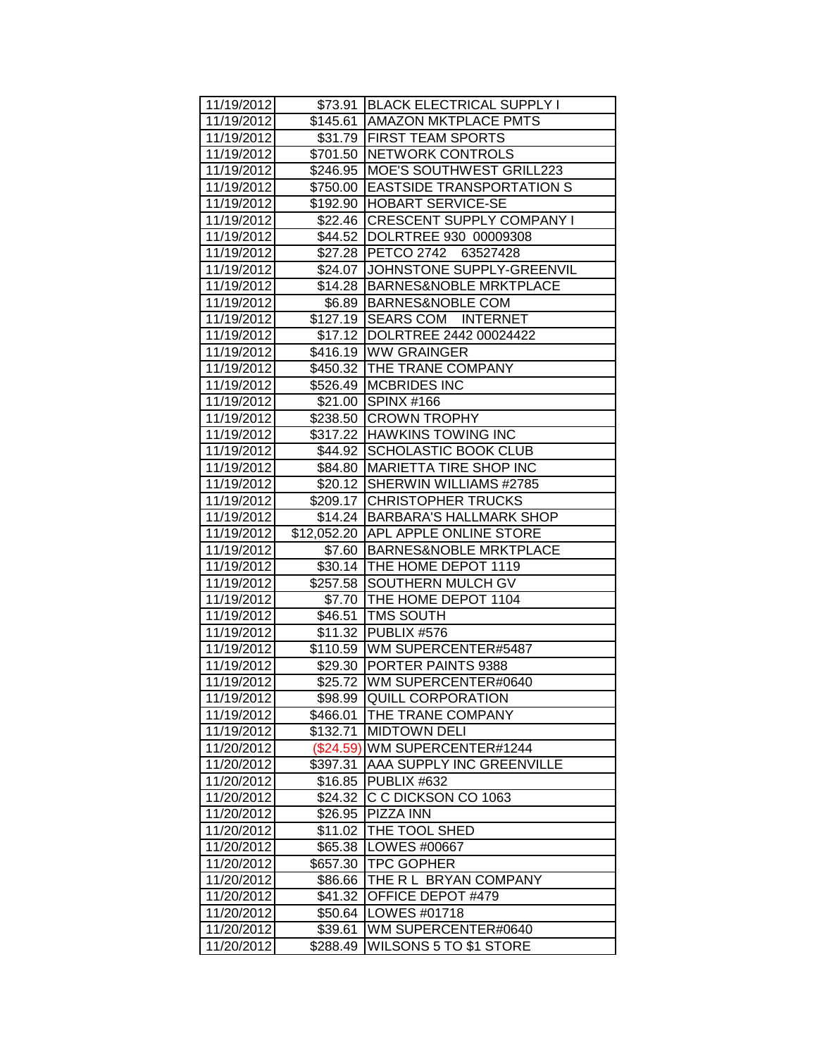| 11/19/2012 |             | \$73.91 BLACK ELECTRICAL SUPPLY I |
|------------|-------------|-----------------------------------|
| 11/19/2012 | \$145.61    | <b>AMAZON MKTPLACE PMTS</b>       |
| 11/19/2012 |             | \$31.79 FIRST TEAM SPORTS         |
| 11/19/2012 |             | \$701.50 NETWORK CONTROLS         |
| 11/19/2012 | \$246.95    | <b>MOE'S SOUTHWEST GRILL223</b>   |
| 11/19/2012 | \$750.00    | <b>EASTSIDE TRANSPORTATION S</b>  |
| 11/19/2012 | \$192.90    | <b>HOBART SERVICE-SE</b>          |
| 11/19/2012 | \$22.46     | <b>CRESCENT SUPPLY COMPANY I</b>  |
| 11/19/2012 | \$44.52     | DOLRTREE 930 00009308             |
| 11/19/2012 | \$27.28     | PETCO 2742 63527428               |
| 11/19/2012 | \$24.07     | JOHNSTONE SUPPLY-GREENVIL         |
| 11/19/2012 | \$14.28     | <b>BARNES&amp;NOBLE MRKTPLACE</b> |
| 11/19/2012 | \$6.89      | BARNES&NOBLE COM                  |
| 11/19/2012 | \$127.19    | <b>SEARS COM INTERNET</b>         |
| 11/19/2012 |             | \$17.12   DOLRTREE 2442 00024422  |
| 11/19/2012 | \$416.19    | <b>WW GRAINGER</b>                |
| 11/19/2012 |             | \$450.32 THE TRANE COMPANY        |
| 11/19/2012 | \$526.49    | <b>MCBRIDES INC</b>               |
| 11/19/2012 |             | \$21.00 SPINX #166                |
| 11/19/2012 |             | \$238.50 CROWN TROPHY             |
| 11/19/2012 |             | \$317.22 HAWKINS TOWING INC       |
| 11/19/2012 | \$44.92     | <b>SCHOLASTIC BOOK CLUB</b>       |
| 11/19/2012 | \$84.80     | <b>MARIETTA TIRE SHOP INC</b>     |
| 11/19/2012 | \$20.12     | SHERWIN WILLIAMS #2785            |
| 11/19/2012 | \$209.17    | <b>CHRISTOPHER TRUCKS</b>         |
| 11/19/2012 | \$14.24     | <b>BARBARA'S HALLMARK SHOP</b>    |
| 11/19/2012 | \$12,052.20 | <b>APL APPLE ONLINE STORE</b>     |
| 11/19/2012 | \$7.60      | <b>BARNES&amp;NOBLE MRKTPLACE</b> |
| 11/19/2012 | \$30.14     | THE HOME DEPOT 1119               |
| 11/19/2012 | \$257.58    | SOUTHERN MULCH GV                 |
| 11/19/2012 | \$7.70      | THE HOME DEPOT 1104               |
| 11/19/2012 | \$46.51     | <b>TMS SOUTH</b>                  |
| 11/19/2012 | \$11.32     | PUBLIX #576                       |
| 11/19/2012 | \$110.59    | WM SUPERCENTER#5487               |
| 11/19/2012 | \$29.30     | <b>PORTER PAINTS 9388</b>         |
| 11/19/2012 | \$25.72     | WM SUPERCENTER#0640               |
| 11/19/2012 | \$98.99     | <b>QUILL CORPORATION</b>          |
| 11/19/2012 | \$466.01    | THE TRANE COMPANY                 |
| 11/19/2012 | \$132.71    | <b>MIDTOWN DELI</b>               |
| 11/20/2012 | (\$24.59)   | WM SUPERCENTER#1244               |
| 11/20/2012 | \$397.31    | AAA SUPPLY INC GREENVILLE         |
| 11/20/2012 | \$16.85     | PUBLIX #632                       |
| 11/20/2012 | \$24.32     | C C DICKSON CO 1063               |
| 11/20/2012 | \$26.95     | PIZZA INN                         |
| 11/20/2012 | \$11.02     | THE TOOL SHED                     |
| 11/20/2012 | \$65.38     | LOWES #00667                      |
| 11/20/2012 | \$657.30    | <b>TPC GOPHER</b>                 |
| 11/20/2012 | \$86.66     | THE R L BRYAN COMPANY             |
| 11/20/2012 | \$41.32     | OFFICE DEPOT #479                 |
| 11/20/2012 | \$50.64     | LOWES #01718                      |
| 11/20/2012 | \$39.61     | WM SUPERCENTER#0640               |
| 11/20/2012 | \$288.49    | WILSONS 5 TO \$1 STORE            |
|            |             |                                   |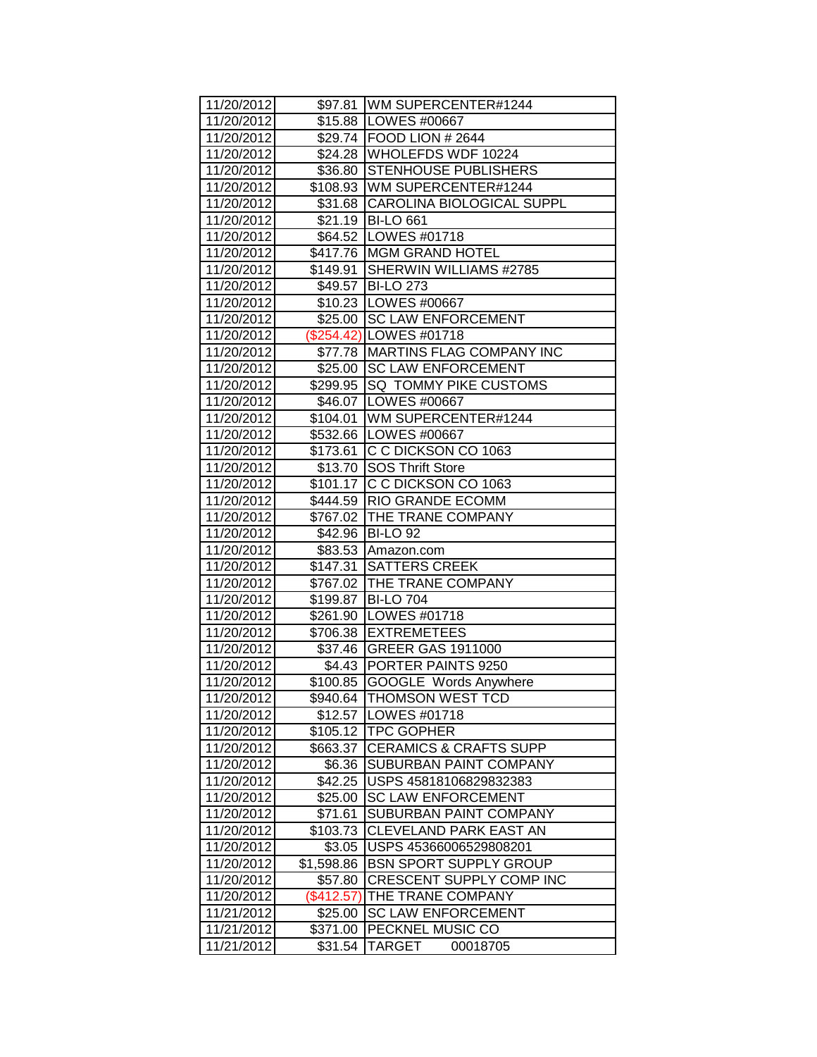| 11/20/2012 |            | \$97.81 WM SUPERCENTER#1244       |
|------------|------------|-----------------------------------|
| 11/20/2012 | \$15.88    | <b>LOWES #00667</b>               |
| 11/20/2012 |            | \$29.74   FOOD LION # 2644        |
| 11/20/2012 |            | \$24.28 WHOLEFDS WDF 10224        |
| 11/20/2012 | \$36.80    | <b>STENHOUSE PUBLISHERS</b>       |
| 11/20/2012 |            | \$108.93 WM SUPERCENTER#1244      |
| 11/20/2012 | \$31.68    | CAROLINA BIOLOGICAL SUPPL         |
| 11/20/2012 | \$21.19    | <b>BI-LO 661</b>                  |
| 11/20/2012 | \$64.52    | LOWES #01718                      |
| 11/20/2012 | \$417.76   | <b>MGM GRAND HOTEL</b>            |
| 11/20/2012 | \$149.91   | SHERWIN WILLIAMS #2785            |
| 11/20/2012 | \$49.57    | <b>BI-LO 273</b>                  |
| 11/20/2012 |            | \$10.23   LOWES #00667            |
| 11/20/2012 | \$25.00    | <b>SC LAW ENFORCEMENT</b>         |
| 11/20/2012 |            | (\$254.42) LOWES #01718           |
| 11/20/2012 | \$77.78    | MARTINS FLAG COMPANY INC          |
| 11/20/2012 | \$25.00    | <b>SC LAW ENFORCEMENT</b>         |
| 11/20/2012 | \$299.95   | SQ TOMMY PIKE CUSTOMS             |
| 11/20/2012 | \$46.07    | <b>LOWES #00667</b>               |
| 11/20/2012 | \$104.01   | WM SUPERCENTER#1244               |
| 11/20/2012 | \$532.66   | LOWES #00667                      |
| 11/20/2012 | \$173.61   | C C DICKSON CO 1063               |
| 11/20/2012 | \$13.70    | <b>SOS Thrift Store</b>           |
| 11/20/2012 | \$101.17   | C C DICKSON CO 1063               |
| 11/20/2012 | \$444.59   | <b>RIO GRANDE ECOMM</b>           |
| 11/20/2012 | \$767.02   | THE TRANE COMPANY                 |
| 11/20/2012 | \$42.96    | <b>BI-LO 92</b>                   |
| 11/20/2012 | \$83.53    | Amazon.com                        |
| 11/20/2012 | \$147.31   | <b>SATTERS CREEK</b>              |
| 11/20/2012 | \$767.02   | THE TRANE COMPANY                 |
| 11/20/2012 | \$199.87   | <b>BI-LO 704</b>                  |
| 11/20/2012 | \$261.90   | LOWES #01718                      |
| 11/20/2012 | \$706.38   | <b>EXTREMETEES</b>                |
| 11/20/2012 | \$37.46    | <b>GREER GAS 1911000</b>          |
| 11/20/2012 | \$4.43     | PORTER PAINTS 9250                |
| 11/20/2012 | \$100.85   | GOOGLE Words Anywhere             |
| 11/20/2012 |            | \$940.64  THOMSON WEST TCD        |
| 11/20/2012 | \$12.57    | LOWES #01718                      |
| 11/20/2012 | \$105.12   | <b>TPC GOPHER</b>                 |
| 11/20/2012 | \$663.37   | <b>CERAMICS &amp; CRAFTS SUPP</b> |
| 11/20/2012 | \$6.36     | SUBURBAN PAINT COMPANY            |
| 11/20/2012 | \$42.25    | USPS 45818106829832383            |
| 11/20/2012 | \$25.00    | <b>SC LAW ENFORCEMENT</b>         |
| 11/20/2012 | \$71.61    | SUBURBAN PAINT COMPANY            |
| 11/20/2012 | \$103.73   | CLEVELAND PARK EAST AN            |
| 11/20/2012 | \$3.05     | USPS 45366006529808201            |
| 11/20/2012 | \$1,598.86 | <b>BSN SPORT SUPPLY GROUP</b>     |
| 11/20/2012 | \$57.80    | <b>CRESCENT SUPPLY COMP INC</b>   |
| 11/20/2012 | (\$412.57) | THE TRANE COMPANY                 |
| 11/21/2012 |            |                                   |
|            | \$25.00    | <b>SC LAW ENFORCEMENT</b>         |
| 11/21/2012 | \$371.00   | PECKNEL MUSIC CO                  |
| 11/21/2012 | \$31.54    | TARGET<br>00018705                |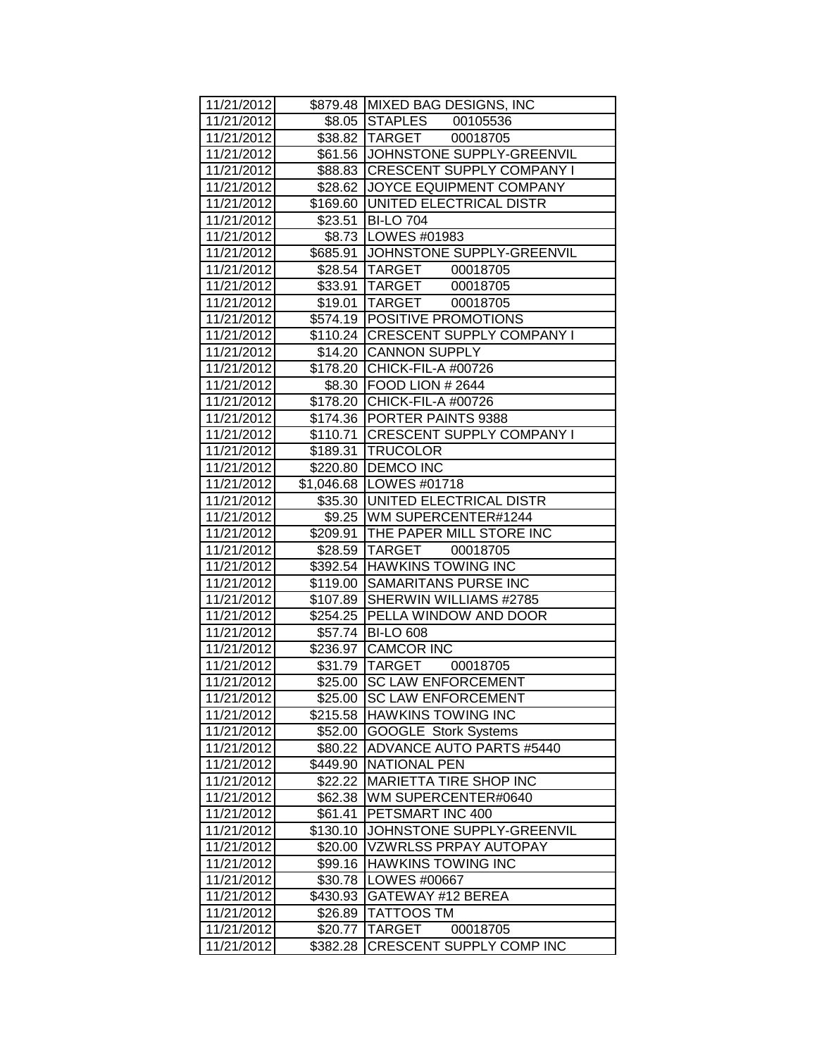| 11/21/2012 |            | \$879.48 MIXED BAG DESIGNS, INC      |
|------------|------------|--------------------------------------|
| 11/21/2012 |            | \$8.05 STAPLES 00105536              |
| 11/21/2012 |            | \$38.82  TARGET<br>00018705          |
| 11/21/2012 |            | \$61.56 JJOHNSTONE SUPPLY-GREENVIL   |
| 11/21/2012 | \$88.83    | <b>CRESCENT SUPPLY COMPANY I</b>     |
| 11/21/2012 |            | \$28.62 JJOYCE EQUIPMENT COMPANY     |
| 11/21/2012 | \$169.60   | UNITED ELECTRICAL DISTR              |
| 11/21/2012 | \$23.51    | <b>BI-LO 704</b>                     |
| 11/21/2012 |            | \$8.73 LOWES #01983                  |
| 11/21/2012 | \$685.91   | JOHNSTONE SUPPLY-GREENVIL            |
| 11/21/2012 | \$28.54    | TARGET 00018705                      |
| 11/21/2012 |            | \$33.91 TARGET<br>00018705           |
| 11/21/2012 |            | \$19.01 TARGET 00018705              |
| 11/21/2012 |            | \$574.19 POSITIVE PROMOTIONS         |
| 11/21/2012 |            | \$110.24   CRESCENT SUPPLY COMPANY I |
| 11/21/2012 | \$14.20    | <b>CANNON SUPPLY</b>                 |
| 11/21/2012 | \$178.20   | CHICK-FIL-A #00726                   |
| 11/21/2012 |            | \$8.30   FOOD LION # 2644            |
| 11/21/2012 | \$178.20   | CHICK-FIL-A #00726                   |
| 11/21/2012 | \$174.36   | <b>PORTER PAINTS 9388</b>            |
| 11/21/2012 | \$110.71   | <b>CRESCENT SUPPLY COMPANY I</b>     |
| 11/21/2012 | \$189.31   | <b>TRUCOLOR</b>                      |
| 11/21/2012 | \$220.80   | <b>DEMCO INC</b>                     |
| 11/21/2012 | \$1,046.68 | LOWES #01718                         |
| 11/21/2012 | \$35.30    | UNITED ELECTRICAL DISTR              |
| 11/21/2012 | \$9.25     | WM SUPERCENTER#1244                  |
| 11/21/2012 | \$209.91   | THE PAPER MILL STORE INC             |
| 11/21/2012 | \$28.59    | TARGET<br>00018705                   |
| 11/21/2012 | \$392.54   | <b>HAWKINS TOWING INC</b>            |
| 11/21/2012 | \$119.00   | <b>SAMARITANS PURSE INC</b>          |
| 11/21/2012 | \$107.89   | SHERWIN WILLIAMS #2785               |
| 11/21/2012 | \$254.25   | PELLA WINDOW AND DOOR                |
| 11/21/2012 | \$57.74    | <b>BI-LO 608</b>                     |
| 11/21/2012 | \$236.97   | <b>CAMCOR INC</b>                    |
| 11/21/2012 |            | \$31.79 TARGET<br>00018705           |
| 11/21/2012 | \$25.00    | <b>SC LAW ENFORCEMENT</b>            |
| 11/21/2012 | \$25.00    | <b>SC LAW ENFORCEMENT</b>            |
| 11/21/2012 | \$215.58   | <b>HAWKINS TOWING INC</b>            |
| 11/21/2012 | \$52.00    | <b>GOOGLE Stork Systems</b>          |
| 11/21/2012 | \$80.22    | <b>ADVANCE AUTO PARTS #5440</b>      |
| 11/21/2012 | \$449.90   | <b>NATIONAL PEN</b>                  |
| 11/21/2012 | \$22.22    | <b>MARIETTA TIRE SHOP INC</b>        |
| 11/21/2012 | \$62.38    | WM SUPERCENTER#0640                  |
| 11/21/2012 | \$61.41    | PETSMART INC 400                     |
| 11/21/2012 | \$130.10   | JOHNSTONE SUPPLY-GREENVIL            |
| 11/21/2012 | \$20.00    | <b>VZWRLSS PRPAY AUTOPAY</b>         |
| 11/21/2012 | \$99.16    | <b>HAWKINS TOWING INC</b>            |
| 11/21/2012 | \$30.78    | LOWES #00667                         |
| 11/21/2012 | \$430.93   | GATEWAY #12 BEREA                    |
| 11/21/2012 | \$26.89    | TATTOOS TM                           |
| 11/21/2012 | \$20.77    | <b>TARGET</b><br>00018705            |
| 11/21/2012 | \$382.28   | CRESCENT SUPPLY COMP INC             |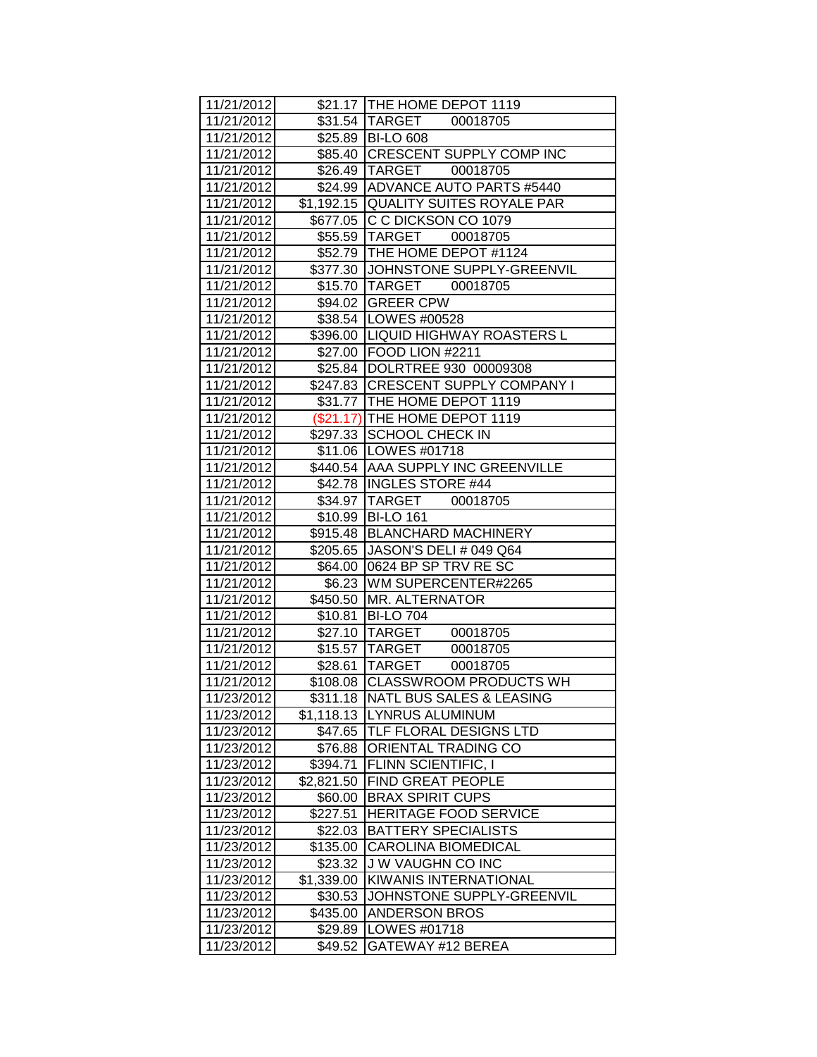| 11/21/2012               |                    | \$21.17 THE HOME DEPOT 1119          |
|--------------------------|--------------------|--------------------------------------|
| 11/21/2012               |                    | \$31.54 TARGET<br>00018705           |
| 11/21/2012               |                    | \$25.89 BI-LO 608                    |
| 11/21/2012               |                    | \$85.40 CRESCENT SUPPLY COMP INC     |
| 11/21/2012               |                    | \$26.49 TARGET 00018705              |
| 11/21/2012               |                    | \$24.99 ADVANCE AUTO PARTS #5440     |
| 11/21/2012               |                    | \$1,192.15 QUALITY SUITES ROYALE PAR |
| 11/21/2012               | \$677.05           | C C DICKSON CO 1079                  |
| 11/21/2012               | \$55.59            | TARGET 00018705                      |
| 11/21/2012               |                    | \$52.79 THE HOME DEPOT #1124         |
| 11/21/2012               |                    | \$377.30 JJOHNSTONE SUPPLY-GREENVIL  |
| 11/21/2012               |                    | \$15.70 TARGET 00018705              |
| 11/21/2012               |                    | \$94.02 GREER CPW                    |
| 11/21/2012               |                    | \$38.54   LOWES #00528               |
| 11/21/2012               |                    | \$396.00 LIQUID HIGHWAY ROASTERS L   |
| 11/21/2012               |                    | \$27.00 FOOD LION #2211              |
| 11/21/2012               |                    | \$25.84  DOLRTREE 930 00009308       |
| 11/21/2012               |                    | \$247.83 CRESCENT SUPPLY COMPANY I   |
| 11/21/2012               |                    | \$31.77   THE HOME DEPOT 1119        |
| 11/21/2012               |                    | (\$21.17) THE HOME DEPOT 1119        |
| 11/21/2012               |                    | \$297.33 SCHOOL CHECK IN             |
| 11/21/2012               | \$11.06            | LOWES #01718                         |
| 11/21/2012               | \$440.54           | <b>AAA SUPPLY INC GREENVILLE</b>     |
| 11/21/2012               | \$42.78            | <b>INGLES STORE #44</b>              |
| 11/21/2012               | \$34.97            | TARGET<br>00018705                   |
| 11/21/2012               | \$10.99            | <b>BI-LO 161</b>                     |
|                          |                    |                                      |
| 11/21/2012               | \$915.48           | <b>BLANCHARD MACHINERY</b>           |
| 11/21/2012               | \$205.65           | JASON'S DELI # 049 Q64               |
| 11/21/2012               | \$64.00            | 0624 BP SP TRV RE SC                 |
| 11/21/2012               | \$6.23             | WM SUPERCENTER#2265                  |
| 11/21/2012               | \$450.50           | <b>MR. ALTERNATOR</b>                |
| 11/21/2012               | \$10.81            | <b>BI-LO 704</b>                     |
| 11/21/2012               | \$27.10            | TARGET<br>00018705                   |
| 11/21/2012               |                    | \$15.57  TARGET<br>00018705          |
| 11/21/2012               |                    | \$28.61   TARGET<br>00018705         |
| 11/21/2012               | \$108.08           | <b>ICLASSWROOM PRODUCTS WH</b>       |
| 11/23/2012               | \$311.18           | <b>NATL BUS SALES &amp; LEASING</b>  |
| 11/23/2012               | \$1,118.13         | LYNRUS ALUMINUM                      |
| 11/23/2012               | \$47.65            | <b>TLF FLORAL DESIGNS LTD</b>        |
| 11/23/2012               | \$76.88            | <b>ORIENTAL TRADING CO</b>           |
| 11/23/2012               | \$394.71           | FLINN SCIENTIFIC, I                  |
| 11/23/2012               | \$2,821.50         | <b>FIND GREAT PEOPLE</b>             |
| 11/23/2012               | \$60.00            | <b>BRAX SPIRIT CUPS</b>              |
| 11/23/2012               | \$227.51           | <b>HERITAGE FOOD SERVICE</b>         |
| 11/23/2012               | \$22.03            | <b>BATTERY SPECIALISTS</b>           |
| 11/23/2012               | \$135.00           | <b>CAROLINA BIOMEDICAL</b>           |
| 11/23/2012               | \$23.32            | <b>JW VAUGHN CO INC</b>              |
| 11/23/2012               | \$1,339.00         | KIWANIS INTERNATIONAL                |
| 11/23/2012               | \$30.53            | JOHNSTONE SUPPLY-GREENVIL            |
| 11/23/2012               | \$435.00           | <b>ANDERSON BROS</b>                 |
| 11/23/2012<br>11/23/2012 | \$29.89<br>\$49.52 | LOWES #01718<br>GATEWAY #12 BEREA    |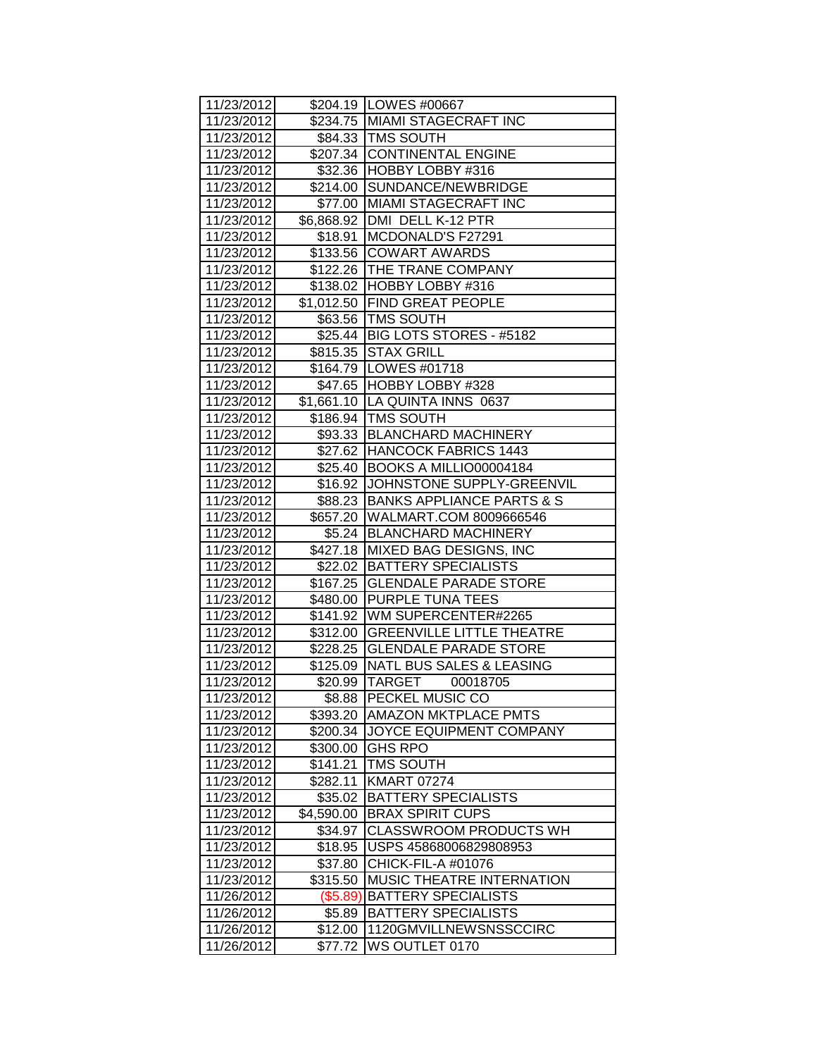| 11/23/2012 |            | \$204.19   LOWES #00667              |
|------------|------------|--------------------------------------|
| 11/23/2012 |            | \$234.75 MIAMI STAGECRAFT INC        |
| 11/23/2012 |            | \$84.33   TMS SOUTH                  |
| 11/23/2012 |            | \$207.34 CONTINENTAL ENGINE          |
| 11/23/2012 |            | \$32.36 HOBBY LOBBY #316             |
| 11/23/2012 |            | \$214.00 SUNDANCE/NEWBRIDGE          |
| 11/23/2012 | \$77.00    | MIAMI STAGECRAFT INC                 |
| 11/23/2012 | \$6,868.92 | DMI DELL K-12 PTR                    |
| 11/23/2012 | \$18.91    | MCDONALD'S F27291                    |
| 11/23/2012 | \$133.56   | <b>COWART AWARDS</b>                 |
| 11/23/2012 |            | \$122.26 THE TRANE COMPANY           |
| 11/23/2012 |            | \$138.02 HOBBY LOBBY #316            |
| 11/23/2012 |            | \$1,012.50 FIND GREAT PEOPLE         |
| 11/23/2012 |            | \$63.56 TMS SOUTH                    |
| 11/23/2012 |            | \$25.44   BIG LOTS STORES - #5182    |
| 11/23/2012 |            | \$815.35 STAX GRILL                  |
| 11/23/2012 |            | \$164.79   LOWES #01718              |
| 11/23/2012 | \$47.65    | HOBBY LOBBY #328                     |
| 11/23/2012 |            | \$1,661.10 LA QUINTA INNS 0637       |
| 11/23/2012 |            | \$186.94   TMS SOUTH                 |
| 11/23/2012 | \$93.33    | <b>BLANCHARD MACHINERY</b>           |
| 11/23/2012 | \$27.62    | HANCOCK FABRICS 1443                 |
| 11/23/2012 | \$25.40    | BOOKS A MILLIO00004184               |
| 11/23/2012 | \$16.92    | JOHNSTONE SUPPLY-GREENVIL            |
| 11/23/2012 | \$88.23    | <b>BANKS APPLIANCE PARTS &amp; S</b> |
| 11/23/2012 | \$657.20   | WALMART.COM 8009666546               |
| 11/23/2012 | \$5.24     | <b>BLANCHARD MACHINERY</b>           |
| 11/23/2012 | \$427.18   | <b>MIXED BAG DESIGNS, INC</b>        |
| 11/23/2012 |            | \$22.02 BATTERY SPECIALISTS          |
| 11/23/2012 | \$167.25   | <b>GLENDALE PARADE STORE</b>         |
| 11/23/2012 | \$480.00   | <b>PURPLE TUNA TEES</b>              |
| 11/23/2012 | \$141.92   | WM SUPERCENTER#2265                  |
| 11/23/2012 | \$312.00   | <b>GREENVILLE LITTLE THEATRE</b>     |
| 11/23/2012 | \$228.25   | <b>JGLENDALE PARADE STORE</b>        |
| 11/23/2012 | \$125.09   | <b>NATL BUS SALES &amp; LEASING</b>  |
| 11/23/2012 | \$20.99    | TARGET<br>00018705                   |
| 11/23/2012 | \$8.88     | <b>PECKEL MUSIC CO</b>               |
| 11/23/2012 | \$393.20   | <b>AMAZON MKTPLACE PMTS</b>          |
| 11/23/2012 | \$200.34   | JOYCE EQUIPMENT COMPANY              |
| 11/23/2012 | \$300.00   | <b>GHS RPO</b>                       |
| 11/23/2012 | \$141.21   | <b>TMS SOUTH</b>                     |
| 11/23/2012 | \$282.11   | <b>KMART 07274</b>                   |
| 11/23/2012 | \$35.02    | <b>BATTERY SPECIALISTS</b>           |
| 11/23/2012 | \$4,590.00 | <b>BRAX SPIRIT CUPS</b>              |
| 11/23/2012 | \$34.97    | <b>CLASSWROOM PRODUCTS WH</b>        |
| 11/23/2012 | \$18.95    | USPS 45868006829808953               |
| 11/23/2012 | \$37.80    | CHICK-FIL-A #01076                   |
| 11/23/2012 | \$315.50   | MUSIC THEATRE INTERNATION            |
| 11/26/2012 | (\$5.89)   | <b>BATTERY SPECIALISTS</b>           |
| 11/26/2012 | \$5.89     | <b>BATTERY SPECIALISTS</b>           |
| 11/26/2012 | \$12.00    | 1120GMVILLNEWSNSSCCIRC               |
| 11/26/2012 | \$77.72    | WS OUTLET 0170                       |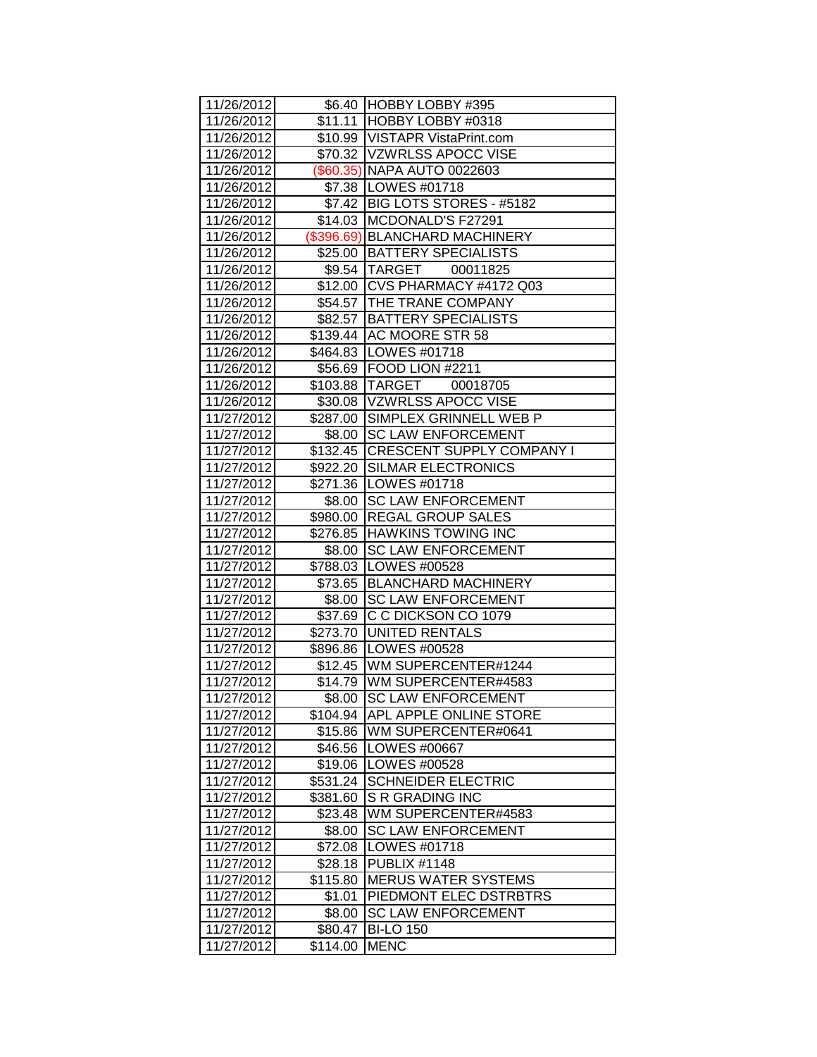| 11/26/2012 |          | \$6.40 HOBBY LOBBY #395          |
|------------|----------|----------------------------------|
| 11/26/2012 |          | \$11.11 HOBBY LOBBY #0318        |
| 11/26/2012 |          | \$10.99   VISTAPR VistaPrint.com |
| 11/26/2012 |          | \$70.32  VZWRLSS APOCC VISE      |
| 11/26/2012 |          | (\$60.35) NAPA AUTO 0022603      |
| 11/26/2012 |          | \$7.38   LOWES #01718            |
| 11/26/2012 |          | \$7.42 BIG LOTS STORES - #5182   |
| 11/26/2012 | \$14.03  | MCDONALD'S F27291                |
| 11/26/2012 |          | (\$396.69) BLANCHARD MACHINERY   |
| 11/26/2012 | \$25.00  | <b>BATTERY SPECIALISTS</b>       |
| 11/26/2012 |          | \$9.54 TARGET<br>00011825        |
| 11/26/2012 |          | \$12.00 CVS PHARMACY #4172 Q03   |
| 11/26/2012 |          | \$54.57   THE TRANE COMPANY      |
| 11/26/2012 |          | \$82.57   BATTERY SPECIALISTS    |
| 11/26/2012 |          | \$139.44 AC MOORE STR 58         |
| 11/26/2012 |          | \$464.83   LOWES #01718          |
| 11/26/2012 |          | \$56.69   FOOD LION #2211        |
| 11/26/2012 |          | \$103.88 TARGET<br>00018705      |
| 11/26/2012 |          | \$30.08 VZWRLSS APOCC VISE       |
| 11/27/2012 |          | \$287.00 SIMPLEX GRINNELL WEB P  |
| 11/27/2012 | \$8.00   | <b>SC LAW ENFORCEMENT</b>        |
| 11/27/2012 | \$132.45 | <b>CRESCENT SUPPLY COMPANY I</b> |
| 11/27/2012 | \$922.20 | <b>SILMAR ELECTRONICS</b>        |
| 11/27/2012 | \$271.36 | LOWES #01718                     |
| 11/27/2012 | \$8.00   | <b>SC LAW ENFORCEMENT</b>        |
| 11/27/2012 | \$980.00 | <b>REGAL GROUP SALES</b>         |
| 11/27/2012 | \$276.85 | <b>HAWKINS TOWING INC</b>        |
| 11/27/2012 | \$8.00   | <b>SC LAW ENFORCEMENT</b>        |
| 11/27/2012 | \$788.03 | LOWES #00528                     |
| 11/27/2012 | \$73.65  | <b>BLANCHARD MACHINERY</b>       |
| 11/27/2012 | \$8.00   | <b>ISC LAW ENFORCEMENT</b>       |
| 11/27/2012 | \$37.69  | C C DICKSON CO 1079              |
| 11/27/2012 | \$273.70 | UNITED RENTALS                   |
| 11/27/2012 | \$896.86 | <b>LOWES #00528</b>              |
| 11/27/2012 | \$12.45  | <b>WM SUPERCENTER#1244</b>       |
| 11/27/2012 |          | \$14.79   WM SUPERCENTER#4583    |
| 11/27/2012 | \$8.00   | <b>SC LAW ENFORCEMENT</b>        |
| 11/27/2012 | \$104.94 | IAPL APPLE ONLINE STORE          |
| 11/27/2012 | \$15.86  | WM SUPERCENTER#0641              |
| 11/27/2012 | \$46.56  | LOWES #00667                     |
| 11/27/2012 | \$19.06  | <b>LOWES #00528</b>              |
| 11/27/2012 | \$531.24 | <b>SCHNEIDER ELECTRIC</b>        |
| 11/27/2012 | \$381.60 | <b>S R GRADING INC</b>           |
| 11/27/2012 | \$23.48  | WM SUPERCENTER#4583              |
| 11/27/2012 | \$8.00   | <b>SC LAW ENFORCEMENT</b>        |
| 11/27/2012 | \$72.08  | LOWES #01718                     |
| 11/27/2012 | \$28.18  | <b>PUBLIX #1148</b>              |
| 11/27/2012 | \$115.80 | <b>MERUS WATER SYSTEMS</b>       |
| 11/27/2012 | \$1.01   | PIEDMONT ELEC DSTRBTRS           |
| 11/27/2012 | \$8.00   | <b>SC LAW ENFORCEMENT</b>        |
| 11/27/2012 | \$80.47  | <b>BI-LO 150</b>                 |
| 11/27/2012 | \$114.00 | <b>MENC</b>                      |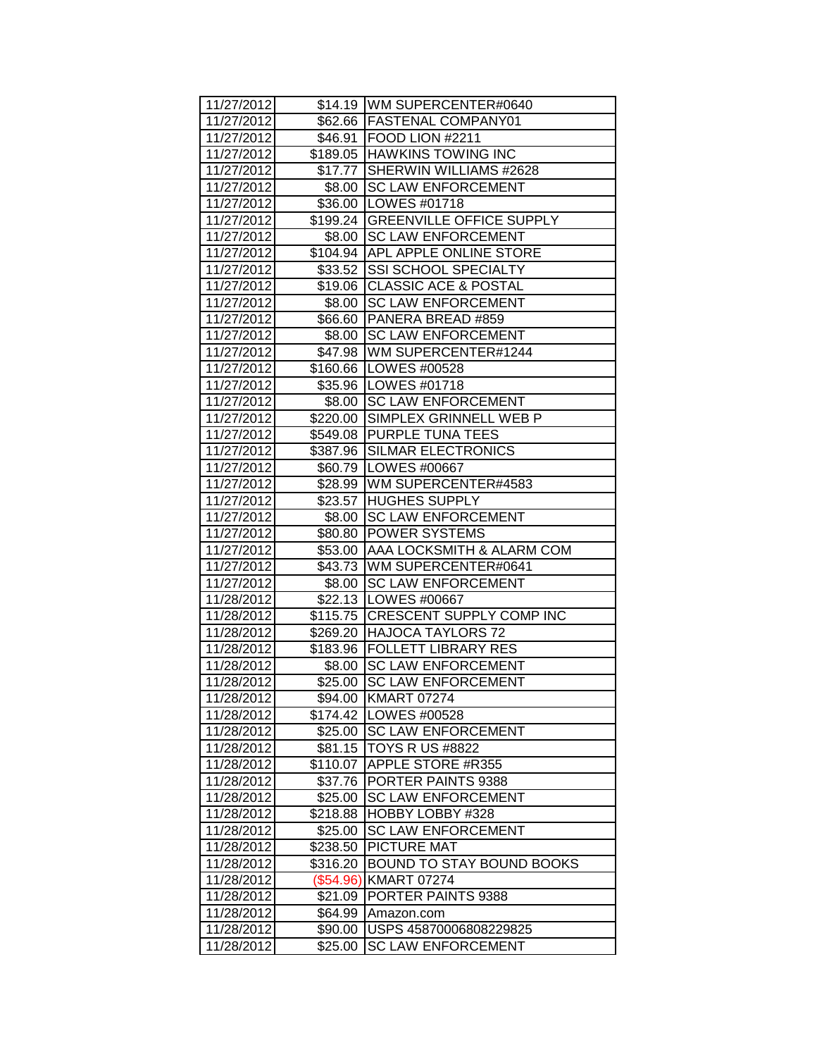| 11/27/2012               |                      | \$14.19   WM SUPERCENTER#0640                       |
|--------------------------|----------------------|-----------------------------------------------------|
| 11/27/2012               |                      | \$62.66 FASTENAL COMPANY01                          |
| 11/27/2012               |                      | \$46.91   FOOD LION #2211                           |
| 11/27/2012               |                      | \$189.05 HAWKINS TOWING INC                         |
| 11/27/2012               | \$17.77              | SHERWIN WILLIAMS #2628                              |
| 11/27/2012               | \$8.00               | <b>SC LAW ENFORCEMENT</b>                           |
| 11/27/2012               | \$36.00              | LOWES #01718                                        |
| 11/27/2012               | \$199.24             | <b>GREENVILLE OFFICE SUPPLY</b>                     |
| 11/27/2012               | \$8.00               | <b>SC LAW ENFORCEMENT</b>                           |
| 11/27/2012               | \$104.94             | <b>APL APPLE ONLINE STORE</b>                       |
| 11/27/2012               | \$33.52              | <b>SSI SCHOOL SPECIALTY</b>                         |
| 11/27/2012               | \$19.06              | <b>CLASSIC ACE &amp; POSTAL</b>                     |
| 11/27/2012               | \$8.00               | <b>SC LAW ENFORCEMENT</b>                           |
| 11/27/2012               | \$66.60              | PANERA BREAD #859                                   |
| 11/27/2012               | \$8.00               | <b>SC LAW ENFORCEMENT</b>                           |
| 11/27/2012               | \$47.98              | WM SUPERCENTER#1244                                 |
| 11/27/2012               | \$160.66             | LOWES #00528                                        |
| 11/27/2012               | \$35.96              | LOWES #01718                                        |
| 11/27/2012               | \$8.00               | <b>SC LAW ENFORCEMENT</b><br>SIMPLEX GRINNELL WEB P |
| 11/27/2012<br>11/27/2012 | \$220.00             | <b>PURPLE TUNA TEES</b>                             |
| 11/27/2012               | \$549.08<br>\$387.96 | <b>SILMAR ELECTRONICS</b>                           |
| 11/27/2012               | \$60.79              | <b>LOWES #00667</b>                                 |
| 11/27/2012               | \$28.99              | WM SUPERCENTER#4583                                 |
| 11/27/2012               | \$23.57              | <b>HUGHES SUPPLY</b>                                |
| 11/27/2012               | \$8.00               | <b>SC LAW ENFORCEMENT</b>                           |
| 11/27/2012               | \$80.80              | POWER SYSTEMS                                       |
| 11/27/2012               | \$53.00              | AAA LOCKSMITH & ALARM COM                           |
| 11/27/2012               | \$43.73              | WM SUPERCENTER#0641                                 |
| 11/27/2012               | \$8.00               | <b>SC LAW ENFORCEMENT</b>                           |
| 11/28/2012               | \$22.13              | LOWES #00667                                        |
| 11/28/2012               | \$115.75             | <b>CRESCENT SUPPLY COMP INC</b>                     |
| 11/28/2012               | \$269.20             | HAJOCA TAYLORS 72                                   |
| 11/28/2012               | \$183.96             | FOLLETT LIBRARY RES                                 |
| 11/28/2012               | \$8.00               | <b>SC LAW ENFORCEMENT</b>                           |
| 11/28/2012               | \$25.00              | <b>SC LAW ENFORCEMENT</b>                           |
| 11/28/2012               | \$94.00              | <b>KMART 07274</b>                                  |
| 11/28/2012               | \$174.42             | LOWES #00528                                        |
| 11/28/2012               | \$25.00              | <b>SC LAW ENFORCEMENT</b>                           |
| 11/28/2012               | \$81.15              | <b>TOYS R US #8822</b>                              |
| 11/28/2012               | \$110.07             | APPLE STORE #R355                                   |
| 11/28/2012               | \$37.76              | PORTER PAINTS 9388                                  |
| 11/28/2012               | \$25.00              | <b>SC LAW ENFORCEMENT</b>                           |
| 11/28/2012               |                      | HOBBY LOBBY #328                                    |
|                          | \$218.88             |                                                     |
| 11/28/2012               | \$25.00              | <b>SC LAW ENFORCEMENT</b>                           |
| 11/28/2012               | \$238.50             | <b>PICTURE MAT</b>                                  |
| 11/28/2012               | \$316.20             | BOUND TO STAY BOUND BOOKS                           |
| 11/28/2012               | (\$54.96)            | <b>KMART 07274</b>                                  |
| 11/28/2012               | \$21.09              | PORTER PAINTS 9388                                  |
| 11/28/2012               | \$64.99              | Amazon.com                                          |
| 11/28/2012<br>11/28/2012 | \$90.00<br>\$25.00   | USPS 45870006808229825<br><b>SC LAW ENFORCEMENT</b> |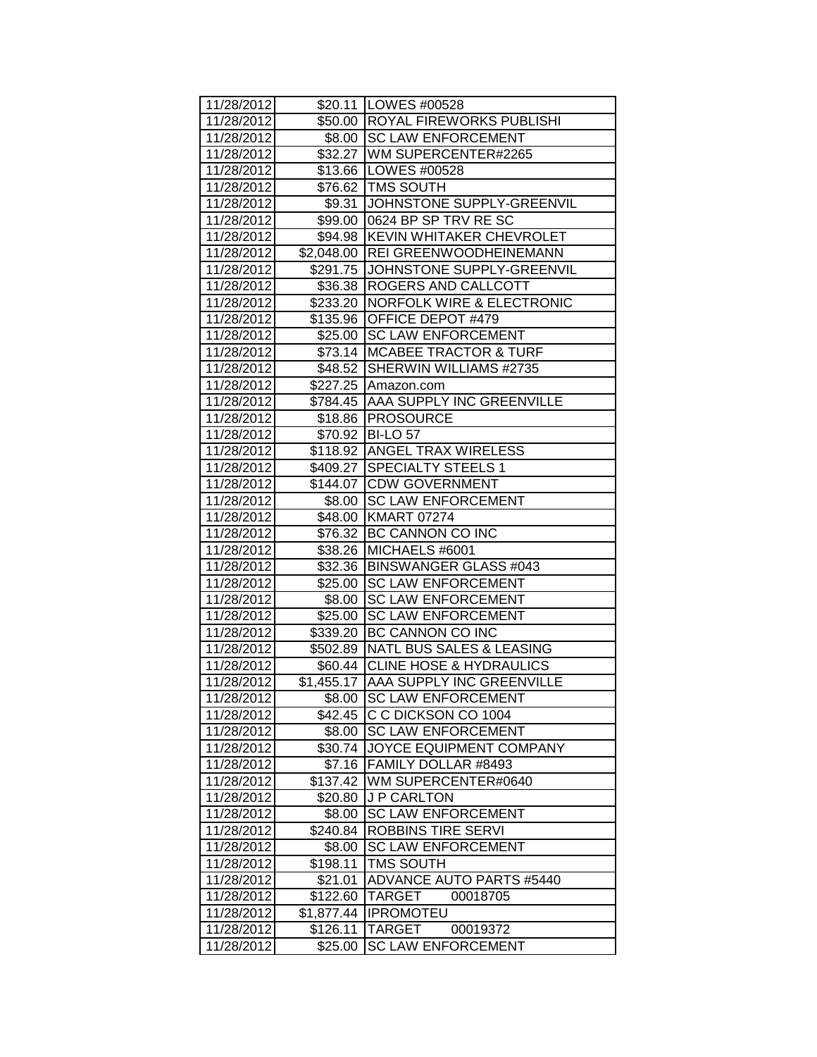| 11/28/2012 |            | \$20.11   LOWES #00528               |
|------------|------------|--------------------------------------|
| 11/28/2012 |            | \$50.00 ROYAL FIREWORKS PUBLISHI     |
| 11/28/2012 |            | \$8.00 SC LAW ENFORCEMENT            |
| 11/28/2012 |            | \$32.27   WM SUPERCENTER#2265        |
| 11/28/2012 |            | \$13.66 LOWES #00528                 |
| 11/28/2012 |            | \$76.62 TMS SOUTH                    |
| 11/28/2012 | \$9.31     | JOHNSTONE SUPPLY-GREENVIL            |
| 11/28/2012 | \$99.00    | 0624 BP SP TRV RE SC                 |
| 11/28/2012 | \$94.98    | <b>KEVIN WHITAKER CHEVROLET</b>      |
| 11/28/2012 | \$2,048.00 | <b>REI GREENWOODHEINEMANN</b>        |
| 11/28/2012 | \$291.75   | JOHNSTONE SUPPLY-GREENVIL            |
| 11/28/2012 | \$36.38    | <b>ROGERS AND CALLCOTT</b>           |
| 11/28/2012 | \$233.20   | <b>NORFOLK WIRE &amp; ELECTRONIC</b> |
| 11/28/2012 | \$135.96   | <b>OFFICE DEPOT #479</b>             |
| 11/28/2012 | \$25.00    | <b>SC LAW ENFORCEMENT</b>            |
| 11/28/2012 | \$73.14    | <b>MCABEE TRACTOR &amp; TURF</b>     |
| 11/28/2012 | \$48.52    | SHERWIN WILLIAMS #2735               |
| 11/28/2012 | \$227.25   | Amazon.com                           |
| 11/28/2012 | \$784.45   | <b>AAA SUPPLY INC GREENVILLE</b>     |
| 11/28/2012 | \$18.86    | <b>PROSOURCE</b>                     |
| 11/28/2012 | \$70.92    | <b>BI-LO 57</b>                      |
| 11/28/2012 | \$118.92   | <b>ANGEL TRAX WIRELESS</b>           |
| 11/28/2012 | \$409.27   | <b>SPECIALTY STEELS 1</b>            |
| 11/28/2012 | \$144.07   | <b>CDW GOVERNMENT</b>                |
| 11/28/2012 | \$8.00     | <b>SC LAW ENFORCEMENT</b>            |
| 11/28/2012 | \$48.00    | <b>KMART 07274</b>                   |
| 11/28/2012 | \$76.32    | BC CANNON CO INC                     |
| 11/28/2012 | \$38.26    | MICHAELS #6001                       |
| 11/28/2012 | \$32.36    | <b>BINSWANGER GLASS #043</b>         |
| 11/28/2012 | \$25.00    | <b>SC LAW ENFORCEMENT</b>            |
| 11/28/2012 | \$8.00     | <b>SC LAW ENFORCEMENT</b>            |
| 11/28/2012 | \$25.00    | <b>SC LAW ENFORCEMENT</b>            |
| 11/28/2012 | \$339.20   | BC CANNON CO INC                     |
| 11/28/2012 | \$502.89   | <b>NATL BUS SALES &amp; LEASING</b>  |
| 11/28/2012 | \$60.44    | <b> CLINE HOSE &amp; HYDRAULICS</b>  |
| 11/28/2012 |            | \$1,455.17 AAA SUPPLY INC GREENVILLE |
| 11/28/2012 | \$8.00     | <b>SC LAW ENFORCEMENT</b>            |
| 11/28/2012 | \$42.45    | C C DICKSON CO 1004                  |
| 11/28/2012 | \$8.00     | <b>SC LAW ENFORCEMENT</b>            |
| 11/28/2012 | \$30.74    | JOYCE EQUIPMENT COMPANY              |
| 11/28/2012 | \$7.16     | FAMILY DOLLAR #8493                  |
| 11/28/2012 | \$137.42   | WM SUPERCENTER#0640                  |
| 11/28/2012 | \$20.80    | <b>J P CARLTON</b>                   |
| 11/28/2012 | \$8.00     | <b>SC LAW ENFORCEMENT</b>            |
| 11/28/2012 | \$240.84   | ROBBINS TIRE SERVI                   |
| 11/28/2012 | \$8.00     | <b>SC LAW ENFORCEMENT</b>            |
| 11/28/2012 | \$198.11   | <b>TMS SOUTH</b>                     |
| 11/28/2012 | \$21.01    | <b>ADVANCE AUTO PARTS #5440</b>      |
| 11/28/2012 | \$122.60   | TARGET<br>00018705                   |
| 11/28/2012 | \$1,877.44 | <b>IPROMOTEU</b>                     |
| 11/28/2012 | \$126.11   | TARGET<br>00019372                   |
| 11/28/2012 | \$25.00    | <b>SC LAW ENFORCEMENT</b>            |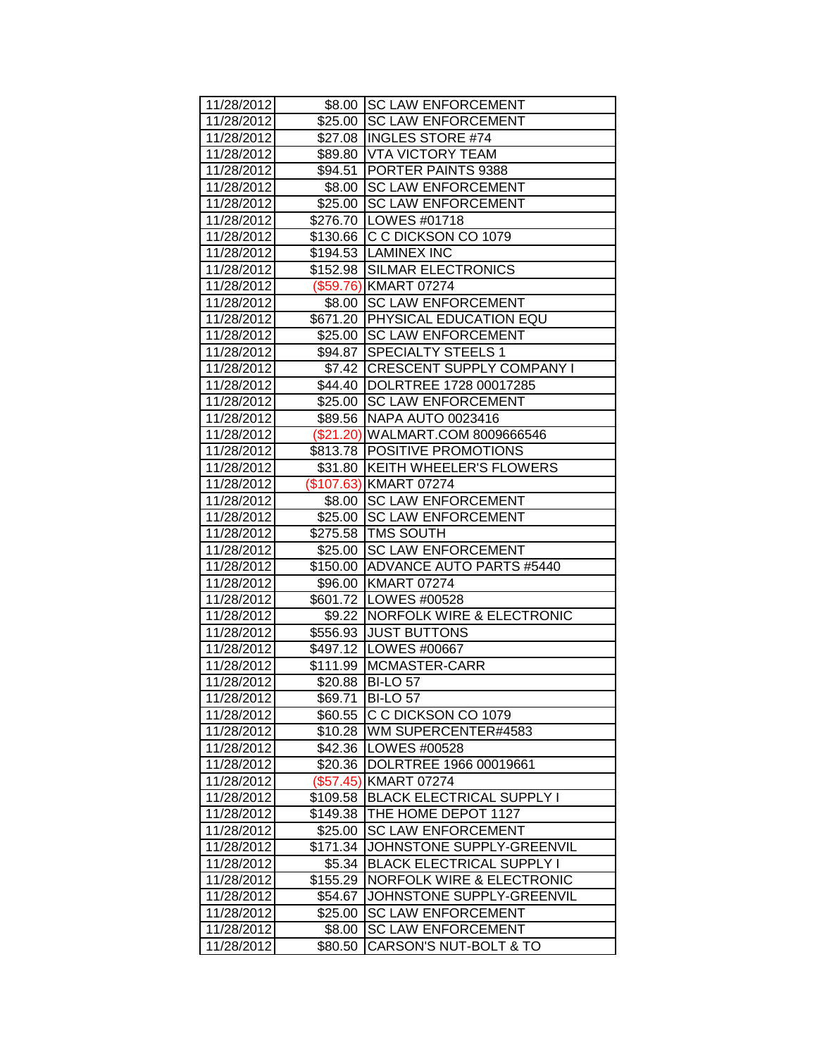| 11/28/2012               |                   | \$8.00 ISC LAW ENFORCEMENT                          |
|--------------------------|-------------------|-----------------------------------------------------|
| 11/28/2012               | \$25.00           | <b>ISC LAW ENFORCEMENT</b>                          |
| 11/28/2012               | \$27.08           | <b>INGLES STORE #74</b>                             |
| 11/28/2012               |                   | \$89.80 VTA VICTORY TEAM                            |
| 11/28/2012               | \$94.51           | <b>PORTER PAINTS 9388</b>                           |
| 11/28/2012               | \$8.00            | <b>SC LAW ENFORCEMENT</b>                           |
| 11/28/2012               | \$25.00           | <b>SC LAW ENFORCEMENT</b>                           |
| 11/28/2012               | \$276.70          | LOWES #01718                                        |
| 11/28/2012               | \$130.66          | C C DICKSON CO 1079                                 |
| 11/28/2012               | \$194.53          | <b>LAMINEX INC</b>                                  |
| 11/28/2012               | \$152.98          | <b>SILMAR ELECTRONICS</b>                           |
| 11/28/2012               |                   | (\$59.76) KMART 07274                               |
| 11/28/2012               | \$8.00            | <b>SC LAW ENFORCEMENT</b>                           |
| 11/28/2012               | \$671.20          | <b>PHYSICAL EDUCATION EQU</b>                       |
| 11/28/2012               | \$25.00           | <b>ISC LAW ENFORCEMENT</b>                          |
| 11/28/2012               | \$94.87           | <b>SPECIALTY STEELS 1</b>                           |
| 11/28/2012               | \$7.42            | <b>CRESCENT SUPPLY COMPANY I</b>                    |
| 11/28/2012               | \$44.40           | DOLRTREE 1728 00017285                              |
| 11/28/2012               | \$25.00           | <b>ISC LAW ENFORCEMENT</b>                          |
| 11/28/2012               | \$89.56           | NAPA AUTO 0023416                                   |
| 11/28/2012               |                   | (\$21.20) WALMART.COM 8009666546                    |
| 11/28/2012               | \$813.78          | <b>POSITIVE PROMOTIONS</b>                          |
| 11/28/2012               | \$31.80           | <b>KEITH WHEELER'S FLOWERS</b>                      |
| 11/28/2012               | (\$107.63)        | <b>KMART 07274</b>                                  |
| 11/28/2012               | \$8.00            | <b>SC LAW ENFORCEMENT</b>                           |
| 11/28/2012               | \$25.00           | <b>SC LAW ENFORCEMENT</b>                           |
|                          |                   |                                                     |
| 11/28/2012               | \$275.58          | <b>TMS SOUTH</b>                                    |
| 11/28/2012               | \$25.00           | <b>SC LAW ENFORCEMENT</b>                           |
| 11/28/2012               | \$150.00          | <b>ADVANCE AUTO PARTS #5440</b>                     |
| 11/28/2012               | \$96.00           | <b>KMART 07274</b>                                  |
| 11/28/2012               | \$601.72          | LOWES #00528                                        |
| 11/28/2012               | \$9.22            | <b>NORFOLK WIRE &amp; ELECTRONIC</b>                |
| 11/28/2012               | \$556.93          | <b>JUST BUTTONS</b>                                 |
| 11/28/2012               | \$497.12          | LOWES #00667                                        |
| 11/28/2012               | \$111.99          | MCMASTER-CARR                                       |
| 11/28/2012               | \$20.88           | <b>BI-LO 57</b>                                     |
| 11/28/2012               | \$69.71           | <b>BI-LO 57</b>                                     |
| 11/28/2012               | \$60.55           | C C DICKSON CO 1079                                 |
| 11/28/2012               | \$10.28           | WM SUPERCENTER#4583                                 |
| 11/28/2012               | \$42.36           | LOWES #00528                                        |
| 11/28/2012               | \$20.36           | DOLRTREE 1966 00019661                              |
| 11/28/2012               | (\$57.45)         | <b>KMART 07274</b>                                  |
| 11/28/2012               | \$109.58          | <b>BLACK ELECTRICAL SUPPLY I</b>                    |
| 11/28/2012               | \$149.38          | THE HOME DEPOT 1127                                 |
| 11/28/2012               | \$25.00           | <b>SC LAW ENFORCEMENT</b>                           |
| 11/28/2012               | \$171.34          | JOHNSTONE SUPPLY-GREENVIL                           |
| 11/28/2012               | \$5.34            | <b>BLACK ELECTRICAL SUPPLY I</b>                    |
| 11/28/2012               | \$155.29          | NORFOLK WIRE & ELECTRONIC                           |
| 11/28/2012               | \$54.67           | JOHNSTONE SUPPLY-GREENVIL                           |
| 11/28/2012               | \$25.00           | <b>SC LAW ENFORCEMENT</b>                           |
| 11/28/2012<br>11/28/2012 | \$8.00<br>\$80.50 | <b>SC LAW ENFORCEMENT</b><br>CARSON'S NUT-BOLT & TO |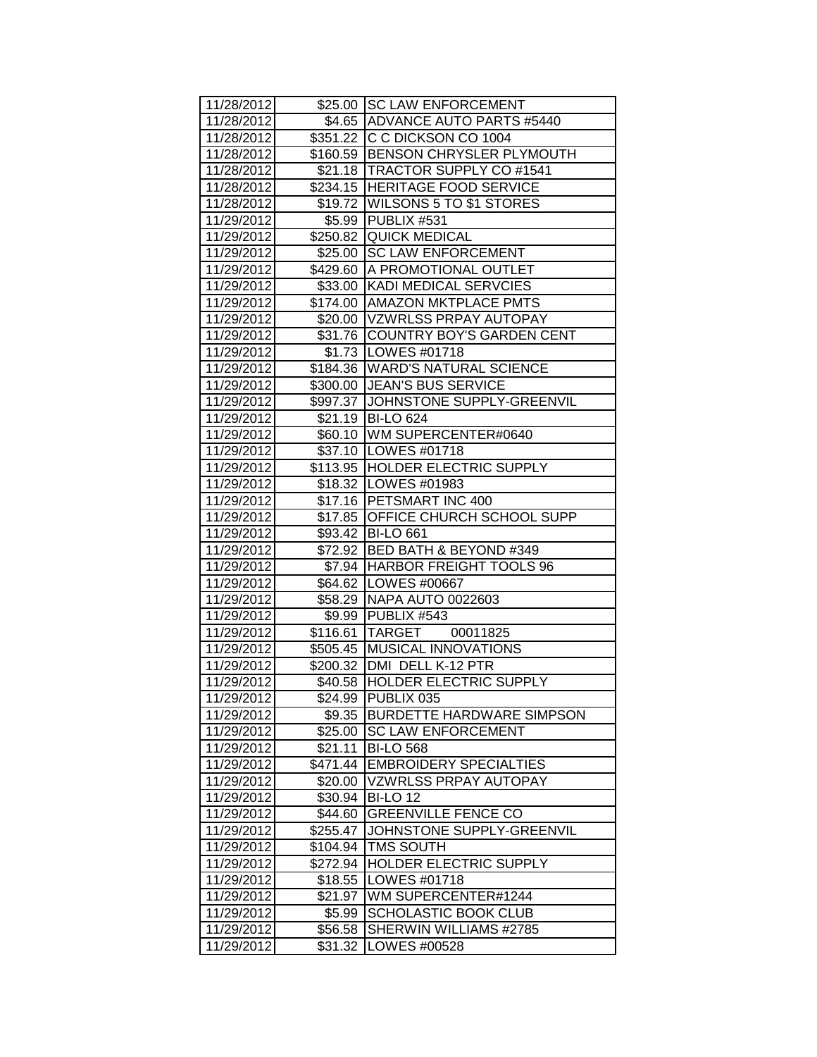| 11/28/2012               |                      | \$25.00 SC LAW ENFORCEMENT               |
|--------------------------|----------------------|------------------------------------------|
| 11/28/2012               |                      | \$4.65 ADVANCE AUTO PARTS #5440          |
| 11/28/2012               |                      | \$351.22 C C DICKSON CO 1004             |
| 11/28/2012               |                      | \$160.59 BENSON CHRYSLER PLYMOUTH        |
| 11/28/2012               |                      | \$21.18 TRACTOR SUPPLY CO #1541          |
| 11/28/2012               |                      | \$234.15 HERITAGE FOOD SERVICE           |
| 11/28/2012               | \$19.72              | <b>WILSONS 5 TO \$1 STORES</b>           |
| 11/29/2012               | \$5.99               | PUBLIX #531                              |
| 11/29/2012               | \$250.82             | <b>QUICK MEDICAL</b>                     |
| 11/29/2012               | \$25.00              | <b>SC LAW ENFORCEMENT</b>                |
| 11/29/2012               | \$429.60             | A PROMOTIONAL OUTLET                     |
| 11/29/2012               | \$33.00              | <b>KADI MEDICAL SERVCIES</b>             |
| 11/29/2012               |                      | \$174.00 AMAZON MKTPLACE PMTS            |
| 11/29/2012               |                      | \$20.00 VZWRLSS PRPAY AUTOPAY            |
| 11/29/2012               |                      | \$31.76 COUNTRY BOY'S GARDEN CENT        |
| 11/29/2012               |                      | \$1.73   LOWES #01718                    |
| 11/29/2012               |                      | \$184.36   WARD'S NATURAL SCIENCE        |
| 11/29/2012               | \$300.00             | <b>JEAN'S BUS SERVICE</b>                |
| 11/29/2012               | \$997.37             | JOHNSTONE SUPPLY-GREENVIL                |
| 11/29/2012               | \$21.19              | <b>BI-LO 624</b>                         |
| 11/29/2012               | \$60.10              | WM SUPERCENTER#0640                      |
| 11/29/2012               | \$37.10              | LOWES #01718                             |
| 11/29/2012               | \$113.95             | <b>HOLDER ELECTRIC SUPPLY</b>            |
| 11/29/2012               | \$18.32              | LOWES #01983                             |
| 11/29/2012               | \$17.16              | PETSMART INC 400                         |
| 11/29/2012               | \$17.85              | <b>OFFICE CHURCH SCHOOL SUPP</b>         |
| 11/29/2012               | \$93.42              | <b>BI-LO 661</b>                         |
| 11/29/2012               | \$72.92              | BED BATH & BEYOND #349                   |
| 11/29/2012               | \$7.94               | HARBOR FREIGHT TOOLS 96                  |
| 11/29/2012               | \$64.62              | LOWES #00667<br><b>NAPA AUTO 0022603</b> |
| 11/29/2012<br>11/29/2012 | \$58.29              | PUBLIX #543                              |
| 11/29/2012               | \$9.99               | <b>TARGET</b><br>00011825                |
| 11/29/2012               | \$116.61<br>\$505.45 | <b>MUSICAL INNOVATIONS</b>               |
| 11/29/2012               | \$200.32             | DMI DELL K-12 PTR                        |
| 11/29/2012               |                      | <b>HOLDER ELECTRIC SUPPLY</b>            |
| 11/29/2012               | \$40.58<br>\$24.99   | PUBLIX 035                               |
| 11/29/2012               | \$9.35               | <b>BURDETTE HARDWARE SIMPSON</b>         |
| 11/29/2012               | \$25.00              | <b>SC LAW ENFORCEMENT</b>                |
| 11/29/2012               | \$21.11              | <b>BI-LO 568</b>                         |
| 11/29/2012               | \$471.44             | <b>EMBROIDERY SPECIALTIES</b>            |
| 11/29/2012               | \$20.00              | <b>VZWRLSS PRPAY AUTOPAY</b>             |
| 11/29/2012               | \$30.94              | <b>BI-LO 12</b>                          |
| 11/29/2012               | \$44.60              | <b>GREENVILLE FENCE CO</b>               |
| 11/29/2012               | \$255.47             | JOHNSTONE SUPPLY-GREENVIL                |
| 11/29/2012               | \$104.94             | <b>TMS SOUTH</b>                         |
| 11/29/2012               | \$272.94             | HOLDER ELECTRIC SUPPLY                   |
| 11/29/2012               | \$18.55              | LOWES #01718                             |
| 11/29/2012               | \$21.97              | WM SUPERCENTER#1244                      |
|                          |                      |                                          |
|                          |                      |                                          |
| 11/29/2012               | \$5.99               | SCHOLASTIC BOOK CLUB                     |
| 11/29/2012<br>11/29/2012 | \$56.58<br>\$31.32   | SHERWIN WILLIAMS #2785<br>LOWES #00528   |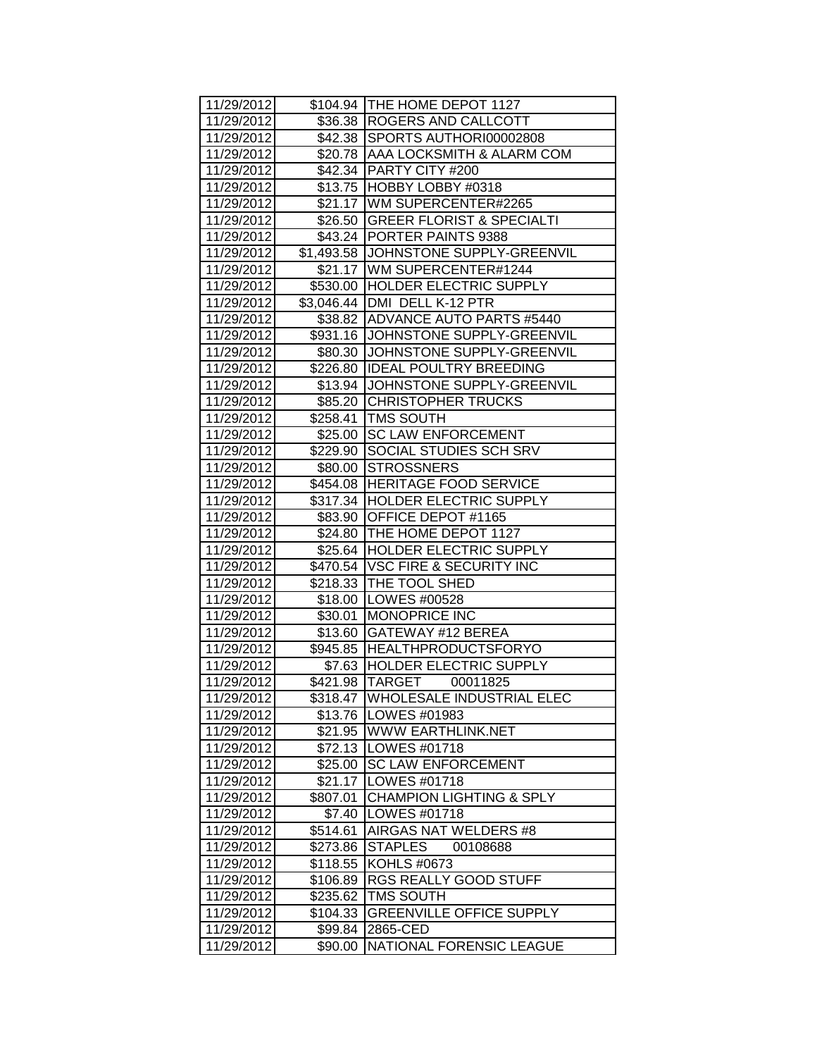| 11/29/2012 |          | \$104.94   THE HOME DEPOT 1127        |
|------------|----------|---------------------------------------|
| 11/29/2012 |          | \$36.38 ROGERS AND CALLCOTT           |
| 11/29/2012 |          | \$42.38 SPORTS AUTHORI00002808        |
| 11/29/2012 |          | \$20.78   AAA LOCKSMITH & ALARM COM   |
| 11/29/2012 |          | \$42.34 PARTY CITY #200               |
| 11/29/2012 |          | \$13.75 HOBBY LOBBY #0318             |
| 11/29/2012 |          | \$21.17   WM SUPERCENTER#2265         |
| 11/29/2012 | \$26.50  | <b>GREER FLORIST &amp; SPECIALTI</b>  |
| 11/29/2012 | \$43.24  | <b>PORTER PAINTS 9388</b>             |
| 11/29/2012 |          | \$1,493.58 JJOHNSTONE SUPPLY-GREENVIL |
| 11/29/2012 | \$21.17  | WM SUPERCENTER#1244                   |
| 11/29/2012 |          | \$530.00 HOLDER ELECTRIC SUPPLY       |
| 11/29/2012 |          | \$3,046.44   DMI DELL K-12 PTR        |
| 11/29/2012 |          | \$38.82 ADVANCE AUTO PARTS #5440      |
| 11/29/2012 |          | \$931.16 JOHNSTONE SUPPLY-GREENVIL    |
| 11/29/2012 | \$80.30  | JOHNSTONE SUPPLY-GREENVIL             |
| 11/29/2012 |          | \$226.80 IDEAL POULTRY BREEDING       |
| 11/29/2012 |          | \$13.94 JJOHNSTONE SUPPLY-GREENVIL    |
| 11/29/2012 | \$85.20  | <b>CHRISTOPHER TRUCKS</b>             |
| 11/29/2012 |          | \$258.41   TMS SOUTH                  |
| 11/29/2012 | \$25.00  | <b>SC LAW ENFORCEMENT</b>             |
| 11/29/2012 | \$229.90 | <b>SOCIAL STUDIES SCH SRV</b>         |
| 11/29/2012 | \$80.00  | <b>STROSSNERS</b>                     |
| 11/29/2012 | \$454.08 | <b>HERITAGE FOOD SERVICE</b>          |
| 11/29/2012 |          | \$317.34 HOLDER ELECTRIC SUPPLY       |
| 11/29/2012 | \$83.90  | OFFICE DEPOT #1165                    |
| 11/29/2012 | \$24.80  | THE HOME DEPOT 1127                   |
| 11/29/2012 |          | \$25.64 HOLDER ELECTRIC SUPPLY        |
| 11/29/2012 |          | \$470.54 VSC FIRE & SECURITY INC      |
| 11/29/2012 |          | \$218.33 THE TOOL SHED                |
| 11/29/2012 |          | \$18.00   LOWES #00528                |
| 11/29/2012 | \$30.01  | <b>MONOPRICE INC</b>                  |
| 11/29/2012 | \$13.60  | GATEWAY #12 BEREA                     |
| 11/29/2012 |          | \$945.85 HEALTHPRODUCTSFORYO          |
| 11/29/2012 |          | \$7.63  HOLDER ELECTRIC SUPPLY        |
| 11/29/2012 |          | \$421.98  TARGET<br>00011825          |
| 11/29/2012 |          | \$318.47 WHOLESALE INDUSTRIAL ELEC    |
| 11/29/2012 | \$13.76  | <b>LOWES #01983</b>                   |
| 11/29/2012 | \$21.95  | WWW EARTHLINK.NET                     |
| 11/29/2012 | \$72.13  | LOWES #01718                          |
| 11/29/2012 | \$25.00  | <b>SC LAW ENFORCEMENT</b>             |
| 11/29/2012 | \$21.17  | LOWES #01718                          |
| 11/29/2012 | \$807.01 | <b>CHAMPION LIGHTING &amp; SPLY</b>   |
| 11/29/2012 | \$7.40   | LOWES #01718                          |
| 11/29/2012 | \$514.61 | AIRGAS NAT WELDERS #8                 |
| 11/29/2012 | \$273.86 | <b>STAPLES</b><br>00108688            |
| 11/29/2012 | \$118.55 | KOHLS #0673                           |
| 11/29/2012 | \$106.89 | RGS REALLY GOOD STUFF                 |
| 11/29/2012 | \$235.62 | <b>TMS SOUTH</b>                      |
| 11/29/2012 | \$104.33 | <b>GREENVILLE OFFICE SUPPLY</b>       |
| 11/29/2012 | \$99.84  | 2865-CED                              |
| 11/29/2012 | \$90.00  | NATIONAL FORENSIC LEAGUE              |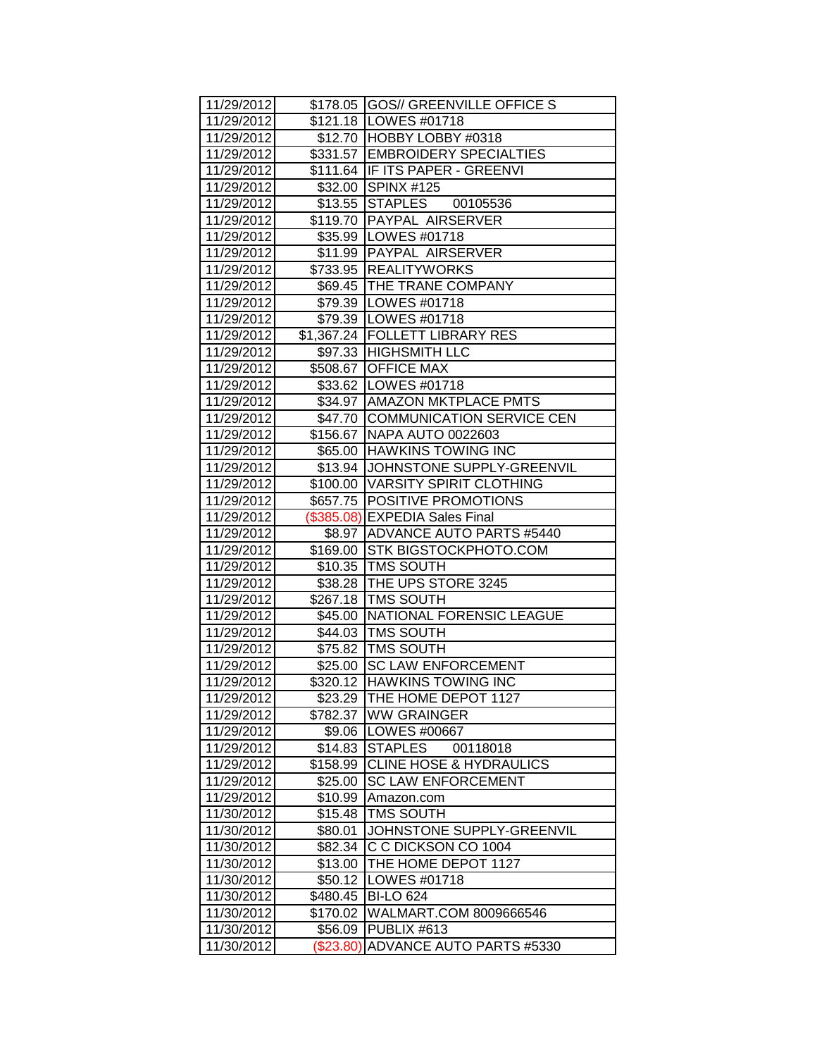| 11/29/2012 |            | \$178.05 GOS// GREENVILLE OFFICE S |
|------------|------------|------------------------------------|
| 11/29/2012 |            | \$121.18   LOWES #01718            |
| 11/29/2012 |            | \$12.70 HOBBY LOBBY #0318          |
| 11/29/2012 |            | \$331.57 EMBROIDERY SPECIALTIES    |
| 11/29/2012 |            | \$111.64 IF ITS PAPER - GREENVI    |
| 11/29/2012 |            | \$32.00 SPINX #125                 |
| 11/29/2012 |            | \$13.55 STAPLES 00105536           |
| 11/29/2012 |            | \$119.70 PAYPAL AIRSERVER          |
| 11/29/2012 |            | \$35.99   LOWES #01718             |
| 11/29/2012 |            | \$11.99 PAYPAL AIRSERVER           |
| 11/29/2012 | \$733.95   | <b>REALITYWORKS</b>                |
| 11/29/2012 |            | \$69.45   THE TRANE COMPANY        |
| 11/29/2012 |            | \$79.39   LOWES #01718             |
| 11/29/2012 |            | \$79.39   LOWES #01718             |
| 11/29/2012 |            | \$1,367.24   FOLLETT LIBRARY RES   |
| 11/29/2012 |            | \$97.33  HIGHSMITH LLC             |
| 11/29/2012 |            | \$508.67 OFFICE MAX                |
| 11/29/2012 |            | \$33.62   LOWES #01718             |
| 11/29/2012 |            | \$34.97 AMAZON MKTPLACE PMTS       |
| 11/29/2012 |            | \$47.70 COMMUNICATION SERVICE CEN  |
| 11/29/2012 |            | \$156.67   NAPA AUTO 0022603       |
| 11/29/2012 | \$65.00    | <b>HAWKINS TOWING INC</b>          |
| 11/29/2012 | \$13.94    | JOHNSTONE SUPPLY-GREENVIL          |
| 11/29/2012 | \$100.00   | <b>VARSITY SPIRIT CLOTHING</b>     |
| 11/29/2012 | \$657.75   | <b>POSITIVE PROMOTIONS</b>         |
| 11/29/2012 | (\$385.08) | <b>EXPEDIA Sales Final</b>         |
| 11/29/2012 | \$8.97     | <b>ADVANCE AUTO PARTS #5440</b>    |
| 11/29/2012 | \$169.00   | STK BIGSTOCKPHOTO.COM              |
| 11/29/2012 | \$10.35    | <b>TMS SOUTH</b>                   |
| 11/29/2012 |            | \$38.28 THE UPS STORE 3245         |
| 11/29/2012 | \$267.18   | <b>TMS SOUTH</b>                   |
| 11/29/2012 | \$45.00    | <b>NATIONAL FORENSIC LEAGUE</b>    |
| 11/29/2012 | \$44.03    | <b>TMS SOUTH</b>                   |
| 11/29/2012 | \$75.82    | <b>TMS SOUTH</b>                   |
| 11/29/2012 | \$25.00    | <b>SC LAW ENFORCEMENT</b>          |
| 11/29/2012 |            | \$320.12 HAWKINS TOWING INC        |
| 11/29/2012 |            | \$23.29 THE HOME DEPOT 1127        |
| 11/29/2012 | \$782.37   | <b>IWW GRAINGER</b>                |
| 11/29/2012 | \$9.06     | LOWES #00667                       |
| 11/29/2012 | \$14.83    | <b>STAPLES</b><br>00118018         |
| 11/29/2012 | \$158.99   | <b>CLINE HOSE &amp; HYDRAULICS</b> |
| 11/29/2012 | \$25.00    | <b>SC LAW ENFORCEMENT</b>          |
| 11/29/2012 | \$10.99    | Amazon.com                         |
| 11/30/2012 | \$15.48    | <b>TMS SOUTH</b>                   |
| 11/30/2012 | \$80.01    | JOHNSTONE SUPPLY-GREENVIL          |
| 11/30/2012 | \$82.34    | C C DICKSON CO 1004                |
| 11/30/2012 | \$13.00    | THE HOME DEPOT 1127                |
| 11/30/2012 | \$50.12    | LOWES #01718                       |
| 11/30/2012 | \$480.45   | <b>BI-LO 624</b>                   |
| 11/30/2012 | \$170.02   | WALMART.COM 8009666546             |
| 11/30/2012 | \$56.09    | PUBLIX #613                        |
| 11/30/2012 | (\$23.80)  | ADVANCE AUTO PARTS #5330           |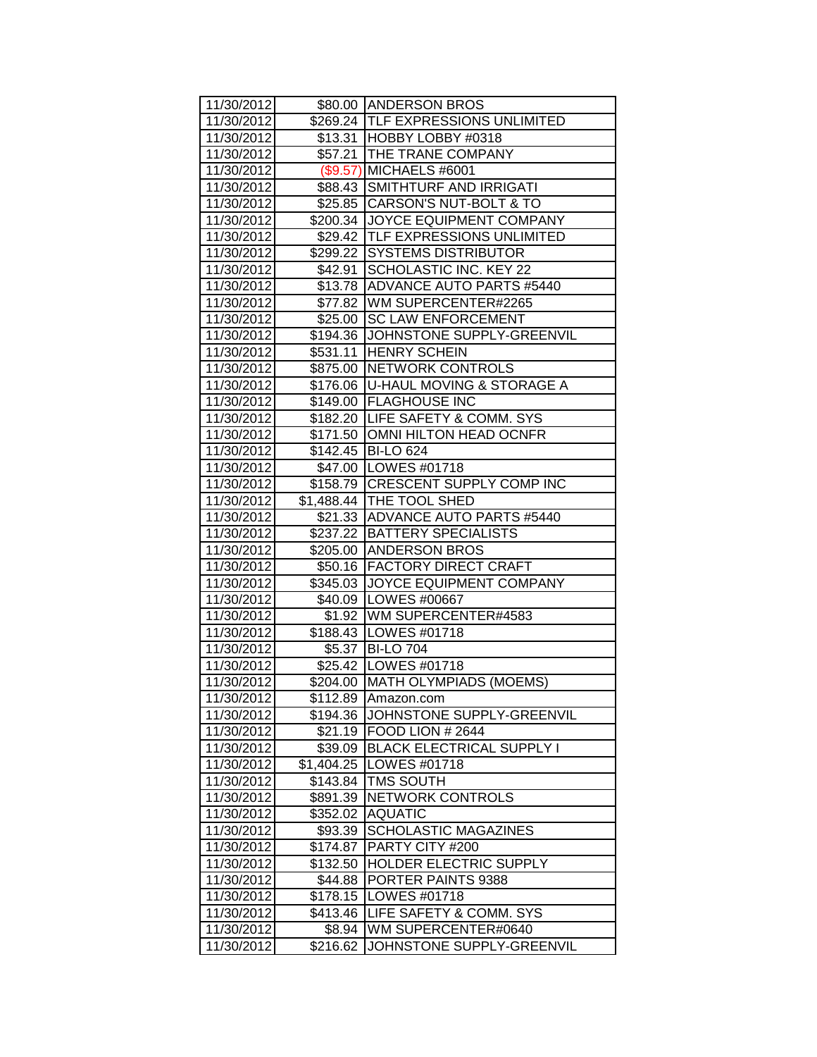| 11/30/2012               |                     | \$80.00 ANDERSON BROS                            |
|--------------------------|---------------------|--------------------------------------------------|
| 11/30/2012               |                     | \$269.24 TLF EXPRESSIONS UNLIMITED               |
| 11/30/2012               |                     | \$13.31 HOBBY LOBBY #0318                        |
| 11/30/2012               |                     | \$57.21   THE TRANE COMPANY                      |
| 11/30/2012               |                     | (\$9.57) MICHAELS #6001                          |
| 11/30/2012               |                     | \$88.43 SMITHTURF AND IRRIGATI                   |
| 11/30/2012               | \$25.85             | CARSON'S NUT-BOLT & TO                           |
| 11/30/2012               | \$200.34            | JOYCE EQUIPMENT COMPANY                          |
| 11/30/2012               | \$29.42             | <b>TLF EXPRESSIONS UNLIMITED</b>                 |
| 11/30/2012               | \$299.22            | <b>SYSTEMS DISTRIBUTOR</b>                       |
| 11/30/2012               | \$42.91             | SCHOLASTIC INC. KEY 22                           |
| 11/30/2012               | \$13.78             | <b>ADVANCE AUTO PARTS #5440</b>                  |
| 11/30/2012               |                     | \$77.82 WM SUPERCENTER#2265                      |
| 11/30/2012               | \$25.00             | <b>SC LAW ENFORCEMENT</b>                        |
| 11/30/2012               | \$194.36            | JOHNSTONE SUPPLY-GREENVIL                        |
| 11/30/2012               | \$531.11            | <b>HENRY SCHEIN</b>                              |
| 11/30/2012               | \$875.00            | NETWORK CONTROLS                                 |
| 11/30/2012               | \$176.06            | <b>IU-HAUL MOVING &amp; STORAGE A</b>            |
| 11/30/2012               | \$149.00            | <b>IFLAGHOUSE INC</b>                            |
| 11/30/2012               |                     | \$182.20 LIFE SAFETY & COMM. SYS                 |
| 11/30/2012               | \$171.50            | OMNI HILTON HEAD OCNFR                           |
| 11/30/2012               | \$142.45            | <b>BI-LO 624</b>                                 |
| 11/30/2012               | \$47.00             | LOWES #01718                                     |
| 11/30/2012               | \$158.79            | <b>CRESCENT SUPPLY COMP INC</b>                  |
| 11/30/2012               | \$1,488.44          | THE TOOL SHED                                    |
| 11/30/2012               | \$21.33             | <b>ADVANCE AUTO PARTS #5440</b>                  |
| 11/30/2012               | \$237.22            | <b>BATTERY SPECIALISTS</b>                       |
| 11/30/2012               | \$205.00            | <b>ANDERSON BROS</b>                             |
| 11/30/2012               | \$50.16             | <b>FACTORY DIRECT CRAFT</b>                      |
| 11/30/2012               | \$345.03            | JOYCE EQUIPMENT COMPANY                          |
| 11/30/2012               | \$40.09             | LOWES #00667                                     |
| 11/30/2012               | \$1.92              | WM SUPERCENTER#4583                              |
| 11/30/2012               | \$188.43            | LOWES #01718                                     |
| 11/30/2012               | \$5.37              | <b>BI-LO 704</b>                                 |
| 11/30/2012               |                     | \$25.42   LOWES #01718                           |
| 11/30/2012               | \$204.00            | <b>MATH OLYMPIADS (MOEMS)</b>                    |
| 11/30/2012               | \$112.89            | Amazon.com                                       |
| 11/30/2012               | \$194.36            | JOHNSTONE SUPPLY-GREENVIL                        |
| 11/30/2012               | \$21.19             | FOOD LION # 2644                                 |
| 11/30/2012               | \$39.09             | <b>BLACK ELECTRICAL SUPPLY I</b>                 |
| 11/30/2012               | \$1,404.25          | LOWES #01718                                     |
| 11/30/2012               | \$143.84            | <b>TMS SOUTH</b>                                 |
| 11/30/2012               | \$891.39            | NETWORK CONTROLS                                 |
| 11/30/2012               | \$352.02            | <b>AQUATIC</b>                                   |
| 11/30/2012               | \$93.39             | <b>SCHOLASTIC MAGAZINES</b>                      |
| 11/30/2012               | \$174.87            | PARTY CITY #200                                  |
| 11/30/2012               | \$132.50            | HOLDER ELECTRIC SUPPLY<br>PORTER PAINTS 9388     |
| 11/30/2012<br>11/30/2012 | \$44.88<br>\$178.15 | LOWES #01718                                     |
| 11/30/2012               | \$413.46            | LIFE SAFETY & COMM. SYS                          |
|                          |                     |                                                  |
| 11/30/2012<br>11/30/2012 | \$8.94<br>\$216.62  | WM SUPERCENTER#0640<br>JOHNSTONE SUPPLY-GREENVIL |
|                          |                     |                                                  |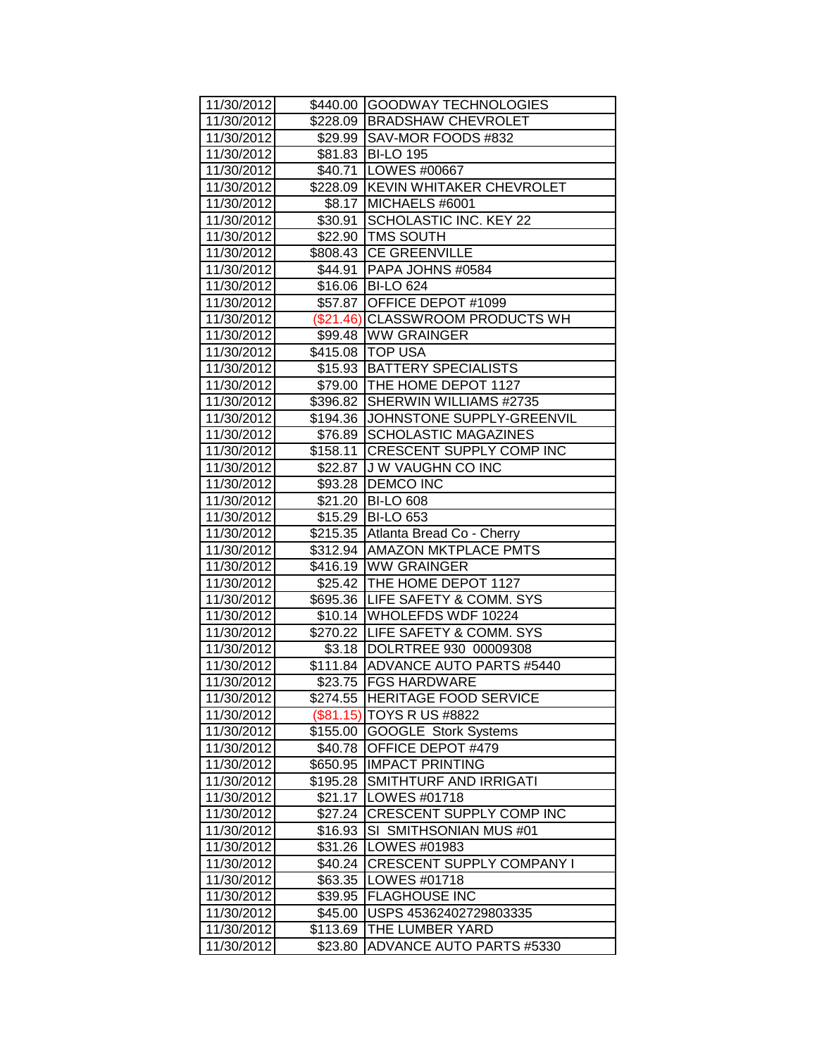| 11/30/2012               |           | \$440.00 GOODWAY TECHNOLOGIES               |
|--------------------------|-----------|---------------------------------------------|
| 11/30/2012               |           | \$228.09 BRADSHAW CHEVROLET                 |
| 11/30/2012               |           | \$29.99 SAV-MOR FOODS #832                  |
| 11/30/2012               |           | \$81.83 BI-LO 195                           |
| 11/30/2012               |           | \$40.71   LOWES #00667                      |
| 11/30/2012               |           | \$228.09 KEVIN WHITAKER CHEVROLET           |
| 11/30/2012               | \$8.17    | MICHAELS #6001                              |
| 11/30/2012               | \$30.91   | SCHOLASTIC INC. KEY 22                      |
| 11/30/2012               | \$22.90   | <b>TMS SOUTH</b>                            |
| 11/30/2012               |           | \$808.43 CE GREENVILLE                      |
| 11/30/2012               | \$44.91   | PAPA JOHNS #0584                            |
| 11/30/2012               | \$16.06   | <b>BI-LO 624</b>                            |
| 11/30/2012               | \$57.87   | OFFICE DEPOT #1099                          |
| 11/30/2012               |           | (\$21.46) CLASSWROOM PRODUCTS WH            |
| 11/30/2012               | \$99.48   | <b>WW GRAINGER</b>                          |
| 11/30/2012               | \$415.08  | <b>TOP USA</b>                              |
| 11/30/2012               | \$15.93   | <b>BATTERY SPECIALISTS</b>                  |
| 11/30/2012               | \$79.00   | THE HOME DEPOT 1127                         |
| 11/30/2012               | \$396.82  | SHERWIN WILLIAMS #2735                      |
| 11/30/2012               | \$194.36  | JOHNSTONE SUPPLY-GREENVIL                   |
| 11/30/2012               | \$76.89   | <b>SCHOLASTIC MAGAZINES</b>                 |
| 11/30/2012               | \$158.11  | <b>CRESCENT SUPPLY COMP INC</b>             |
| 11/30/2012               | \$22.87   | <b>JW VAUGHN CO INC</b>                     |
| 11/30/2012               | \$93.28   | <b>DEMCO INC</b>                            |
| 11/30/2012               | \$21.20   | <b>BI-LO 608</b>                            |
| 11/30/2012               | \$15.29   | <b>BI-LO 653</b>                            |
|                          |           |                                             |
| 11/30/2012               | \$215.35  | Atlanta Bread Co - Cherry                   |
| 11/30/2012               | \$312.94  | <b>AMAZON MKTPLACE PMTS</b>                 |
| 11/30/2012               |           | \$416.19   WW GRAINGER                      |
| 11/30/2012               |           | \$25.42 THE HOME DEPOT 1127                 |
| 11/30/2012               |           | \$695.36   LIFE SAFETY & COMM. SYS          |
| 11/30/2012               |           | \$10.14 WHOLEFDS WDF 10224                  |
| 11/30/2012               |           | \$270.22 LIFE SAFETY & COMM. SYS            |
| 11/30/2012               | \$3.18    | DOLRTREE 930 00009308                       |
| 11/30/2012               |           | \$111.84   ADVANCE AUTO PARTS #5440         |
| 11/30/2012               | \$23.75   | <b>FGS HARDWARE</b>                         |
| 11/30/2012               | \$274.55  | <b>HERITAGE FOOD SERVICE</b>                |
| 11/30/2012               | (\$81.15) | <b>TOYS R US #8822</b>                      |
| 11/30/2012               | \$155.00  | <b>GOOGLE Stork Systems</b>                 |
| 11/30/2012               | \$40.78   | OFFICE DEPOT #479                           |
| 11/30/2012               | \$650.95  | <b>IMPACT PRINTING</b>                      |
| 11/30/2012               | \$195.28  | SMITHTURF AND IRRIGATI                      |
| 11/30/2012               | \$21.17   | LOWES #01718                                |
| 11/30/2012               | \$27.24   | CRESCENT SUPPLY COMP INC                    |
| 11/30/2012               | \$16.93   | SI SMITHSONIAN MUS #01                      |
| 11/30/2012               | \$31.26   | LOWES #01983                                |
| 11/30/2012               | \$40.24   | <b>CRESCENT SUPPLY COMPANY I</b>            |
| 11/30/2012               | \$63.35   | LOWES #01718                                |
| 11/30/2012               | \$39.95   | <b>FLAGHOUSE INC</b>                        |
| 11/30/2012               | \$45.00   | USPS 45362402729803335                      |
| 11/30/2012<br>11/30/2012 | \$113.69  | THE LUMBER YARD<br>ADVANCE AUTO PARTS #5330 |